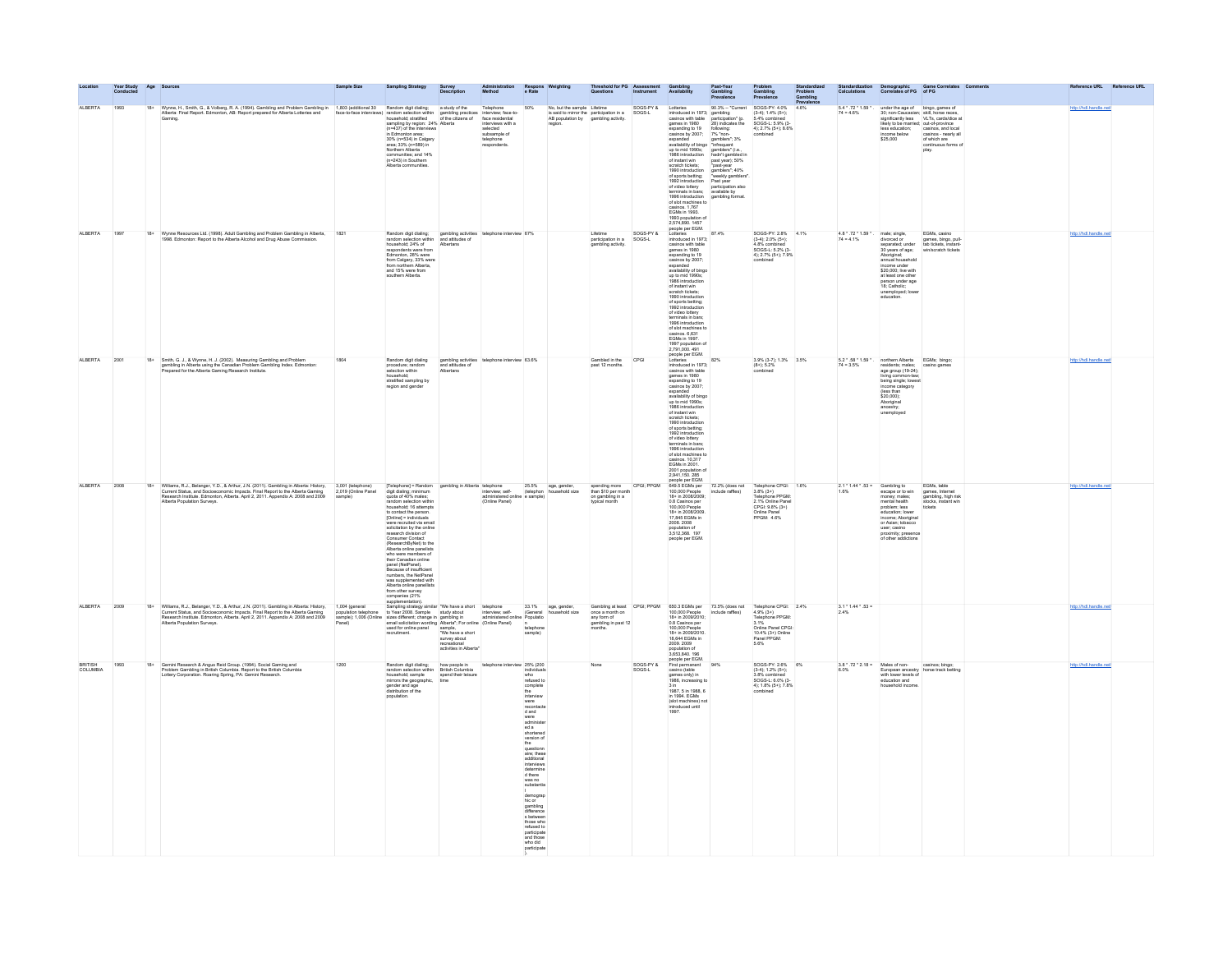|                            | Year Study<br>Conducted | Age   |                                                                                                                                                                                                                                      | Sample Size                                         |                                                                                                                                                                                                                                                                                                                                                                                                                                                                                                                                                                                                                                                 |                                                                                       |                                                                                                                              |                                                                                                                                                                                                                                                                                                                                                                                                                                                                 |                  |                                                                                              |                     |                                                                                                                                                                                                                                                                                                                                                                                                                                                                                                                                                                  |                                                                                                                                                                                                                                                                            |                                                                                                                                                              | <b>Calculations</b><br>Prev:                          |                                                                                                                                                                                                                                                                                                                                                                                                   | Demographic Game Correlates<br>Correlates of PG of PG                                   |                        |  |
|----------------------------|-------------------------|-------|--------------------------------------------------------------------------------------------------------------------------------------------------------------------------------------------------------------------------------------|-----------------------------------------------------|-------------------------------------------------------------------------------------------------------------------------------------------------------------------------------------------------------------------------------------------------------------------------------------------------------------------------------------------------------------------------------------------------------------------------------------------------------------------------------------------------------------------------------------------------------------------------------------------------------------------------------------------------|---------------------------------------------------------------------------------------|------------------------------------------------------------------------------------------------------------------------------|-----------------------------------------------------------------------------------------------------------------------------------------------------------------------------------------------------------------------------------------------------------------------------------------------------------------------------------------------------------------------------------------------------------------------------------------------------------------|------------------|----------------------------------------------------------------------------------------------|---------------------|------------------------------------------------------------------------------------------------------------------------------------------------------------------------------------------------------------------------------------------------------------------------------------------------------------------------------------------------------------------------------------------------------------------------------------------------------------------------------------------------------------------------------------------------------------------|----------------------------------------------------------------------------------------------------------------------------------------------------------------------------------------------------------------------------------------------------------------------------|--------------------------------------------------------------------------------------------------------------------------------------------------------------|-------------------------------------------------------|---------------------------------------------------------------------------------------------------------------------------------------------------------------------------------------------------------------------------------------------------------------------------------------------------------------------------------------------------------------------------------------------------|-----------------------------------------------------------------------------------------|------------------------|--|
| ALBERTA                    | 1993                    | $18+$ | Wyme, H., Smith, G., & Volberg, R. A. (1994). Gambing and Problem Gambing in 1903 (additional 30 Random digit dialing: a study of the Telephone<br>Alberts: Final Report. Edmonton, AB: Report prepared for Alberta Lotteries and    |                                                     | sampling by region: 24% Alberta<br>(n=437) of the interviews<br>in Frimne<br>in Edmonton area;<br>$30\%$ (n= $534$ ) in Calgary<br>area; $33\%$ (n= $589$ ) in<br>Northern Alberta<br>communities; and 14%<br>(n=243) in Southern<br>Alberta communities.                                                                                                                                                                                                                                                                                                                                                                                       |                                                                                       | mervew; race-to-<br>face residential<br>interviews with a<br>selected<br>subsample of<br>telephone<br>respondents.           | 50%                                                                                                                                                                                                                                                                                                                                                                                                                                                             | AB population by | No, but the sample Lifetime<br>is said to mirror the participation in a<br>gambling activity | SOGS-PY &<br>SOGS-L | Lotteries<br>introduced in 1973; gambling<br>casinos with table participation" (p.<br>games in 1980 28) indicates the<br>maximo auth 15bis<br>canines with 15bis<br>games and 16bis<br>games and 1600<br>capinos by 2007;<br>expanded<br>capinos by 2007;<br>expanded by the polynomial and 19bis<br>interded in the number of the state of spots betting;<br>of whice b<br>1993 population of<br>2,574,890. 1457<br>people per EGM.                                                                                                                             | 90.3% -- "Current<br>28) indicates the<br>following:<br>T% "non-<br>T%" homes": 3%<br>gambles": 3%<br>mifrequent<br>gambles" (i.e.,<br>party, 50%<br>party party, 50%<br>party party appliers": 40%<br>weekly gambles"<br>available by<br>gambles and a security participa | SOGS-PY: 4.0%<br>$(3-4); 1.4% (5+)$<br>5.4% combined<br>SOGS-L: 5.9% (3-<br>4); 2.7% (5+); 8.6%                                                              | $5.4 * .72 * 1.59 *$<br>4.6%<br>$74 = 4.6%$           |                                                                                                                                                                                                                                                                                                                                                                                                   | under the age of bingo, games of<br>30; non-Caucasian; skill, horse races,<br>play.     |                        |  |
| ALBERTA                    | 1997                    |       | 18+ Wynne Resources Ltd. (1998). Adult Gambling and Problem Gambling in Alberta.<br>1998. Edmonton: Report to the Alberta Alcohol and Drug Abuse Commission                                                                          | 1821                                                | Random digit dialing; gambling activities telephone interview 67%<br>random selection within and attitudes of<br>household; 24% of Albertans<br>respondents were from<br>Edmonton, 28% were<br>from Calgary, 33% were<br>from northern Alberta,<br>and 15% were from<br>southern Alberta.                                                                                                                                                                                                                                                                                                                                                       |                                                                                       |                                                                                                                              |                                                                                                                                                                                                                                                                                                                                                                                                                                                                 |                  | Lifetime<br>participation in a<br>gambling activity                                          | SOGS-PY &<br>SOGS-L | Lotteries<br>introduced in 1973;<br>casinos with table<br>casinos with table<br>games in 1980<br>expanding to 19<br>casinos by 2007;<br>expanded<br>availability of bingo<br>up to mid 1990s;<br>1986 introduction<br>1988 introduction<br>of instant win<br>scratch tickets;<br>1990 introduction<br>of sports betting;<br>1992 introduction<br>terminals in bars;<br>1996 introduction<br>casinos. 6,631<br>EGMs introduction<br>casinos. 6,631<br>EGMs in 1997.<br>1997 population of<br>1997 population of<br>2,791,000. 491<br>people per EGM.<br>Lotteries | 87.4%                                                                                                                                                                                                                                                                      | SOGS-PY: 2.8% 4.1%<br>$(3-4): 2.0\% (5+)$<br>4.8% combined<br>SOGS-L: 5.2% (3-<br>41: 2.7% (5+): 7.9%<br>combined                                            |                                                       | $\begin{array}{lll} 4.8 \, ^{\circ} \cdot 72 \, ^{\circ} \, 1.59 \, ^{\circ} \cdot & \mbox{male; single,} \\ 74 = 4.1 \% & \mbox{divored or} \\ & \mbox{separated; under} \end{array}$<br>30 years of age;<br>Aboriginal;<br>annual household<br>ncome under<br>income under<br>\$20,000; live with<br>at least one other<br>person under age<br>18; Catholic;<br>unemployed; lower<br>education. | EGMs, casino<br>games, bingo, pull-<br>tab tickets, instant-<br>win/scratch tickets     | http://hdl.handle.net/ |  |
| ALBERTA                    | 2001                    |       | 18+ Smith, G. J., & Wynne, H. J. (2002). Measuring Gambling and Problem gambling in Alberta using the Canadian Problem Gambling Index. Edmonton: Prepared for the Alberta Gaming Research Institute.                                 | 1804                                                | Random digit dialing<br>procedure; random<br>selection within<br>household:<br>stratified sampling by<br>region and gender                                                                                                                                                                                                                                                                                                                                                                                                                                                                                                                      | and attitudes of<br>Albertans                                                         | gambling activities telephone interview 63.6%                                                                                |                                                                                                                                                                                                                                                                                                                                                                                                                                                                 |                  | Gambled in the<br>past 12 months.                                                            | CPGI                | introduced in 1973;<br>casinos with table<br>games in 1980<br>expanding to 19<br>casinos by 2007;<br>expanded<br>wailability of bingo<br>up to mid 1990s;<br>1986 introduction<br>of instant win<br>cratch tickets:<br>scratch tickets;<br>1990 introduction<br>of spots betting;<br>1992 introduction<br>of video lottery<br>terminals in bars;<br>1996 introduction<br>of slot machines to<br>EGMs in 2001.<br>EGMs in 2001.<br>2001 population<br>2,941,150. 285                                                                                              | 82%                                                                                                                                                                                                                                                                        | 3.9% (3-7); 1.3% 3.5%<br>$(8+)$ ; $5.2\%$<br>combined                                                                                                        | $74 = 3.5%$                                           | 5.2 * .58 * 1.59 * . northern Alberta<br>residents; males;<br>age group (19-24);<br>living common-law<br>being single; lowes<br>income category<br>(less than<br>\$20,000):<br>Aboriginal<br>ancestry;<br>unemployed                                                                                                                                                                              | EGMs; bingo;<br>casino games                                                            | http://hdl.handle.net/ |  |
| ALBERTA                    | 2008                    | $18+$ | Williams, R.J., Belanger, Y.D., & Arthur, J.N. (2011). Gambling in Alberta: History, Current Status, and Socioeconomic Impacts. Final Report to the Alberta Gaming Research Institute. Edmonton, Alberta. April 2, 2011. Appen       | 3,001 (telephone)<br>2,019 (Online Panel<br>sample) | [Telephone] = Random gambling in Alberta telephone<br>digit dialing; minimum interview, self-<br>quota of 40% males; administered onli<br>random selection within<br>household; 16 attempts<br>to contact the person.<br>[Online] = individuals<br>were recruited via emai<br>solicitation by the online<br>research division of<br>Consumer Contact<br>(ResearchByNet) to the<br>Alberta online panelists<br>who were members of<br>who were members of<br>their Canadian online<br>panel (NelPanel).<br>Because of insufficient<br>numbers, the NelPanel<br>was supplemented with<br>form other survey<br>companies (21%<br>supplementation). |                                                                                       | telephone 25.5% age, gender,<br>interview, self- (telephon household size<br>administered online e sample)<br>(Online Panel) |                                                                                                                                                                                                                                                                                                                                                                                                                                                                 |                  | spending more<br>than \$10 per month<br>on gambling in a<br>typical month                    | CPGI; PPGM          | 2,941,150.265<br>people per EGM.<br>649.5 EGMs per<br>100,000 People<br>18+ in 2008/2009;<br>0.8 Casinos per<br>100,000 People<br>18+ in 2008/2009.<br>17,845 EGMs in<br>2008.2008<br>population of<br>3,512,368. 197<br>people per EGM.                                                                                                                                                                                                                                                                                                                         | 72.2% (does not<br>include raffles)                                                                                                                                                                                                                                        | Telephone CPGI: 1.6%<br>3.8% (3+)<br>Telephone PPGM:<br>2.1% Online Panel<br>CPGI: 9.8% (3+)<br>Online Panel<br>PPGM: 4.6%                                   | $2.1 * 1.44 * .53 =$ Gambling to<br>1.6% escape or to | escape or to win<br>money; males;<br>mental health<br>problem; less<br>education; lower<br>income; Aboriginal<br>or Asian; tobacco<br>user: casino<br>proximity; presence<br>of other addictions                                                                                                                                                                                                  | EGMs, table<br>games, Internet<br>gambling, high risk<br>stocks, instant win<br>tickets | http://hdl.handle.net/ |  |
| ALBERTA                    | 2009                    | $18+$ | Williams, R.J., Belanger, Y.D., & Arthur, J.N. (2011). Gambling in Alberta: History, 1,004 (general<br>Current Status, and Socioeconomic Impacts. Final Report to the Alberta Gaming population teles<br>Research Institute. Edmonto | population telephone<br>sample); 1,006 (Online      | supplementation).<br>Sampling strategy similar "We have a short lealephone $33.1\%$ age, gender, to Year 2008. Sample and the size and strategy similar strategy and strategy and strategy and strategy of strategy and strateg<br>recruitment.                                                                                                                                                                                                                                                                                                                                                                                                 | sample,<br>"We have a short<br>survey about<br>recreational<br>activities in Alberta' |                                                                                                                              | sample)                                                                                                                                                                                                                                                                                                                                                                                                                                                         |                  | Gambling at least<br>once a month on<br>any form of<br>gambling in past 12<br>months         |                     | 850.3 EGMs per 73.5% (does not<br>100,000 People include raffles)<br>18+ in 2009/2010;<br>$\begin{array}{c} 0.8 \text{ Casinos per} \\ 100,000 \text{ People} \\ 18 + \text{in } 2009/2010. \\ 18,644 \text{ EGMs in} \end{array}$<br>2009.2009<br>population of<br>3,653,840. 196<br>people per EGM.<br>First permanent                                                                                                                                                                                                                                         |                                                                                                                                                                                                                                                                            | Telephone CPGI: 2.4%<br>4.9% (3+)<br>Telephone PPGM:<br>3.1%<br>Colina Panal CPCI:<br>3.1%<br>Online Panel CPGI:<br>10.4% (3+) Online<br>Panel PPGM:<br>5.6% | $3.1 * 1.44 * .53 =$                                  |                                                                                                                                                                                                                                                                                                                                                                                                   |                                                                                         | http://hdl.handle.net  |  |
| <b>BRITISH</b><br>COLUMBIA | 1993                    | 18+   | Gemini Research & Angus Reid Group. (1994). Social Gaming and<br>Problem Gambling in British Columbia. Report to the British Columbia<br>Lottery Corporation. Roaring Spring, PA: Gemini Research.                                   | 1200                                                | Random digit dialing; how people in<br>random selection within British Columbia<br>household: sample<br>mirrors the geographic,<br>gender and age<br>distribution of the<br>population                                                                                                                                                                                                                                                                                                                                                                                                                                                          | spend their leisure                                                                   | telephone interview 25% (200                                                                                                 | individuals<br>who<br>refused to<br>complete<br>the<br>interview were<br>thereive were add and<br>dominister and and shortened version of<br>questionn and interviews determined the<br>difference determined of the<br>determined of the state of the state of the state of the<br>state<br>was no<br>substantia<br>demograp<br>hic or<br>gambling<br>difference<br>s between<br>those who<br>refused to<br>participate<br>and those<br>who did<br>participate |                  | None                                                                                         | SOGS-PY &<br>SOGS-L | casino (table<br>games only) in<br>1986, increasing to<br>3 in<br>1987, 5 in 1988, 6<br>in 1994, EGMs<br>(slot machines) not<br>introduced until<br>1997                                                                                                                                                                                                                                                                                                                                                                                                         | 94%                                                                                                                                                                                                                                                                        | SOGS-PY: 2.6% 6%<br>$(3-4); 1.2% (5+)$<br>3.8% combined<br>SOGS-L: 6.0% (3-<br>4): 1.8% (5+): 7.8%<br>combined                                               | 6.0%                                                  | $3.8 \cdot .72 \cdot 2.18 =$ Males of non-<br>with lower levels of<br>education and<br>household income                                                                                                                                                                                                                                                                                           | casinos; bingo;<br>European ancestry horse track betting                                | http://hdl.handle.net/ |  |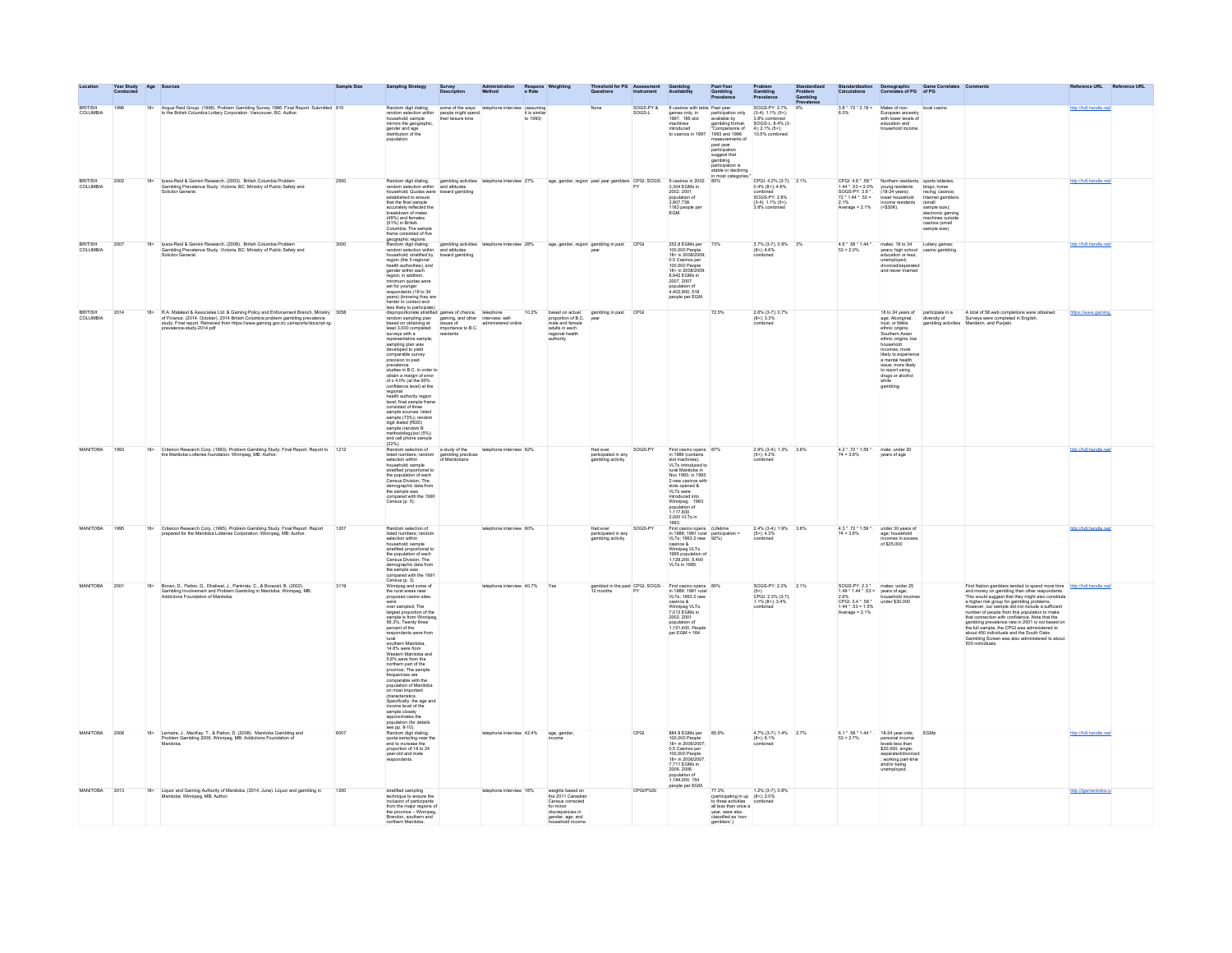|                            |      |       |                                                                                                                                                                                                                                                            |      |                                                                                                                                                                                                                                                                                                                                                                                                                                                                                                                                                                                                                                                                                                                                            |                                  |                                                |                           |                                                                                                                  |                                                       |                     |                                                                                                                                                                                                                                                                    |                                                                                                                                                                                                                            |                                                                                                                                                                        |    |                                                                                    | Demographic Game Correlates Com<br>Correlates of PG of PG                                                                                                                                                                              |                                                                                                                                                                                           |                                                                                                                                                                                                                                                                                                                                                                                        |                        | nce URL Reference URL |
|----------------------------|------|-------|------------------------------------------------------------------------------------------------------------------------------------------------------------------------------------------------------------------------------------------------------------|------|--------------------------------------------------------------------------------------------------------------------------------------------------------------------------------------------------------------------------------------------------------------------------------------------------------------------------------------------------------------------------------------------------------------------------------------------------------------------------------------------------------------------------------------------------------------------------------------------------------------------------------------------------------------------------------------------------------------------------------------------|----------------------------------|------------------------------------------------|---------------------------|------------------------------------------------------------------------------------------------------------------|-------------------------------------------------------|---------------------|--------------------------------------------------------------------------------------------------------------------------------------------------------------------------------------------------------------------------------------------------------------------|----------------------------------------------------------------------------------------------------------------------------------------------------------------------------------------------------------------------------|------------------------------------------------------------------------------------------------------------------------------------------------------------------------|----|------------------------------------------------------------------------------------|----------------------------------------------------------------------------------------------------------------------------------------------------------------------------------------------------------------------------------------|-------------------------------------------------------------------------------------------------------------------------------------------------------------------------------------------|----------------------------------------------------------------------------------------------------------------------------------------------------------------------------------------------------------------------------------------------------------------------------------------------------------------------------------------------------------------------------------------|------------------------|-----------------------|
| <b>COLUMBIA</b>            | 1996 | $18+$ | Angus Reid Group. (1996). Problem Gambling Survey 1996: Final Report. Submitted 810<br>to the British Columbia Lottery Corporation. Vancouver, BC: Author.                                                                                                 |      | Random digit dialing; some of the way.<br>random selection within people might spend<br>their leisure time<br>their leisure time<br>mirrors the geographic,<br>gender and age<br>distribution of the<br>population                                                                                                                                                                                                                                                                                                                                                                                                                                                                                                                         |                                  | some of the ways telephone interview (assuming | it is similar<br>to 1993) |                                                                                                                  |                                                       | SOGS-PY &<br>SOGS-L | 8 casinos with table Past year<br>games only, in<br>1997. 185 slot<br>machines<br>introduced<br>casinos in 1997                                                                                                                                                    | participation only<br>available by<br>gambling format.<br>"Comparisons of<br>1993 and 1996<br>measurements<br>past year<br>participation<br>suggest that<br>gambling<br>participation is<br>stable or decli<br>most catego | SOGS-PY: 2.7%<br>$(3-4); 1.1\% (5+)$<br>3.8% combined<br>SOGS-L: 8.4% (3)<br>4): 2.1% (5+);<br>10.5% combined                                                          | 6% | $3.8 * .72 * 2.18 =$<br>6.0%                                                       | Males of non-<br>European ancestry<br>with lower levels of<br>education and<br>household income                                                                                                                                        | local casino                                                                                                                                                                              |                                                                                                                                                                                                                                                                                                                                                                                        | http://hdl.handle.net/ |                       |
| ppmsu<br>COLUMBIA          | 2002 | $18+$ | Ipsos-Reid & Gemini Research. (2003). British Columbia Problem<br>Gambling Prevalence Study. Victoria, BC: Ministry of Public Safety and<br>Solicitor General.                                                                                             | 2500 | Random digit dialing: gambling activities<br>random selection within and attitudes<br>household; Quotas were toward gambling<br>established to ensure<br>that the final sample<br>accurately reflected the<br>breakdown of males<br>treakdown or mailes<br>(49%) and females<br>(51%) in British<br>Columbia; The sample<br>frame consisted of five                                                                                                                                                                                                                                                                                                                                                                                        |                                  | telephone interview 27%                        |                           | age, gender, region past year gamblers CPGI; SOGS-                                                               |                                                       |                     | 9 casinos in 2002.<br>3,304 EGMs in<br>2002. 2001<br>population of<br>3,907,738.<br>1183 people per<br><b>FGM</b>                                                                                                                                                  |                                                                                                                                                                                                                            | $\begin{array}{ll} \text{CPGL } 4.2\% \ (3\cdot 7); & 2.1\% \\ 0.4\% \ (8+); \ 4.6\% \end{array}$<br>combined<br>SOGS-PY: 2.8%<br>$(3-4): 1.1\% (5+)$<br>3.8% combined |    | 2.1%<br>Average = $2.1\%$                                                          | $\begin{tabular}{ll} CPGI: 4.6 * .58 * & Northern residents \\ 1.44 * .53 = 2.0\% & young residents \\ SOGS-PY: 3.8 * & (18-24 years); \\ 72 * 1.44 * .53 = & lower household \\ \end{tabular}$<br>income residents<br>( <b>S30K</b> ) | sports lotteries<br>bingo; horse<br>racing; casinos;<br>Internet gamblers<br>(small<br>(small<br>sample size);<br>electronic gaming<br>machines outside<br>casinos (small<br>sample size) |                                                                                                                                                                                                                                                                                                                                                                                        |                        |                       |
| <b>BRITISH</b><br>COLUMBIA | 2007 | 18+   | Ipsos-Reid & Gemini Research. (2008). British Columbia Problem<br>Gambling Prevalence Study. Victoria, BC: Ministry of Public Safety and<br>Solicitor General                                                                                              | 3000 | geographic regions.<br>Random digit dialing:<br>random selection within<br>household: stratified by<br>riousenous, su anneu by<br>region (the 5 regional<br>health authorities), and<br>gender within each<br>region; in addition,<br>ninimum quotas were<br>set for younger<br>respondents (18 to 34<br>years) (knowing they are<br>harder to contact and                                                                                                                                                                                                                                                                                                                                                                                 | and attitudes<br>toward gambling | gambling activities telephone interview 28%    |                           | age, gender, region gambling in past CPGI                                                                        |                                                       |                     | 253.8 EGMs per 73%<br>100,000 People<br>18+ in 2008/2009<br>18+ In 2008/2009<br>0.5 Casinos per<br>100,000 People<br>18+ in 2008/2009<br>8,942 EGMs in<br>2007.2007<br>population of<br>4,402,900. 518<br>people per EGM.                                          |                                                                                                                                                                                                                            | 3.7% (3-7); 0.9% 2%<br>$(8+)$ ; 4.6%<br>combinad                                                                                                                       |    | $53 = 2.0%$                                                                        | 4.6 *.58 * 1.44 *. males: 18 to 34    Lottery games<br>mains; to so se<br>Lonery games;<br>education or less;<br>unemployed;<br>unemployed;<br>unemployed;<br>and never married<br>and never married                                   |                                                                                                                                                                                           |                                                                                                                                                                                                                                                                                                                                                                                        | http://hdl.handle.net/ |                       |
| gomeu<br>COLUMBIA          | 2014 |       | 18+ R.A. Malatest & Associates Ltd. & Gaming Policy and Enforcement Branch, Ministry 3058 of Finance. (2014) October). 2014 British Columbia problem gambling prevalence study. Final report, Retreved from https://www.gamin<br>prevalence-study-2014.pdf |      | harder to contact and<br>less likely to participate).<br>disproportionate stratified games of chance, telephone<br>random sampling plan gaming, and other interview; self-<br>haved on obtaining at issues of<br>investment to B.C.<br>surveys with a<br>representative sample:<br>sampling plan was<br>developed to yield<br>comparable survey<br>precision to past<br>prevalence<br>studies in B.C. in order to<br>obtain a margin of error<br>of ± 4.0% (at the 95%<br>confidence level) at the<br>connectice level) at the<br>regional<br>level; final sample frame<br>consisted of three<br>sample sources: listed<br>sample (73%); random<br>digit dialed (RDD)<br>sample (random B<br>methodology)xxi (5%)<br>and cell phone sample | residents                        | administered online                            |                           | 10.2% based on actual<br>proportion of B.C.<br>male and female<br>adults in each<br>regional health<br>authority | gambling in past CPGI<br>year                         |                     |                                                                                                                                                                                                                                                                    | 72.5%                                                                                                                                                                                                                      | $\substack{2.6\%\\(8+); 3.3\%\\combined}$                                                                                                                              |    |                                                                                    | ethnic origins;<br>Southern Asian<br>ethnic origins; low<br>household<br>incomes; more<br>likely to experience<br>a mental health<br>issue; more likely<br>to report using<br>drugs or alcohol<br>while<br>gambling                    |                                                                                                                                                                                           | 18 to 24 years of participate in a $\blacksquare$ A total of 58 web completions were obtained.<br>age: Aboriginal, diversity of Surveys were completed in English, Inuit, or Métis gambling activities Mandarin, and Punjabi.                                                                                                                                                          | https://www.gaming.    |                       |
| MANITOBA                   | 1993 | $18+$ | Criterion Research Corp. (1993). Problem Gambling Study: Final Report. Report to 1212<br>the Manitoba Lotteries foundation. Winnipeg, MB: Author.                                                                                                          |      | Random selection of<br>listed numbers; random gambling practices<br>selection within of Manitobans<br>household: sample<br>stratified proportional to<br>the population of each<br>Census Division; The<br>demographic data from<br>the sample was<br>compared with the 1990<br>Census (p. 5).                                                                                                                                                                                                                                                                                                                                                                                                                                             | a study of the                   | telephone interview $62\%$                     |                           |                                                                                                                  | Had ever<br>participated in any<br>gambling activity. | SOGS-PY             | First casino opens 87%<br>in 1989 (contains<br>slot machines):<br>VLTs introduced to<br>ni edotineM leun<br>Nov 1993: in 1993<br>2 new casinos wi<br>slots opened &<br>VLTs were<br>introduced into<br>Winnipeg. 1993<br>population of<br>1117600<br>2,000 VLTs in |                                                                                                                                                                                                                            | 2.9% (3-4); 1.3% 3.6%<br>$(5+)$ ; 4.2%<br>combined                                                                                                                     |    | $4.2 * .72 * 1.59 * .$ male; under 30<br>74 = 3.6% years of age                    |                                                                                                                                                                                                                                        |                                                                                                                                                                                           |                                                                                                                                                                                                                                                                                                                                                                                        | http://hdl.handle.net/ |                       |
| MANITOBA                   | 1995 |       | 18+ Criterion Research Corp. (1995). Problem Gambling Study: Final Report. Report prepared for the Manitoba Lotteries Corporation. Winnipeg, MB: Author.                                                                                                   | 1207 | Random selection of<br>listed numbers; random<br>selection within<br>household: sample<br>stratified proportional to<br>the population of each<br>Census Division; The<br>demographic data from<br>the sample was<br>compared with the 1991                                                                                                                                                                                                                                                                                                                                                                                                                                                                                                |                                  | elephone interview 60%                         |                           |                                                                                                                  | Had ever<br>participated in any<br>gambling activity. | SOGS-PY             | First casino opens (Lifetime<br>in 1989; 1991 rural participation =<br>VLTs; 1993 2 new 92%)<br>casinos &<br>Winnipeg VLTs.<br>1995 population o<br>1,129,200. 5,400<br>VLTs in 1995.                                                                              |                                                                                                                                                                                                                            | $2.4\%$ (3-4); 1.9% 3.6%<br>$(5+)$ ; 4.3%<br>combined                                                                                                                  |    | $4.3 * .72 * 1.59 *$ .<br>$74 = 3.6\%$                                             | under 30 years of<br>age; household<br>incomes in excess<br>of \$25,000                                                                                                                                                                |                                                                                                                                                                                           |                                                                                                                                                                                                                                                                                                                                                                                        | http://hdl.handle.net/ |                       |
| <b>MANITOBA</b>            | 2001 | $18+$ | Brown, D., Patton, D., Dhaliwal, J., Pankratz, C., & Broszeit, B. (2002).<br>Gambling Involvement and Problem Gambling in Manitoba. Winnipeg, MB:<br>Addictions Foundation of Manitoba.                                                                    | 3119 | Census (p. 3).<br>Winnipeg and some of<br>the rural areas near<br>proposed casino sites<br>over sampled; The<br>largest proportion of the<br>sample is from Winnipeg,<br>56.3%; Twenty three<br>percent of the<br>respondents were from<br>rural<br>southern Manitoba<br>14.6% were from<br>Western Manitoba and<br>5.8% were from the<br>northern part of the<br>province; The sample<br>frequencies are<br>comparable with the<br>population of Manitoba<br>on most important<br>characteristics.<br>Specifically, the age and<br>income level of the<br>sample closely<br>approximates the<br>population (for details<br>see pp. 8-10).                                                                                                 |                                  | telephone interview 40.7% Yes                  |                           |                                                                                                                  |                                                       |                     | gambled in the past CPGI; SOGS-<br>12 months PY in 1980-1991 ----<br>VLTs; 1993 2 new<br>VL1s; 1993 2 new<br>casinos &<br>Vinnipeg VLTs.<br>2002. 2001<br>population of<br>1,151,400. People<br>per EGM = 164.                                                     |                                                                                                                                                                                                                            | SOGS-PY: 2.3% 2.1%<br>$(5+)$<br>CPGI: 2.3% (3-7);<br>1.1% (8+); 3.4%<br>combined                                                                                       |    | SOGS-PY: 2.3 *<br>2.0%<br>CPGI: 3.4 * .58 *<br>1.44 * .53 = 1.5%<br>Average = 2.1% | males; under 25<br>$1.49 * 1.44 * .53 =$ years of age;<br>2.6% household incomes<br>under \$30,000                                                                                                                                     |                                                                                                                                                                                           | First Nation gamblers tended to spend more time http://hdl.handle.net/<br>First Nation gamblers tended to spend more time<br>and money on gambling than other respondents. This would suggest that they might also constitute<br>a higher risk group for gambling problems.<br>However, our sample did not inclu<br>Gambling Screen was also administered to about<br>500 individuals. |                        |                       |
| MANITORA                   | 2006 | $18+$ | Lemaire, J., MacKay, T., & Patton, D. (2008). Manitoba Gambling and<br>n Gambling 2006. Winnipeg, MB: Addictions Foundatio                                                                                                                                 | 6007 | Random digit dialing:<br>quota sampling near the<br>end to increase the<br>proportion of 18 to 24<br>year-old and male<br>.<br>respondents.                                                                                                                                                                                                                                                                                                                                                                                                                                                                                                                                                                                                |                                  | elephone interview 42.4%                       |                           | age, gender                                                                                                      |                                                       | CPGL                | 884.8 EGMs per 85.6%<br>100,000 People<br>18+ in 2006/2007<br>0.5 Casinos per<br>100,000 People<br>18+ in 2006/2007<br>7,711 EGMs in<br>2006 2006<br>population of<br>1,184,000. 154<br>people per EGM.                                                            |                                                                                                                                                                                                                            | 4.7% (3-7): 1.4% 2.7%<br>$(8+)$ ; 6.1%<br>combined                                                                                                                     |    | $6.1 * .58 * 1.44 *$<br>$53 = 2.7%$                                                | $18-24$ year olds;<br>personal income<br>levels less than<br>\$20,000; single;<br>separated/divo<br>working part-time<br>and/or being<br>unemployed.                                                                                   | <b>EGMs</b>                                                                                                                                                                               |                                                                                                                                                                                                                                                                                                                                                                                        | http://hdl.handle.net  |                       |
| MANITOBA                   | 2013 | $18+$ | Liquor and Gaming Authority of Manitoba. (2014, June). Liquor and gambling in<br>Manitoba. Winnipeg, MB: Author.                                                                                                                                           | 1200 | stratified sampling<br>technique to ensure the<br>inclusion of participants<br>From the major regions of<br>the province - Winnipeg,<br>Brandon, southern and<br>northern Manitoba                                                                                                                                                                                                                                                                                                                                                                                                                                                                                                                                                         |                                  | telephone interview 16%                        |                           | weights based or<br>the 2011 Canadian<br>Census corrected<br>for minor<br>discrepancies in<br>gender, age, and   |                                                       | <b>CPGI/PGSI</b>    |                                                                                                                                                                                                                                                                    | 77.3%<br>(participating in up (8+); 2.0%<br>to three activities combined<br>all less than once a<br>year, were also<br>classified as 'non-<br>gamblers'.)                                                                  | 1.2% (3-7); 0.8%                                                                                                                                                       |    |                                                                                    |                                                                                                                                                                                                                                        |                                                                                                                                                                                           |                                                                                                                                                                                                                                                                                                                                                                                        | http://igamanitoba.ca  |                       |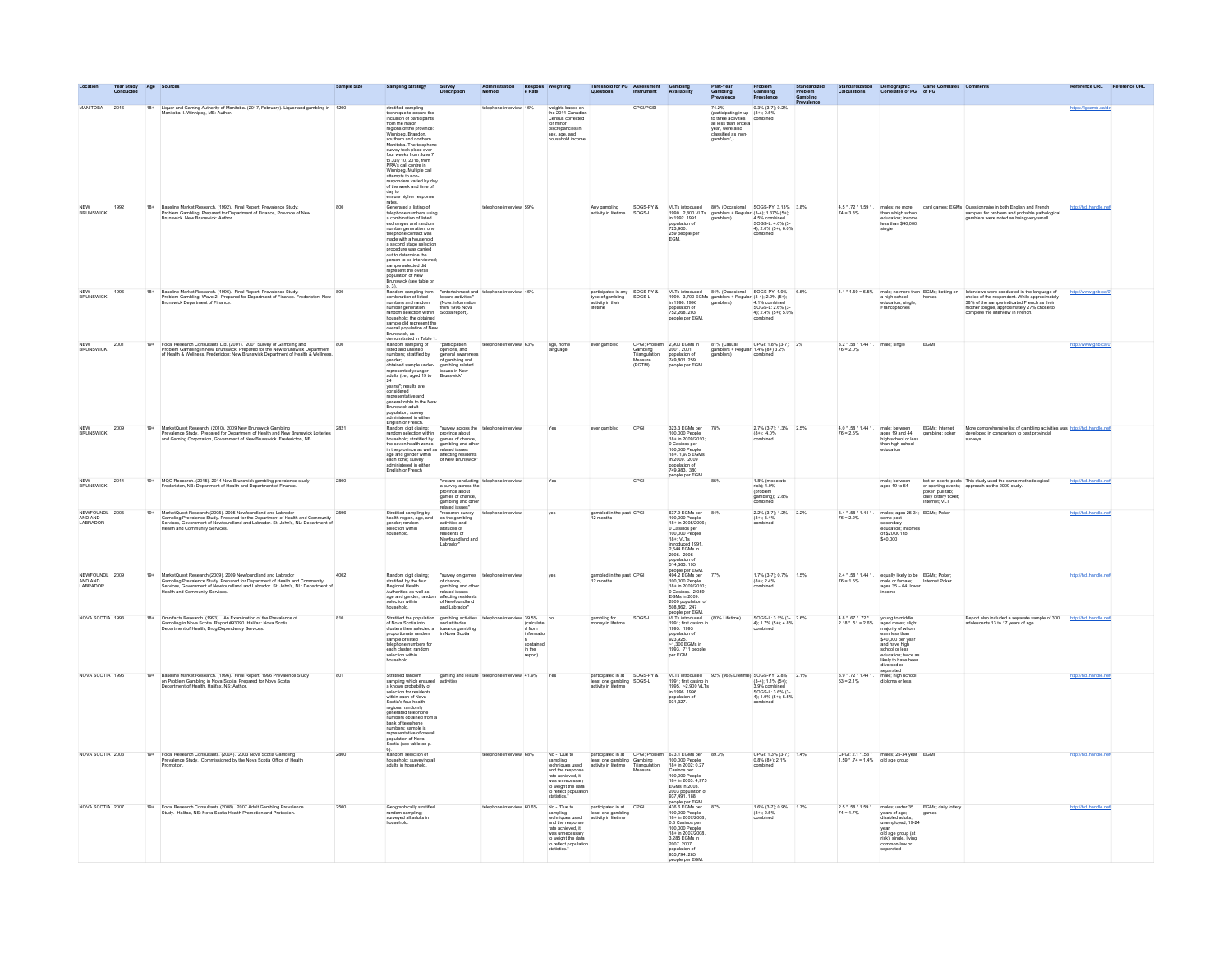|                                                   |      |       |                                                                                                                                                                                                                                                                     |      | <b>Sampling Strategy</b>                                                                                                                                                                                                                                                                                                                                                                                                                                                                                                                                                      |                                                                                                                       |                                        |                                                                                     |                                                                                                                                                                     |                                                                  |                                                      |                                                                                                                                                                                                                                                                                                                                                                  |                                                                                                                                                                                              |                                                                                                                      |                                                                                                                                                                       | Standardization Demographic Game (<br>Calculations Correlates of PG of PG                                          | Game Correlates Com                                                                                                                                                                    |                                                                                                                                                                                                                                                                                                                                                                                                                                                                                                                                          | Reference URL Reference URL |  |
|---------------------------------------------------|------|-------|---------------------------------------------------------------------------------------------------------------------------------------------------------------------------------------------------------------------------------------------------------------------|------|-------------------------------------------------------------------------------------------------------------------------------------------------------------------------------------------------------------------------------------------------------------------------------------------------------------------------------------------------------------------------------------------------------------------------------------------------------------------------------------------------------------------------------------------------------------------------------|-----------------------------------------------------------------------------------------------------------------------|----------------------------------------|-------------------------------------------------------------------------------------|---------------------------------------------------------------------------------------------------------------------------------------------------------------------|------------------------------------------------------------------|------------------------------------------------------|------------------------------------------------------------------------------------------------------------------------------------------------------------------------------------------------------------------------------------------------------------------------------------------------------------------------------------------------------------------|----------------------------------------------------------------------------------------------------------------------------------------------------------------------------------------------|----------------------------------------------------------------------------------------------------------------------|-----------------------------------------------------------------------------------------------------------------------------------------------------------------------|--------------------------------------------------------------------------------------------------------------------|----------------------------------------------------------------------------------------------------------------------------------------------------------------------------------------|------------------------------------------------------------------------------------------------------------------------------------------------------------------------------------------------------------------------------------------------------------------------------------------------------------------------------------------------------------------------------------------------------------------------------------------------------------------------------------------------------------------------------------------|-----------------------------|--|
| MANITOBA                                          |      | $18+$ | Liquor and Gaming Authority of Manitoba. (2017, February). Liquor and gambling in 1200<br>Manitoba II. Winnipeg, MB: Author.                                                                                                                                        |      | stratified sampling<br>technique to ensure the<br>inclusion of participants<br>from the major<br>regions of the province:<br>Vinnineo Rrandon                                                                                                                                                                                                                                                                                                                                                                                                                                 |                                                                                                                       |                                        | 16%                                                                                 | weights based on<br>the 2011 Canadian<br>Census corrected<br>for minor<br>discrepancies in<br>sex, age, and                                                         |                                                                  | <b>CPGI/PGS</b>                                      |                                                                                                                                                                                                                                                                                                                                                                  | 74.2% $0.3\%$ $(3.7)$ ; $0.2\%$<br>(participating in up $(8+)$ ; $0.5\%$<br>to three activities<br>all less than once a<br>year, were also<br>cannblers'.)<br>cannotes a 'non-<br>cannotes'. |                                                                                                                      |                                                                                                                                                                       |                                                                                                                    |                                                                                                                                                                                        |                                                                                                                                                                                                                                                                                                                                                                                                                                                                                                                                          | https://lgcamb.ca/do        |  |
|                                                   |      |       |                                                                                                                                                                                                                                                                     |      | Winnipeg, Brandon,<br>southern and northern<br>Manitoba. The telephone<br>survey took place over<br>four weeks from June 7<br>to July 10, 2016, from<br>PRA's call centre in<br>Winnipeg. Multiple call<br>attempts to non-<br>responders varied by day<br>of the week and time of<br>day to<br>ensure higher response                                                                                                                                                                                                                                                        |                                                                                                                       |                                        |                                                                                     | nousehold incon                                                                                                                                                     |                                                                  |                                                      |                                                                                                                                                                                                                                                                                                                                                                  | gamblers',)                                                                                                                                                                                  |                                                                                                                      |                                                                                                                                                                       |                                                                                                                    |                                                                                                                                                                                        |                                                                                                                                                                                                                                                                                                                                                                                                                                                                                                                                          |                             |  |
| <b>BRUNSWICK</b>                                  | 1992 | $18+$ | Baseline Market Research. (1992). Final Report: Prevalence Study:<br>Problem Gambling. Prepared for Department of Finance, Province of New<br>Brunswick. New Brunswick: Author.                                                                                     |      | rates.<br>Generated a listing of<br>telephone numbers using<br>a combination of listed                                                                                                                                                                                                                                                                                                                                                                                                                                                                                        |                                                                                                                       | telephone interview 59%                |                                                                                     |                                                                                                                                                                     | Any gambling SOGS-PY<br>activity in lifetime. SOGS-L             |                                                      | SOGS-PY & VLTs introduced 80% (Occasional SOGS-PY: 3.13% 3.8%<br>SOGS-L 1990. 2,800 VLTs gamblers + Regular (3-4): 1.37% (5+):<br>in 1992. 1991 gamblers) 4.5% combined                                                                                                                                                                                          |                                                                                                                                                                                              |                                                                                                                      | $4.5 * .72 * 1.59 *$ .<br>$74 = 3.8%$                                                                                                                                 |                                                                                                                    |                                                                                                                                                                                        | males; no more card games; EGMs Questionnaire in both English and French;<br>than a high school samples for problem and probable pathological<br>education; income gamblers were noted as being very small.                                                                                                                                                                                                                                                                                                                              | http://hdl.handle.net       |  |
|                                                   |      |       |                                                                                                                                                                                                                                                                     |      | exchanges and random<br>number generation; one<br>telephone contact was<br>made with a household:<br>a second stage selection<br>procedure was carried<br>out to determine the<br>person to be interviewed:<br>sample selected did<br>represent the overall<br>population of New<br>Brunswick (see table on                                                                                                                                                                                                                                                                   |                                                                                                                       |                                        |                                                                                     |                                                                                                                                                                     |                                                                  |                                                      | population of<br>723,900.<br>259 people per<br>EGM.                                                                                                                                                                                                                                                                                                              |                                                                                                                                                                                              | SOGS-L: 4.0% (3-<br>4); 2.0% (5+); 6.0%<br>combined                                                                  |                                                                                                                                                                       | less than \$40,000;<br>single                                                                                      |                                                                                                                                                                                        |                                                                                                                                                                                                                                                                                                                                                                                                                                                                                                                                          |                             |  |
| <b>NEW</b><br><b>BRUNSWICK</b>                    | 1996 | $18+$ | Baseline Market Research, (1996). Final Report: Prevalence Study:<br>Problem Gambling: Wave 2. Prepared for Department of Finance. Fredericton: New<br>Brunswick Department of Finance.                                                                             |      | p. 3).<br>Random sampling from $\sqrt{\frac{3}{2}}$ rentertainment and $\sqrt{\frac{3}{2}}$ telephone interview 46%<br>combination of listed<br>numbers and random<br>(Note: information<br>number generation;<br>from 1996 Nova<br>number generation; from 1996 No<br>random selection within Scotia report)                                                                                                                                                                                                                                                                 |                                                                                                                       |                                        |                                                                                     |                                                                                                                                                                     |                                                                  |                                                      | participated in any SOGS-PY & VLTs introduced 84% (Occasional SOGS-PY: 1.9% 6.5% pye of gambliers + Regular (3-4): 2.2% (5+): 1.9% pye of gambliers + Regular (3-4): 2.2% (5+): 1.9% particles + Regular (3-4): 2.2% (5+): 2.2<br>population of<br>752.268.203<br>people per EGM.                                                                                | 1990. 3,700 EGMs gamblers + Regular (3-4); 2.2% (5+);<br>in 1996. 1996 amblers) 4.1% combined<br>population of SOGS-L: 2.6% (3-                                                              | 4): 2.4% (5+): 5.0%                                                                                                  |                                                                                                                                                                       |                                                                                                                    |                                                                                                                                                                                        | $4.1*1.69 = 6.5\% \qquad \text{make, no more than EGM4s, being on the two-dimensional subspaces.} \qquad \begin{array}{ll} \text{intersup} & \text{intersup} \\ \text{intersup} & \text{intersup} \\ \text{chrosed of the reproduction} & \text{intersup} \\ \text{inorsup} & \text{intersup} \\ \text{inorsup} & \text{intersup} \\ \text{inorsup} & \text{intersup} \\ \text{inorsup} & \text{intersup} \\ \text{inorsup} & \text{intersup} \\ \text{inorsup} & \text{intersup} \\ \text{inorsup} & \text{intersup} \\ \text{inorsup}$ |                             |  |
| <b>NFW</b><br><b>BRUNSWICK</b>                    | 2001 |       | 19+ Focal Research Consultants Ltd. (2001). 2001 Survey of Gambling and<br>Problem Gambling in New Brunswick. Prepared for the New Brunswick Department<br>of Health & Wellness. Fredericton: New Brunswick Department of Health & W                                | 800  | random selection within<br>throughout the chained sample did represent the overall population of New<br>Brunswick, as<br>demonstrated in Table 1.<br>demonstrated in Table 1.<br>Fandom sampling of<br>steed and unlisted<br>pointers, stratfied by<br>represented younger<br>adults (i.e., aged 19 to<br>24<br>considered<br>considered<br>considered<br>representative and<br>pencalizable to the New<br>propulation; survey<br>administered in either<br>English or French.<br>English or French.<br>English or French.                                                    | 1. "participation,<br>opinions, and<br>general awarene<br>of gambling related<br>staues in New<br>Brunswick"          | telephone interview 63%                |                                                                                     | age, home<br>language                                                                                                                                               | ever gambled                                                     | Crist, Problem<br>Triangulation<br>Measure<br>(PGTM) | $\begin{tabular}{l c c c c c} \hline CPGi: Problem 2,900 EGMs in & 81\% (Casual & CPGi: 1.8\% (3+7); & 2\% \hline Cambridge 2001. 2001 & 2001 of samples & Regular 1.4\% (8+) 3.2\% \hline Triangular 2,0010ation of 2,0010ation (1.4\% of 3.2\% and 3.2\% of 3.2\% of 3.2\% of 3.2\% of 3.2\% of 3.2\% of 3.2\% of 3.2\% of 3.2\% of 3.2\% of 3.2\% of $<br>COM |                                                                                                                                                                                              |                                                                                                                      | $3.2 * .58 * 1.44 * .$ male; single<br>$76 = 2.0\%$                                                                                                                   |                                                                                                                    | EGMs                                                                                                                                                                                   |                                                                                                                                                                                                                                                                                                                                                                                                                                                                                                                                          | http://www.gnb.ca/0         |  |
| NEW<br>BRUNSWICK                                  | 2009 | $19+$ | MarketQuest Research. (2010). 2009 New Brunswick Gambling<br>Prevalence Study. Prepared for Department of Health and New Brunswick Lotteries<br>and Gaming Corporation, Government of New Brunswick. Fredericton, NB.                                               |      | Random digit dialing: "survey across the<br>random selection within province about<br>household; stratified by games of chance,<br>the seven health zones gambling and other<br>in the province as well as related issues<br>age and gender within affecting residents<br>each zone; survey of New Brunswick'<br>each zone; survey<br>administered in either<br>English or French                                                                                                                                                                                             |                                                                                                                       | "survey across the telephone interview |                                                                                     |                                                                                                                                                                     | ever gambled                                                     | CPGI                                                 | 323.3 EGMs per 78%<br>100,000 People<br>18+ in 2009/2010;<br>0 Casinos per<br>100,000 People<br>18+. 1,975 EGMs<br>in 2009. 2009<br>population of<br>749,983. 380<br>people per EGM.                                                                                                                                                                             |                                                                                                                                                                                              | $\begin{array}{ll} 2.7\% \ (3\hbox{-}7); \ 1.3\% \qquad 2.5\% \\ (8+); \ 4.0\% \end{array}$<br>combined              | $\begin{array}{l} 4.0 \ \text{``}.58 \ \text{''} \ 1.44 \ \text{''} \ , \\ 76 = 2.5 \% \end{array}$                                                                   | education                                                                                                          |                                                                                                                                                                                        | male: between EGMs; Internet More comprehensive list of gambling activities was http://htl.handle.net/<br>high school or less gambling: poker developed in comparison to past provincial<br>than high school or less<br>than high schoo                                                                                                                                                                                                                                                                                                  |                             |  |
| <b>BRUNSWICK</b>                                  | 2014 | $19+$ | MQO Research. (2015). 2014 New Brunswick gambling prevalence study.<br>Fredericton, NB: Department of Health and Department of Finance.                                                                                                                             | 2800 |                                                                                                                                                                                                                                                                                                                                                                                                                                                                                                                                                                               | a survey across the<br>province about<br>games of chance<br>gambling and other<br>related issues'                     | "we are conducting telephone interview |                                                                                     | Yes                                                                                                                                                                 |                                                                  | CPGI                                                 |                                                                                                                                                                                                                                                                                                                                                                  | 85%                                                                                                                                                                                          | 1.8% (moderate-<br>risk); 1.0%<br>(problem<br>gambling); 2.8%<br>combined                                            |                                                                                                                                                                       | male; between<br>ages 19 to 54                                                                                     | daily lottery ticket;<br>Internet; VLT                                                                                                                                                 | bet on sports pools This study used the same methodological<br>or sporting events; approach as the 2009 study.<br>poker; pull tab;                                                                                                                                                                                                                                                                                                                                                                                                       | http://hdl.handle.net       |  |
| NEWFOUNDL 2005<br>AND AND<br>LABRADOR             |      | $19+$ | MarketQuest Research (2005). 2005 Newfoundland and Labrador<br>Gambling Prevalence Study. Prepared for the Department of Health and Community<br>Services, Government of Newfoundland and Labrador. St. John's, NL: Department of<br>Health and Community Services. | 2596 | Stratified sampling by<br>health region, age, and<br>gender; random<br>selection within                                                                                                                                                                                                                                                                                                                                                                                                                                                                                       | "research survey<br>on the gambling<br>activities and<br>attitudes of<br>residents of<br>Newfoundland and<br>Labrador | telephone interview                    |                                                                                     |                                                                                                                                                                     | gambled in the past CPGI<br>12 months                            |                                                      | 637.9 EGMs per 84%<br>100.000 People<br>18+ in 2005/2006<br>0 Casinos per<br>100,000 People<br>18+; VLTs<br>introduced 1991.<br>ntroduced 199<br>2,644 EGMs in<br>2005. 2005<br>population of<br>514,363.195<br>onle ner FGM                                                                                                                                     |                                                                                                                                                                                              | 2.2% (3-7); 1.2% 2.2%<br>$(8 + 1.3.4%$                                                                               | 3.4 * . 68 * 1.44 *<br>$76 = 2.2%$                                                                                                                                    | males; ages 25-34; EGMs; Poker<br>some post-<br>secondary<br>education; incomes<br>of \$20,001 to<br>\$40,000      |                                                                                                                                                                                        |                                                                                                                                                                                                                                                                                                                                                                                                                                                                                                                                          | http://bdl.handle.ne        |  |
| NEWFOUNDL 2009<br>NEWFOUND<br>AND AND<br>LABRADOR |      | $19+$ | MarketQuest Research (2009). 2009 Newfoundland and Labrador<br>(Sambling Prevalence Study. Prepared for Department of Health and Community<br>Services, Government of Newfoundland and Labrador. St. John's, NL: Department of<br>Healt                             | 4002 | Random digit dialing; "survey on games "telephone interview"<br>stratified by the four of chance,<br>Regional Health<br>Austroities as well as "related tosues"<br>Austroities as well as "related tosues"<br>age and gender; random affectin                                                                                                                                                                                                                                                                                                                                 |                                                                                                                       |                                        |                                                                                     | yes                                                                                                                                                                 | gambled in the past CPGI<br>12 months                            |                                                      | people per EGM.<br>494.2 EGMs per<br>100,000 People<br>18+ in 2009/2010;<br>0 Casinos. 2,059<br>EGMs in 2009.                                                                                                                                                                                                                                                    |                                                                                                                                                                                              | $1.7\%$ (3-7); 0.7% 1.5%<br>(8+); 2.4%<br>combined                                                                   | $\begin{array}{l} 2.4 \ \text{°.58} \ \text{°.1.44} \ \text{°.}\\ 76 = 1.5\% \end{array}$                                                                             | equally likely to be EGMs; Poker;<br>male or female; Internet Poker<br>ages 35 - 64; lower                         |                                                                                                                                                                                        |                                                                                                                                                                                                                                                                                                                                                                                                                                                                                                                                          | http://hdl.handle.net       |  |
| NOVA SCOTIA 1993                                  |      | $18+$ | Omnifacts Research. (1993). An Examination of the Prevalence of<br>Gambling in Nova Scotia. Report #93090. Halifax: Nova Scotia<br>Department of Health, Drug Dependency Services.                                                                                  |      | $\begin{tabular}{l c c c c c} \textbf{Straffied} \textbf{ The population} & \textbf{gambling} \textbf{active} & \textbf{Shephone} \textbf{interview} & \textbf{38.9\%} \\ \textbf{of Nova} \textbf{Sobs in the model} & \textbf{and} \textbf{attithotes} & (\textbf{catalots}) & (\textbf{cataldots}) & (\textbf{cataldots}) & (\textbf{cataldots}) & (\textbf{cataldots}) & (\textbf{cataldots}) & (\textbf{cataldots}) & (\textbf{cataldots}) & (\textbf{cataldots}) & (\textbf{cataldots}) & (\textbf{cataldots}) & (\textbf{cataldots})$<br>selection within<br>household |                                                                                                                       |                                        | $\frac{1}{10}$ (calculate)<br>$\frac{1}{10}$ from<br>contained<br>in the<br>report) |                                                                                                                                                                     | gambling for<br>money in lifetime                                | SOGS-L                                               | EGMs in 2009.<br>2009 population of<br>308,882. 247<br>popple per EGM.<br>1091: first casino in<br>1991: first casino in<br>population of<br>923,925.<br>933. 711 people in 1993. 711 people<br>per EGM.                                                                                                                                                         | (80% Lifetime)                                                                                                                                                                               | $\begin{array}{r l} \texttt{SOGS-L: } 3.1\% \ (3-2.6\%\\ \texttt{4); } 1.7\% \ (5+); 4.8\% \end{array}$<br>combined  | $4.8 \cdot .67 \cdot .72$ young to middle<br>$2.18 \cdot .51 = 2.6\%$ aged males; slight<br>majority of whom<br>earn less than<br>$$40,000$ per year<br>and hous high | and have high<br>school or less<br>education; twice as<br>likely to have been<br>divorced or<br>separated          |                                                                                                                                                                                        | Report also included a separate sample of 300 http://hdl.handle.net/<br>adolescents 13 to 17 years of age.                                                                                                                                                                                                                                                                                                                                                                                                                               |                             |  |
| NOVA SCOTIA 1996                                  |      | $19+$ | Baseline Market Research. (1996). Final Report: 1996 Prevalence Study<br>on Problem Gambling in Nova Scotia. Prepared for Nova Scotia<br>Department of Health. Halifax, NS: Author.                                                                                 |      | $\omega$ auxiliar random<br>sampling which example activities<br>sampling which example activities<br>selection for residents<br>saths nearly of the vertice with the sample of the sample of the vertice<br>within each of Nove<br>Scotia's four health<br>regions; randomly<br>generated telephone<br>umbers obtained from a<br>bank of telephone<br>numbers; sample is<br>representative of overall<br>population of Nova<br>Scotia (see table on p.                                                                                                                       |                                                                                                                       |                                        |                                                                                     |                                                                                                                                                                     |                                                                  |                                                      | population of<br>931,327.                                                                                                                                                                                                                                                                                                                                        |                                                                                                                                                                                              | 4); 1.9% (5+); 5.5%<br>combined                                                                                      | $\begin{array}{l} 3.9 \ \text{''}.72 \ \text{''} \ 1.44 \ \text{''}. \\ 53 = 2.1\% \end{array}$                                                                       | male; high school<br>diploma or less                                                                               |                                                                                                                                                                                        |                                                                                                                                                                                                                                                                                                                                                                                                                                                                                                                                          | http://hdl.handle.net       |  |
| NOVA SCOTIA 2003                                  |      |       | 19+ Focal Research Consultants. (2004). 2003 Nova Scotia Gambling<br>Prevalence Study. Commissioned by the Nova Scotia Office of Health<br>Promotion.                                                                                                               | 2800 | Random selection of<br>household; surveying all<br>adults in household.                                                                                                                                                                                                                                                                                                                                                                                                                                                                                                       |                                                                                                                       | telephone interview 68%                |                                                                                     | No - "Due to<br>and the response<br>rate achieved, it<br>was unnecessa<br>to weight the data<br>statistics."                                                        |                                                                  |                                                      | No - "Due to participated in at $CPG$ ; Problem $673.1$ EGMs per $103.3\%$ sampling least one gambling Gambling 100,000 People techniques used activity in lifetime Triangulation $18 + in2002$ , 0.27 and the response<br>Casinos per<br>100,000 People<br>18+ in 2003, 4.975<br>FGMs in 2003<br>2003 population                                                |                                                                                                                                                                                              | $\begin{array}{ll} \text{CPGL}\;1.3\%\; (3\cdot 7); & 1.4\% \\ 0.8\%\; (8+); 2.1\% \\ \text{combined} & \end{array}$ |                                                                                                                                                                       | $\begin{tabular}{ll} CPGI: 2.1*.58 * & males; 25-34 year & EGMs \\ 1.59*.74 = 1.4\% & old age group \end{tabular}$ |                                                                                                                                                                                        |                                                                                                                                                                                                                                                                                                                                                                                                                                                                                                                                          | http://hdl.handle.net       |  |
| NOVA SCOTIA 2007                                  |      | $19+$ | Focal Research Consultants (2008). 2007 Adult Gambling Prevalence<br>Study. Halifax, NS: Nova Scotia Health Promotion and Protection.                                                                                                                               |      | Geographically stratified<br>random sampling;<br>surveyed all adults in                                                                                                                                                                                                                                                                                                                                                                                                                                                                                                       |                                                                                                                       | telephone interview 60.6%              |                                                                                     | No - "Due to<br>No - Tute to<br>sampling<br>techniques used<br>and the response<br>rate achieved, it<br>to weight the data<br>to reflect population<br>statistics." | participated in at<br>least one gambling<br>activity in lifetime | CPGI                                                 | people per EGM.<br>436.6 EGMs per<br>100,000 People<br>18+ in 2007/2008<br>0.3 Casinos pe<br>18+ in 2007/2008<br>3,285 EGMs in<br>2007. 2007<br>population of<br>935,794.285<br>people pe                                                                                                                                                                        |                                                                                                                                                                                              | $\begin{array}{ll} 1.6\% \ (3\hbox{-}7); \ 0.9\% & 1.7\% \\ (8+); \ 2.5\% & \text{combined} \end{array}$             | $2.5$ * $.58$ * $1.59$ * $.74 = 1.7\%$                                                                                                                                |                                                                                                                    | males; under 35 EGMs; daily lottery<br>years of age:<br>disabled adults:<br>unemployed; 19-24<br>wear<br>year<br>pisabled<br>in the prop (at<br>misabled and age prop (at<br>separated |                                                                                                                                                                                                                                                                                                                                                                                                                                                                                                                                          | http://hdl.ha               |  |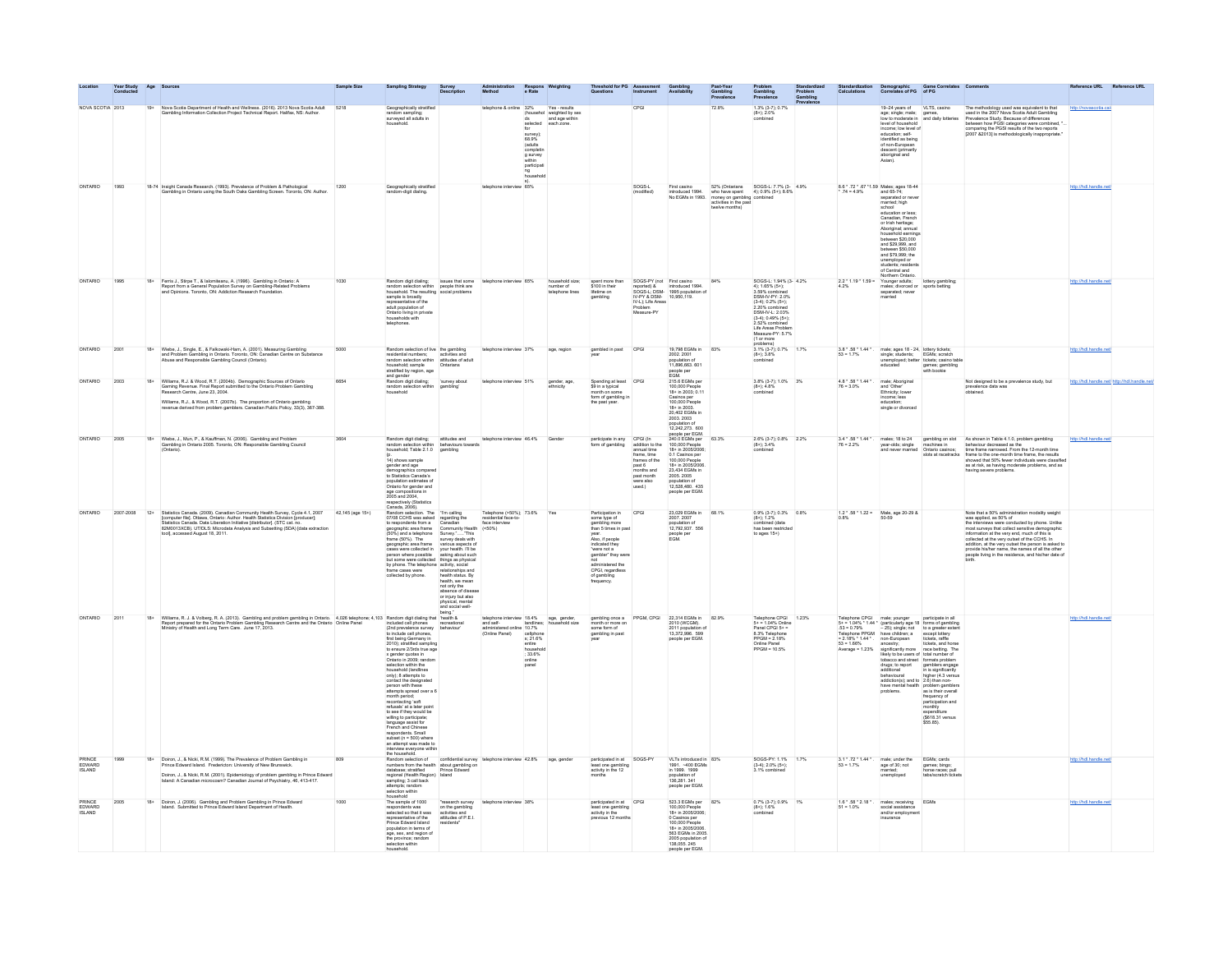|                            |                  |       |                                                                                                                                                                                                                                                                                                                                                |                  |                                                                                                                                                                                                                                                                                                                                                                                                                                                                                                                                    |                                                                             |                                                                                                                   |                                                                                                                                                                                                                                                                                                                                                                                                                                                                        |                                                                                                                                                                                                                                                 |                                                                                                                                           |                                                                                                                                                                                                                                                             |                                                                                                                                                                                                                            |                                                                                                                                                                                                                                            | Standardized<br>Problem<br>Gambling |                                     | Standardization Demographic Game<br>Calculations Correlates of PG of PG                                                                                                                                                                                                                                                                                                                                                                                                                                                                 |                                                                                                                                                         |                                                                                                                                                                                                                                                                                                 |                                             |
|----------------------------|------------------|-------|------------------------------------------------------------------------------------------------------------------------------------------------------------------------------------------------------------------------------------------------------------------------------------------------------------------------------------------------|------------------|------------------------------------------------------------------------------------------------------------------------------------------------------------------------------------------------------------------------------------------------------------------------------------------------------------------------------------------------------------------------------------------------------------------------------------------------------------------------------------------------------------------------------------|-----------------------------------------------------------------------------|-------------------------------------------------------------------------------------------------------------------|------------------------------------------------------------------------------------------------------------------------------------------------------------------------------------------------------------------------------------------------------------------------------------------------------------------------------------------------------------------------------------------------------------------------------------------------------------------------|-------------------------------------------------------------------------------------------------------------------------------------------------------------------------------------------------------------------------------------------------|-------------------------------------------------------------------------------------------------------------------------------------------|-------------------------------------------------------------------------------------------------------------------------------------------------------------------------------------------------------------------------------------------------------------|----------------------------------------------------------------------------------------------------------------------------------------------------------------------------------------------------------------------------|--------------------------------------------------------------------------------------------------------------------------------------------------------------------------------------------------------------------------------------------|-------------------------------------|-------------------------------------|-----------------------------------------------------------------------------------------------------------------------------------------------------------------------------------------------------------------------------------------------------------------------------------------------------------------------------------------------------------------------------------------------------------------------------------------------------------------------------------------------------------------------------------------|---------------------------------------------------------------------------------------------------------------------------------------------------------|-------------------------------------------------------------------------------------------------------------------------------------------------------------------------------------------------------------------------------------------------------------------------------------------------|---------------------------------------------|
|                            | NOVA SCOTIA 2013 |       | 19+ Nova Scotia Department of Health and Wellness. (2016). 2013 Nova Scotia Adult 5218<br>Gambling Information Collection Project Technical Report. Halifax, NS: Author.                                                                                                                                                                       |                  | Geographically stratified<br>random sampling;<br>surveyed all adults in                                                                                                                                                                                                                                                                                                                                                                                                                                                            |                                                                             | telephone & online 32%<br>for<br>survey);<br>68.9%<br>os.9%<br>(adults<br>g survey<br>within<br>participati<br>ng | Yes - results<br>(househol weighted by sex<br>ds and age within<br>selected each zone                                                                                                                                                                                                                                                                                                                                                                                  |                                                                                                                                                                                                                                                 | CPG                                                                                                                                       |                                                                                                                                                                                                                                                             | 72.8%                                                                                                                                                                                                                      | 1.3% (3-7); 0.7%<br>$(8 + 1.2.0\%$<br>combined                                                                                                                                                                                             |                                     |                                     | 19-24 years of VLTS, casino<br>level of household<br>income: low level of<br>education: self<br>education; self-<br>identified as being<br>of non-European<br>descent (primarily<br>aboriginal and<br>Asian).                                                                                                                                                                                                                                                                                                                           | age; single; male; games,<br>low to moderate in and daily lotteries                                                                                     | The methodology used was equivalent to that<br>used in the 2007 Nova Scotia Adult Gambling<br>Prevalence Study. Because of differences<br>therefore Study. Because of differences<br>comparing the PGSI results of the two reports<br>[2007 &2013] is methodologically inappropriate            | http://novascotia.ca/                       |
| ONTARIO                    | 1993             |       | 18-74 Insight Canada Research. (1993). Prevalence of Problem & Pathological Gambling in Ontario using the South Oaks Gambling Screen. Toronto, ON: Author.                                                                                                                                                                                     | 1200             | Geographically stratified<br>random-digit dialing.                                                                                                                                                                                                                                                                                                                                                                                                                                                                                 |                                                                             | 65%                                                                                                               |                                                                                                                                                                                                                                                                                                                                                                                                                                                                        |                                                                                                                                                                                                                                                 | SOGS-L<br>(modified)                                                                                                                      |                                                                                                                                                                                                                                                             | First casino 52% (Ontarians SOGS-L: 7.7% (3-4.9% introduced 1994. who have spent 4); 0.9% (5+); 8.6% No EGMs in 1993. money on gambling combined<br>money on gambling combined<br>activities in the past<br>twelve months) |                                                                                                                                                                                                                                            |                                     |                                     | $8.6 * .72 * .67 * 1.59$ Males; ages 18-44<br>*.74 = 4.9% and 65-74;<br>separated or never<br>married; high<br>school<br>education or less:<br>Canadian, French<br>or Irish heritage;<br>Aboriginal; annual<br>household earnings<br>between \$20,000<br>and \$29,999, and<br>en \$50.000<br>between \$50,000<br>and \$79,999; the<br>unemployed or<br>unemployed or<br>students; residents<br>2.2 ° 1.19 ° 1.59 = Younger adults;<br>Acchient Ontario.<br>analog choroced or<br>mater, choroced or<br>mater, choroced or<br>exparable: |                                                                                                                                                         |                                                                                                                                                                                                                                                                                                 |                                             |
| ONTARIO                    | 1995             | $18+$ | Ferris J., Stirpe T., & Ialomiteanu, A. (1996). Gambling in Ontario: A<br>Report from a General Population Survey on Gambling-Related Problems<br>and Opinions. Toronto, ON: Addiction Research Foundation.                                                                                                                                    |                  | Random digit dialing: issues that some<br>random selection within people think are<br>household. The resulting social problems<br>sample is broadly<br>representative of the<br>adult population of<br>Ontario living in private<br>households with<br>telephones.                                                                                                                                                                                                                                                                 |                                                                             | telephone interview 65%                                                                                           | household size;<br>number of<br>telephone lines                                                                                                                                                                                                                                                                                                                                                                                                                        | spent more than<br>\$100 in their<br>lifetime on<br>aambling                                                                                                                                                                                    | IV-L); Life Areas<br>Measure-PY                                                                                                           | SOGS-PY (not First casino<br>reported) & introduced 1994.<br>SOGS-L; DSM- 1995 population of<br>IV-PY & DSM- 10,950,119.                                                                                                                                    | 84%                                                                                                                                                                                                                        | SOGS-L: 1.94% (3-4.2%)<br>4): 1.65% (5+):<br>3.59% combined<br>DSM-N-PY: 2.0%<br>$(3-4); 0.2% (5+)$<br>2.20% combiner<br>DSM-IV-L: 2.03%<br>$(3-4); 0.49% (5+)$ ;<br>2.52% combined<br>Life Areas Proble<br>Measure-PY: 5.7%<br>(1 or more |                                     |                                     | separated; never<br>married                                                                                                                                                                                                                                                                                                                                                                                                                                                                                                             | lottery gambling;<br>sports betting                                                                                                                     |                                                                                                                                                                                                                                                                                                 | http://hdl.handle.ne                        |
| ONTARIO                    | 2001             | $18+$ | Wiebe, J., Single, E., & Falkowski-Ham, A. (2001). Measuring Gambling<br>and Problem Gambling in Ontario. Toronto, ON: Canadian Centre on Substance<br>Abuse and Responsible Gambling Council (Ontario).                                                                                                                                       |                  | Random selection of live the gambling<br>residential numbers;<br>andom selection within altitudes of adult<br>household, sample<br>stratified by region, age<br>and gender Shandom contains and gender<br>and stratified by region, age<br>and gend                                                                                                                                                                                                                                                                                |                                                                             | telephone interview 37%                                                                                           | age, region                                                                                                                                                                                                                                                                                                                                                                                                                                                            | gambled in past                                                                                                                                                                                                                                 | CPG                                                                                                                                       | 19,798 EGMs in<br>2002.2001<br>11,896,663.601<br>people per<br>EGM.                                                                                                                                                                                         | 83%                                                                                                                                                                                                                        | 3.1% (3-7); 0.7% 1.7%<br>$(8+)$ ; 3.8%                                                                                                                                                                                                     |                                     | $3.8 * .58 * 1.44 *$<br>$53 = 1.7%$ | male; ages 18 - 24, lottery tickets;<br>single; students; EGMs; scratch<br>unemployed; better tickets; casino table<br>education                                                                                                                                                                                                                                                                                                                                                                                                        | games; gambling<br>with bookie                                                                                                                          |                                                                                                                                                                                                                                                                                                 | http://hdl.handle.net                       |
| ONTARIO                    | 2003             | $18+$ | Williams, R.J. & Wood, R.T. (2004b). Demographic Sources of Ontario<br>Gaming Revenue. Final Report submitted to the Ontario Problem Gambling<br>Research Centre, June 23, 2004.<br>Williams, R.J., & Wood, R.T. (2007b). The proportion of Ontario gambling<br>revenue derived from problem gamblers. Canadian Public Policy, 33(3), 367-388. |                  | Random digit dialing: 'survey ab<br>random selection within gambling'<br>household                                                                                                                                                                                                                                                                                                                                                                                                                                                 | 'survey about                                                               | telephone interview 51%                                                                                           | gender, age,<br>ethnicity                                                                                                                                                                                                                                                                                                                                                                                                                                              | Spending at least CPGI<br>\$9 in a typical<br>month on some<br>form of gambling in<br>the past year.                                                                                                                                            |                                                                                                                                           | 215.6 EGMs per<br>100,000 People<br>18+ in 2003; 0.11<br>Casinos per<br>100,000 People<br>18+ in 2003.<br>20,402 EGMs in<br>2003. 2003<br>ppulation of<br>12.242.273. 600                                                                                   |                                                                                                                                                                                                                            | $\begin{array}{ll} 3.8\% \ (3\hbox{-}7); \ 1.0\% \ \qquad 3\% \\ (8+); \ 4.8\% \end{array}$<br>combined                                                                                                                                    |                                     | 4.8 * . 58 * 1.44 *<br>$76 = 3.0%$  | male; Aboriginal<br>and 'Other'<br>Ethnicity; lower<br>income; less<br>education<br>single or divorced                                                                                                                                                                                                                                                                                                                                                                                                                                  |                                                                                                                                                         | Not designed to be a prevalence study, but<br>prevalence data was<br>obtained.                                                                                                                                                                                                                  | http://hdl.handle.net/ http://hdl.handle.nr |
| ONTARIO                    | 2005             | $18+$ | Wiebe, J., Mun, P., & Kauffman, N. (2006). Gambling and Problem<br>Gambling in Ontario 2005. Toronto, ON: Responsible Gambling Council<br>(Ontario).                                                                                                                                                                                           | 3604             | Random digit dialing;<br>random selection within<br>Random digit dialing:<br>random selection within<br>household; Table 2.1.0<br>gambling<br>(p.<br>14) shows sample<br>gender and age<br>demographics companito Statistics Canada's<br>population estimates of<br>Ontario for gender and<br>ana compositions in<br>age compositions in<br>2005 and 2004,<br>respectively (Statistics<br>Canada, 2006).                                                                                                                           |                                                                             | telephone interview 46.4% Gende                                                                                   |                                                                                                                                                                                                                                                                                                                                                                                                                                                                        | articipate in any CPGI (In<br>form of gambling                                                                                                                                                                                                  | CPGI (In<br>addition to the<br>annual time<br>frames of the<br>frames of the<br>past 6<br>months and<br>past month<br>were also<br>used.) | 12,242,273. 600<br>people per EGM.<br>240.0 EGMs per<br>100,000 People<br>18+ in 2005/2006;<br>0.1 Casinos per<br>100,000 People<br>23,434 EGMs in<br>2005/2006.<br>23,434 EGMs in<br>population 2005<br>population of<br>12,528,480. 435<br>people per EGM | 63.3%                                                                                                                                                                                                                      | 2.6% (3-7); 0.8% 2.2%<br>$(8+)$ ; 3.4%<br>combined                                                                                                                                                                                         |                                     | $3.4 * .58 * 1.44 *$<br>$76 = 2.2%$ | males; 18 to 24<br>year-olds; single<br>and never married                                                                                                                                                                                                                                                                                                                                                                                                                                                                               | gambling on slot<br>machines in<br>Ontario casinos;                                                                                                     | As shown in Table 4.1.0, problem gambling<br>behaviour decreased as the<br>time frame narrowed. From the 12-month time<br>time to the one-month time frame, the results<br>aboved that 50% fewer individuals were classified<br>as at risk,                                                     | http://hdl.handi                            |
| ONTARIO                    | 2007-2008        | $12+$ | Statistics Canada. (2009). Canadian Community Health Survey, Cycle 4.1, 2007<br>[computer file]. Ottawa, Ontaric: Author. Health Statistics Division (producer):<br>Statistics Canada. Data Liberation Initiative [distributor]. (ST<br>tool), accessed August 18, 2011.                                                                       | 42,145 (age 15+) | Random selection. The Tm calling<br>Random Residents. The "Tri calling physical particular and the state of equating the state of the control of the state of the control of the state of the control of the state of the state of the state of the state of the                                                                                                                                                                                                                                                                   | physical, mental<br>and social well-<br>teing."                             | Telephone (>50%): 73.6%<br>residential face-to-<br>face interview<br>$( < 50\% )$                                 | Yes                                                                                                                                                                                                                                                                                                                                                                                                                                                                    | Participation in<br>some type of<br>gambling more<br>than 5 times in past<br>man b times in pass<br>war.<br>Also, if people<br>indicated they<br>were not a<br>gambler" they were<br>actionated the<br>correct people of gambling<br>frequency. | CPG                                                                                                                                       | 23.029 EGMs in 68.1%<br>2007.2007<br>population of<br>12.792,937. 556<br>people per<br>EGM.                                                                                                                                                                 |                                                                                                                                                                                                                            | $0.9\%$ (3-7); 0.3% 0.8%<br>$(8+)$ ; 1.2%<br>combined (data<br>has been restricted<br>$loges 15+$                                                                                                                                          |                                     |                                     | $1.2$ * .58 * 1.22 = Male, age 20-29 &<br>0.8% 50-59                                                                                                                                                                                                                                                                                                                                                                                                                                                                                    |                                                                                                                                                         | Note that a 50% administration modality weight<br>Note that a 50% administration modality weight<br>was applied, as 50% of<br>was applied, as 50% of<br>ministratives were conducted by phone. Unlike<br>most surveys that collect ensulive democration<br>information at the very counted of t |                                             |
| ONTARIO                    | 2011             |       | 18+ Williams, R. J. & Volberg, R. A. (2013). Gambling and problem gambling in Ontario. 4,028 telephone: 4,103 Random digit dialing that Thealth & Report prepared for the Ontario Research Centre and the Ontario Christe Pane                                                                                                                 |                  | included cell phones<br>(2nd prevalence survey behaviour)<br>to include cell phones,<br>to include calculate and process.<br>The first design Germany in the state of the state of the state and<br>the state of the state and the state and the state and<br>$\frac{1}{2}$ of the state of the state of the state of the<br>stat<br>willing to participate;<br>language assist for<br>French and Chinese<br>respondents. Small<br>subset (n = 500) where<br>an attempt was made to<br>interview everyone within<br>the household. | recreational                                                                | telephone interview 18.4%<br>and self-<br>(Online Panel)<br>online<br>panel                                       | $\begin{tabular}{ll} \hline \textbf{1: } & \textbf{1: } & \textbf{1: } & \textbf{1: } \\ \textbf{1: } & \textbf{1: } & \textbf{1: } \\ \textbf{2: } & \textbf{1: } & \textbf{1: } \\ \textbf{3: } & \textbf{2: } & \textbf{2: } \\ \textbf{4: } & \textbf{3: } & \textbf{2: } \\ \textbf{5: } & \textbf{3: } & \textbf{3: } \\ \textbf{5: } & \textbf{4: } & \textbf{5: } \\ \textbf{6: } & \textbf{6: } & \textbf{6: } \\ \textbf{7: } & \$<br>s: 21.6%<br>$: 33.6\%$ | gambling once a<br>month or more on<br>some form of<br>gambling in past                                                                                                                                                                         | PPGM, CPGI                                                                                                                                | 22.314 EGMs in 82.9%<br>2010 (WCGM).<br>2011 population of<br>13.372.998 599<br>ople per EGM                                                                                                                                                                |                                                                                                                                                                                                                            | Telephone CPGI 1.23%<br>5+ = 1.04% Online<br>Panel CPGI 5+ =<br>8.3% Telephone<br>8.3% Telephone<br>PPGM = 2.18%<br>Online Panel<br>PPGM = 10.5%                                                                                           |                                     |                                     | $\begin{tabular}{ c c c c c c c c c } \hline \textbf{Leaplace} & \textbf{conver} & \textbf{pedge} & \textbf{pedge} & \textbf{pedge} \\ \hline \textbf{Leaplace} & \textbf{O} & \textbf{P} & \textbf{medge} & \textbf{pedge} & \textbf{pedge} \\ \hline \textbf{SO} & \textbf{O} & \textbf{P} & \textbf{G} & \textbf{S} & \textbf{S} & \textbf{S} & \textbf{S} & \textbf{S} & \textbf{S} & \textbf{S} \\ \hline \textbf{SO} & \textbf{O} & \textbf$<br>have mental health                                                                | problem gamblers<br>as is their overall<br>frequency of<br>frequency of<br>participation and<br>monthly<br>expenditure<br>(\$618.31 versus<br>\$55.85). |                                                                                                                                                                                                                                                                                                 | http://hdl.handle.net                       |
| PRINCE<br>EDWARD           |                  |       | Doiron, J., & Nicki, R.M. (1999). The Prevalence of Problem Gam<br>Prince Edward Island. Fredericton: University of New Brunswick.<br>Doiron, J., & Nicki, R.M. (2001). Epidemiology of problem gambling in Prince Edward<br>Island: A Canadian microcosm? Canadian Journal of Psychiatry, 46, 413-417.                                        |                  | the household<br>Random selection of<br>Random selection of<br>mumbers from the health about gambing on<br>database: statified<br>regional (Health Region) Island<br>strength; 3 call back<br>attempts; random<br>attempts; random<br>household<br>household<br>pusehold                                                                                                                                                                                                                                                           |                                                                             | telephone interview 42.8%                                                                                         | age, gende                                                                                                                                                                                                                                                                                                                                                                                                                                                             | participated in at<br>least one gambling<br>activity in the 12                                                                                                                                                                                  | SOGS-PY                                                                                                                                   | VLTs introduced in<br>1991. ~400 EGMs<br>in 1999. 1999<br>population of<br>136,281.341<br>people per EGM.                                                                                                                                                   | 83%                                                                                                                                                                                                                        | SOGS-PY: 1.1%<br>$(3-4); 2.0% (5+)$<br>3.1% combined                                                                                                                                                                                       | 1.7%                                | $3.1 * .72 * 1.44 *$<br>$53 = 1.7%$ | male: under the<br>age of 30; not                                                                                                                                                                                                                                                                                                                                                                                                                                                                                                       | EGMs; cards<br>games; bingo;<br>horse races; pull                                                                                                       |                                                                                                                                                                                                                                                                                                 |                                             |
| PRINCE<br>EDWARD<br>ISLAND | 2005             | $18+$ | Doiron, J. (2006). Gambling and Problem Gambling in Prince Edward<br>Island. Submitted to Prince Edward Island Department of Health.                                                                                                                                                                                                           |                  | The sample of 1000<br>respondents was<br>selected so that it was<br>representative of the<br>Prince Edward Island<br>population in terms of<br>population in terms of<br>age, sex, and region of<br>the province; random<br>selection within<br>household.                                                                                                                                                                                                                                                                         | "research survey<br>on the gambling<br>activities and<br>attitudes of P.E.I | telephone interview 38%                                                                                           |                                                                                                                                                                                                                                                                                                                                                                                                                                                                        | $\begin{tabular}{ l l } \hline \text{particle} & \text{at} & \text{CPG1} \\ \text{least one gambling} & \text{activity in the} \end{tabular}$<br>previous 12 months                                                                             |                                                                                                                                           | 523.3 EGMs per 82%<br>100,000 People<br>18+ in 2005/2006;<br>0 Casinos per<br>100,000 People<br>18+ in 2005/2006<br>563 EGMs in 2005<br>2005 population<br>138,055, 245<br>ople per EGM.                                                                    |                                                                                                                                                                                                                            | 0.7% (3-7); 0.9% 1%<br>(8+); 1.6%                                                                                                                                                                                                          |                                     | $1.6$ * .58 * 2.18 * .<br>51 = 1.0% | males; receiving<br>social assistance<br>and/or employment<br>insurance                                                                                                                                                                                                                                                                                                                                                                                                                                                                 | EGMs                                                                                                                                                    |                                                                                                                                                                                                                                                                                                 | http://hdl.handle.net                       |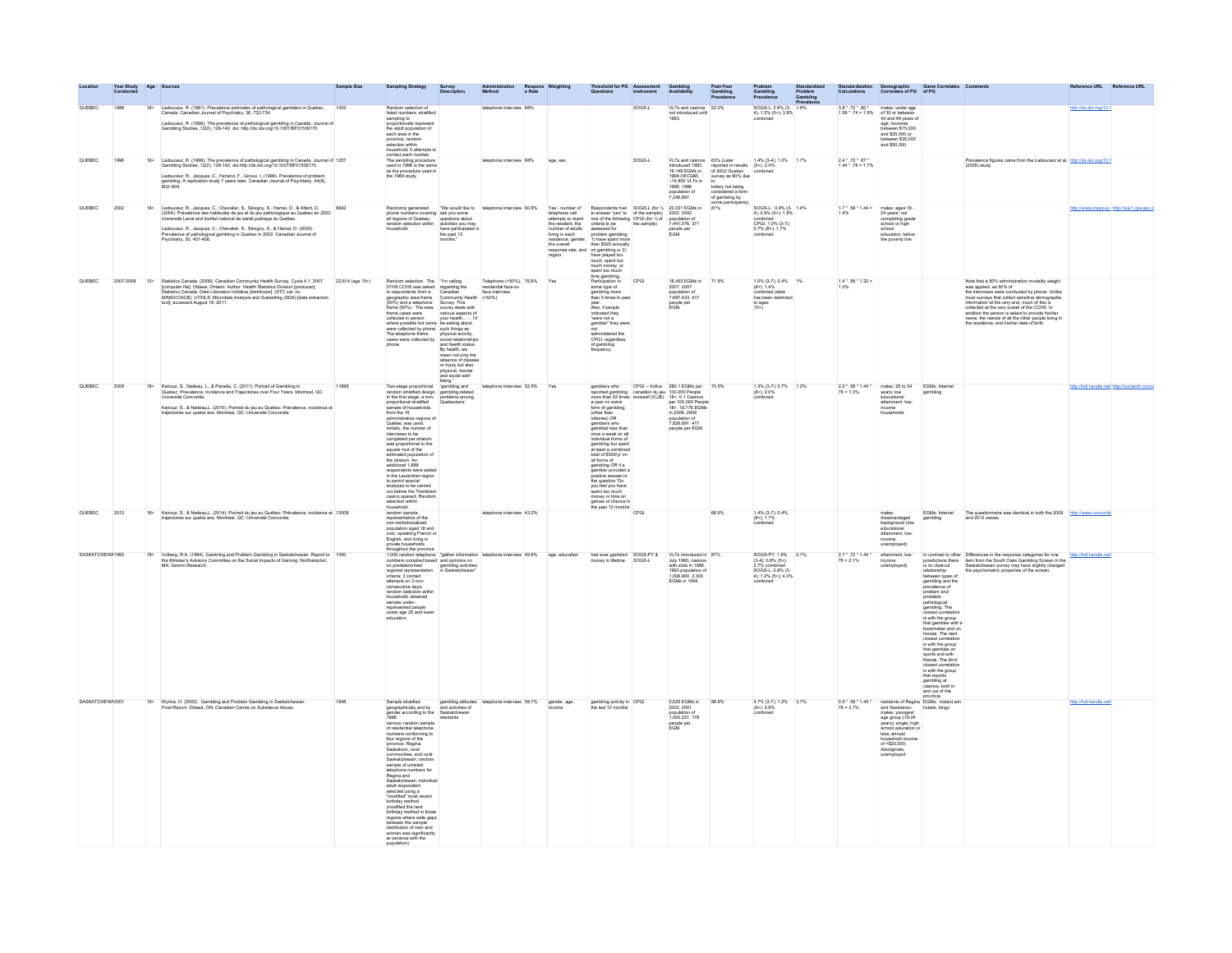|                  | Year Study<br>Conducted |       |                                                                                                                                                                                                                                                                                                                                                                                                                                       | Sample Size | <b>Sampling Strategy</b>                                                                                                                                                                                                                                                                                                                                                                                                                                                                                                                                                                                                                                                                                                        | Survey<br>Descripti                     | Respor<br>e Rate                                                                                                                                                                                                                                                                       |                               | hold for PG                                                                                                                                                                                                                                                                                                                                                                                                                                                                    |        |                                                                                                                                                                                                                                                                                                                                                                                                                                                                                                                        |                                                                                                                                                                                                              |                                                                                                                 | Problem<br>Gambling<br>Prevalenc<br>1.9% |                                                                                                                    |                                                                                                                                                                                                                                                                             | ization Demographic Game Correlates Comments<br>ons Correlates of PG of PG                                                                                                                                                                                                                                                                                                                                                                                                            |                                                                                                                                                                                                                                                                                                                                                                                                                                                              | Reference URL Reference URL                 |
|------------------|-------------------------|-------|---------------------------------------------------------------------------------------------------------------------------------------------------------------------------------------------------------------------------------------------------------------------------------------------------------------------------------------------------------------------------------------------------------------------------------------|-------------|---------------------------------------------------------------------------------------------------------------------------------------------------------------------------------------------------------------------------------------------------------------------------------------------------------------------------------------------------------------------------------------------------------------------------------------------------------------------------------------------------------------------------------------------------------------------------------------------------------------------------------------------------------------------------------------------------------------------------------|-----------------------------------------|----------------------------------------------------------------------------------------------------------------------------------------------------------------------------------------------------------------------------------------------------------------------------------------|-------------------------------|--------------------------------------------------------------------------------------------------------------------------------------------------------------------------------------------------------------------------------------------------------------------------------------------------------------------------------------------------------------------------------------------------------------------------------------------------------------------------------|--------|------------------------------------------------------------------------------------------------------------------------------------------------------------------------------------------------------------------------------------------------------------------------------------------------------------------------------------------------------------------------------------------------------------------------------------------------------------------------------------------------------------------------|--------------------------------------------------------------------------------------------------------------------------------------------------------------------------------------------------------------|-----------------------------------------------------------------------------------------------------------------|------------------------------------------|--------------------------------------------------------------------------------------------------------------------|-----------------------------------------------------------------------------------------------------------------------------------------------------------------------------------------------------------------------------------------------------------------------------|---------------------------------------------------------------------------------------------------------------------------------------------------------------------------------------------------------------------------------------------------------------------------------------------------------------------------------------------------------------------------------------------------------------------------------------------------------------------------------------|--------------------------------------------------------------------------------------------------------------------------------------------------------------------------------------------------------------------------------------------------------------------------------------------------------------------------------------------------------------------------------------------------------------------------------------------------------------|---------------------------------------------|
| QUEBEC           | 1989                    |       | Ladouceur, R. (1991). Prevalence estimates of pathological gamblers in Quebec, Canadia. Canadian Journal of Psychiatry, 36, 732-734.<br>Ladouceur, R. (1996). The prevalence of pathological gambling in Canada. Journal of<br>Gambling Studies, 12(2), 129-142. doi: http://dx.doi.org/10.1007/BF01539170                                                                                                                            | 1002        | Random selection of<br>listed numbers; stratified<br>sampling to<br>oportionally represent<br>the adult population of<br>each area in the<br>province: random<br>selection within<br>household: 5 attempts to                                                                                                                                                                                                                                                                                                                                                                                                                                                                                                                   |                                         | telephone interview 68%                                                                                                                                                                                                                                                                |                               |                                                                                                                                                                                                                                                                                                                                                                                                                                                                                | SOGS-L | VLTs and casinos<br>not introduced unti<br>1993.                                                                                                                                                                                                                                                                                                                                                                                                                                                                       | 52.2%                                                                                                                                                                                                        | SOGS-L: 2.6% (3-<br>4): 1.2% (5+): 3.8%<br>combined                                                             |                                          | $3.8 \cdot .72 \cdot .60 \cdot$ males; under age<br>1.59 $\cdot$ .74 = 1.9% of 30 or between<br>40 and 49 years of | age; incomes<br>between \$15,000<br>and \$25,000 or<br>between \$35,000<br>and \$50,000.                                                                                                                                                                                    |                                                                                                                                                                                                                                                                                                                                                                                                                                                                                       |                                                                                                                                                                                                                                                                                                                                                                                                                                                              | http://dx.doi.org/10.1                      |
| OUEBEC.          | 1998                    |       | 18+ Ladouceur, R. (1996). The prevalence of pathological gambling in Canada. Journal of 1257<br>Gambling Studies, 12(2), 129-142. doi:http://dx.doi.org/10.1007/BF01539170<br>Ladouceur, R., Jacques, C., Ferland, F., Giroux, I. (1999). Prevalence of problem<br>gambling: A replication study 7 years later. Canadian Journal of Psychiatry, 44(8),<br>802–804.                                                                    |             | contact each number.<br>The sampling procedure<br>used in 1996 is the same<br>used in 1950 to the 1<br>as the procedure used<br>the 1989 study.                                                                                                                                                                                                                                                                                                                                                                                                                                                                                                                                                                                 |                                         | telephone interview 68%                                                                                                                                                                                                                                                                | age, sex                      |                                                                                                                                                                                                                                                                                                                                                                                                                                                                                | SOGS-L | VI Ts and casinos 83% (Later<br>introduced 1993.<br>19.149 EGMs in<br>19, 149 EGMS In<br>1999 (WCGM)<br>~14,800 VLTs in<br>1996. 1998<br>population of<br>7,246,897.                                                                                                                                                                                                                                                                                                                                                   | $\frac{1.4\% (3.4)}{1.4\% (3.4)}$<br>reported in results (5+); 2.4%<br>of 2002 Quebec combined<br>survey as 90% due<br>to<br>lottery not being<br>considered a form<br>of gambling by<br>some participants). | 1.4% (3.4): 1.0% 1.7%                                                                                           |                                          | 24.72.87<br>$1.44 \cdot .76 = 1.7\%$                                                                               |                                                                                                                                                                                                                                                                             |                                                                                                                                                                                                                                                                                                                                                                                                                                                                                       | Prevalence figures came from the Ladouceur et al. http://dx.doi.org/10.1<br>(2005) stude                                                                                                                                                                                                                                                                                                                                                                     |                                             |
| QUEBEC           | 2002                    |       | 18+ Ladouceur, R. Jacques, C., Chevalier, S., Sévigny, S., Hamel, D., & Allard, D.<br>2004). Prévalence des habitudes de jeu et du jeu pathologique au Québec en 2002.<br>Université Laval and Institut national de santé publique du Québec<br>Ladouceur, R., Jacques, C., Chevalier, S., Sévigny, S., & Hamel, D. (2005).<br>Prevalence of pathological gambling in Quebec in 2002. Canadian Journal of<br>Psychiatry, 50, 451-456. | 8842        | Randomly generated TWe would like to<br>phone numbers covering ask you some<br>all regions of Quebec; questions about<br>random selection within activities you may<br>household. have participated in                                                                                                                                                                                                                                                                                                                                                                                                                                                                                                                          | the past 12<br>months."                 | "We would like to telephone interview 60.8%                                                                                                                                                                                                                                            | living in each<br>the overall | problem gambling:<br>residence, gender, 1) have spent more<br>than \$520 annually<br>the overall the material on gambing or $2$<br>response rate, and on gambing or $2$ )<br>region. Thave played too<br>much, spent too much money, or<br>spent too much<br>fine gambing.<br>Yee:<br>Yee:                                                                                                                                                                                     |        | $\begin{minipage}[t]{0.9\textwidth} \begin{minipage}[t]{0.9\textwidth} \begin{minipage}[t]{0.9\textwidth} \begin{minipage}[t]{0.9\textwidth} \begin{minipage}[t]{0.9\textwidth} \begin{minipage}[t]{0.9\textwidth} \begin{minipage}[t]{0.9\textwidth} \begin{minipage}[t]{0.9\textwidth} \begin{minipage}[t]{0.9\textwidth} \begin{minipage}[t]{0.9\textwidth} \begin{minipage}[t]{0.9\textwidth} \begin{minipage}[t]{0.9\textwidth} \begin{minipage}[t]{0.9\textwidth} \begin{minipage}[t]{0.9$<br>people per<br>EGM. | 81%                                                                                                                                                                                                          | SOGS-L: 0.9% (3-<br>4): 0.9% (5+): 1.8%<br>combined<br>CPGI: 1.0% (3-7);<br>0.7% (8+); 1.7%                     |                                          | $1.7 * .58 * 1.44 =$ males; ages 18 -<br>1.4% 24 years; not                                                        | completing grade<br>school or high<br>school<br>education: below<br>the poverty line                                                                                                                                                                                        |                                                                                                                                                                                                                                                                                                                                                                                                                                                                                       |                                                                                                                                                                                                                                                                                                                                                                                                                                                              | http://www.inspg.gc/http://ww1.cpa-apc.e    |
| QUEBEC           | 2007-2008 12+           |       | Statistics Canada. (2009). Canadian Community Health Survey, Cycle 4.1, 2007 22,614 (age 15+)<br>[computer file]. Othawa, Ontario: Author. Health Statistics Division [producer];<br>Statistics Canada. Data Liberation Initiative [<br>82M0013XCB). UT/DLS: Microdata Analysis and Subsetting (SDA) [data extraction tool], accessed August 18, 2011.                                                                                |             | Random selection. The "Tm caling the residential of the SCHS was asked regarding the torsecond the SCHS (60%) and a telephone Source Survey. This selection (40%) and a telephone Survey. The same cases were various appears<br>frame cases were<br>considered in person $\sqrt{2}$ with results and the special of the sound<br>special person of the special special way. The special of the special<br>special person is also the special results of the special resul                                                                                                                                                                                                                                                      | being."                                 | Telephone (>50%); 76.6%<br>residential face-to-<br>face interview                                                                                                                                                                                                                      | Yes                           | Participation in<br>some type of<br>gambling more<br>than 5 times in past<br>year.<br>Also, if people<br>indicated they<br>"were not a<br>gambler" they were<br>not<br>administered the<br>CPGI, regardless<br>of gambling<br>frequency.                                                                                                                                                                                                                                       | CPGI   | 18,453 EGMs in<br>2007.2007<br>population of<br>7,687,423.417<br>people per<br>EGM.                                                                                                                                                                                                                                                                                                                                                                                                                                    | 71.8%                                                                                                                                                                                                        | 1.0% (3-7); 0.4% 1%<br>$(8+)$ ; $1.4\%$<br>combined (data<br>has been restricted<br>to ages<br>15+)             |                                          | $1.4 * .58 * 1.22 =$<br>1.0%                                                                                       |                                                                                                                                                                                                                                                                             |                                                                                                                                                                                                                                                                                                                                                                                                                                                                                       | Note that a 50% administration modality weight<br>was applied, as 50% of<br>was applied, as 50% of<br>the interviews were conducted by phone. Unlike<br>most surveys that collect sensitive demographic<br>information at the very end, much of this is<br>collected at the very outset of the CCHS. In<br>addition the person is asked to provide his/her<br>name, the names of all the other people living in<br>the residence, and his/her date of birth. |                                             |
| QUEBEC           | 2009                    | $18+$ | Kairouz, S., Nadeau, L., & Paradis, C. (2011). Portrait of Gambling in<br>Quebec: Prevalence, Incidence and Trajectories over Four Years. Montreal, QC:<br>Université Concordia<br>Kairouz, S., & Nadeau,L. (2010). Portrait du jeu au Québec: Prévalence, incidence et<br>s sur quatre ans. Montreal, QC: Université Concordia.                                                                                                      | 11888       | Two-stage proportional<br>random stratified design. gambling-related<br>In the first stage, a non-problems among<br>proportional stratified Quebeckers'<br>sample of households<br>from the 16<br>administrative regions of<br>Québec was used.<br>Initially, the number of<br>interviews to be<br>interviews to be<br>completed per stratum<br>was proportional to the<br>square root of the<br>estimated population of<br>the stratum. An<br>additional 1,888<br>respondents were added<br>in the Laurentian region<br>in the Laurentian region<br>to permit special<br>analyses to be carried<br>out before the Tremblant<br>casino opened. Random<br>selection within<br>household.                                         | 'gambling and                           | telephone interview 52.5%                                                                                                                                                                                                                                                              | Yes                           | gamblers who<br>a year on some<br>form of gambling<br>(other than<br>lotteries) OR<br>gamblers who<br>gambled less than<br>once a week on all<br>individual forms of<br>gambling but spent<br>at least a combined<br>at least a combined<br>total of \$500/yr on<br>all forms of<br>gambler provided a<br>positive answer to<br>positive answer to<br>the question 'Do<br>you feel you have<br>spent too much<br>money or time on<br>games of chance in<br>the past 12 months' |        | CPGI -- Indice 280.1 EGMs per<br>eported gambling canadien du jeu 100,000 People<br>more than 52 times excessif (ICJE) 18+: 0.1 Casinos<br>per 100,000 People<br>18+. 18,776 EGMs<br>in 2009, 2009<br>population of<br>7,826,891.417<br>people per EGM.                                                                                                                                                                                                                                                                | 70.5%                                                                                                                                                                                                        | 1.3% (3-7); 0.7% 1.3%<br>$(8+)$ ; 2.0%<br>combined                                                              |                                          | $2.0-.58.144$<br>$76 = 1.3%$                                                                                       | males; 25 to 34<br>years; low<br>educational<br>attainment: low<br>income<br><b>households</b>                                                                                                                                                                              | EGMs; Internet<br>gambling                                                                                                                                                                                                                                                                                                                                                                                                                                                            |                                                                                                                                                                                                                                                                                                                                                                                                                                                              | http://hdl.handle.net/ http://socianth.cons |
| OUEREC 2012      |                         |       | 18+ Kairouz, S., & Nadeau,L. (2014). Portrait du jeu au Québec: Prévalence, incidence et 12008<br>es sur quatre ans. Montreal, QC: Université Concordia                                                                                                                                                                                                                                                                               |             | random sample,<br>representative of the<br>non-institutionalized                                                                                                                                                                                                                                                                                                                                                                                                                                                                                                                                                                                                                                                                |                                         | telephone interview 43.2%<br>mon-stabilitanistica)<br>Constitution (1990)<br>Prime Speciality French or<br>Prime Broadwater<br>1.000 machine leaders on<br>The Constitution (1990)<br>Institution compled based and options on<br>Institution (2019)<br>Institution (2019)<br>Institut |                               |                                                                                                                                                                                                                                                                                                                                                                                                                                                                                | CPGL   |                                                                                                                                                                                                                                                                                                                                                                                                                                                                                                                        | 88.8%                                                                                                                                                                                                        | $1.4\%$ $(3.7)$ ; 0.4%<br>$(8+)$ ; 1.7%                                                                         |                                          |                                                                                                                    | maies;<br>disadvantaged<br>background (low<br>educational<br>attainment, low-<br>income,<br>unemployed)                                                                                                                                                                     | <b>EGMs: Internet</b>                                                                                                                                                                                                                                                                                                                                                                                                                                                                 | The questionnaire was identical in both the 2009 http://www.concord<br>and 2012 waves                                                                                                                                                                                                                                                                                                                                                                        |                                             |
| SASKATCHEW/ 1993 |                         |       | Volberg, R.A. (1994). Gambling and Problem Gambling in Saskatchewan. Report to 1000<br>the Minister's Advisory Committee on the Social Impacts of Gaming. Northampton,<br>MA: Gemini Research                                                                                                                                                                                                                                         |             | on predetermined<br>regional representation<br>criteria; 3 contact<br>ethnology<br>attempts on 3 non-<br>consecutive days:<br>random selection within<br>household; obtained<br>sample under-<br>represented people<br>under age 25 and lower                                                                                                                                                                                                                                                                                                                                                                                                                                                                                   | gambling activities<br>in Saskatchewan" |                                                                                                                                                                                                                                                                                        |                               | had ever gambled SOGS-PY &<br>money in lifetime SOGS-L                                                                                                                                                                                                                                                                                                                                                                                                                         |        | VLTs introduced in 87%<br>July 1993; casinos<br>with slots in 1996.<br>1993 population o<br>1,006,900.2,300<br><b>EGMs in 1994.</b>                                                                                                                                                                                                                                                                                                                                                                                    |                                                                                                                                                                                                              | SOGS-PY: 1.9% 2.1%<br>(3-4): 0.8% (5+):<br>2.7% combined<br>SOGS-L: 2.8% (3-<br>4); 1.2% (5+); 4.0%<br>combined |                                          | $2.7 * .72 * 1.44 *$<br>$76 = 2.1%$                                                                                | attainment, low-<br>income,<br>unemployed)                                                                                                                                                                                                                                  | relationship<br>between types of<br>gambling and the<br>prevalence of<br>problem and<br>probable<br>procation<br>gambling. The<br>gambling. The<br>closest correlation<br>is with the group<br>that gambles with a<br>horses. The next<br>closest correlation<br>closest correlation<br>is with the group<br>that gambles on<br>sports and with<br>friends. The third<br>closest correlatio<br>is with the group<br>that reports<br>gambling at<br>casinos, both in<br>and out of the | In contrast to other Differences in the response categories for one http://hdl.handle.net/<br>jurisdictions there liten from the South Oaks Gambling Screen in the litensity is no clearcut<br>the psychometric properties of the screen                                                                                                                                                                                                                     |                                             |
| SASKATCHEW/2001  |                         |       | 19+ Wynne, H. (2002). Gambling and Problem Gambling in Saskatchewan:<br>Final Report. Ottawa, ON: Canadian Centre on Substance Abuse.                                                                                                                                                                                                                                                                                                 | 1848        | Sample stratified<br>encylon awatered<br>geographically and by<br>gender according to the<br>1996<br>census; random sample<br>of residential telephone<br>numbers conforming to<br>four regions of the<br>province: Regina,<br>Saskatoon, rural<br>communities, and rura<br>Saskatchewan; random<br>sample of unlisted<br>elephone numbers for<br>Regina and<br>Saskatchewan: individual<br>adult respondent<br>adult respondent<br>selected using a<br>"modified" most recent<br>birthday method<br>in most property in the property of the property<br>between the sample<br>distribution of men and<br>distribution of men and<br>distribution of men and<br>women was significantly<br>at variance with the<br>population). |                                         | gambling attitudes telephone interview 59.7%<br>and activities of<br>Saskatchewan                                                                                                                                                                                                      | gender, age,                  | gambling activity in CPGI<br>the last 12 months                                                                                                                                                                                                                                                                                                                                                                                                                                |        | 5.625 EGMs in<br>2002. 2001<br>population of<br>1,000,221. 178<br>people per<br>EGM.                                                                                                                                                                                                                                                                                                                                                                                                                                   | <b>R6 6%</b>                                                                                                                                                                                                 | 4.7% (3-7): 1.2% 3.7%<br>$(8+)$ ; 5.9%                                                                          |                                          | 59* 58* 144*<br>$76 = 3.7%$                                                                                        | residents of Regina EGMs; instant wir<br>residents or Regina<br>and Saskatoon;<br>males; youngest<br>age group (19-24<br>years); single; high<br>school education or<br>has been defined<br>less; annual<br>household income<br>of <\$20,000;<br>Aboriginals;<br>unemployed | tickets; bingo                                                                                                                                                                                                                                                                                                                                                                                                                                                                        |                                                                                                                                                                                                                                                                                                                                                                                                                                                              | http://hdl.handle.net/                      |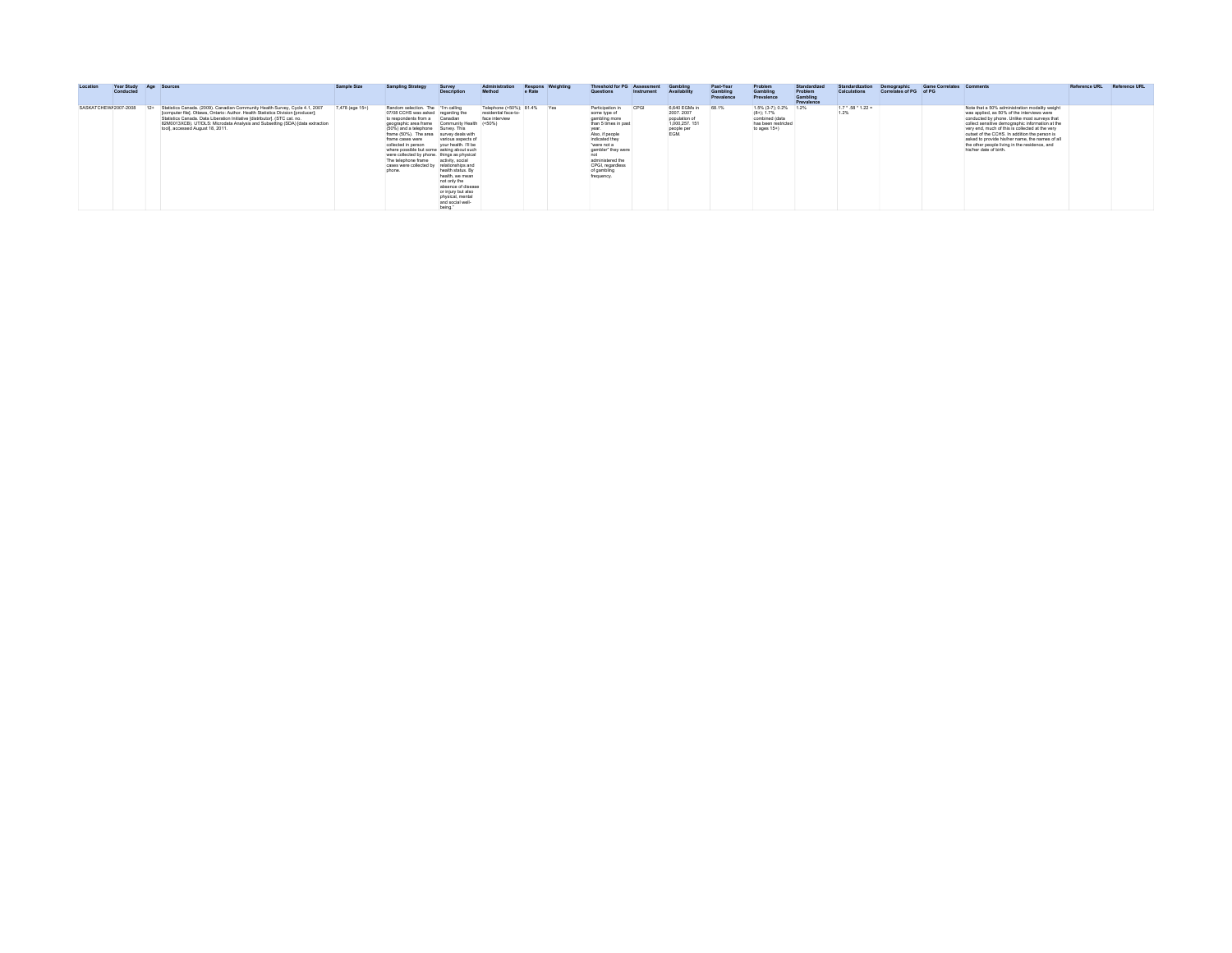| Location             | <b>Year Study</b><br>Conducted | Age Sources                                                                                                                                                                                                                                                                                                                                                             | Sample Size     | <b>Sampling Strategy</b>                                                                                                                                                                                                                                                                                                                                                                                                                             | Survey<br><b>Description</b>                                                                                                                                                                                                       | Administration<br>Method                                              | e Rate | Respons Weighting | <b>Threshold for PG Assessment</b><br>Questions                                                                                                                                                                                   | Instrument | Gamblin<br>Availability                                                                  | Past-Year<br>Gamblin<br>Prevalence | Problem<br>Gambline<br>Prevalence                                                                  | Standardizer<br>Problem<br><b>Gambling</b><br>Prevalence | Standardization<br>Calculations      | Demographic<br>Correlates of PG of PG | Game Correlates Comments |                                                                                                                                                                                                                                                                                                                                                                                                                                    | Reference URL Reference URL |
|----------------------|--------------------------------|-------------------------------------------------------------------------------------------------------------------------------------------------------------------------------------------------------------------------------------------------------------------------------------------------------------------------------------------------------------------------|-----------------|------------------------------------------------------------------------------------------------------------------------------------------------------------------------------------------------------------------------------------------------------------------------------------------------------------------------------------------------------------------------------------------------------------------------------------------------------|------------------------------------------------------------------------------------------------------------------------------------------------------------------------------------------------------------------------------------|-----------------------------------------------------------------------|--------|-------------------|-----------------------------------------------------------------------------------------------------------------------------------------------------------------------------------------------------------------------------------|------------|------------------------------------------------------------------------------------------|------------------------------------|----------------------------------------------------------------------------------------------------|----------------------------------------------------------|--------------------------------------|---------------------------------------|--------------------------|------------------------------------------------------------------------------------------------------------------------------------------------------------------------------------------------------------------------------------------------------------------------------------------------------------------------------------------------------------------------------------------------------------------------------------|-----------------------------|
| SASKATCHEW/2007-2008 |                                | 12+ Statistics Canada. (2009). Canadian Community Health Survey, Cycle 4.1, 2007<br>[computer file]. Ottawa, Ontario: Author. Health Statistics Division [producer];<br>Statistics Canada. Data Liberation Initiative Idistributor1. (STC cat. no.<br>82M0013XCB). UT/DLS: Microdata Analysis and Subsetting (SDA) [data extraction<br>tool), accessed August 18, 2011. | 7,478 (age 15+) | Random selection. The Tm caling<br>07/08 CCHS was asked regarding the<br>to respondents from a<br>geographic area frame Community Health (<50%)<br>(50%) and a telephone Survey. This<br>frame (50%). The area survey deals with<br>frame cases were<br>collected in person<br>where possible but some asking about such<br>were collected by phone. things as physical<br>The telephone frame activity, social<br>cases were collected by<br>phone. | Canadian<br>various aspects of<br>your health. I'll be<br>relationships and<br>health status. By<br>health, we mean<br>not only the<br>absence of disease<br>or injury but also<br>physical, mental<br>and social well-<br>being." | Telephone (>50%): 81.4% Yes<br>residential face-to-<br>face interview |        |                   | Participation in<br>some type of<br>gambling more<br>than 5 times in past<br>vear.<br>Also, if people<br>indicated they<br>"were not a<br>gambler" they were<br>administered the<br>CPGI, regardless<br>of gambling<br>frequency. | CPGI       | 6.640 EGMs in 68.1%<br>2007.2007<br>population of<br>1,000,257.151<br>people per<br>EGM. |                                    | 1.5% (3-7): 0.2% 1.2%<br>$(8+)$ ; 1.7%<br>combined (data<br>has been restricted<br>to ages $15+$ ) |                                                          | $1.7 \cdot .58 \cdot 1.22 =$<br>1.2% |                                       |                          | Note that a 50% administration modality weight<br>was applied, as 50% of the interviews were<br>conducted by phone. Unlike most surveys that<br>collect sensitive demographic information at the<br>very end, much of this is collected at the very<br>outset of the CCHS. In addition the person is<br>asked to provide his/her name, the names of all<br>the other people living in the residence, and<br>his/her date of birth. |                             |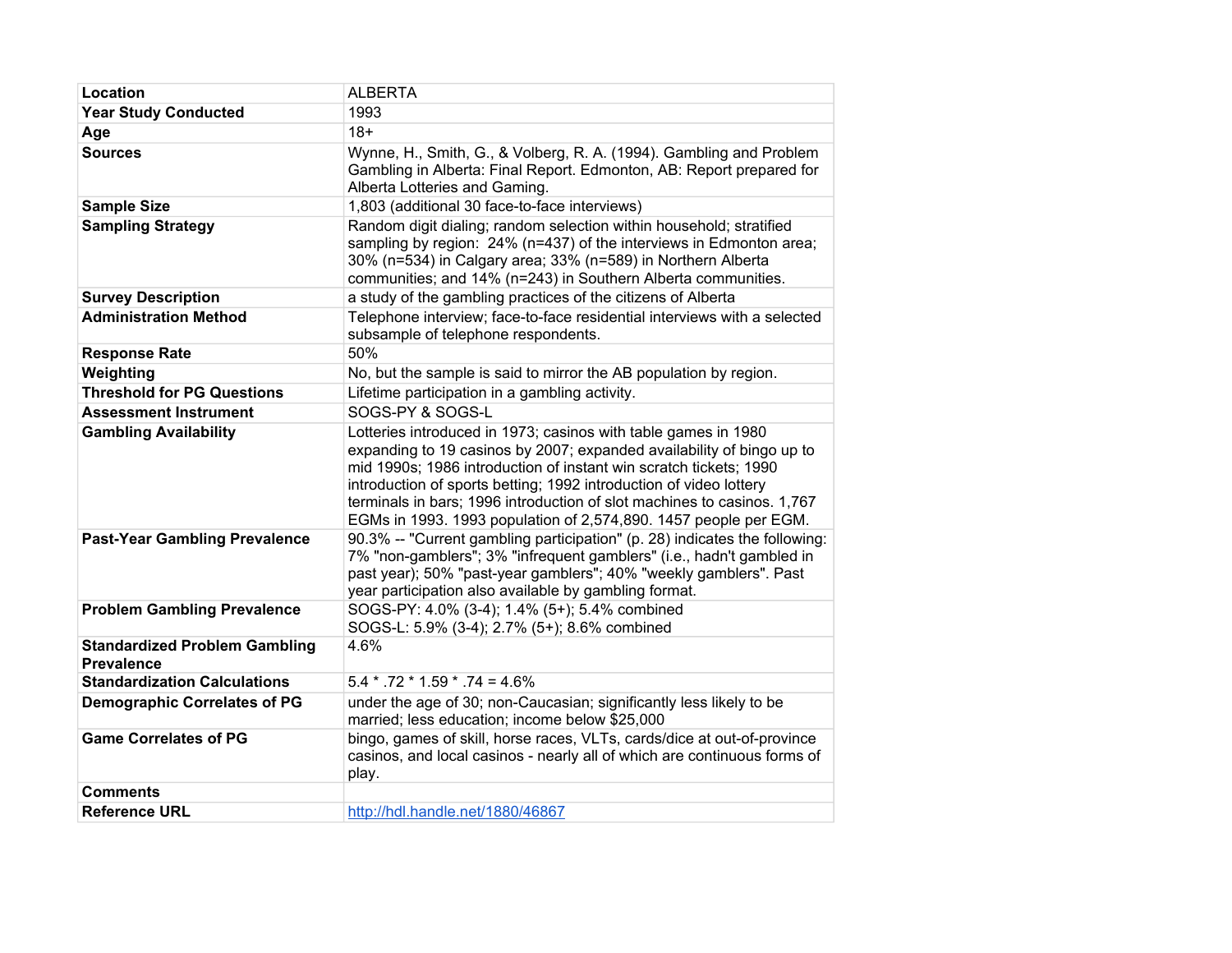| Location                                                  | <b>ALBERTA</b>                                                                                                                                                                                                                                                                                                                                                                                                                    |
|-----------------------------------------------------------|-----------------------------------------------------------------------------------------------------------------------------------------------------------------------------------------------------------------------------------------------------------------------------------------------------------------------------------------------------------------------------------------------------------------------------------|
| <b>Year Study Conducted</b>                               | 1993                                                                                                                                                                                                                                                                                                                                                                                                                              |
| Age                                                       | $18+$                                                                                                                                                                                                                                                                                                                                                                                                                             |
| <b>Sources</b>                                            | Wynne, H., Smith, G., & Volberg, R. A. (1994). Gambling and Problem<br>Gambling in Alberta: Final Report. Edmonton, AB: Report prepared for<br>Alberta Lotteries and Gaming.                                                                                                                                                                                                                                                      |
| <b>Sample Size</b>                                        | 1,803 (additional 30 face-to-face interviews)                                                                                                                                                                                                                                                                                                                                                                                     |
| <b>Sampling Strategy</b>                                  | Random digit dialing; random selection within household; stratified<br>sampling by region: 24% (n=437) of the interviews in Edmonton area;<br>30% (n=534) in Calgary area; 33% (n=589) in Northern Alberta<br>communities; and 14% (n=243) in Southern Alberta communities.                                                                                                                                                       |
| <b>Survey Description</b>                                 | a study of the gambling practices of the citizens of Alberta                                                                                                                                                                                                                                                                                                                                                                      |
| <b>Administration Method</b>                              | Telephone interview; face-to-face residential interviews with a selected<br>subsample of telephone respondents.                                                                                                                                                                                                                                                                                                                   |
| <b>Response Rate</b>                                      | 50%                                                                                                                                                                                                                                                                                                                                                                                                                               |
| Weighting                                                 | No, but the sample is said to mirror the AB population by region.                                                                                                                                                                                                                                                                                                                                                                 |
| <b>Threshold for PG Questions</b>                         | Lifetime participation in a gambling activity.                                                                                                                                                                                                                                                                                                                                                                                    |
| <b>Assessment Instrument</b>                              | SOGS-PY & SOGS-L                                                                                                                                                                                                                                                                                                                                                                                                                  |
| <b>Gambling Availability</b>                              | Lotteries introduced in 1973; casinos with table games in 1980<br>expanding to 19 casinos by 2007; expanded availability of bingo up to<br>mid 1990s; 1986 introduction of instant win scratch tickets; 1990<br>introduction of sports betting; 1992 introduction of video lottery<br>terminals in bars; 1996 introduction of slot machines to casinos. 1,767<br>EGMs in 1993. 1993 population of 2,574,890. 1457 people per EGM. |
| <b>Past-Year Gambling Prevalence</b>                      | 90.3% -- "Current gambling participation" (p. 28) indicates the following:<br>7% "non-gamblers"; 3% "infrequent gamblers" (i.e., hadn't gambled in<br>past year); 50% "past-year gamblers"; 40% "weekly gamblers". Past<br>year participation also available by gambling format.                                                                                                                                                  |
| <b>Problem Gambling Prevalence</b>                        | SOGS-PY: 4.0% (3-4); 1.4% (5+); 5.4% combined<br>SOGS-L: 5.9% (3-4); 2.7% (5+); 8.6% combined                                                                                                                                                                                                                                                                                                                                     |
| <b>Standardized Problem Gambling</b><br><b>Prevalence</b> | 4.6%                                                                                                                                                                                                                                                                                                                                                                                                                              |
| <b>Standardization Calculations</b>                       | $5.4 * .72 * 1.59 * .74 = 4.6\%$                                                                                                                                                                                                                                                                                                                                                                                                  |
| <b>Demographic Correlates of PG</b>                       | under the age of 30; non-Caucasian; significantly less likely to be<br>married; less education; income below \$25,000                                                                                                                                                                                                                                                                                                             |
| <b>Game Correlates of PG</b>                              | bingo, games of skill, horse races, VLTs, cards/dice at out-of-province<br>casinos, and local casinos - nearly all of which are continuous forms of<br>play.                                                                                                                                                                                                                                                                      |
| <b>Comments</b>                                           |                                                                                                                                                                                                                                                                                                                                                                                                                                   |
| <b>Reference URL</b>                                      | http://hdl.handle.net/1880/46867                                                                                                                                                                                                                                                                                                                                                                                                  |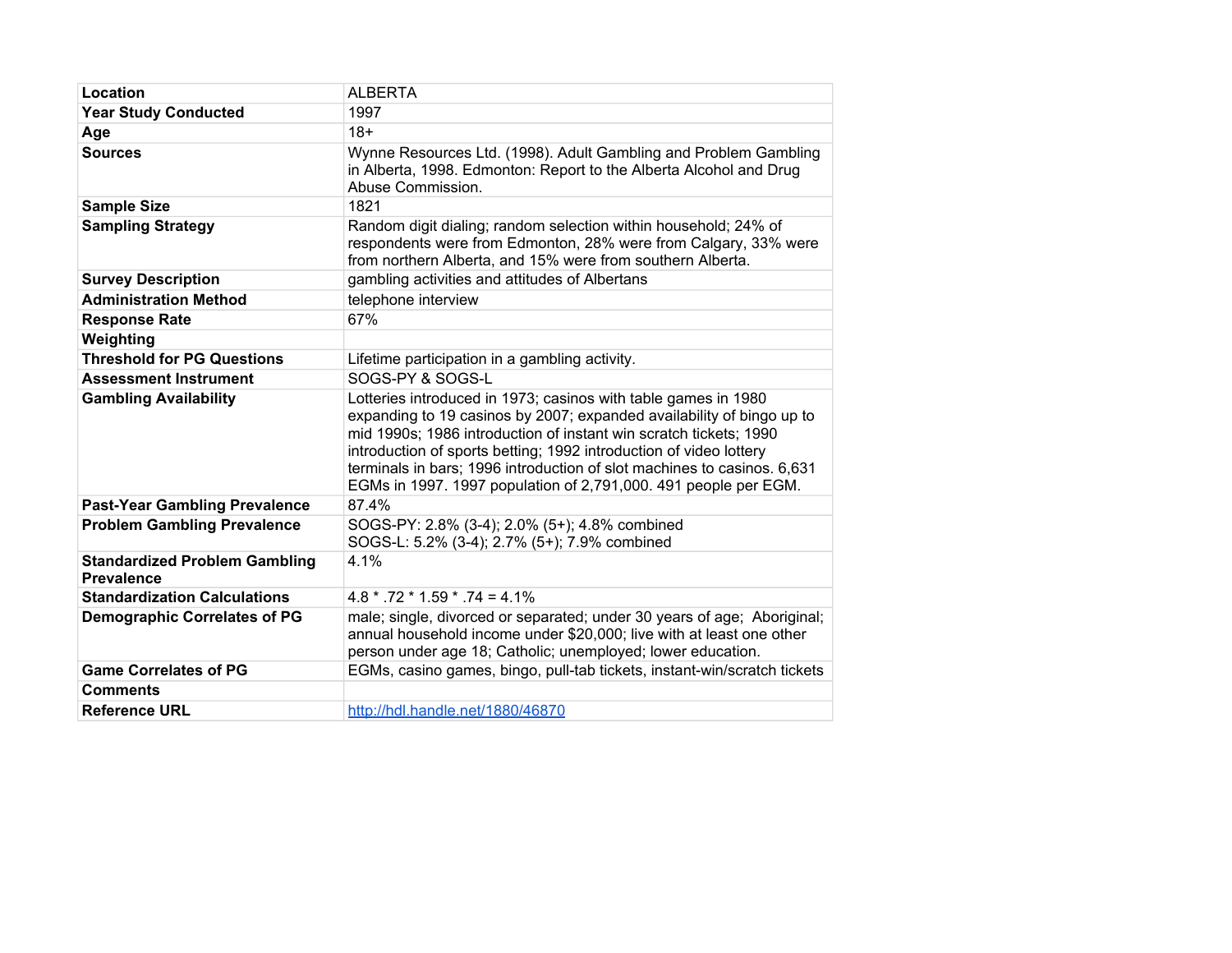| Location                                                  | <b>ALBERTA</b>                                                                                                                                                                                                                                                                                                                                                                                                                   |
|-----------------------------------------------------------|----------------------------------------------------------------------------------------------------------------------------------------------------------------------------------------------------------------------------------------------------------------------------------------------------------------------------------------------------------------------------------------------------------------------------------|
| <b>Year Study Conducted</b>                               | 1997                                                                                                                                                                                                                                                                                                                                                                                                                             |
| Age                                                       | $18+$                                                                                                                                                                                                                                                                                                                                                                                                                            |
| <b>Sources</b>                                            | Wynne Resources Ltd. (1998). Adult Gambling and Problem Gambling<br>in Alberta, 1998. Edmonton: Report to the Alberta Alcohol and Drug<br>Abuse Commission.                                                                                                                                                                                                                                                                      |
| <b>Sample Size</b>                                        | 1821                                                                                                                                                                                                                                                                                                                                                                                                                             |
| <b>Sampling Strategy</b>                                  | Random digit dialing; random selection within household; 24% of<br>respondents were from Edmonton, 28% were from Calgary, 33% were<br>from northern Alberta, and 15% were from southern Alberta.                                                                                                                                                                                                                                 |
| <b>Survey Description</b>                                 | gambling activities and attitudes of Albertans                                                                                                                                                                                                                                                                                                                                                                                   |
| <b>Administration Method</b>                              | telephone interview                                                                                                                                                                                                                                                                                                                                                                                                              |
| <b>Response Rate</b>                                      | 67%                                                                                                                                                                                                                                                                                                                                                                                                                              |
| Weighting                                                 |                                                                                                                                                                                                                                                                                                                                                                                                                                  |
| <b>Threshold for PG Questions</b>                         | Lifetime participation in a gambling activity.                                                                                                                                                                                                                                                                                                                                                                                   |
| <b>Assessment Instrument</b>                              | SOGS-PY & SOGS-L                                                                                                                                                                                                                                                                                                                                                                                                                 |
| <b>Gambling Availability</b>                              | Lotteries introduced in 1973; casinos with table games in 1980<br>expanding to 19 casinos by 2007; expanded availability of bingo up to<br>mid 1990s; 1986 introduction of instant win scratch tickets; 1990<br>introduction of sports betting; 1992 introduction of video lottery<br>terminals in bars; 1996 introduction of slot machines to casinos. 6,631<br>EGMs in 1997. 1997 population of 2,791,000. 491 people per EGM. |
| <b>Past-Year Gambling Prevalence</b>                      | 87.4%                                                                                                                                                                                                                                                                                                                                                                                                                            |
| <b>Problem Gambling Prevalence</b>                        | SOGS-PY: 2.8% (3-4); 2.0% (5+); 4.8% combined<br>SOGS-L: 5.2% (3-4); 2.7% (5+); 7.9% combined                                                                                                                                                                                                                                                                                                                                    |
| <b>Standardized Problem Gambling</b><br><b>Prevalence</b> | 4.1%                                                                                                                                                                                                                                                                                                                                                                                                                             |
| <b>Standardization Calculations</b>                       | $4.8 * .72 * 1.59 * .74 = 4.1\%$                                                                                                                                                                                                                                                                                                                                                                                                 |
| <b>Demographic Correlates of PG</b>                       | male; single, divorced or separated; under 30 years of age; Aboriginal;<br>annual household income under \$20,000; live with at least one other<br>person under age 18; Catholic; unemployed; lower education.                                                                                                                                                                                                                   |
| <b>Game Correlates of PG</b>                              | EGMs, casino games, bingo, pull-tab tickets, instant-win/scratch tickets                                                                                                                                                                                                                                                                                                                                                         |
| <b>Comments</b>                                           |                                                                                                                                                                                                                                                                                                                                                                                                                                  |
| <b>Reference URL</b>                                      | http://hdl.handle.net/1880/46870                                                                                                                                                                                                                                                                                                                                                                                                 |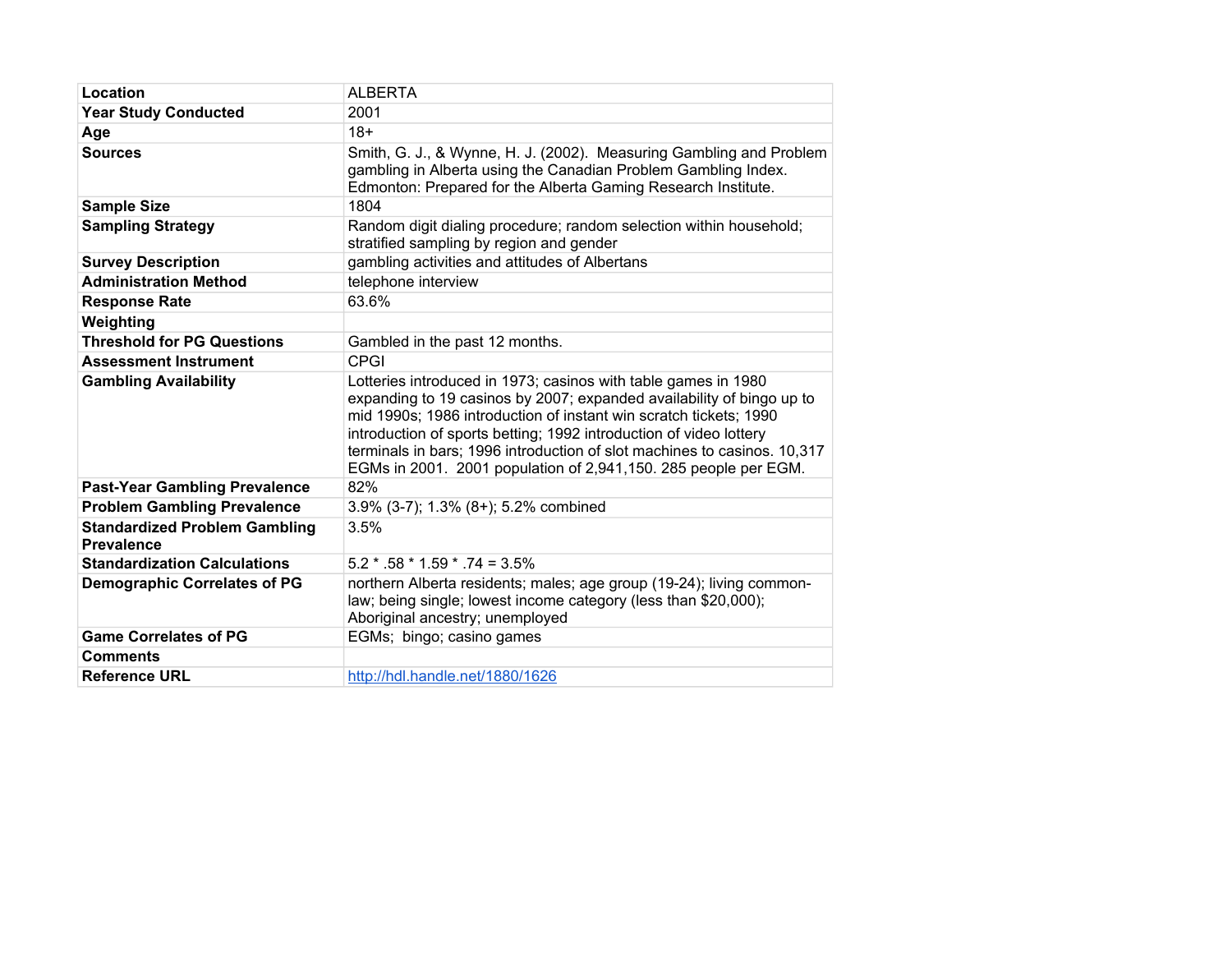| Location                                                  | <b>ALBERTA</b>                                                                                                                                                                                                                                                                                                                                                                                                                    |
|-----------------------------------------------------------|-----------------------------------------------------------------------------------------------------------------------------------------------------------------------------------------------------------------------------------------------------------------------------------------------------------------------------------------------------------------------------------------------------------------------------------|
| <b>Year Study Conducted</b>                               | 2001                                                                                                                                                                                                                                                                                                                                                                                                                              |
| Age                                                       | $18+$                                                                                                                                                                                                                                                                                                                                                                                                                             |
| <b>Sources</b>                                            | Smith, G. J., & Wynne, H. J. (2002). Measuring Gambling and Problem<br>gambling in Alberta using the Canadian Problem Gambling Index.<br>Edmonton: Prepared for the Alberta Gaming Research Institute.                                                                                                                                                                                                                            |
| <b>Sample Size</b>                                        | 1804                                                                                                                                                                                                                                                                                                                                                                                                                              |
| <b>Sampling Strategy</b>                                  | Random digit dialing procedure; random selection within household;<br>stratified sampling by region and gender                                                                                                                                                                                                                                                                                                                    |
| <b>Survey Description</b>                                 | gambling activities and attitudes of Albertans                                                                                                                                                                                                                                                                                                                                                                                    |
| <b>Administration Method</b>                              | telephone interview                                                                                                                                                                                                                                                                                                                                                                                                               |
| <b>Response Rate</b>                                      | 63.6%                                                                                                                                                                                                                                                                                                                                                                                                                             |
| Weighting                                                 |                                                                                                                                                                                                                                                                                                                                                                                                                                   |
| <b>Threshold for PG Questions</b>                         | Gambled in the past 12 months.                                                                                                                                                                                                                                                                                                                                                                                                    |
| <b>Assessment Instrument</b>                              | <b>CPGI</b>                                                                                                                                                                                                                                                                                                                                                                                                                       |
| <b>Gambling Availability</b>                              | Lotteries introduced in 1973; casinos with table games in 1980<br>expanding to 19 casinos by 2007; expanded availability of bingo up to<br>mid 1990s; 1986 introduction of instant win scratch tickets; 1990<br>introduction of sports betting; 1992 introduction of video lottery<br>terminals in bars; 1996 introduction of slot machines to casinos. 10,317<br>EGMs in 2001. 2001 population of 2,941,150. 285 people per EGM. |
| <b>Past-Year Gambling Prevalence</b>                      | 82%                                                                                                                                                                                                                                                                                                                                                                                                                               |
| <b>Problem Gambling Prevalence</b>                        | 3.9% (3-7); 1.3% (8+); 5.2% combined                                                                                                                                                                                                                                                                                                                                                                                              |
| <b>Standardized Problem Gambling</b><br><b>Prevalence</b> | 3.5%                                                                                                                                                                                                                                                                                                                                                                                                                              |
| <b>Standardization Calculations</b>                       | $5.2 * .58 * 1.59 * .74 = 3.5%$                                                                                                                                                                                                                                                                                                                                                                                                   |
| <b>Demographic Correlates of PG</b>                       | northern Alberta residents; males; age group (19-24); living common-<br>law; being single; lowest income category (less than \$20,000);<br>Aboriginal ancestry; unemployed                                                                                                                                                                                                                                                        |
| <b>Game Correlates of PG</b>                              | EGMs; bingo; casino games                                                                                                                                                                                                                                                                                                                                                                                                         |
| <b>Comments</b>                                           |                                                                                                                                                                                                                                                                                                                                                                                                                                   |
| <b>Reference URL</b>                                      | http://hdl.handle.net/1880/1626                                                                                                                                                                                                                                                                                                                                                                                                   |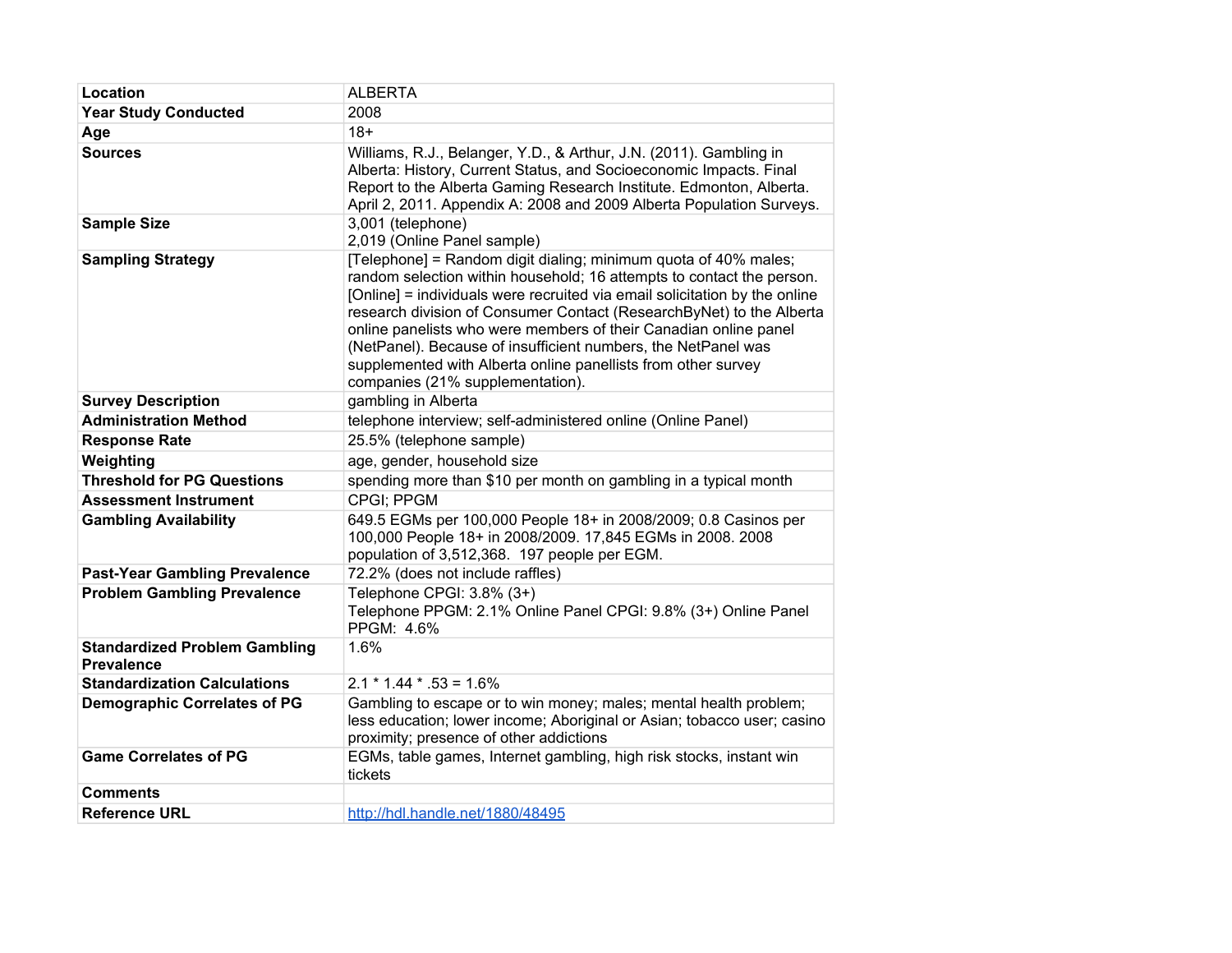| Location                                                  | <b>ALBERTA</b>                                                                                                                                                                                                                                                                                                                                                                                                                                                                                                                           |
|-----------------------------------------------------------|------------------------------------------------------------------------------------------------------------------------------------------------------------------------------------------------------------------------------------------------------------------------------------------------------------------------------------------------------------------------------------------------------------------------------------------------------------------------------------------------------------------------------------------|
| <b>Year Study Conducted</b>                               | 2008                                                                                                                                                                                                                                                                                                                                                                                                                                                                                                                                     |
| Age                                                       | $18+$                                                                                                                                                                                                                                                                                                                                                                                                                                                                                                                                    |
| <b>Sources</b>                                            | Williams, R.J., Belanger, Y.D., & Arthur, J.N. (2011). Gambling in<br>Alberta: History, Current Status, and Socioeconomic Impacts. Final<br>Report to the Alberta Gaming Research Institute. Edmonton, Alberta.<br>April 2, 2011. Appendix A: 2008 and 2009 Alberta Population Surveys.                                                                                                                                                                                                                                                  |
| <b>Sample Size</b>                                        | 3,001 (telephone)<br>2,019 (Online Panel sample)                                                                                                                                                                                                                                                                                                                                                                                                                                                                                         |
| <b>Sampling Strategy</b>                                  | [Telephone] = Random digit dialing; minimum quota of 40% males;<br>random selection within household; 16 attempts to contact the person.<br>[Online] = individuals were recruited via email solicitation by the online<br>research division of Consumer Contact (ResearchByNet) to the Alberta<br>online panelists who were members of their Canadian online panel<br>(NetPanel). Because of insufficient numbers, the NetPanel was<br>supplemented with Alberta online panellists from other survey<br>companies (21% supplementation). |
| <b>Survey Description</b>                                 | gambling in Alberta                                                                                                                                                                                                                                                                                                                                                                                                                                                                                                                      |
| <b>Administration Method</b>                              | telephone interview; self-administered online (Online Panel)                                                                                                                                                                                                                                                                                                                                                                                                                                                                             |
| <b>Response Rate</b>                                      | 25.5% (telephone sample)                                                                                                                                                                                                                                                                                                                                                                                                                                                                                                                 |
| Weighting                                                 | age, gender, household size                                                                                                                                                                                                                                                                                                                                                                                                                                                                                                              |
| <b>Threshold for PG Questions</b>                         | spending more than \$10 per month on gambling in a typical month                                                                                                                                                                                                                                                                                                                                                                                                                                                                         |
| <b>Assessment Instrument</b>                              | <b>CPGI: PPGM</b>                                                                                                                                                                                                                                                                                                                                                                                                                                                                                                                        |
| <b>Gambling Availability</b>                              | 649.5 EGMs per 100,000 People 18+ in 2008/2009; 0.8 Casinos per<br>100,000 People 18+ in 2008/2009. 17,845 EGMs in 2008. 2008<br>population of 3,512,368. 197 people per EGM.                                                                                                                                                                                                                                                                                                                                                            |
| <b>Past-Year Gambling Prevalence</b>                      | 72.2% (does not include raffles)                                                                                                                                                                                                                                                                                                                                                                                                                                                                                                         |
| <b>Problem Gambling Prevalence</b>                        | Telephone CPGI: 3.8% (3+)<br>Telephone PPGM: 2.1% Online Panel CPGI: 9.8% (3+) Online Panel<br>PPGM: 4.6%                                                                                                                                                                                                                                                                                                                                                                                                                                |
| <b>Standardized Problem Gambling</b><br><b>Prevalence</b> | 1.6%                                                                                                                                                                                                                                                                                                                                                                                                                                                                                                                                     |
| <b>Standardization Calculations</b>                       | $2.1 * 1.44 * .53 = 1.6%$                                                                                                                                                                                                                                                                                                                                                                                                                                                                                                                |
| <b>Demographic Correlates of PG</b>                       | Gambling to escape or to win money; males; mental health problem;<br>less education; lower income; Aboriginal or Asian; tobacco user; casino<br>proximity; presence of other addictions                                                                                                                                                                                                                                                                                                                                                  |
| <b>Game Correlates of PG</b>                              | EGMs, table games, Internet gambling, high risk stocks, instant win<br>tickets                                                                                                                                                                                                                                                                                                                                                                                                                                                           |
| <b>Comments</b>                                           |                                                                                                                                                                                                                                                                                                                                                                                                                                                                                                                                          |
| <b>Reference URL</b>                                      | http://hdl.handle.net/1880/48495                                                                                                                                                                                                                                                                                                                                                                                                                                                                                                         |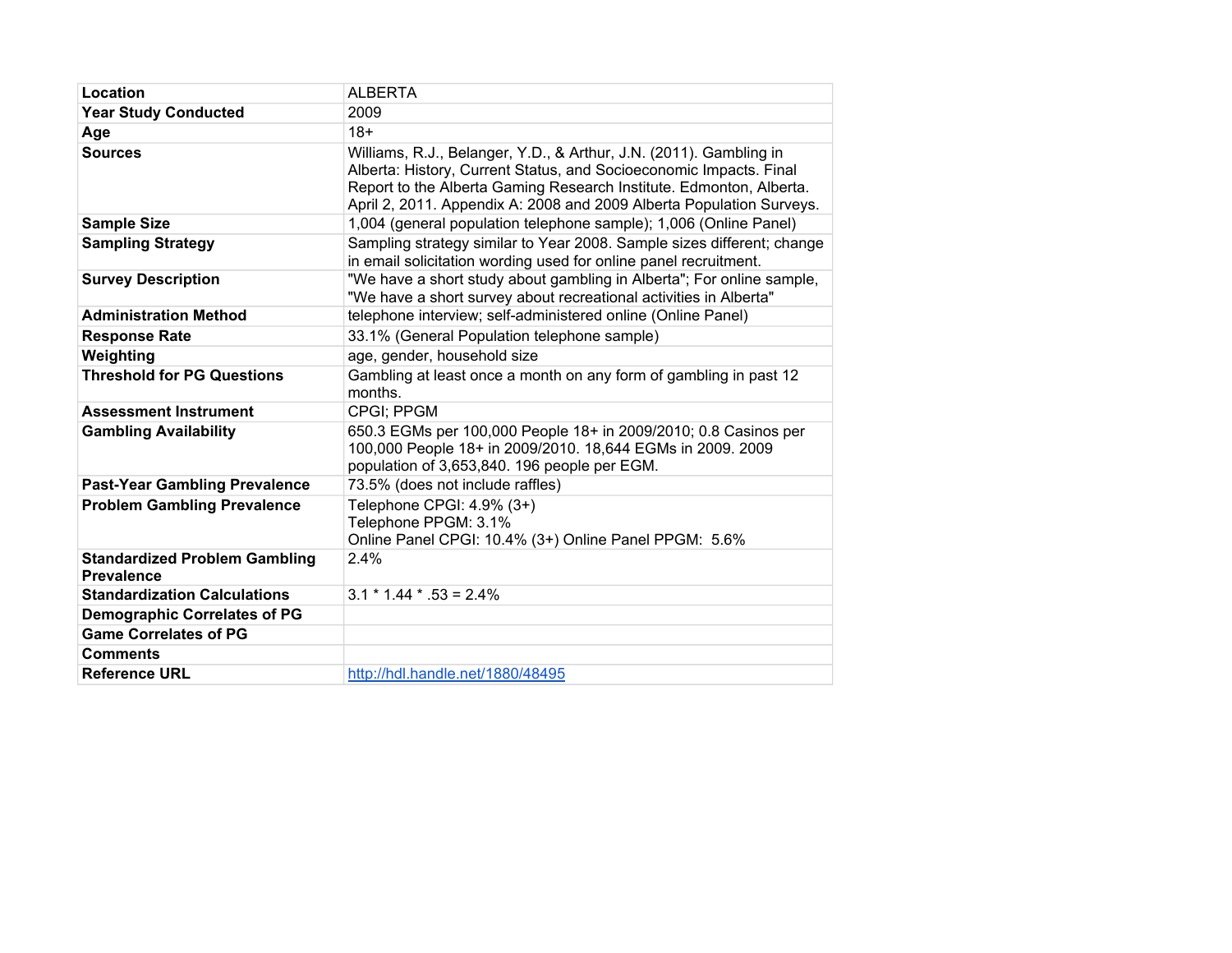| Location                                                  | <b>ALBERTA</b>                                                                                                                                                                                                                                                                          |
|-----------------------------------------------------------|-----------------------------------------------------------------------------------------------------------------------------------------------------------------------------------------------------------------------------------------------------------------------------------------|
| <b>Year Study Conducted</b>                               | 2009                                                                                                                                                                                                                                                                                    |
| Age                                                       | $18+$                                                                                                                                                                                                                                                                                   |
| <b>Sources</b>                                            | Williams, R.J., Belanger, Y.D., & Arthur, J.N. (2011). Gambling in<br>Alberta: History, Current Status, and Socioeconomic Impacts. Final<br>Report to the Alberta Gaming Research Institute. Edmonton, Alberta.<br>April 2, 2011. Appendix A: 2008 and 2009 Alberta Population Surveys. |
| <b>Sample Size</b>                                        | 1,004 (general population telephone sample); 1,006 (Online Panel)                                                                                                                                                                                                                       |
| <b>Sampling Strategy</b>                                  | Sampling strategy similar to Year 2008. Sample sizes different; change<br>in email solicitation wording used for online panel recruitment.                                                                                                                                              |
| <b>Survey Description</b>                                 | "We have a short study about gambling in Alberta"; For online sample,<br>"We have a short survey about recreational activities in Alberta"                                                                                                                                              |
| <b>Administration Method</b>                              | telephone interview; self-administered online (Online Panel)                                                                                                                                                                                                                            |
| <b>Response Rate</b>                                      | 33.1% (General Population telephone sample)                                                                                                                                                                                                                                             |
| Weighting                                                 | age, gender, household size                                                                                                                                                                                                                                                             |
| <b>Threshold for PG Questions</b>                         | Gambling at least once a month on any form of gambling in past 12<br>months.                                                                                                                                                                                                            |
| <b>Assessment Instrument</b>                              | CPGI; PPGM                                                                                                                                                                                                                                                                              |
| <b>Gambling Availability</b>                              | 650.3 EGMs per 100,000 People 18+ in 2009/2010; 0.8 Casinos per<br>100,000 People 18+ in 2009/2010. 18,644 EGMs in 2009. 2009<br>population of 3,653,840. 196 people per EGM.                                                                                                           |
| <b>Past-Year Gambling Prevalence</b>                      | 73.5% (does not include raffles)                                                                                                                                                                                                                                                        |
| <b>Problem Gambling Prevalence</b>                        | Telephone CPGI: 4.9% (3+)<br>Telephone PPGM: 3.1%<br>Online Panel CPGI: 10.4% (3+) Online Panel PPGM: 5.6%                                                                                                                                                                              |
| <b>Standardized Problem Gambling</b><br><b>Prevalence</b> | 2.4%                                                                                                                                                                                                                                                                                    |
| <b>Standardization Calculations</b>                       | $3.1 * 1.44 * .53 = 2.4%$                                                                                                                                                                                                                                                               |
| <b>Demographic Correlates of PG</b>                       |                                                                                                                                                                                                                                                                                         |
| <b>Game Correlates of PG</b>                              |                                                                                                                                                                                                                                                                                         |
| <b>Comments</b>                                           |                                                                                                                                                                                                                                                                                         |
| <b>Reference URL</b>                                      | http://hdl.handle.net/1880/48495                                                                                                                                                                                                                                                        |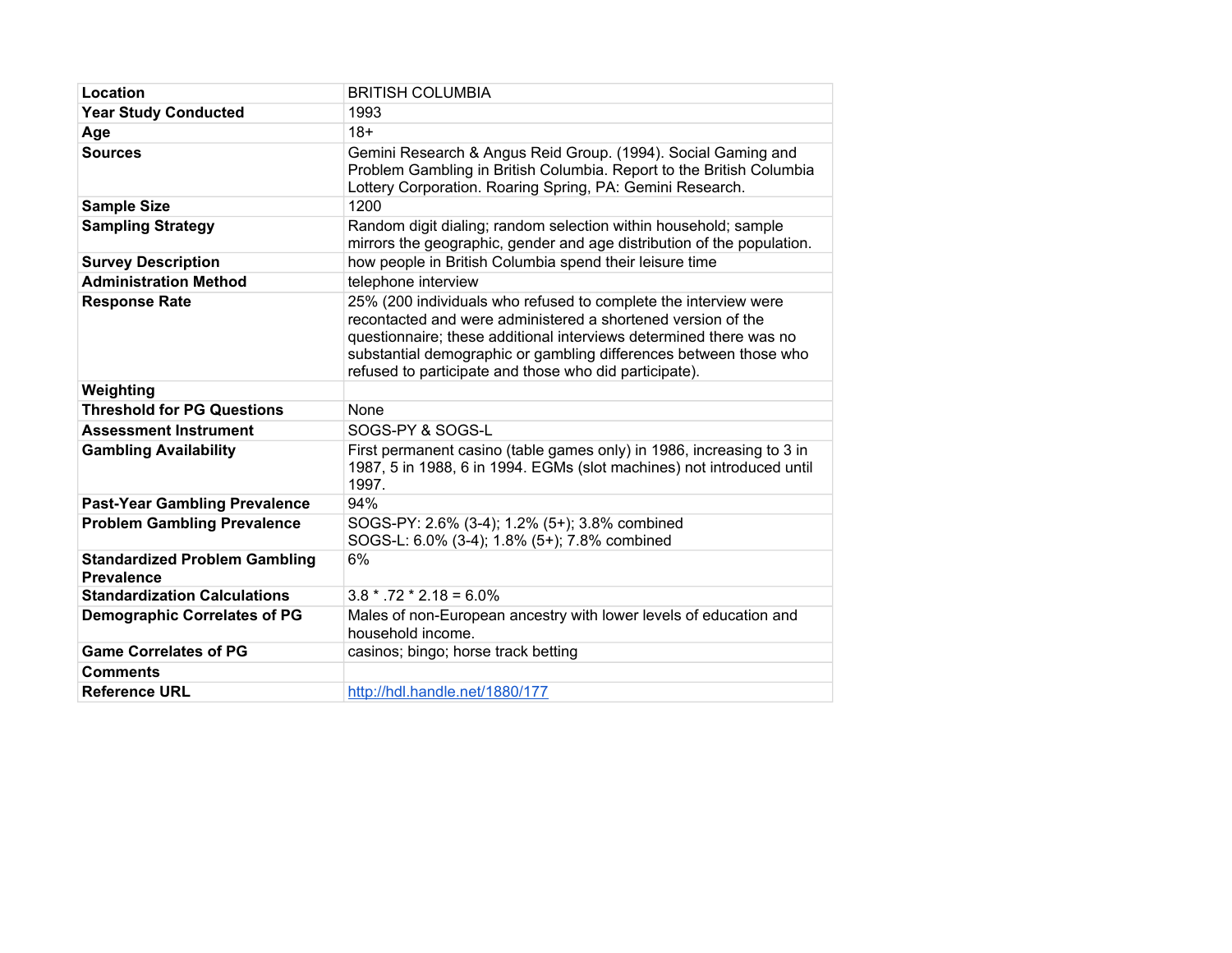| Location                                                  | <b>BRITISH COLUMBIA</b>                                                                                                                                                                                                                                                                                                              |
|-----------------------------------------------------------|--------------------------------------------------------------------------------------------------------------------------------------------------------------------------------------------------------------------------------------------------------------------------------------------------------------------------------------|
| <b>Year Study Conducted</b>                               | 1993                                                                                                                                                                                                                                                                                                                                 |
| Age                                                       | $18+$                                                                                                                                                                                                                                                                                                                                |
| <b>Sources</b>                                            | Gemini Research & Angus Reid Group. (1994). Social Gaming and<br>Problem Gambling in British Columbia. Report to the British Columbia<br>Lottery Corporation. Roaring Spring, PA: Gemini Research.                                                                                                                                   |
| <b>Sample Size</b>                                        | 1200                                                                                                                                                                                                                                                                                                                                 |
| <b>Sampling Strategy</b>                                  | Random digit dialing; random selection within household; sample<br>mirrors the geographic, gender and age distribution of the population.                                                                                                                                                                                            |
| <b>Survey Description</b>                                 | how people in British Columbia spend their leisure time                                                                                                                                                                                                                                                                              |
| <b>Administration Method</b>                              | telephone interview                                                                                                                                                                                                                                                                                                                  |
| <b>Response Rate</b>                                      | 25% (200 individuals who refused to complete the interview were<br>recontacted and were administered a shortened version of the<br>questionnaire; these additional interviews determined there was no<br>substantial demographic or gambling differences between those who<br>refused to participate and those who did participate). |
| Weighting                                                 |                                                                                                                                                                                                                                                                                                                                      |
| <b>Threshold for PG Questions</b>                         | None                                                                                                                                                                                                                                                                                                                                 |
| <b>Assessment Instrument</b>                              | SOGS-PY & SOGS-L                                                                                                                                                                                                                                                                                                                     |
| <b>Gambling Availability</b>                              | First permanent casino (table games only) in 1986, increasing to 3 in<br>1987, 5 in 1988, 6 in 1994. EGMs (slot machines) not introduced until<br>1997.                                                                                                                                                                              |
| <b>Past-Year Gambling Prevalence</b>                      | 94%                                                                                                                                                                                                                                                                                                                                  |
| <b>Problem Gambling Prevalence</b>                        | SOGS-PY: 2.6% (3-4); 1.2% (5+); 3.8% combined<br>SOGS-L: 6.0% (3-4); 1.8% (5+); 7.8% combined                                                                                                                                                                                                                                        |
| <b>Standardized Problem Gambling</b><br><b>Prevalence</b> | 6%                                                                                                                                                                                                                                                                                                                                   |
| <b>Standardization Calculations</b>                       | $3.8 * .72 * 2.18 = 6.0\%$                                                                                                                                                                                                                                                                                                           |
| <b>Demographic Correlates of PG</b>                       | Males of non-European ancestry with lower levels of education and<br>household income.                                                                                                                                                                                                                                               |
| <b>Game Correlates of PG</b>                              | casinos; bingo; horse track betting                                                                                                                                                                                                                                                                                                  |
| <b>Comments</b>                                           |                                                                                                                                                                                                                                                                                                                                      |
| <b>Reference URL</b>                                      | http://hdl.handle.net/1880/177                                                                                                                                                                                                                                                                                                       |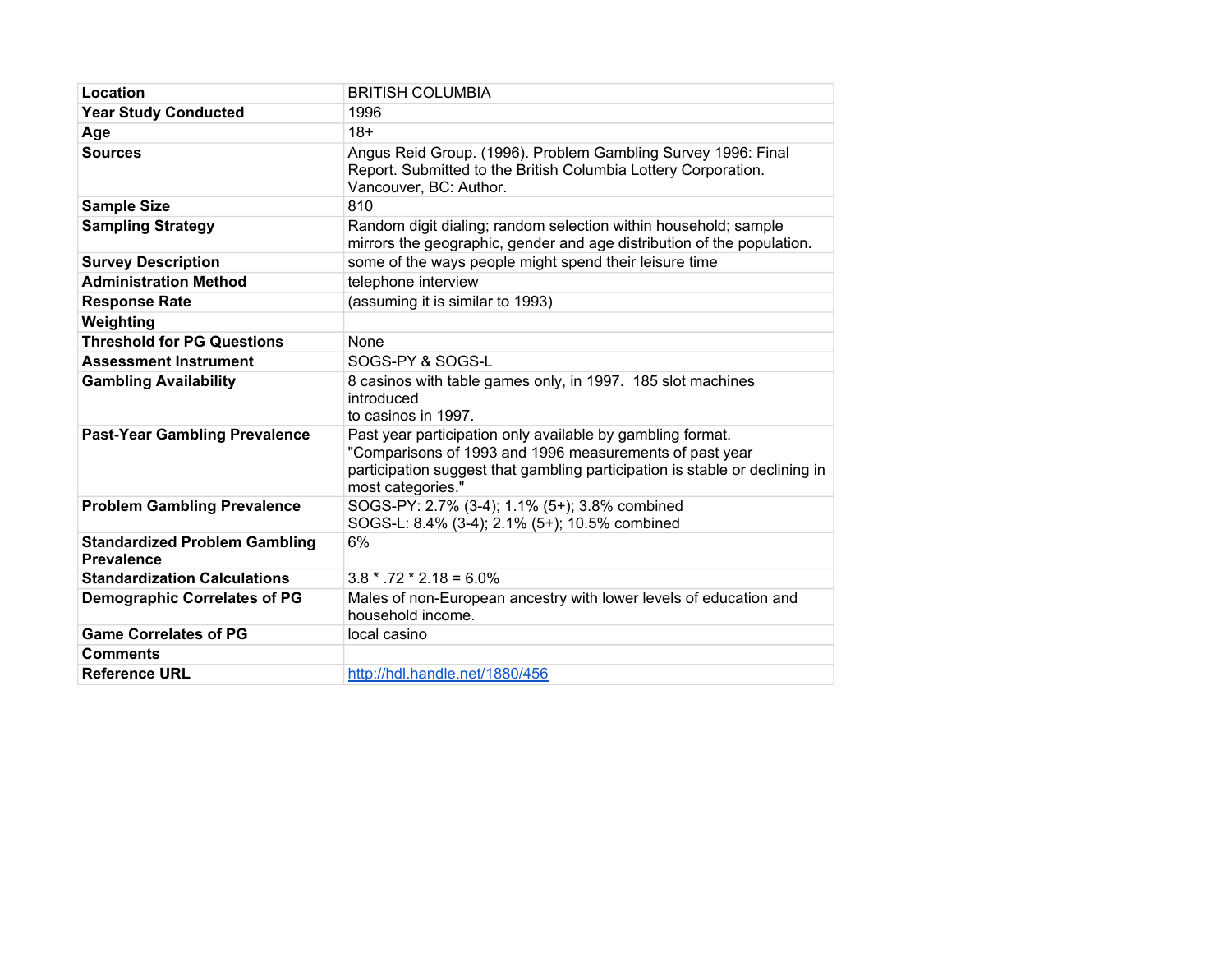| Location                                                  | <b>BRITISH COLUMBIA</b>                                                                                                                                                                                                   |
|-----------------------------------------------------------|---------------------------------------------------------------------------------------------------------------------------------------------------------------------------------------------------------------------------|
| <b>Year Study Conducted</b>                               | 1996                                                                                                                                                                                                                      |
| Age                                                       | $18+$                                                                                                                                                                                                                     |
| <b>Sources</b>                                            | Angus Reid Group. (1996). Problem Gambling Survey 1996: Final<br>Report. Submitted to the British Columbia Lottery Corporation.<br>Vancouver, BC: Author.                                                                 |
| <b>Sample Size</b>                                        | 810                                                                                                                                                                                                                       |
| <b>Sampling Strategy</b>                                  | Random digit dialing; random selection within household; sample<br>mirrors the geographic, gender and age distribution of the population.                                                                                 |
| <b>Survey Description</b>                                 | some of the ways people might spend their leisure time                                                                                                                                                                    |
| <b>Administration Method</b>                              | telephone interview                                                                                                                                                                                                       |
| <b>Response Rate</b>                                      | (assuming it is similar to 1993)                                                                                                                                                                                          |
| Weighting                                                 |                                                                                                                                                                                                                           |
| <b>Threshold for PG Questions</b>                         | None                                                                                                                                                                                                                      |
| <b>Assessment Instrument</b>                              | SOGS-PY & SOGS-L                                                                                                                                                                                                          |
| <b>Gambling Availability</b>                              | 8 casinos with table games only, in 1997. 185 slot machines<br>introduced<br>to casinos in 1997.                                                                                                                          |
| <b>Past-Year Gambling Prevalence</b>                      | Past year participation only available by gambling format.<br>"Comparisons of 1993 and 1996 measurements of past year<br>participation suggest that gambling participation is stable or declining in<br>most categories." |
| <b>Problem Gambling Prevalence</b>                        | SOGS-PY: 2.7% (3-4); 1.1% (5+); 3.8% combined<br>SOGS-L: 8.4% (3-4); 2.1% (5+); 10.5% combined                                                                                                                            |
| <b>Standardized Problem Gambling</b><br><b>Prevalence</b> | 6%                                                                                                                                                                                                                        |
| <b>Standardization Calculations</b>                       | $3.8 * .72 * 2.18 = 6.0\%$                                                                                                                                                                                                |
| <b>Demographic Correlates of PG</b>                       | Males of non-European ancestry with lower levels of education and<br>household income.                                                                                                                                    |
| <b>Game Correlates of PG</b>                              | local casino                                                                                                                                                                                                              |
| <b>Comments</b>                                           |                                                                                                                                                                                                                           |
| <b>Reference URL</b>                                      | http://hdl.handle.net/1880/456                                                                                                                                                                                            |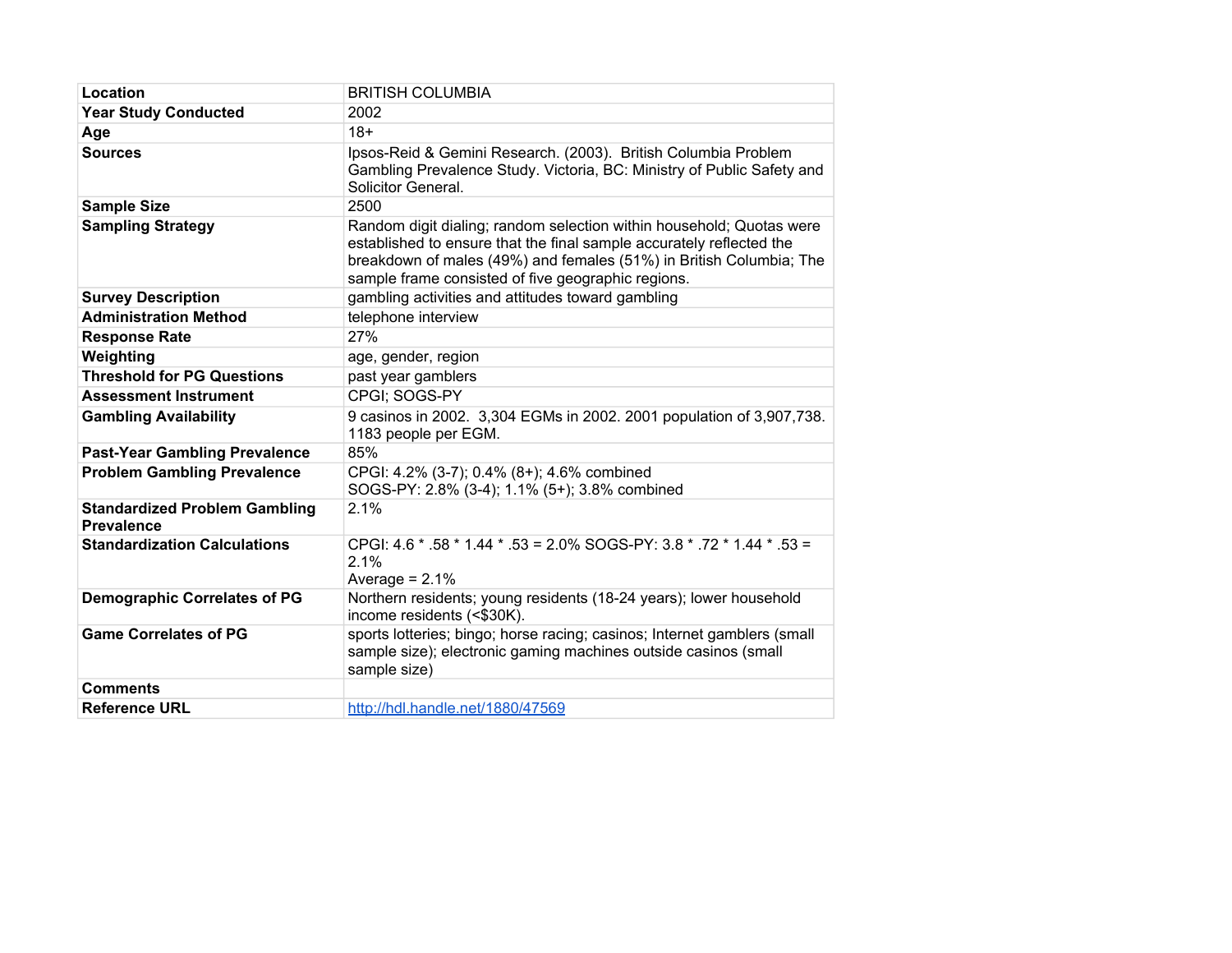| Location                                                  | <b>BRITISH COLUMBIA</b>                                                                                                                                                                                                                                                   |
|-----------------------------------------------------------|---------------------------------------------------------------------------------------------------------------------------------------------------------------------------------------------------------------------------------------------------------------------------|
| <b>Year Study Conducted</b>                               | 2002                                                                                                                                                                                                                                                                      |
| Age                                                       | $18+$                                                                                                                                                                                                                                                                     |
| <b>Sources</b>                                            | Ipsos-Reid & Gemini Research. (2003). British Columbia Problem<br>Gambling Prevalence Study. Victoria, BC: Ministry of Public Safety and<br>Solicitor General.                                                                                                            |
| <b>Sample Size</b>                                        | 2500                                                                                                                                                                                                                                                                      |
| <b>Sampling Strategy</b>                                  | Random digit dialing; random selection within household; Quotas were<br>established to ensure that the final sample accurately reflected the<br>breakdown of males (49%) and females (51%) in British Columbia; The<br>sample frame consisted of five geographic regions. |
| <b>Survey Description</b>                                 | gambling activities and attitudes toward gambling                                                                                                                                                                                                                         |
| <b>Administration Method</b>                              | telephone interview                                                                                                                                                                                                                                                       |
| <b>Response Rate</b>                                      | 27%                                                                                                                                                                                                                                                                       |
| Weighting                                                 | age, gender, region                                                                                                                                                                                                                                                       |
| <b>Threshold for PG Questions</b>                         | past year gamblers                                                                                                                                                                                                                                                        |
| <b>Assessment Instrument</b>                              | CPGI: SOGS-PY                                                                                                                                                                                                                                                             |
| <b>Gambling Availability</b>                              | 9 casinos in 2002. 3,304 EGMs in 2002. 2001 population of 3,907,738.<br>1183 people per EGM.                                                                                                                                                                              |
| <b>Past-Year Gambling Prevalence</b>                      | 85%                                                                                                                                                                                                                                                                       |
| <b>Problem Gambling Prevalence</b>                        | CPGI: 4.2% (3-7); 0.4% (8+); 4.6% combined<br>SOGS-PY: 2.8% (3-4); 1.1% (5+); 3.8% combined                                                                                                                                                                               |
| <b>Standardized Problem Gambling</b><br><b>Prevalence</b> | 2.1%                                                                                                                                                                                                                                                                      |
| <b>Standardization Calculations</b>                       | CPGI: 4.6 * .58 * 1.44 * .53 = 2.0% SOGS-PY: 3.8 * .72 * 1.44 * .53 =<br>2.1%<br>Average = $2.1\%$                                                                                                                                                                        |
| <b>Demographic Correlates of PG</b>                       | Northern residents; young residents (18-24 years); lower household<br>income residents (<\$30K).                                                                                                                                                                          |
| <b>Game Correlates of PG</b>                              | sports lotteries; bingo; horse racing; casinos; Internet gamblers (small<br>sample size); electronic gaming machines outside casinos (small<br>sample size)                                                                                                               |
| <b>Comments</b>                                           |                                                                                                                                                                                                                                                                           |
| <b>Reference URL</b>                                      | http://hdl.handle.net/1880/47569                                                                                                                                                                                                                                          |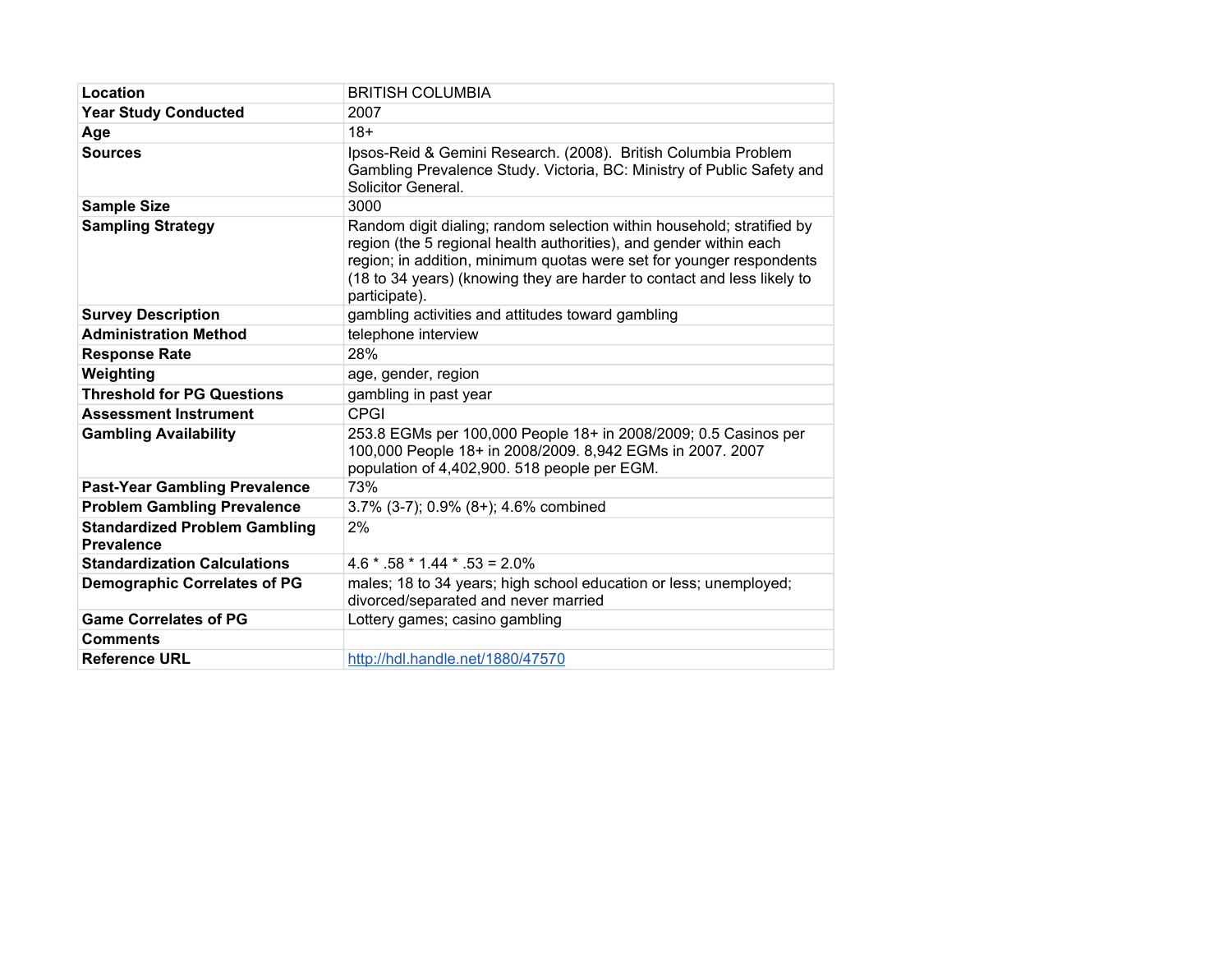| Location                                                  | <b>BRITISH COLUMBIA</b>                                                                                                                                                                                                                                                                                          |
|-----------------------------------------------------------|------------------------------------------------------------------------------------------------------------------------------------------------------------------------------------------------------------------------------------------------------------------------------------------------------------------|
| <b>Year Study Conducted</b>                               | 2007                                                                                                                                                                                                                                                                                                             |
| Age                                                       | $18+$                                                                                                                                                                                                                                                                                                            |
| <b>Sources</b>                                            | Ipsos-Reid & Gemini Research. (2008). British Columbia Problem<br>Gambling Prevalence Study. Victoria, BC: Ministry of Public Safety and<br>Solicitor General.                                                                                                                                                   |
| <b>Sample Size</b>                                        | 3000                                                                                                                                                                                                                                                                                                             |
| <b>Sampling Strategy</b>                                  | Random digit dialing; random selection within household; stratified by<br>region (the 5 regional health authorities), and gender within each<br>region; in addition, minimum quotas were set for younger respondents<br>(18 to 34 years) (knowing they are harder to contact and less likely to<br>participate). |
| <b>Survey Description</b>                                 | gambling activities and attitudes toward gambling                                                                                                                                                                                                                                                                |
| <b>Administration Method</b>                              | telephone interview                                                                                                                                                                                                                                                                                              |
| <b>Response Rate</b>                                      | 28%                                                                                                                                                                                                                                                                                                              |
| Weighting                                                 | age, gender, region                                                                                                                                                                                                                                                                                              |
| <b>Threshold for PG Questions</b>                         | gambling in past year                                                                                                                                                                                                                                                                                            |
| <b>Assessment Instrument</b>                              | CPGI                                                                                                                                                                                                                                                                                                             |
| <b>Gambling Availability</b>                              | 253.8 EGMs per 100,000 People 18+ in 2008/2009; 0.5 Casinos per<br>100,000 People 18+ in 2008/2009. 8,942 EGMs in 2007. 2007<br>population of 4,402,900. 518 people per EGM.                                                                                                                                     |
| <b>Past-Year Gambling Prevalence</b>                      | 73%                                                                                                                                                                                                                                                                                                              |
| <b>Problem Gambling Prevalence</b>                        | 3.7% (3-7); 0.9% (8+); 4.6% combined                                                                                                                                                                                                                                                                             |
| <b>Standardized Problem Gambling</b><br><b>Prevalence</b> | 2%                                                                                                                                                                                                                                                                                                               |
| <b>Standardization Calculations</b>                       | $4.6 * .58 * 1.44 * .53 = 2.0\%$                                                                                                                                                                                                                                                                                 |
| <b>Demographic Correlates of PG</b>                       | males; 18 to 34 years; high school education or less; unemployed;<br>divorced/separated and never married                                                                                                                                                                                                        |
| <b>Game Correlates of PG</b>                              | Lottery games; casino gambling                                                                                                                                                                                                                                                                                   |
| <b>Comments</b>                                           |                                                                                                                                                                                                                                                                                                                  |
| <b>Reference URL</b>                                      | http://hdl.handle.net/1880/47570                                                                                                                                                                                                                                                                                 |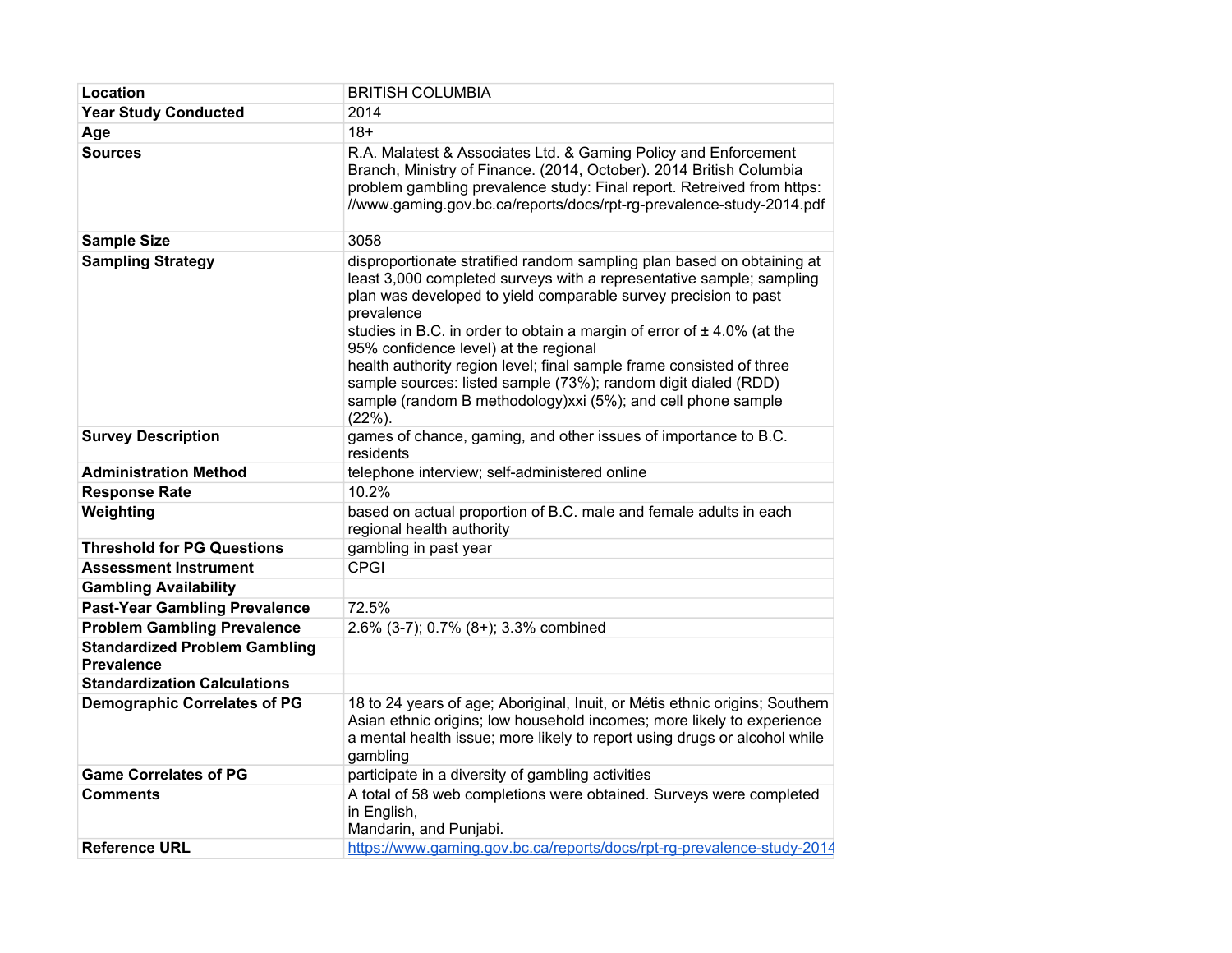| Location                                                  | <b>BRITISH COLUMBIA</b>                                                                                                                                                                                                                                                                                                                                                                                                                                                                                                                                                       |
|-----------------------------------------------------------|-------------------------------------------------------------------------------------------------------------------------------------------------------------------------------------------------------------------------------------------------------------------------------------------------------------------------------------------------------------------------------------------------------------------------------------------------------------------------------------------------------------------------------------------------------------------------------|
| <b>Year Study Conducted</b>                               | 2014                                                                                                                                                                                                                                                                                                                                                                                                                                                                                                                                                                          |
| Age                                                       | $18 +$                                                                                                                                                                                                                                                                                                                                                                                                                                                                                                                                                                        |
| <b>Sources</b>                                            | R.A. Malatest & Associates Ltd. & Gaming Policy and Enforcement<br>Branch, Ministry of Finance. (2014, October). 2014 British Columbia<br>problem gambling prevalence study: Final report. Retreived from https:<br>//www.gaming.gov.bc.ca/reports/docs/rpt-rg-prevalence-study-2014.pdf                                                                                                                                                                                                                                                                                      |
| <b>Sample Size</b>                                        | 3058                                                                                                                                                                                                                                                                                                                                                                                                                                                                                                                                                                          |
| <b>Sampling Strategy</b>                                  | disproportionate stratified random sampling plan based on obtaining at<br>least 3,000 completed surveys with a representative sample; sampling<br>plan was developed to yield comparable survey precision to past<br>prevalence<br>studies in B.C. in order to obtain a margin of error of $\pm$ 4.0% (at the<br>95% confidence level) at the regional<br>health authority region level; final sample frame consisted of three<br>sample sources: listed sample (73%); random digit dialed (RDD)<br>sample (random B methodology)xxi (5%); and cell phone sample<br>$(22%)$ . |
| <b>Survey Description</b>                                 | games of chance, gaming, and other issues of importance to B.C.<br>residents                                                                                                                                                                                                                                                                                                                                                                                                                                                                                                  |
| <b>Administration Method</b>                              | telephone interview; self-administered online                                                                                                                                                                                                                                                                                                                                                                                                                                                                                                                                 |
| <b>Response Rate</b>                                      | 10.2%                                                                                                                                                                                                                                                                                                                                                                                                                                                                                                                                                                         |
| Weighting                                                 | based on actual proportion of B.C. male and female adults in each<br>regional health authority                                                                                                                                                                                                                                                                                                                                                                                                                                                                                |
| <b>Threshold for PG Questions</b>                         | gambling in past year                                                                                                                                                                                                                                                                                                                                                                                                                                                                                                                                                         |
| <b>Assessment Instrument</b>                              | <b>CPGI</b>                                                                                                                                                                                                                                                                                                                                                                                                                                                                                                                                                                   |
| <b>Gambling Availability</b>                              |                                                                                                                                                                                                                                                                                                                                                                                                                                                                                                                                                                               |
| <b>Past-Year Gambling Prevalence</b>                      | 72.5%                                                                                                                                                                                                                                                                                                                                                                                                                                                                                                                                                                         |
| <b>Problem Gambling Prevalence</b>                        | 2.6% (3-7); 0.7% (8+); 3.3% combined                                                                                                                                                                                                                                                                                                                                                                                                                                                                                                                                          |
| <b>Standardized Problem Gambling</b><br><b>Prevalence</b> |                                                                                                                                                                                                                                                                                                                                                                                                                                                                                                                                                                               |
| <b>Standardization Calculations</b>                       |                                                                                                                                                                                                                                                                                                                                                                                                                                                                                                                                                                               |
| <b>Demographic Correlates of PG</b>                       | 18 to 24 years of age; Aboriginal, Inuit, or Métis ethnic origins; Southern<br>Asian ethnic origins; low household incomes; more likely to experience<br>a mental health issue; more likely to report using drugs or alcohol while<br>gambling                                                                                                                                                                                                                                                                                                                                |
| <b>Game Correlates of PG</b>                              | participate in a diversity of gambling activities                                                                                                                                                                                                                                                                                                                                                                                                                                                                                                                             |
| <b>Comments</b>                                           | A total of 58 web completions were obtained. Surveys were completed<br>in English,<br>Mandarin, and Punjabi.                                                                                                                                                                                                                                                                                                                                                                                                                                                                  |
| <b>Reference URL</b>                                      | https://www.gaming.gov.bc.ca/reports/docs/rpt-rg-prevalence-study-2014                                                                                                                                                                                                                                                                                                                                                                                                                                                                                                        |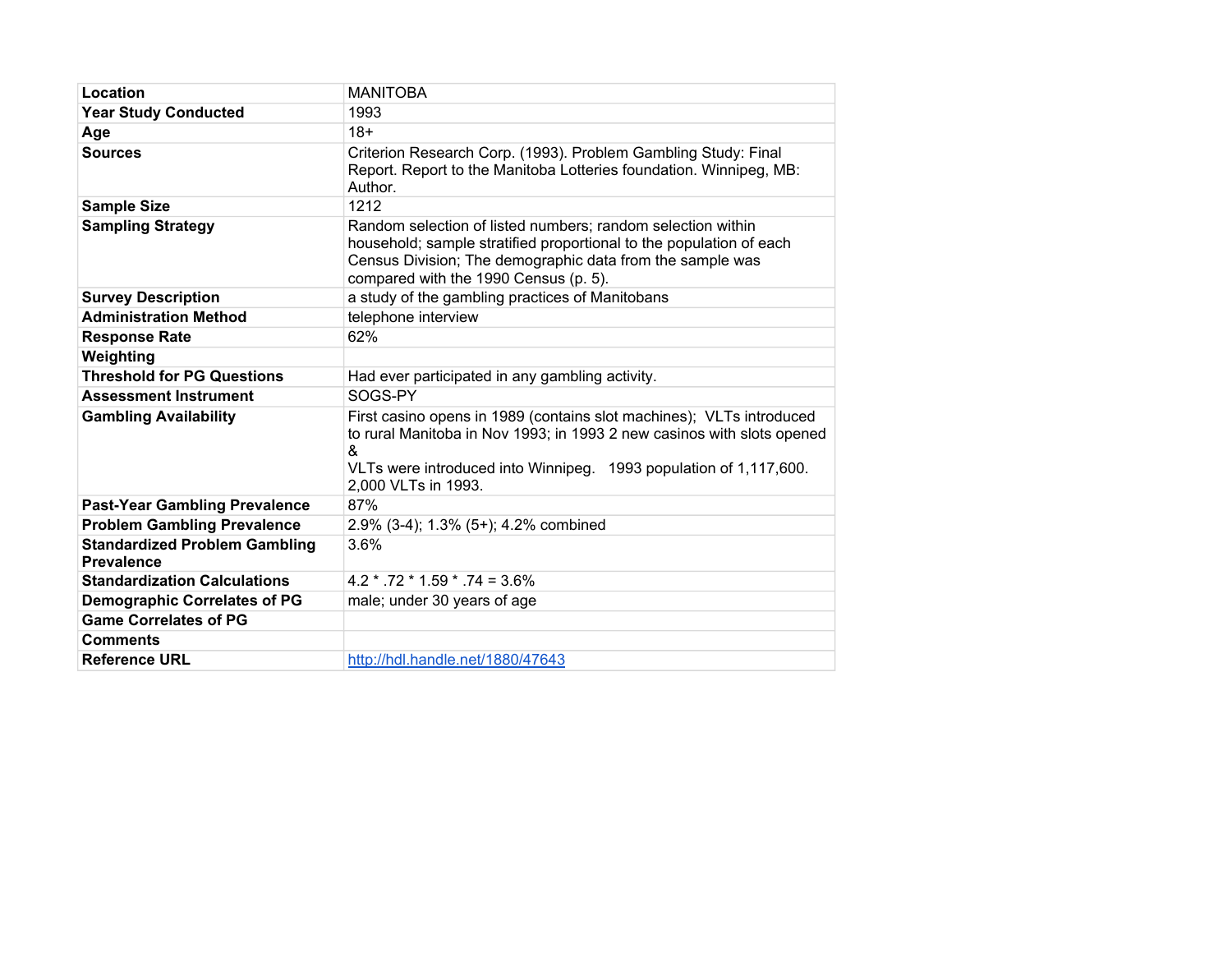| Location                                                  | <b>MANITOBA</b>                                                                                                                                                                                                                                 |
|-----------------------------------------------------------|-------------------------------------------------------------------------------------------------------------------------------------------------------------------------------------------------------------------------------------------------|
| <b>Year Study Conducted</b>                               | 1993                                                                                                                                                                                                                                            |
| Age                                                       | $18+$                                                                                                                                                                                                                                           |
| <b>Sources</b>                                            | Criterion Research Corp. (1993). Problem Gambling Study: Final<br>Report. Report to the Manitoba Lotteries foundation. Winnipeg, MB:<br>Author.                                                                                                 |
| <b>Sample Size</b>                                        | 1212                                                                                                                                                                                                                                            |
| <b>Sampling Strategy</b>                                  | Random selection of listed numbers; random selection within<br>household; sample stratified proportional to the population of each<br>Census Division; The demographic data from the sample was<br>compared with the 1990 Census (p. 5).        |
| <b>Survey Description</b>                                 | a study of the gambling practices of Manitobans                                                                                                                                                                                                 |
| <b>Administration Method</b>                              | telephone interview                                                                                                                                                                                                                             |
| <b>Response Rate</b>                                      | 62%                                                                                                                                                                                                                                             |
| Weighting                                                 |                                                                                                                                                                                                                                                 |
| <b>Threshold for PG Questions</b>                         | Had ever participated in any gambling activity.                                                                                                                                                                                                 |
| <b>Assessment Instrument</b>                              | SOGS-PY                                                                                                                                                                                                                                         |
| <b>Gambling Availability</b>                              | First casino opens in 1989 (contains slot machines); VLTs introduced<br>to rural Manitoba in Nov 1993; in 1993 2 new casinos with slots opened<br>&<br>VLTs were introduced into Winnipeg. 1993 population of 1,117,600.<br>2,000 VLTs in 1993. |
| <b>Past-Year Gambling Prevalence</b>                      | 87%                                                                                                                                                                                                                                             |
| <b>Problem Gambling Prevalence</b>                        | 2.9% (3-4); 1.3% (5+); 4.2% combined                                                                                                                                                                                                            |
| <b>Standardized Problem Gambling</b><br><b>Prevalence</b> | 3.6%                                                                                                                                                                                                                                            |
| <b>Standardization Calculations</b>                       | $4.2 * .72 * 1.59 * .74 = 3.6\%$                                                                                                                                                                                                                |
| <b>Demographic Correlates of PG</b>                       | male; under 30 years of age                                                                                                                                                                                                                     |
| <b>Game Correlates of PG</b>                              |                                                                                                                                                                                                                                                 |
| <b>Comments</b>                                           |                                                                                                                                                                                                                                                 |
| <b>Reference URL</b>                                      | http://hdl.handle.net/1880/47643                                                                                                                                                                                                                |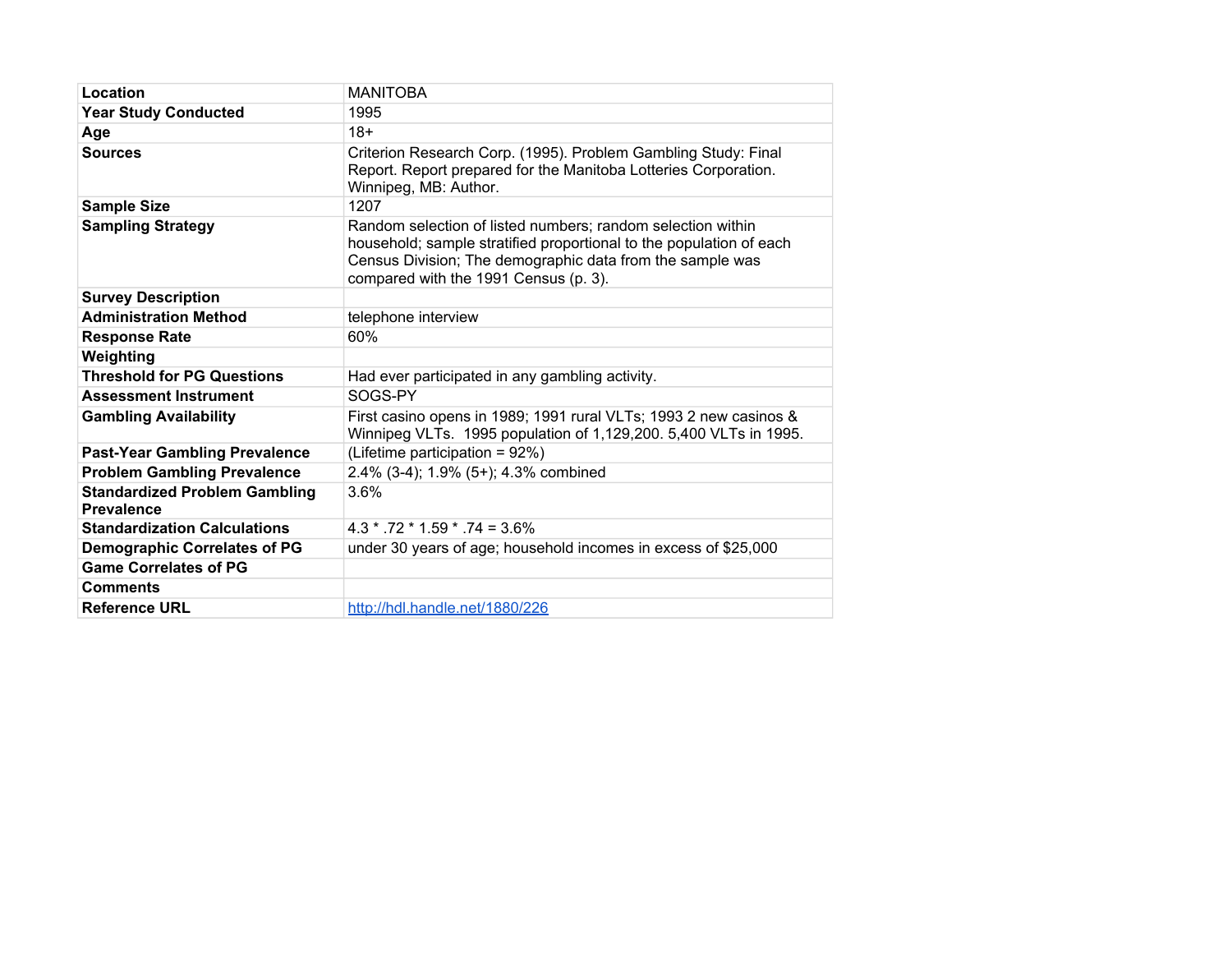| Location                                                  | <b>MANITOBA</b>                                                                                                                                                                                                                          |
|-----------------------------------------------------------|------------------------------------------------------------------------------------------------------------------------------------------------------------------------------------------------------------------------------------------|
| <b>Year Study Conducted</b>                               | 1995                                                                                                                                                                                                                                     |
| Age                                                       | $18+$                                                                                                                                                                                                                                    |
| <b>Sources</b>                                            | Criterion Research Corp. (1995). Problem Gambling Study: Final<br>Report. Report prepared for the Manitoba Lotteries Corporation.<br>Winnipeg, MB: Author.                                                                               |
| <b>Sample Size</b>                                        | 1207                                                                                                                                                                                                                                     |
| <b>Sampling Strategy</b>                                  | Random selection of listed numbers; random selection within<br>household; sample stratified proportional to the population of each<br>Census Division; The demographic data from the sample was<br>compared with the 1991 Census (p. 3). |
| <b>Survey Description</b>                                 |                                                                                                                                                                                                                                          |
| <b>Administration Method</b>                              | telephone interview                                                                                                                                                                                                                      |
| <b>Response Rate</b>                                      | 60%                                                                                                                                                                                                                                      |
| Weighting                                                 |                                                                                                                                                                                                                                          |
| <b>Threshold for PG Questions</b>                         | Had ever participated in any gambling activity.                                                                                                                                                                                          |
| <b>Assessment Instrument</b>                              | SOGS-PY                                                                                                                                                                                                                                  |
| <b>Gambling Availability</b>                              | First casino opens in 1989; 1991 rural VLTs; 1993 2 new casinos &<br>Winnipeg VLTs. 1995 population of 1,129,200. 5,400 VLTs in 1995.                                                                                                    |
| <b>Past-Year Gambling Prevalence</b>                      | (Lifetime participation = 92%)                                                                                                                                                                                                           |
| <b>Problem Gambling Prevalence</b>                        | 2.4% (3-4); 1.9% (5+); 4.3% combined                                                                                                                                                                                                     |
| <b>Standardized Problem Gambling</b><br><b>Prevalence</b> | 3.6%                                                                                                                                                                                                                                     |
| <b>Standardization Calculations</b>                       | $4.3 * .72 * 1.59 * .74 = 3.6\%$                                                                                                                                                                                                         |
| <b>Demographic Correlates of PG</b>                       | under 30 years of age; household incomes in excess of \$25,000                                                                                                                                                                           |
| <b>Game Correlates of PG</b>                              |                                                                                                                                                                                                                                          |
| <b>Comments</b>                                           |                                                                                                                                                                                                                                          |
| <b>Reference URL</b>                                      | http://hdl.handle.net/1880/226                                                                                                                                                                                                           |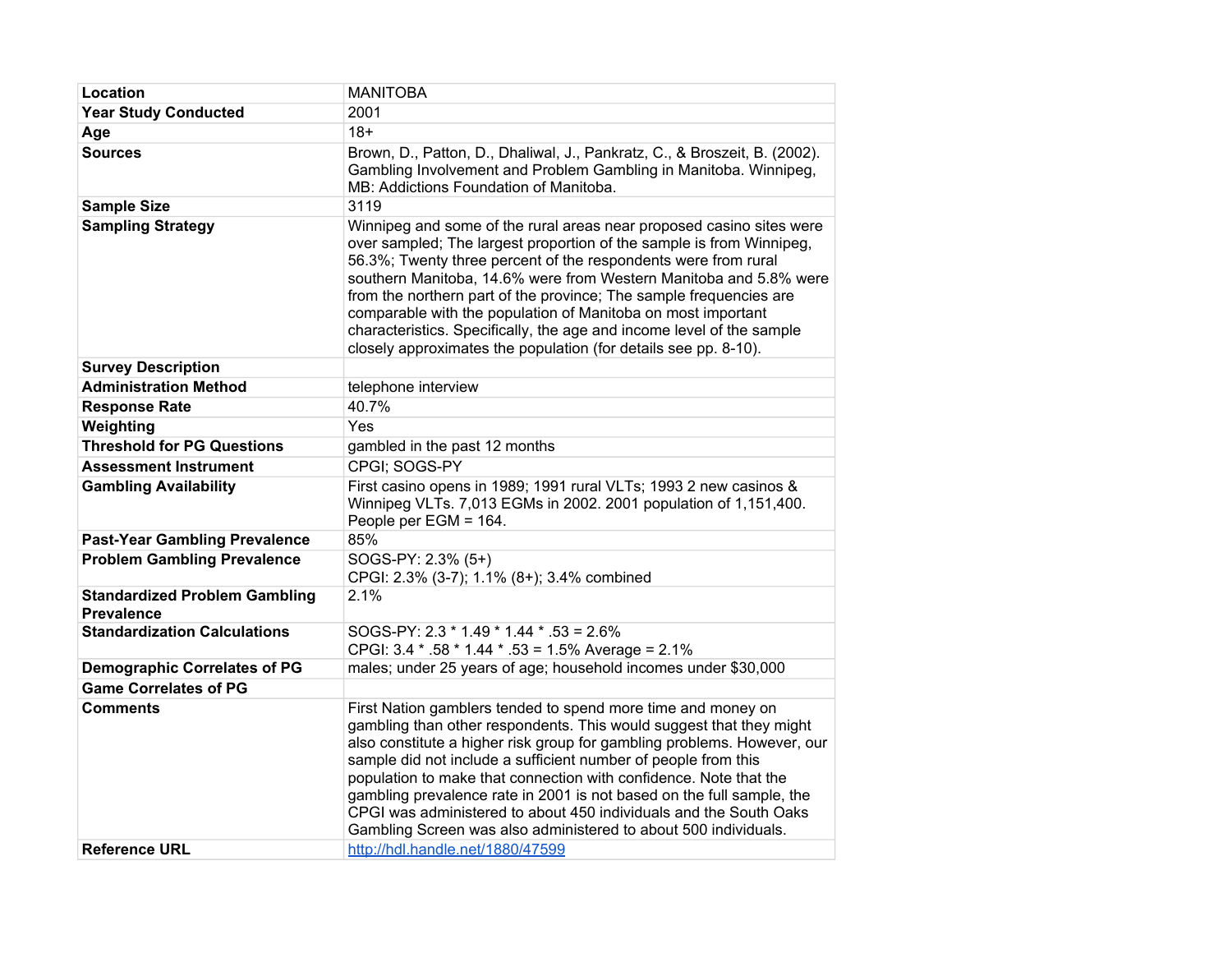| Location                                                  | <b>MANITOBA</b>                                                                                                                                                                                                                                                                                                                                                                                                                                                                                                                                                        |
|-----------------------------------------------------------|------------------------------------------------------------------------------------------------------------------------------------------------------------------------------------------------------------------------------------------------------------------------------------------------------------------------------------------------------------------------------------------------------------------------------------------------------------------------------------------------------------------------------------------------------------------------|
| <b>Year Study Conducted</b>                               | 2001                                                                                                                                                                                                                                                                                                                                                                                                                                                                                                                                                                   |
| Age                                                       | $18+$                                                                                                                                                                                                                                                                                                                                                                                                                                                                                                                                                                  |
| <b>Sources</b>                                            | Brown, D., Patton, D., Dhaliwal, J., Pankratz, C., & Broszeit, B. (2002).<br>Gambling Involvement and Problem Gambling in Manitoba. Winnipeg,<br>MB: Addictions Foundation of Manitoba.                                                                                                                                                                                                                                                                                                                                                                                |
| <b>Sample Size</b>                                        | 3119                                                                                                                                                                                                                                                                                                                                                                                                                                                                                                                                                                   |
| <b>Sampling Strategy</b>                                  | Winnipeg and some of the rural areas near proposed casino sites were<br>over sampled; The largest proportion of the sample is from Winnipeg,<br>56.3%; Twenty three percent of the respondents were from rural<br>southern Manitoba, 14.6% were from Western Manitoba and 5.8% were<br>from the northern part of the province; The sample frequencies are<br>comparable with the population of Manitoba on most important<br>characteristics. Specifically, the age and income level of the sample<br>closely approximates the population (for details see pp. 8-10).  |
| <b>Survey Description</b>                                 |                                                                                                                                                                                                                                                                                                                                                                                                                                                                                                                                                                        |
| <b>Administration Method</b>                              | telephone interview                                                                                                                                                                                                                                                                                                                                                                                                                                                                                                                                                    |
| <b>Response Rate</b>                                      | 40.7%                                                                                                                                                                                                                                                                                                                                                                                                                                                                                                                                                                  |
| Weighting                                                 | Yes                                                                                                                                                                                                                                                                                                                                                                                                                                                                                                                                                                    |
| <b>Threshold for PG Questions</b>                         | gambled in the past 12 months                                                                                                                                                                                                                                                                                                                                                                                                                                                                                                                                          |
| <b>Assessment Instrument</b>                              | CPGI: SOGS-PY                                                                                                                                                                                                                                                                                                                                                                                                                                                                                                                                                          |
| <b>Gambling Availability</b>                              | First casino opens in 1989; 1991 rural VLTs; 1993 2 new casinos &<br>Winnipeg VLTs. 7,013 EGMs in 2002. 2001 population of 1,151,400.<br>People per EGM = 164.                                                                                                                                                                                                                                                                                                                                                                                                         |
| <b>Past-Year Gambling Prevalence</b>                      | 85%                                                                                                                                                                                                                                                                                                                                                                                                                                                                                                                                                                    |
| <b>Problem Gambling Prevalence</b>                        | SOGS-PY: 2.3% (5+)<br>CPGI: 2.3% (3-7); 1.1% (8+); 3.4% combined                                                                                                                                                                                                                                                                                                                                                                                                                                                                                                       |
| <b>Standardized Problem Gambling</b><br><b>Prevalence</b> | 2.1%                                                                                                                                                                                                                                                                                                                                                                                                                                                                                                                                                                   |
| <b>Standardization Calculations</b>                       | SOGS-PY: 2.3 * 1.49 * 1.44 * .53 = 2.6%<br>CPGI: 3.4 * .58 * 1.44 * .53 = 1.5% Average = 2.1%                                                                                                                                                                                                                                                                                                                                                                                                                                                                          |
| <b>Demographic Correlates of PG</b>                       | males; under 25 years of age; household incomes under \$30,000                                                                                                                                                                                                                                                                                                                                                                                                                                                                                                         |
| <b>Game Correlates of PG</b>                              |                                                                                                                                                                                                                                                                                                                                                                                                                                                                                                                                                                        |
| <b>Comments</b>                                           | First Nation gamblers tended to spend more time and money on<br>gambling than other respondents. This would suggest that they might<br>also constitute a higher risk group for gambling problems. However, our<br>sample did not include a sufficient number of people from this<br>population to make that connection with confidence. Note that the<br>gambling prevalence rate in 2001 is not based on the full sample, the<br>CPGI was administered to about 450 individuals and the South Oaks<br>Gambling Screen was also administered to about 500 individuals. |
| <b>Reference URL</b>                                      | http://hdl.handle.net/1880/47599                                                                                                                                                                                                                                                                                                                                                                                                                                                                                                                                       |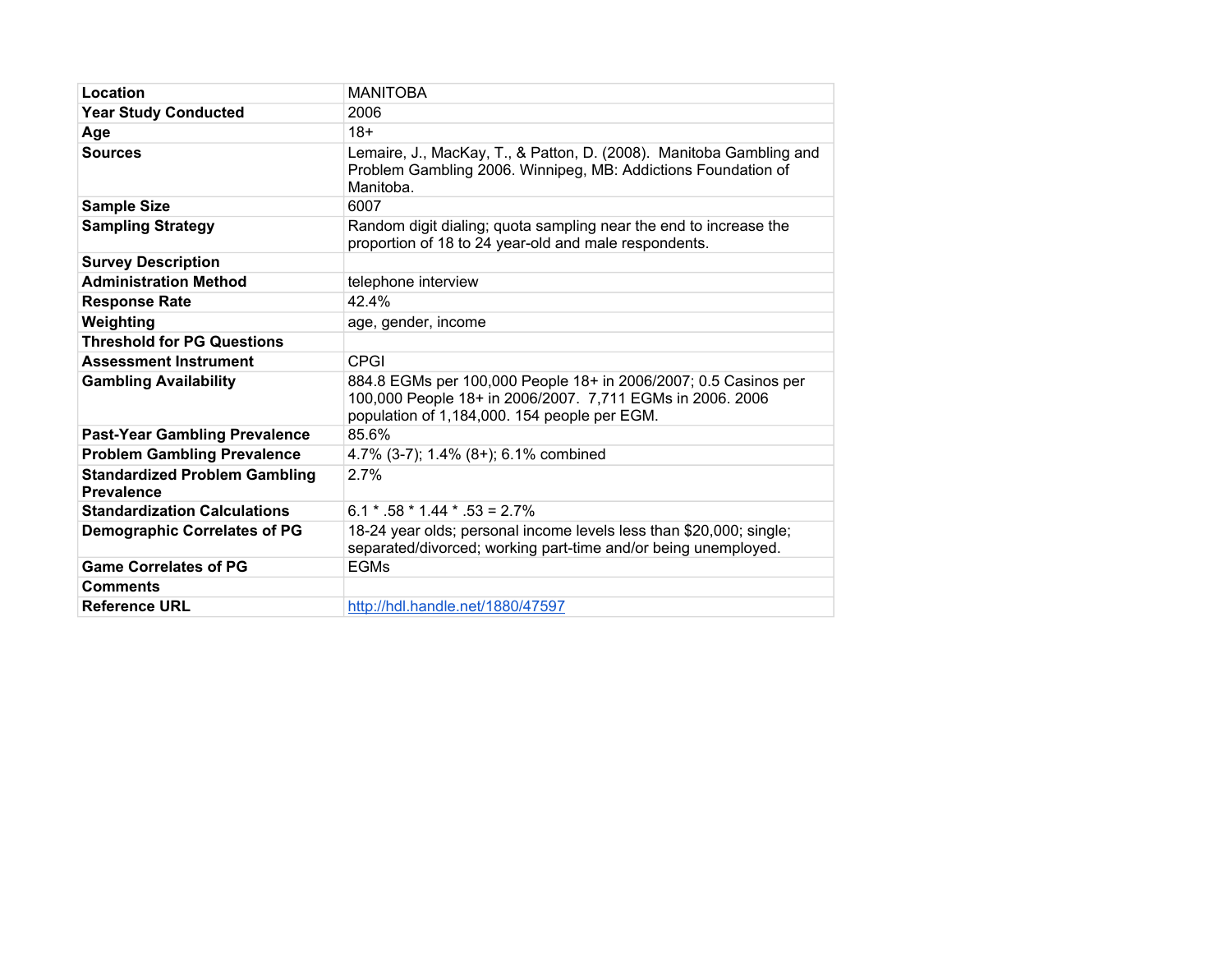| Location                                                  | <b>MANITOBA</b>                                                                                                                                                              |
|-----------------------------------------------------------|------------------------------------------------------------------------------------------------------------------------------------------------------------------------------|
| <b>Year Study Conducted</b>                               | 2006                                                                                                                                                                         |
| Age                                                       | $18+$                                                                                                                                                                        |
| <b>Sources</b>                                            | Lemaire, J., MacKay, T., & Patton, D. (2008). Manitoba Gambling and<br>Problem Gambling 2006. Winnipeg, MB: Addictions Foundation of<br>Manitoba.                            |
| <b>Sample Size</b>                                        | 6007                                                                                                                                                                         |
| <b>Sampling Strategy</b>                                  | Random digit dialing; quota sampling near the end to increase the<br>proportion of 18 to 24 year-old and male respondents.                                                   |
| <b>Survey Description</b>                                 |                                                                                                                                                                              |
| <b>Administration Method</b>                              | telephone interview                                                                                                                                                          |
| <b>Response Rate</b>                                      | 42.4%                                                                                                                                                                        |
| Weighting                                                 | age, gender, income                                                                                                                                                          |
| <b>Threshold for PG Questions</b>                         |                                                                                                                                                                              |
| <b>Assessment Instrument</b>                              | CPGI                                                                                                                                                                         |
| <b>Gambling Availability</b>                              | 884.8 EGMs per 100,000 People 18+ in 2006/2007; 0.5 Casinos per<br>100,000 People 18+ in 2006/2007. 7,711 EGMs in 2006. 2006<br>population of 1,184,000. 154 people per EGM. |
| <b>Past-Year Gambling Prevalence</b>                      | 85.6%                                                                                                                                                                        |
| <b>Problem Gambling Prevalence</b>                        | 4.7% (3-7); 1.4% (8+); 6.1% combined                                                                                                                                         |
| <b>Standardized Problem Gambling</b><br><b>Prevalence</b> | 2.7%                                                                                                                                                                         |
| <b>Standardization Calculations</b>                       | $6.1 * .58 * 1.44 * .53 = 2.7%$                                                                                                                                              |
| <b>Demographic Correlates of PG</b>                       | 18-24 year olds; personal income levels less than \$20,000; single;<br>separated/divorced; working part-time and/or being unemployed.                                        |
| <b>Game Correlates of PG</b>                              | <b>EGMs</b>                                                                                                                                                                  |
| <b>Comments</b>                                           |                                                                                                                                                                              |
| <b>Reference URL</b>                                      | http://hdl.handle.net/1880/47597                                                                                                                                             |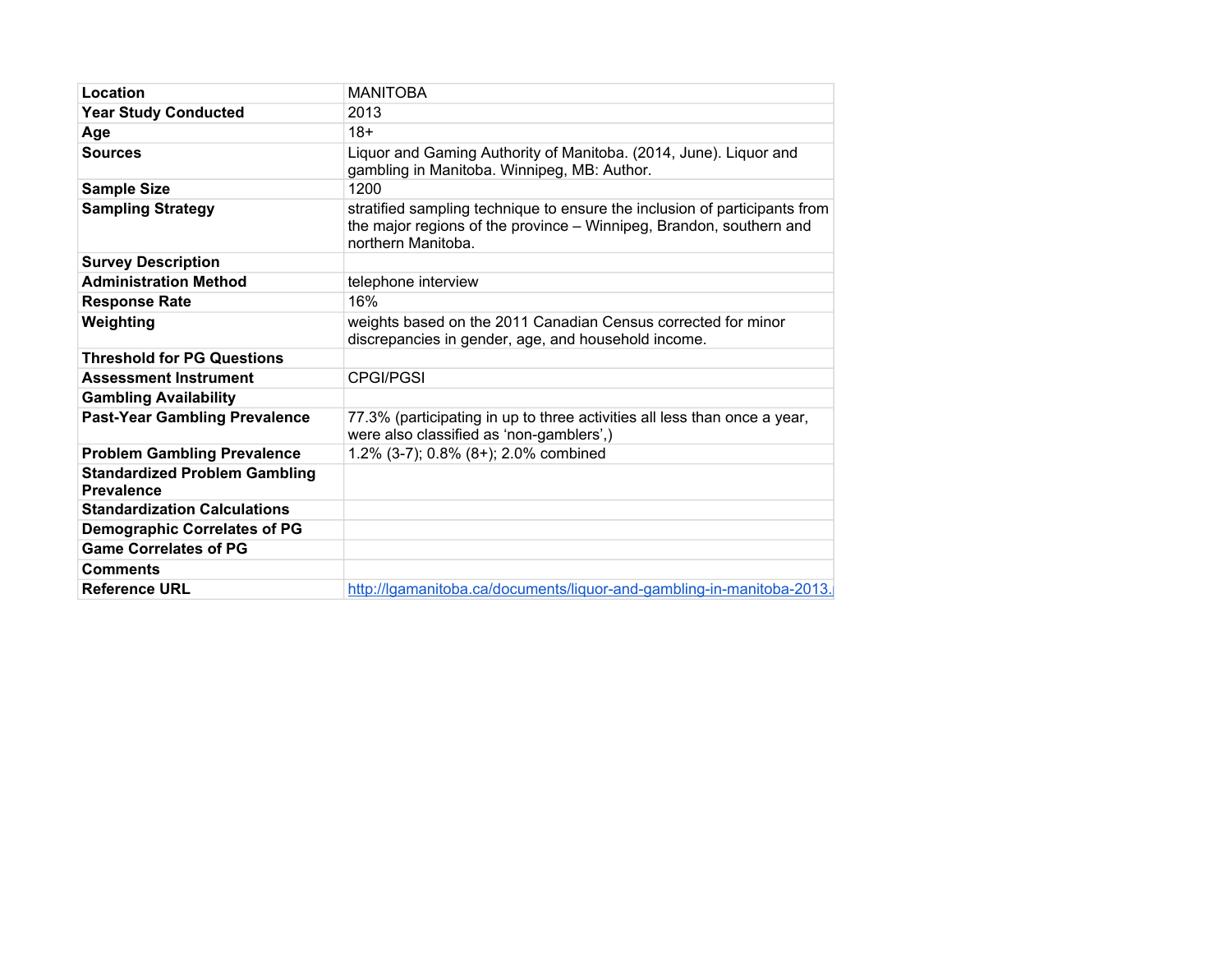| Location                                                  | <b>MANITOBA</b>                                                                                                                                                         |
|-----------------------------------------------------------|-------------------------------------------------------------------------------------------------------------------------------------------------------------------------|
| <b>Year Study Conducted</b>                               | 2013                                                                                                                                                                    |
| Age                                                       | $18+$                                                                                                                                                                   |
| <b>Sources</b>                                            | Liquor and Gaming Authority of Manitoba. (2014, June). Liquor and<br>gambling in Manitoba. Winnipeg, MB: Author.                                                        |
| <b>Sample Size</b>                                        | 1200                                                                                                                                                                    |
| <b>Sampling Strategy</b>                                  | stratified sampling technique to ensure the inclusion of participants from<br>the major regions of the province – Winnipeg, Brandon, southern and<br>northern Manitoba. |
| <b>Survey Description</b>                                 |                                                                                                                                                                         |
| <b>Administration Method</b>                              | telephone interview                                                                                                                                                     |
| <b>Response Rate</b>                                      | 16%                                                                                                                                                                     |
| Weighting                                                 | weights based on the 2011 Canadian Census corrected for minor<br>discrepancies in gender, age, and household income.                                                    |
| <b>Threshold for PG Questions</b>                         |                                                                                                                                                                         |
| <b>Assessment Instrument</b>                              | <b>CPGI/PGSI</b>                                                                                                                                                        |
| <b>Gambling Availability</b>                              |                                                                                                                                                                         |
| <b>Past-Year Gambling Prevalence</b>                      | 77.3% (participating in up to three activities all less than once a year,<br>were also classified as 'non-gamblers',)                                                   |
| <b>Problem Gambling Prevalence</b>                        | 1.2% (3-7); 0.8% (8+); 2.0% combined                                                                                                                                    |
| <b>Standardized Problem Gambling</b><br><b>Prevalence</b> |                                                                                                                                                                         |
| <b>Standardization Calculations</b>                       |                                                                                                                                                                         |
| <b>Demographic Correlates of PG</b>                       |                                                                                                                                                                         |
| <b>Game Correlates of PG</b>                              |                                                                                                                                                                         |
| <b>Comments</b>                                           |                                                                                                                                                                         |
| <b>Reference URL</b>                                      | http://lgamanitoba.ca/documents/liquor-and-gambling-in-manitoba-2013.                                                                                                   |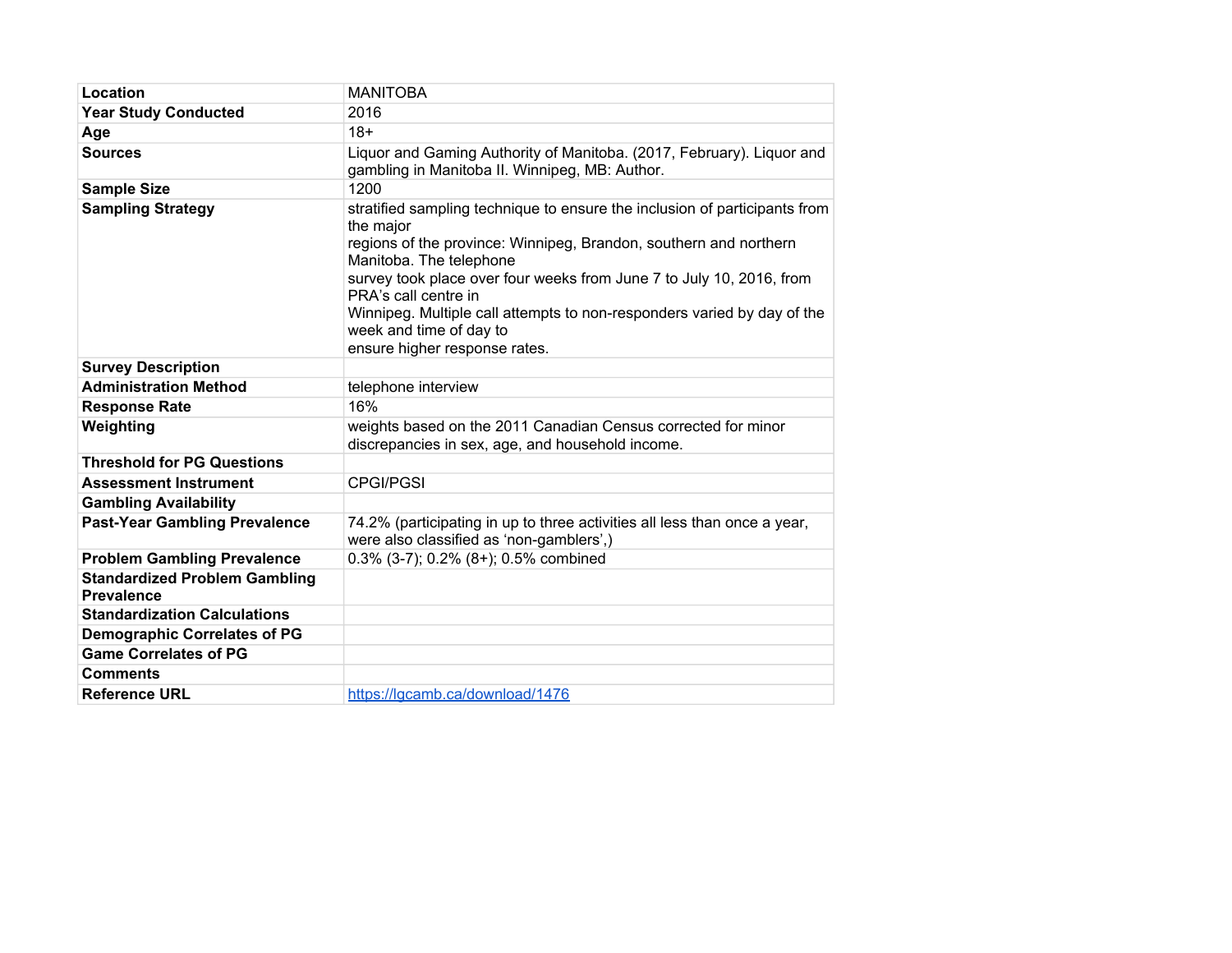| Location                                                  | <b>MANITOBA</b>                                                                                                                                                                                                                                                                                                                                                                                                                |
|-----------------------------------------------------------|--------------------------------------------------------------------------------------------------------------------------------------------------------------------------------------------------------------------------------------------------------------------------------------------------------------------------------------------------------------------------------------------------------------------------------|
| <b>Year Study Conducted</b>                               | 2016                                                                                                                                                                                                                                                                                                                                                                                                                           |
| Age                                                       | $18+$                                                                                                                                                                                                                                                                                                                                                                                                                          |
| <b>Sources</b>                                            | Liquor and Gaming Authority of Manitoba. (2017, February). Liquor and<br>gambling in Manitoba II. Winnipeg, MB: Author.                                                                                                                                                                                                                                                                                                        |
| <b>Sample Size</b>                                        | 1200                                                                                                                                                                                                                                                                                                                                                                                                                           |
| <b>Sampling Strategy</b>                                  | stratified sampling technique to ensure the inclusion of participants from<br>the major<br>regions of the province: Winnipeg, Brandon, southern and northern<br>Manitoba. The telephone<br>survey took place over four weeks from June 7 to July 10, 2016, from<br>PRA's call centre in<br>Winnipeg. Multiple call attempts to non-responders varied by day of the<br>week and time of day to<br>ensure higher response rates. |
| <b>Survey Description</b>                                 |                                                                                                                                                                                                                                                                                                                                                                                                                                |
| <b>Administration Method</b>                              | telephone interview                                                                                                                                                                                                                                                                                                                                                                                                            |
| <b>Response Rate</b>                                      | 16%                                                                                                                                                                                                                                                                                                                                                                                                                            |
| Weighting                                                 | weights based on the 2011 Canadian Census corrected for minor<br>discrepancies in sex, age, and household income.                                                                                                                                                                                                                                                                                                              |
| <b>Threshold for PG Questions</b>                         |                                                                                                                                                                                                                                                                                                                                                                                                                                |
| <b>Assessment Instrument</b>                              | <b>CPGI/PGSI</b>                                                                                                                                                                                                                                                                                                                                                                                                               |
| <b>Gambling Availability</b>                              |                                                                                                                                                                                                                                                                                                                                                                                                                                |
| <b>Past-Year Gambling Prevalence</b>                      | 74.2% (participating in up to three activities all less than once a year,<br>were also classified as 'non-gamblers',)                                                                                                                                                                                                                                                                                                          |
| <b>Problem Gambling Prevalence</b>                        | $0.3\%$ (3-7); 0.2% (8+); 0.5% combined                                                                                                                                                                                                                                                                                                                                                                                        |
| <b>Standardized Problem Gambling</b><br><b>Prevalence</b> |                                                                                                                                                                                                                                                                                                                                                                                                                                |
| <b>Standardization Calculations</b>                       |                                                                                                                                                                                                                                                                                                                                                                                                                                |
| <b>Demographic Correlates of PG</b>                       |                                                                                                                                                                                                                                                                                                                                                                                                                                |
| <b>Game Correlates of PG</b>                              |                                                                                                                                                                                                                                                                                                                                                                                                                                |
| <b>Comments</b>                                           |                                                                                                                                                                                                                                                                                                                                                                                                                                |
| <b>Reference URL</b>                                      | https://lgcamb.ca/download/1476                                                                                                                                                                                                                                                                                                                                                                                                |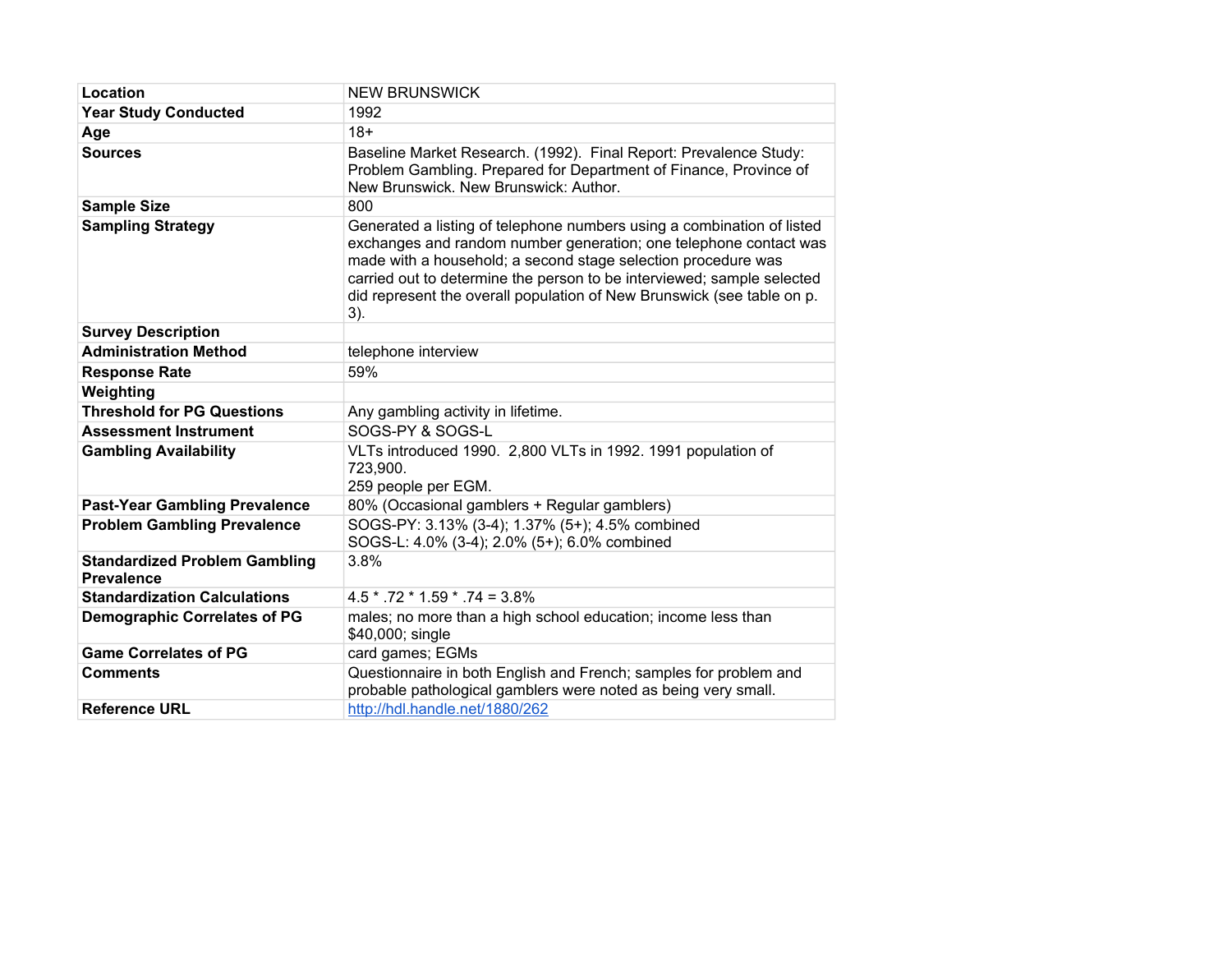| Location                                                  | <b>NEW BRUNSWICK</b>                                                                                                                                                                                                                                                                                                                                                    |
|-----------------------------------------------------------|-------------------------------------------------------------------------------------------------------------------------------------------------------------------------------------------------------------------------------------------------------------------------------------------------------------------------------------------------------------------------|
| <b>Year Study Conducted</b>                               | 1992                                                                                                                                                                                                                                                                                                                                                                    |
| Age                                                       | $18+$                                                                                                                                                                                                                                                                                                                                                                   |
| <b>Sources</b>                                            | Baseline Market Research. (1992). Final Report: Prevalence Study:<br>Problem Gambling. Prepared for Department of Finance, Province of<br>New Brunswick. New Brunswick: Author.                                                                                                                                                                                         |
| <b>Sample Size</b>                                        | 800                                                                                                                                                                                                                                                                                                                                                                     |
| <b>Sampling Strategy</b>                                  | Generated a listing of telephone numbers using a combination of listed<br>exchanges and random number generation; one telephone contact was<br>made with a household; a second stage selection procedure was<br>carried out to determine the person to be interviewed; sample selected<br>did represent the overall population of New Brunswick (see table on p.<br>3). |
| <b>Survey Description</b>                                 |                                                                                                                                                                                                                                                                                                                                                                         |
| <b>Administration Method</b>                              | telephone interview                                                                                                                                                                                                                                                                                                                                                     |
| <b>Response Rate</b>                                      | 59%                                                                                                                                                                                                                                                                                                                                                                     |
| Weighting                                                 |                                                                                                                                                                                                                                                                                                                                                                         |
| <b>Threshold for PG Questions</b>                         | Any gambling activity in lifetime.                                                                                                                                                                                                                                                                                                                                      |
| <b>Assessment Instrument</b>                              | SOGS-PY & SOGS-L                                                                                                                                                                                                                                                                                                                                                        |
| <b>Gambling Availability</b>                              | VLTs introduced 1990. 2,800 VLTs in 1992. 1991 population of<br>723,900.<br>259 people per EGM.                                                                                                                                                                                                                                                                         |
| <b>Past-Year Gambling Prevalence</b>                      | 80% (Occasional gamblers + Regular gamblers)                                                                                                                                                                                                                                                                                                                            |
| <b>Problem Gambling Prevalence</b>                        | SOGS-PY: 3.13% (3-4); 1.37% (5+); 4.5% combined<br>SOGS-L: 4.0% (3-4); 2.0% (5+); 6.0% combined                                                                                                                                                                                                                                                                         |
| <b>Standardized Problem Gambling</b><br><b>Prevalence</b> | 3.8%                                                                                                                                                                                                                                                                                                                                                                    |
| <b>Standardization Calculations</b>                       | $4.5 * .72 * 1.59 * .74 = 3.8\%$                                                                                                                                                                                                                                                                                                                                        |
| <b>Demographic Correlates of PG</b>                       | males; no more than a high school education; income less than<br>\$40,000; single                                                                                                                                                                                                                                                                                       |
| <b>Game Correlates of PG</b>                              | card games; EGMs                                                                                                                                                                                                                                                                                                                                                        |
| <b>Comments</b>                                           | Questionnaire in both English and French; samples for problem and<br>probable pathological gamblers were noted as being very small.                                                                                                                                                                                                                                     |
| <b>Reference URL</b>                                      | http://hdl.handle.net/1880/262                                                                                                                                                                                                                                                                                                                                          |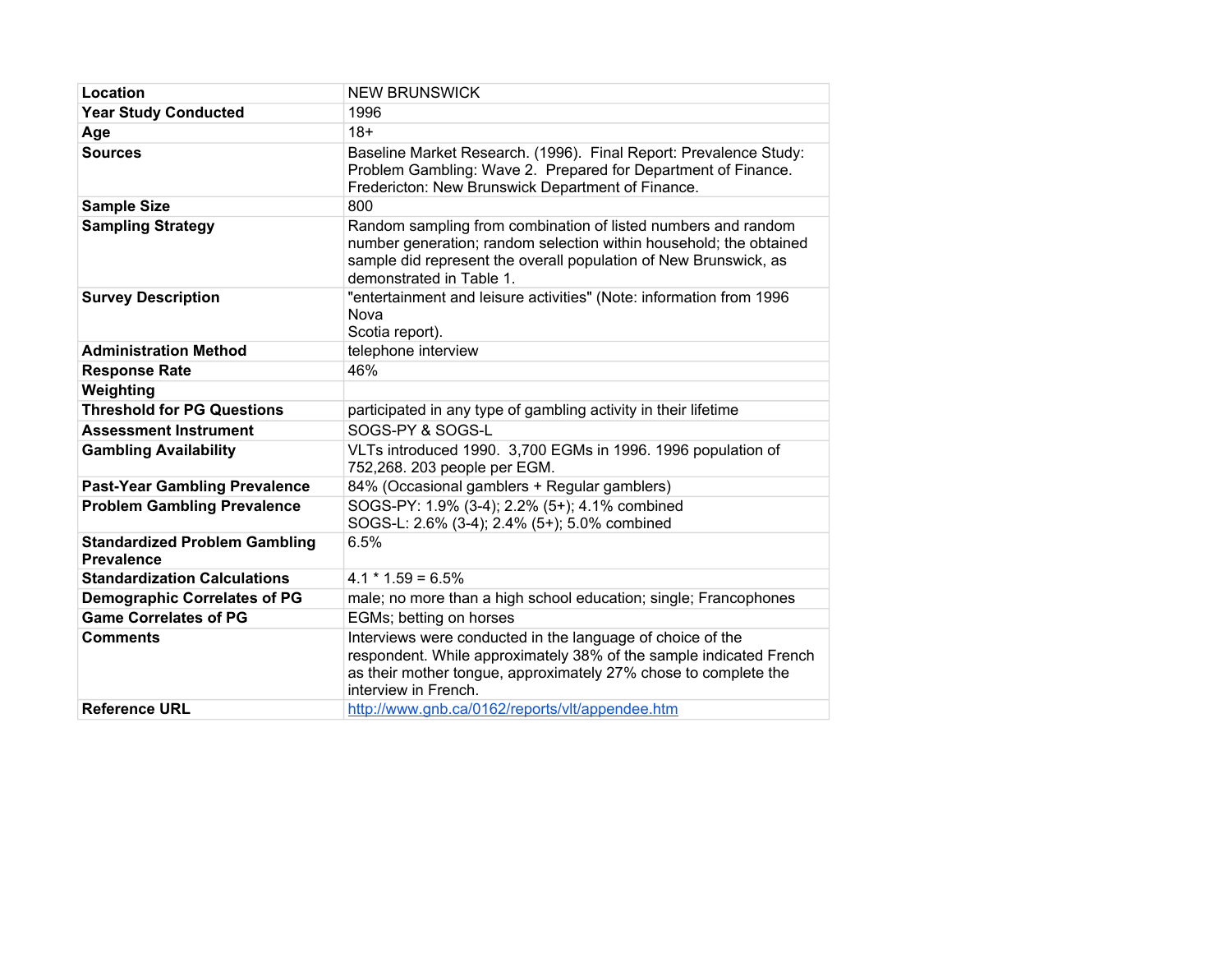| Location                                                  | <b>NEW BRUNSWICK</b>                                                                                                                                                                                                                |
|-----------------------------------------------------------|-------------------------------------------------------------------------------------------------------------------------------------------------------------------------------------------------------------------------------------|
| <b>Year Study Conducted</b>                               | 1996                                                                                                                                                                                                                                |
| Age                                                       | $18+$                                                                                                                                                                                                                               |
| <b>Sources</b>                                            | Baseline Market Research. (1996). Final Report: Prevalence Study:<br>Problem Gambling: Wave 2. Prepared for Department of Finance.<br>Fredericton: New Brunswick Department of Finance.                                             |
| <b>Sample Size</b>                                        | 800                                                                                                                                                                                                                                 |
| <b>Sampling Strategy</b>                                  | Random sampling from combination of listed numbers and random<br>number generation; random selection within household; the obtained<br>sample did represent the overall population of New Brunswick, as<br>demonstrated in Table 1. |
| <b>Survey Description</b>                                 | "entertainment and leisure activities" (Note: information from 1996<br>Nova<br>Scotia report).                                                                                                                                      |
| <b>Administration Method</b>                              | telephone interview                                                                                                                                                                                                                 |
| <b>Response Rate</b>                                      | 46%                                                                                                                                                                                                                                 |
| Weighting                                                 |                                                                                                                                                                                                                                     |
| <b>Threshold for PG Questions</b>                         | participated in any type of gambling activity in their lifetime                                                                                                                                                                     |
| <b>Assessment Instrument</b>                              | SOGS-PY & SOGS-L                                                                                                                                                                                                                    |
| <b>Gambling Availability</b>                              | VLTs introduced 1990. 3,700 EGMs in 1996. 1996 population of<br>752,268. 203 people per EGM.                                                                                                                                        |
| <b>Past-Year Gambling Prevalence</b>                      | 84% (Occasional gamblers + Regular gamblers)                                                                                                                                                                                        |
| <b>Problem Gambling Prevalence</b>                        | SOGS-PY: 1.9% (3-4); 2.2% (5+); 4.1% combined<br>SOGS-L: 2.6% (3-4); 2.4% (5+); 5.0% combined                                                                                                                                       |
| <b>Standardized Problem Gambling</b><br><b>Prevalence</b> | 6.5%                                                                                                                                                                                                                                |
| <b>Standardization Calculations</b>                       | $4.1 * 1.59 = 6.5%$                                                                                                                                                                                                                 |
| <b>Demographic Correlates of PG</b>                       | male; no more than a high school education; single; Francophones                                                                                                                                                                    |
| <b>Game Correlates of PG</b>                              | EGMs; betting on horses                                                                                                                                                                                                             |
| <b>Comments</b>                                           | Interviews were conducted in the language of choice of the<br>respondent. While approximately 38% of the sample indicated French<br>as their mother tongue, approximately 27% chose to complete the<br>interview in French.         |
| <b>Reference URL</b>                                      | http://www.gnb.ca/0162/reports/vlt/appendee.htm                                                                                                                                                                                     |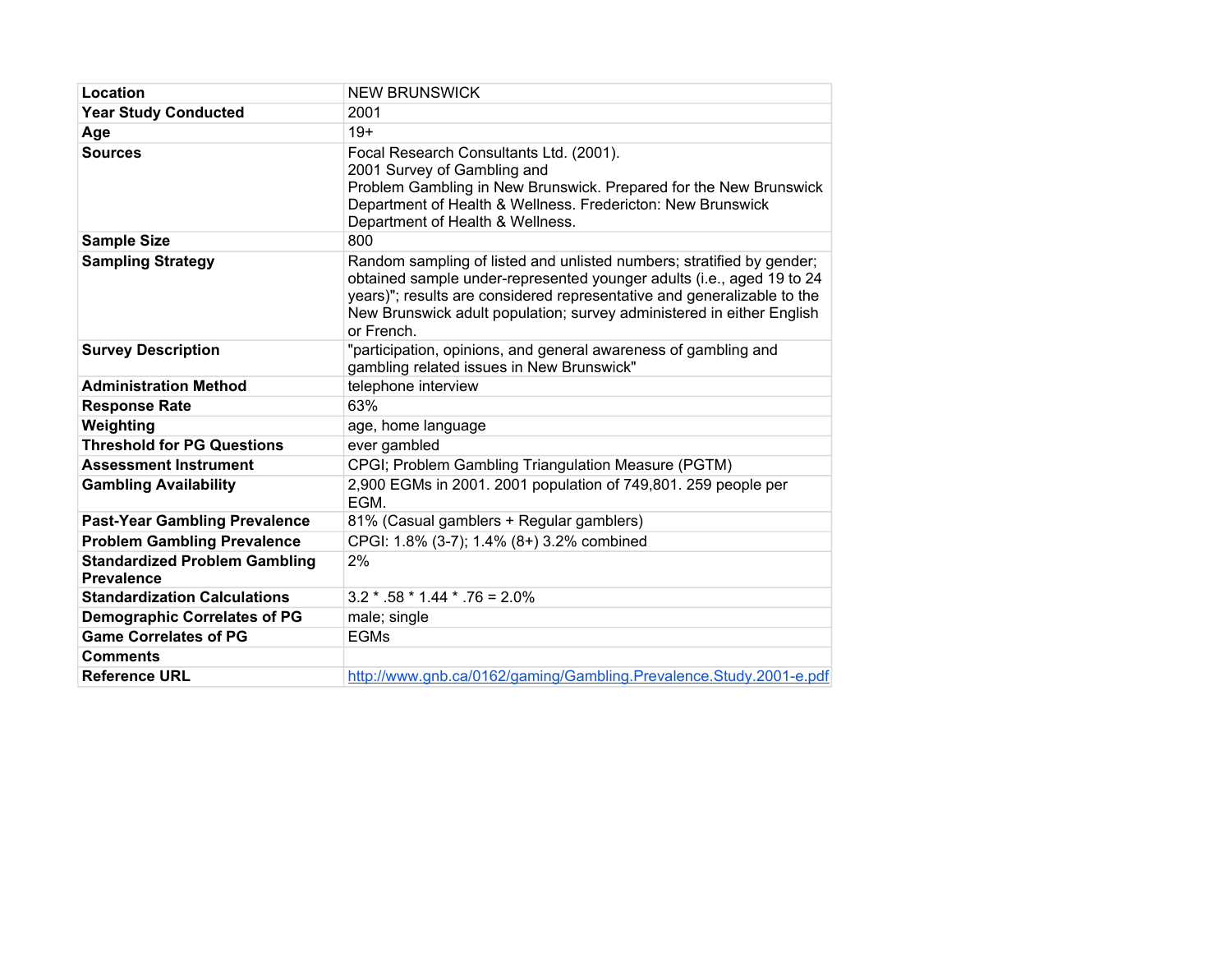| Location                                                  | <b>NEW BRUNSWICK</b>                                                                                                                                                                                                                                                                                             |
|-----------------------------------------------------------|------------------------------------------------------------------------------------------------------------------------------------------------------------------------------------------------------------------------------------------------------------------------------------------------------------------|
| <b>Year Study Conducted</b>                               | 2001                                                                                                                                                                                                                                                                                                             |
| Age                                                       | $19+$                                                                                                                                                                                                                                                                                                            |
| <b>Sources</b>                                            | Focal Research Consultants Ltd. (2001).<br>2001 Survey of Gambling and<br>Problem Gambling in New Brunswick. Prepared for the New Brunswick<br>Department of Health & Wellness. Fredericton: New Brunswick<br>Department of Health & Wellness.                                                                   |
| <b>Sample Size</b>                                        | 800                                                                                                                                                                                                                                                                                                              |
| <b>Sampling Strategy</b>                                  | Random sampling of listed and unlisted numbers; stratified by gender;<br>obtained sample under-represented younger adults (i.e., aged 19 to 24<br>years)"; results are considered representative and generalizable to the<br>New Brunswick adult population; survey administered in either English<br>or French. |
| <b>Survey Description</b>                                 | "participation, opinions, and general awareness of gambling and<br>gambling related issues in New Brunswick"                                                                                                                                                                                                     |
| <b>Administration Method</b>                              | telephone interview                                                                                                                                                                                                                                                                                              |
| <b>Response Rate</b>                                      | 63%                                                                                                                                                                                                                                                                                                              |
| Weighting                                                 | age, home language                                                                                                                                                                                                                                                                                               |
| <b>Threshold for PG Questions</b>                         | ever gambled                                                                                                                                                                                                                                                                                                     |
| <b>Assessment Instrument</b>                              | CPGI; Problem Gambling Triangulation Measure (PGTM)                                                                                                                                                                                                                                                              |
| <b>Gambling Availability</b>                              | 2,900 EGMs in 2001. 2001 population of 749,801. 259 people per<br>FGM.                                                                                                                                                                                                                                           |
| <b>Past-Year Gambling Prevalence</b>                      | 81% (Casual gamblers + Regular gamblers)                                                                                                                                                                                                                                                                         |
| <b>Problem Gambling Prevalence</b>                        | CPGI: 1.8% (3-7); 1.4% (8+) 3.2% combined                                                                                                                                                                                                                                                                        |
| <b>Standardized Problem Gambling</b><br><b>Prevalence</b> | 2%                                                                                                                                                                                                                                                                                                               |
| <b>Standardization Calculations</b>                       | $3.2 * .58 * 1.44 * .76 = 2.0\%$                                                                                                                                                                                                                                                                                 |
| <b>Demographic Correlates of PG</b>                       | male; single                                                                                                                                                                                                                                                                                                     |
| <b>Game Correlates of PG</b>                              | <b>EGMs</b>                                                                                                                                                                                                                                                                                                      |
| <b>Comments</b>                                           |                                                                                                                                                                                                                                                                                                                  |
| <b>Reference URL</b>                                      | http://www.gnb.ca/0162/gaming/Gambling.Prevalence.Study.2001-e.pdf                                                                                                                                                                                                                                               |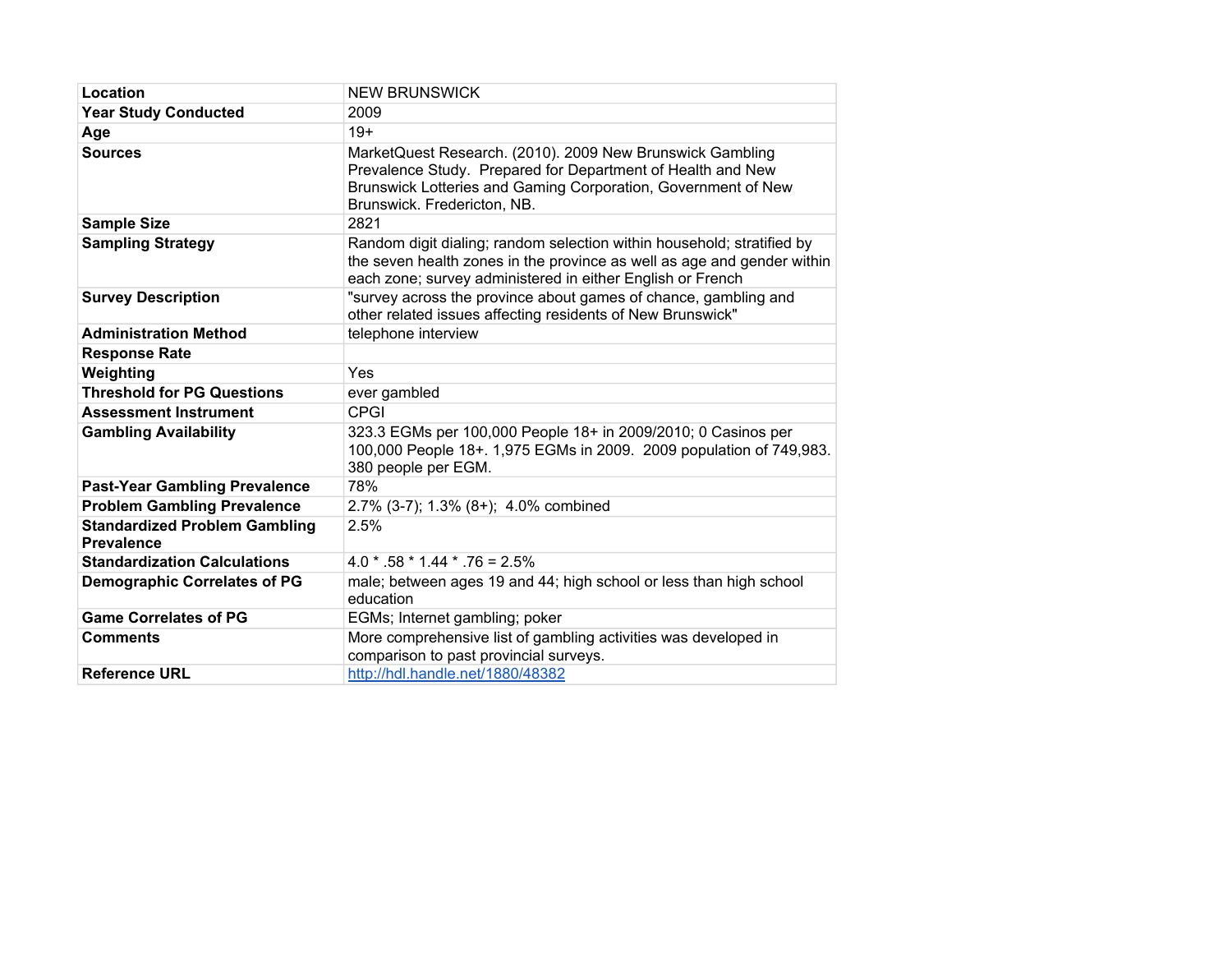| Location                                                  | <b>NEW BRUNSWICK</b>                                                                                                                                                                                                     |
|-----------------------------------------------------------|--------------------------------------------------------------------------------------------------------------------------------------------------------------------------------------------------------------------------|
| <b>Year Study Conducted</b>                               | 2009                                                                                                                                                                                                                     |
| Age                                                       | $19+$                                                                                                                                                                                                                    |
| <b>Sources</b>                                            | MarketQuest Research. (2010). 2009 New Brunswick Gambling<br>Prevalence Study. Prepared for Department of Health and New<br>Brunswick Lotteries and Gaming Corporation, Government of New<br>Brunswick. Fredericton, NB. |
| <b>Sample Size</b>                                        | 2821                                                                                                                                                                                                                     |
| <b>Sampling Strategy</b>                                  | Random digit dialing; random selection within household; stratified by<br>the seven health zones in the province as well as age and gender within<br>each zone; survey administered in either English or French          |
| <b>Survey Description</b>                                 | "survey across the province about games of chance, gambling and<br>other related issues affecting residents of New Brunswick"                                                                                            |
| <b>Administration Method</b>                              | telephone interview                                                                                                                                                                                                      |
| <b>Response Rate</b>                                      |                                                                                                                                                                                                                          |
| Weighting                                                 | <b>Yes</b>                                                                                                                                                                                                               |
| <b>Threshold for PG Questions</b>                         | ever gambled                                                                                                                                                                                                             |
| <b>Assessment Instrument</b>                              | CPGI                                                                                                                                                                                                                     |
| <b>Gambling Availability</b>                              | 323.3 EGMs per 100,000 People 18+ in 2009/2010; 0 Casinos per<br>100,000 People 18+. 1,975 EGMs in 2009. 2009 population of 749,983.<br>380 people per EGM.                                                              |
| <b>Past-Year Gambling Prevalence</b>                      | 78%                                                                                                                                                                                                                      |
| <b>Problem Gambling Prevalence</b>                        | 2.7% (3-7); 1.3% (8+); 4.0% combined                                                                                                                                                                                     |
| <b>Standardized Problem Gambling</b><br><b>Prevalence</b> | 2.5%                                                                                                                                                                                                                     |
| <b>Standardization Calculations</b>                       | $4.0 * .58 * 1.44 * .76 = 2.5%$                                                                                                                                                                                          |
| <b>Demographic Correlates of PG</b>                       | male; between ages 19 and 44; high school or less than high school<br>education                                                                                                                                          |
| <b>Game Correlates of PG</b>                              | EGMs; Internet gambling; poker                                                                                                                                                                                           |
| <b>Comments</b>                                           | More comprehensive list of gambling activities was developed in<br>comparison to past provincial surveys.                                                                                                                |
| <b>Reference URL</b>                                      | http://hdl.handle.net/1880/48382                                                                                                                                                                                         |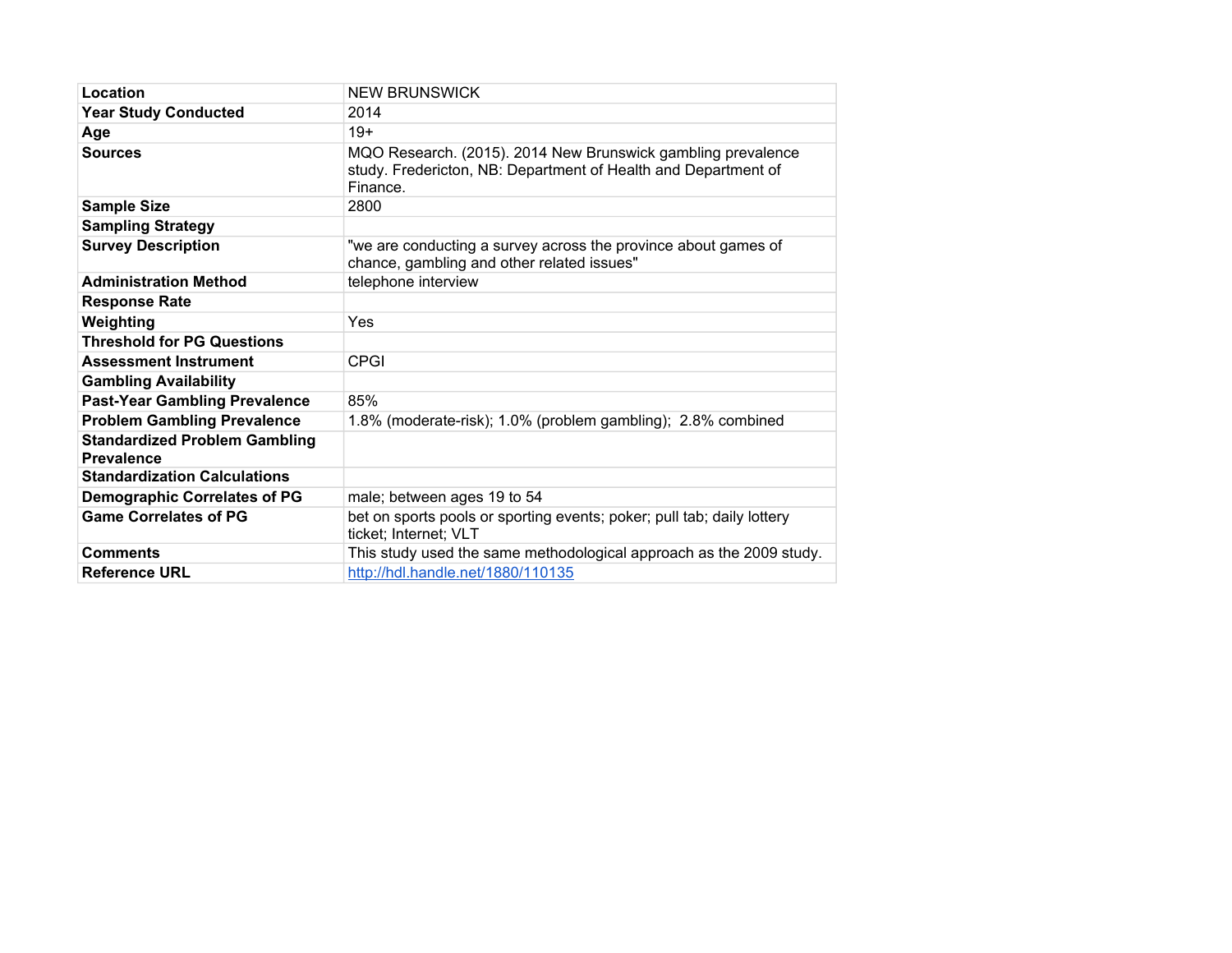| Location                                                  | <b>NEW BRUNSWICK</b>                                                                                                                       |
|-----------------------------------------------------------|--------------------------------------------------------------------------------------------------------------------------------------------|
| <b>Year Study Conducted</b>                               | 2014                                                                                                                                       |
| Age                                                       | $19+$                                                                                                                                      |
| <b>Sources</b>                                            | MQO Research. (2015). 2014 New Brunswick gambling prevalence<br>study. Fredericton, NB: Department of Health and Department of<br>Finance. |
| <b>Sample Size</b>                                        | 2800                                                                                                                                       |
| <b>Sampling Strategy</b>                                  |                                                                                                                                            |
| <b>Survey Description</b>                                 | "we are conducting a survey across the province about games of<br>chance, gambling and other related issues"                               |
| <b>Administration Method</b>                              | telephone interview                                                                                                                        |
| <b>Response Rate</b>                                      |                                                                                                                                            |
| Weighting                                                 | Yes                                                                                                                                        |
| <b>Threshold for PG Questions</b>                         |                                                                                                                                            |
| <b>Assessment Instrument</b>                              | <b>CPGI</b>                                                                                                                                |
| <b>Gambling Availability</b>                              |                                                                                                                                            |
| <b>Past-Year Gambling Prevalence</b>                      | 85%                                                                                                                                        |
| <b>Problem Gambling Prevalence</b>                        | 1.8% (moderate-risk); 1.0% (problem gambling); 2.8% combined                                                                               |
| <b>Standardized Problem Gambling</b><br><b>Prevalence</b> |                                                                                                                                            |
| <b>Standardization Calculations</b>                       |                                                                                                                                            |
| <b>Demographic Correlates of PG</b>                       | male; between ages 19 to 54                                                                                                                |
| <b>Game Correlates of PG</b>                              | bet on sports pools or sporting events; poker; pull tab; daily lottery<br>ticket; Internet; VLT                                            |
| <b>Comments</b>                                           | This study used the same methodological approach as the 2009 study.                                                                        |
| <b>Reference URL</b>                                      | http://hdl.handle.net/1880/110135                                                                                                          |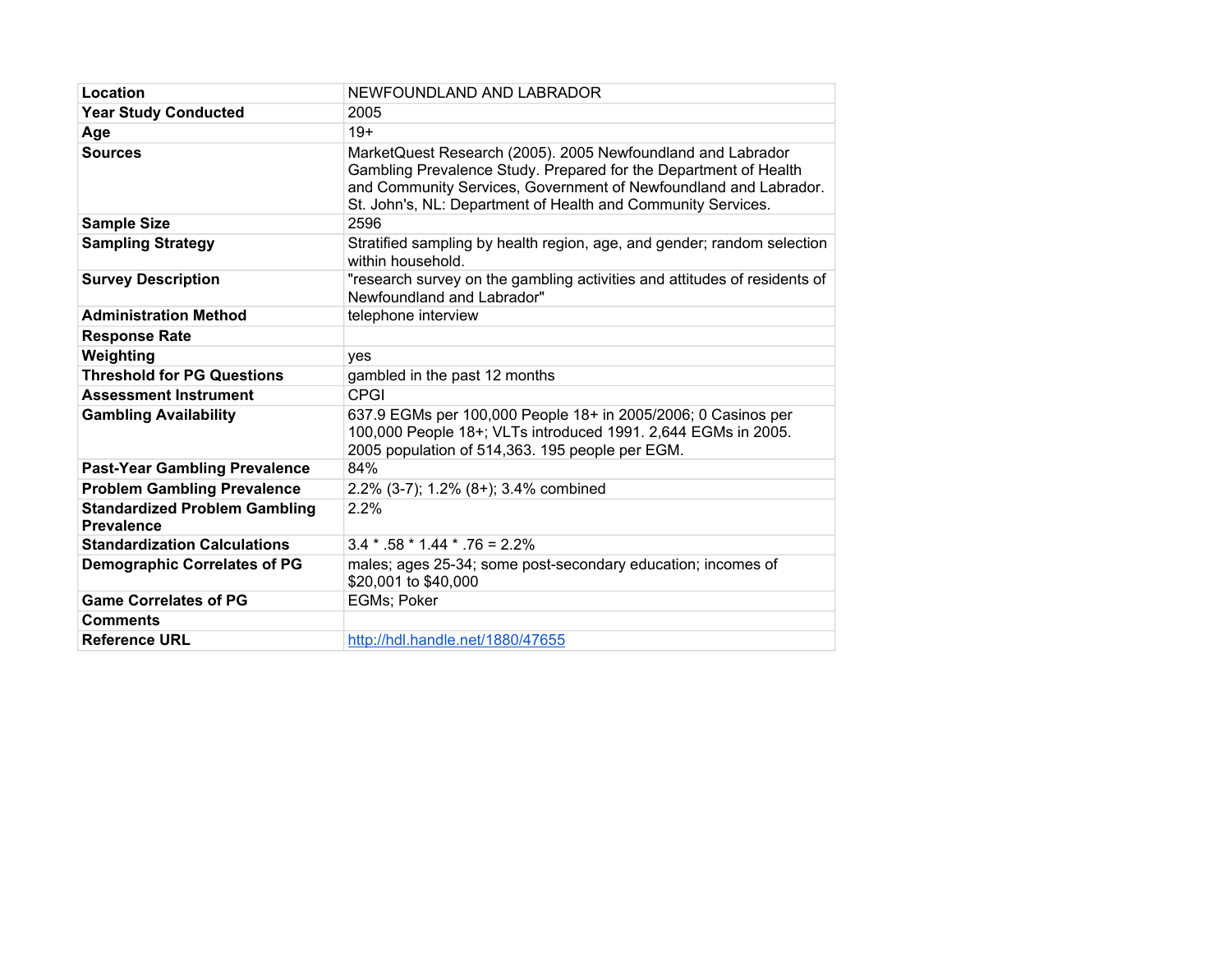| Location                                                  | NEWFOUNDLAND AND LABRADOR                                                                                                                                                                                                                                           |
|-----------------------------------------------------------|---------------------------------------------------------------------------------------------------------------------------------------------------------------------------------------------------------------------------------------------------------------------|
| <b>Year Study Conducted</b>                               | 2005                                                                                                                                                                                                                                                                |
| Age                                                       | $19+$                                                                                                                                                                                                                                                               |
| <b>Sources</b>                                            | MarketQuest Research (2005). 2005 Newfoundland and Labrador<br>Gambling Prevalence Study. Prepared for the Department of Health<br>and Community Services, Government of Newfoundland and Labrador.<br>St. John's, NL: Department of Health and Community Services. |
| <b>Sample Size</b>                                        | 2596                                                                                                                                                                                                                                                                |
| <b>Sampling Strategy</b>                                  | Stratified sampling by health region, age, and gender; random selection<br>within household.                                                                                                                                                                        |
| <b>Survey Description</b>                                 | "research survey on the gambling activities and attitudes of residents of<br>Newfoundland and Labrador"                                                                                                                                                             |
| <b>Administration Method</b>                              | telephone interview                                                                                                                                                                                                                                                 |
| <b>Response Rate</b>                                      |                                                                                                                                                                                                                                                                     |
| Weighting                                                 | ves                                                                                                                                                                                                                                                                 |
| <b>Threshold for PG Questions</b>                         | gambled in the past 12 months                                                                                                                                                                                                                                       |
| <b>Assessment Instrument</b>                              | <b>CPGI</b>                                                                                                                                                                                                                                                         |
| <b>Gambling Availability</b>                              | 637.9 EGMs per 100,000 People 18+ in 2005/2006; 0 Casinos per<br>100,000 People 18+; VLTs introduced 1991. 2,644 EGMs in 2005.<br>2005 population of 514,363. 195 people per EGM.                                                                                   |
| <b>Past-Year Gambling Prevalence</b>                      | 84%                                                                                                                                                                                                                                                                 |
| <b>Problem Gambling Prevalence</b>                        | 2.2% (3-7); 1.2% (8+); 3.4% combined                                                                                                                                                                                                                                |
| <b>Standardized Problem Gambling</b><br><b>Prevalence</b> | 2.2%                                                                                                                                                                                                                                                                |
| <b>Standardization Calculations</b>                       | $3.4 * .58 * 1.44 * .76 = 2.2%$                                                                                                                                                                                                                                     |
| <b>Demographic Correlates of PG</b>                       | males; ages 25-34; some post-secondary education; incomes of<br>\$20,001 to \$40,000                                                                                                                                                                                |
| <b>Game Correlates of PG</b>                              | EGMs; Poker                                                                                                                                                                                                                                                         |
| <b>Comments</b>                                           |                                                                                                                                                                                                                                                                     |
| <b>Reference URL</b>                                      | http://hdl.handle.net/1880/47655                                                                                                                                                                                                                                    |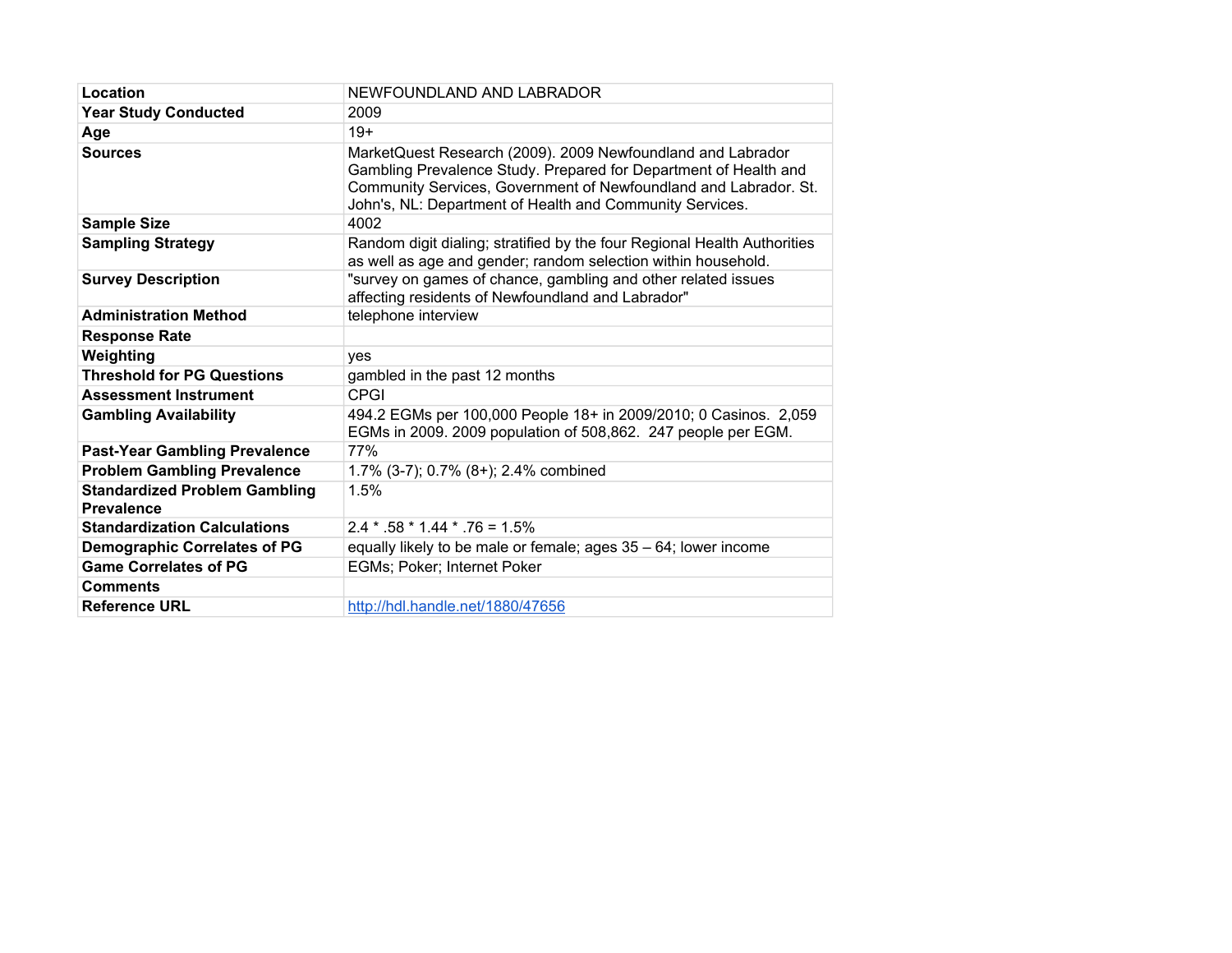| Location                                                  | NEWFOUNDLAND AND LABRADOR                                                                                                                                                                                                                                       |
|-----------------------------------------------------------|-----------------------------------------------------------------------------------------------------------------------------------------------------------------------------------------------------------------------------------------------------------------|
| <b>Year Study Conducted</b>                               | 2009                                                                                                                                                                                                                                                            |
| Age                                                       | $19+$                                                                                                                                                                                                                                                           |
| <b>Sources</b>                                            | MarketQuest Research (2009). 2009 Newfoundland and Labrador<br>Gambling Prevalence Study. Prepared for Department of Health and<br>Community Services, Government of Newfoundland and Labrador. St.<br>John's, NL: Department of Health and Community Services. |
| <b>Sample Size</b>                                        | 4002                                                                                                                                                                                                                                                            |
| <b>Sampling Strategy</b>                                  | Random digit dialing; stratified by the four Regional Health Authorities<br>as well as age and gender; random selection within household.                                                                                                                       |
| <b>Survey Description</b>                                 | "survey on games of chance, gambling and other related issues<br>affecting residents of Newfoundland and Labrador"                                                                                                                                              |
| <b>Administration Method</b>                              | telephone interview                                                                                                                                                                                                                                             |
| <b>Response Rate</b>                                      |                                                                                                                                                                                                                                                                 |
| Weighting                                                 | ves                                                                                                                                                                                                                                                             |
| <b>Threshold for PG Questions</b>                         | gambled in the past 12 months                                                                                                                                                                                                                                   |
| <b>Assessment Instrument</b>                              | <b>CPGI</b>                                                                                                                                                                                                                                                     |
| <b>Gambling Availability</b>                              | 494.2 EGMs per 100,000 People 18+ in 2009/2010; 0 Casinos. 2,059<br>EGMs in 2009. 2009 population of 508,862. 247 people per EGM.                                                                                                                               |
| <b>Past-Year Gambling Prevalence</b>                      | 77%                                                                                                                                                                                                                                                             |
| <b>Problem Gambling Prevalence</b>                        | 1.7% (3-7); 0.7% (8+); 2.4% combined                                                                                                                                                                                                                            |
| <b>Standardized Problem Gambling</b><br><b>Prevalence</b> | 1.5%                                                                                                                                                                                                                                                            |
| <b>Standardization Calculations</b>                       | $2.4 * 58 * 1.44 * 76 = 1.5%$                                                                                                                                                                                                                                   |
| <b>Demographic Correlates of PG</b>                       | equally likely to be male or female; ages 35 - 64; lower income                                                                                                                                                                                                 |
| <b>Game Correlates of PG</b>                              | <b>EGMs: Poker: Internet Poker</b>                                                                                                                                                                                                                              |
| <b>Comments</b>                                           |                                                                                                                                                                                                                                                                 |
| <b>Reference URL</b>                                      | http://hdl.handle.net/1880/47656                                                                                                                                                                                                                                |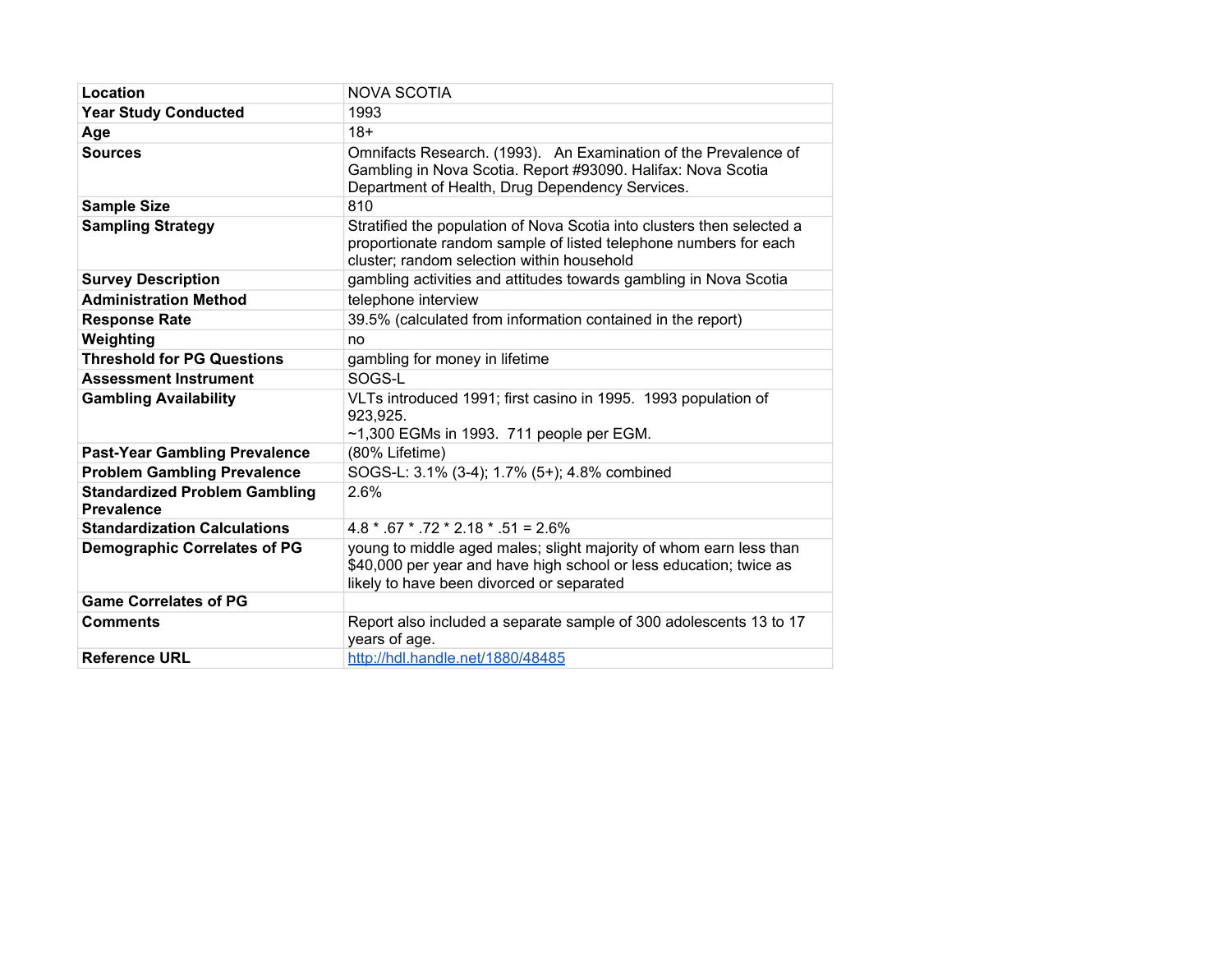| Location                                                  | <b>NOVA SCOTIA</b>                                                                                                                                                                       |
|-----------------------------------------------------------|------------------------------------------------------------------------------------------------------------------------------------------------------------------------------------------|
| <b>Year Study Conducted</b>                               | 1993                                                                                                                                                                                     |
| Age                                                       | $18+$                                                                                                                                                                                    |
| <b>Sources</b>                                            | Omnifacts Research. (1993). An Examination of the Prevalence of<br>Gambling in Nova Scotia. Report #93090. Halifax: Nova Scotia<br>Department of Health, Drug Dependency Services.       |
| <b>Sample Size</b>                                        | 810                                                                                                                                                                                      |
| <b>Sampling Strategy</b>                                  | Stratified the population of Nova Scotia into clusters then selected a<br>proportionate random sample of listed telephone numbers for each<br>cluster; random selection within household |
| <b>Survey Description</b>                                 | gambling activities and attitudes towards gambling in Nova Scotia                                                                                                                        |
| <b>Administration Method</b>                              | telephone interview                                                                                                                                                                      |
| <b>Response Rate</b>                                      | 39.5% (calculated from information contained in the report)                                                                                                                              |
| Weighting                                                 | no                                                                                                                                                                                       |
| <b>Threshold for PG Questions</b>                         | gambling for money in lifetime                                                                                                                                                           |
| <b>Assessment Instrument</b>                              | SOGS-L                                                                                                                                                                                   |
| <b>Gambling Availability</b>                              | VLTs introduced 1991; first casino in 1995. 1993 population of<br>923,925.<br>$~1,300$ EGMs in 1993. 711 people per EGM.                                                                 |
| <b>Past-Year Gambling Prevalence</b>                      | (80% Lifetime)                                                                                                                                                                           |
| <b>Problem Gambling Prevalence</b>                        | SOGS-L: 3.1% (3-4); 1.7% (5+); 4.8% combined                                                                                                                                             |
| <b>Standardized Problem Gambling</b><br><b>Prevalence</b> | 2.6%                                                                                                                                                                                     |
| <b>Standardization Calculations</b>                       | $4.8 * .67 * .72 * 2.18 * .51 = 2.6\%$                                                                                                                                                   |
| <b>Demographic Correlates of PG</b>                       | young to middle aged males; slight majority of whom earn less than<br>\$40,000 per year and have high school or less education; twice as<br>likely to have been divorced or separated    |
| <b>Game Correlates of PG</b>                              |                                                                                                                                                                                          |
| <b>Comments</b>                                           | Report also included a separate sample of 300 adolescents 13 to 17<br>years of age.                                                                                                      |
| <b>Reference URL</b>                                      | http://hdl.handle.net/1880/48485                                                                                                                                                         |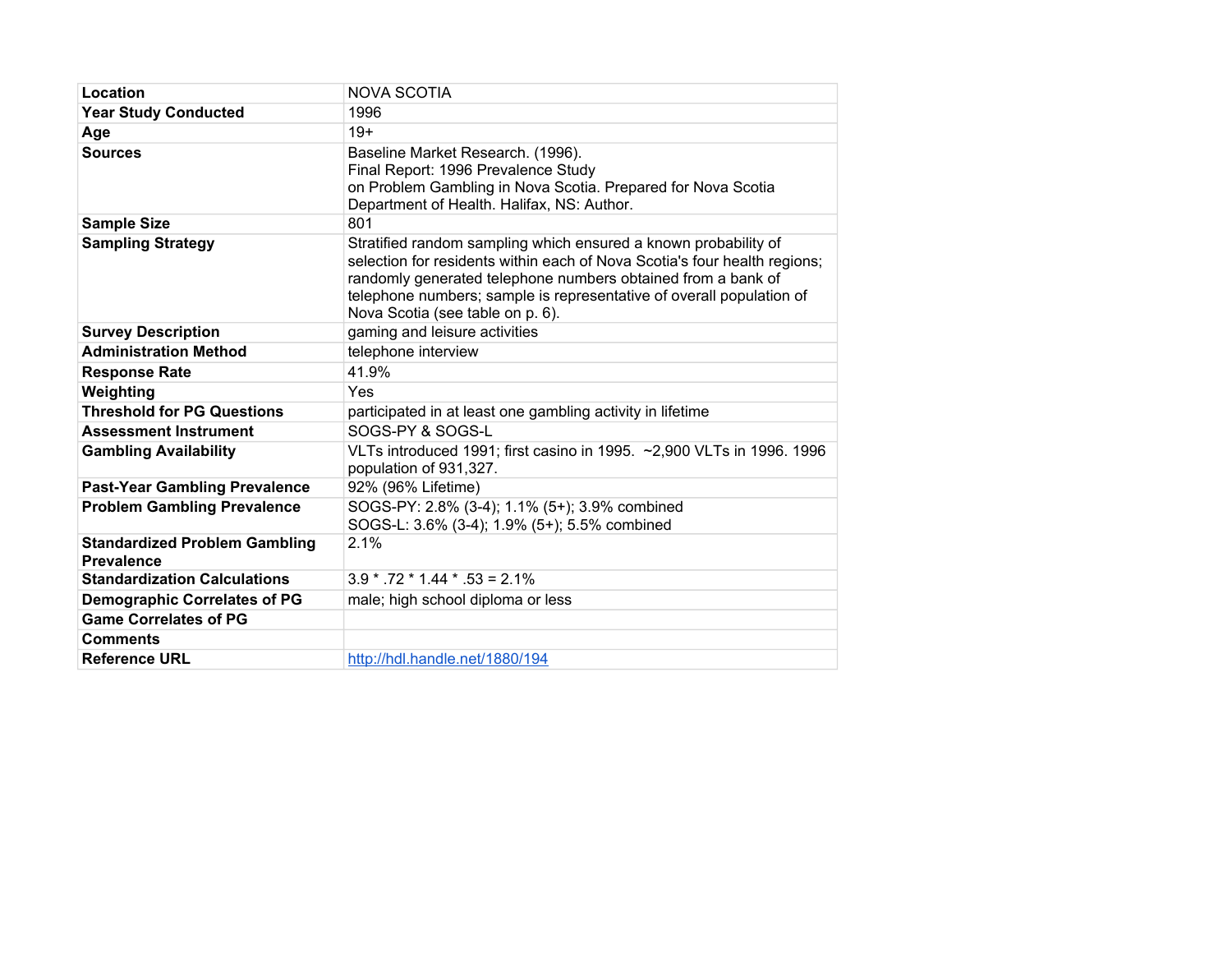| Location                                                  | <b>NOVA SCOTIA</b>                                                                                                                                                                                                                                                                                                       |
|-----------------------------------------------------------|--------------------------------------------------------------------------------------------------------------------------------------------------------------------------------------------------------------------------------------------------------------------------------------------------------------------------|
| <b>Year Study Conducted</b>                               | 1996                                                                                                                                                                                                                                                                                                                     |
| Age                                                       | $19+$                                                                                                                                                                                                                                                                                                                    |
| <b>Sources</b>                                            | Baseline Market Research. (1996).<br>Final Report: 1996 Prevalence Study<br>on Problem Gambling in Nova Scotia. Prepared for Nova Scotia<br>Department of Health. Halifax, NS: Author.                                                                                                                                   |
| <b>Sample Size</b>                                        | 801                                                                                                                                                                                                                                                                                                                      |
| <b>Sampling Strategy</b>                                  | Stratified random sampling which ensured a known probability of<br>selection for residents within each of Nova Scotia's four health regions;<br>randomly generated telephone numbers obtained from a bank of<br>telephone numbers; sample is representative of overall population of<br>Nova Scotia (see table on p. 6). |
| <b>Survey Description</b>                                 | gaming and leisure activities                                                                                                                                                                                                                                                                                            |
| <b>Administration Method</b>                              | telephone interview                                                                                                                                                                                                                                                                                                      |
| <b>Response Rate</b>                                      | 41.9%                                                                                                                                                                                                                                                                                                                    |
| Weighting                                                 | Yes                                                                                                                                                                                                                                                                                                                      |
| <b>Threshold for PG Questions</b>                         | participated in at least one gambling activity in lifetime                                                                                                                                                                                                                                                               |
| <b>Assessment Instrument</b>                              | SOGS-PY & SOGS-L                                                                                                                                                                                                                                                                                                         |
| <b>Gambling Availability</b>                              | VLTs introduced 1991; first casino in 1995. ~2,900 VLTs in 1996. 1996<br>population of 931,327.                                                                                                                                                                                                                          |
| <b>Past-Year Gambling Prevalence</b>                      | 92% (96% Lifetime)                                                                                                                                                                                                                                                                                                       |
| <b>Problem Gambling Prevalence</b>                        | SOGS-PY: 2.8% (3-4); 1.1% (5+); 3.9% combined<br>SOGS-L: 3.6% (3-4); 1.9% (5+); 5.5% combined                                                                                                                                                                                                                            |
| <b>Standardized Problem Gambling</b><br><b>Prevalence</b> | 2.1%                                                                                                                                                                                                                                                                                                                     |
| <b>Standardization Calculations</b>                       | $3.9 * .72 * 1.44 * .53 = 2.1\%$                                                                                                                                                                                                                                                                                         |
| <b>Demographic Correlates of PG</b>                       | male; high school diploma or less                                                                                                                                                                                                                                                                                        |
| <b>Game Correlates of PG</b>                              |                                                                                                                                                                                                                                                                                                                          |
| <b>Comments</b>                                           |                                                                                                                                                                                                                                                                                                                          |
| <b>Reference URL</b>                                      | http://hdl.handle.net/1880/194                                                                                                                                                                                                                                                                                           |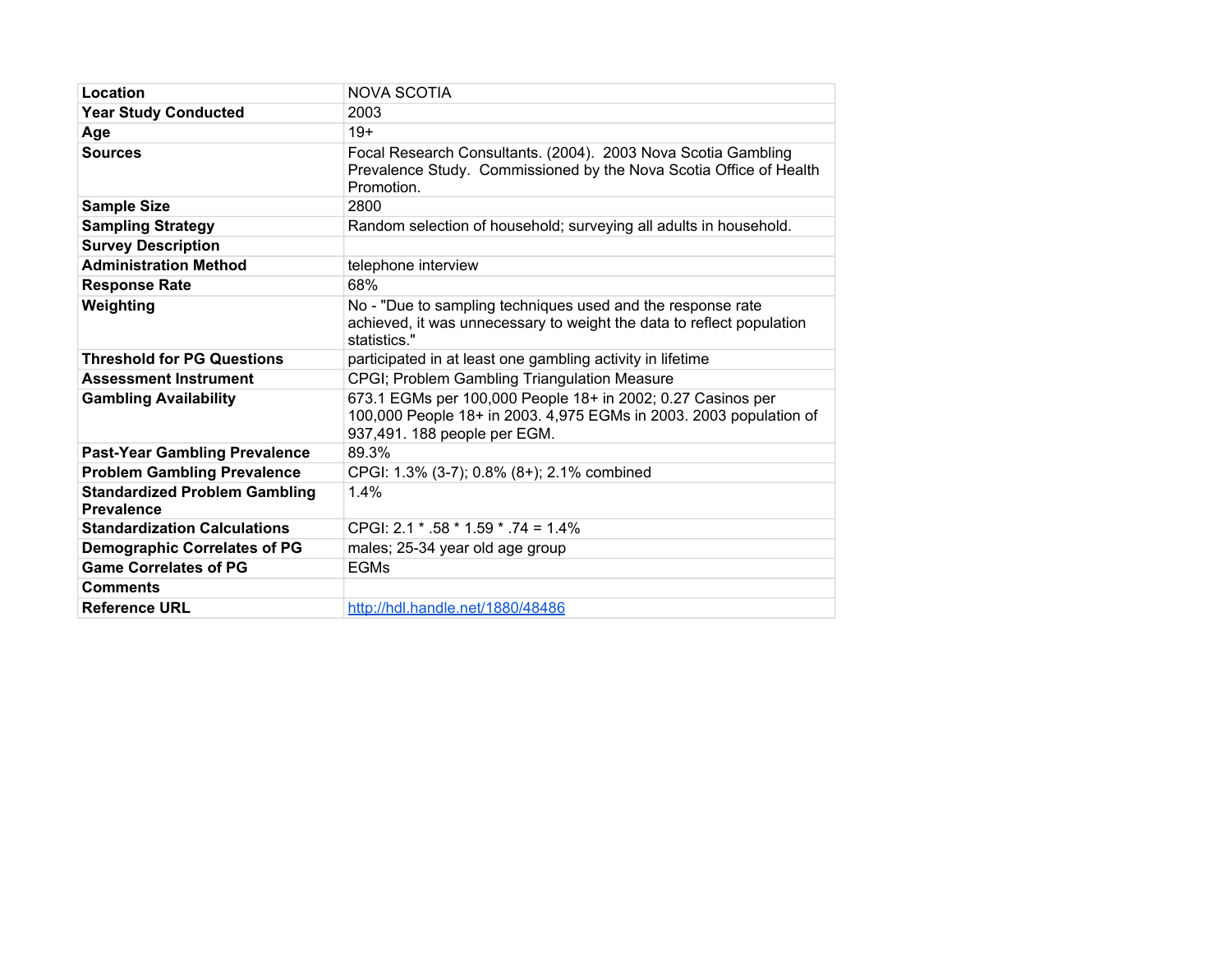| Location                                                  | <b>NOVA SCOTIA</b>                                                                                                                                                |
|-----------------------------------------------------------|-------------------------------------------------------------------------------------------------------------------------------------------------------------------|
| <b>Year Study Conducted</b>                               | 2003                                                                                                                                                              |
| Age                                                       | $19+$                                                                                                                                                             |
| <b>Sources</b>                                            | Focal Research Consultants. (2004). 2003 Nova Scotia Gambling<br>Prevalence Study. Commissioned by the Nova Scotia Office of Health<br>Promotion.                 |
| <b>Sample Size</b>                                        | 2800                                                                                                                                                              |
| <b>Sampling Strategy</b>                                  | Random selection of household; surveying all adults in household.                                                                                                 |
| <b>Survey Description</b>                                 |                                                                                                                                                                   |
| <b>Administration Method</b>                              | telephone interview                                                                                                                                               |
| <b>Response Rate</b>                                      | 68%                                                                                                                                                               |
| Weighting                                                 | No - "Due to sampling techniques used and the response rate<br>achieved, it was unnecessary to weight the data to reflect population<br>statistics."              |
| <b>Threshold for PG Questions</b>                         | participated in at least one gambling activity in lifetime                                                                                                        |
| <b>Assessment Instrument</b>                              | CPGI; Problem Gambling Triangulation Measure                                                                                                                      |
| <b>Gambling Availability</b>                              | 673.1 EGMs per 100,000 People 18+ in 2002; 0.27 Casinos per<br>100,000 People 18+ in 2003. 4,975 EGMs in 2003. 2003 population of<br>937,491. 188 people per EGM. |
| <b>Past-Year Gambling Prevalence</b>                      | 89.3%                                                                                                                                                             |
| <b>Problem Gambling Prevalence</b>                        | CPGI: 1.3% (3-7); 0.8% (8+); 2.1% combined                                                                                                                        |
| <b>Standardized Problem Gambling</b><br><b>Prevalence</b> | 1.4%                                                                                                                                                              |
| <b>Standardization Calculations</b>                       | CPGI: $2.1 * .58 * 1.59 * .74 = 1.4\%$                                                                                                                            |
| <b>Demographic Correlates of PG</b>                       | males; 25-34 year old age group                                                                                                                                   |
| <b>Game Correlates of PG</b>                              | <b>EGMs</b>                                                                                                                                                       |
| <b>Comments</b>                                           |                                                                                                                                                                   |
| <b>Reference URL</b>                                      | http://hdl.handle.net/1880/48486                                                                                                                                  |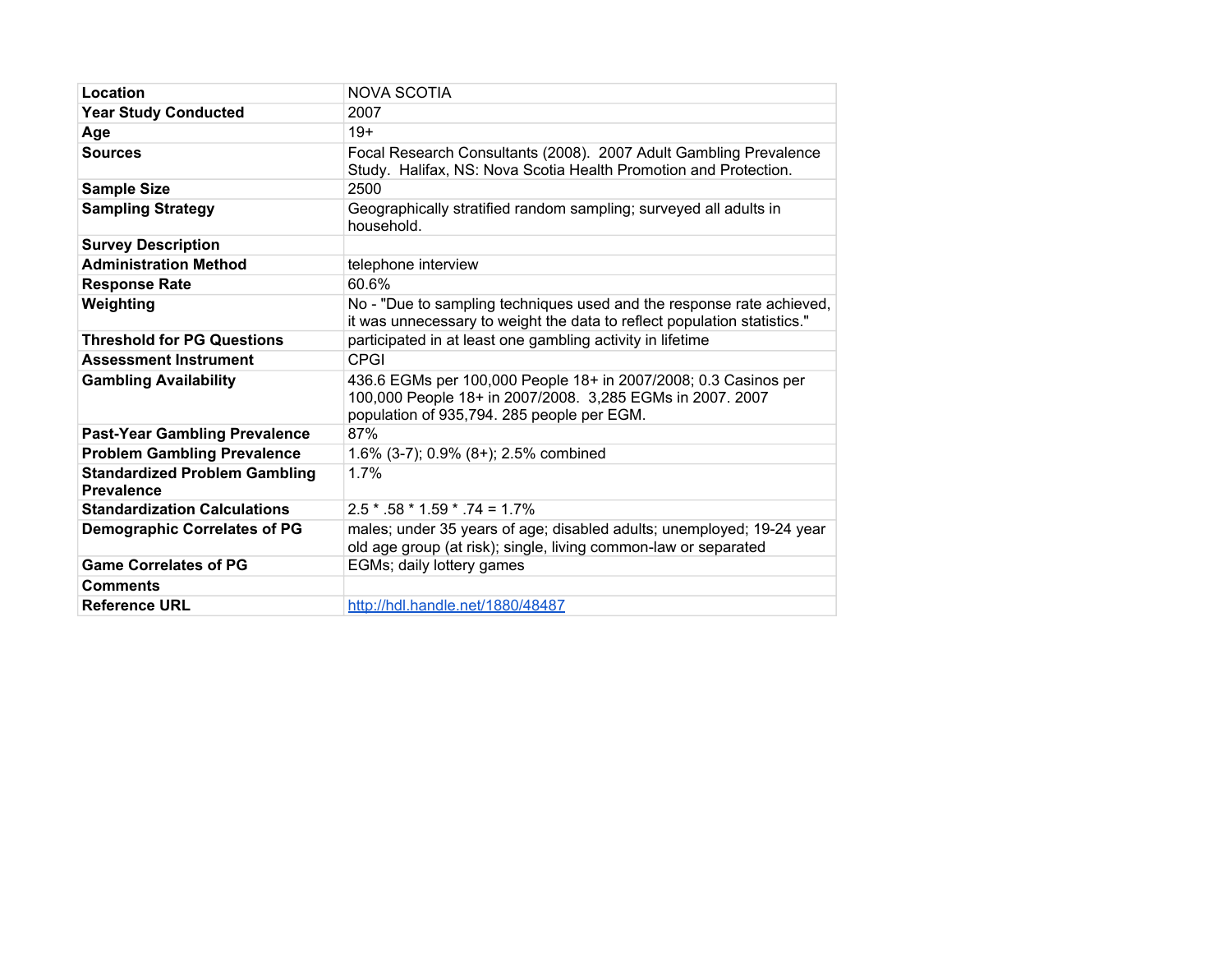| Location                                                  | <b>NOVA SCOTIA</b>                                                                                                                                                         |
|-----------------------------------------------------------|----------------------------------------------------------------------------------------------------------------------------------------------------------------------------|
| <b>Year Study Conducted</b>                               | 2007                                                                                                                                                                       |
| Age                                                       | $19+$                                                                                                                                                                      |
| <b>Sources</b>                                            | Focal Research Consultants (2008). 2007 Adult Gambling Prevalence<br>Study. Halifax, NS: Nova Scotia Health Promotion and Protection.                                      |
| <b>Sample Size</b>                                        | 2500                                                                                                                                                                       |
| <b>Sampling Strategy</b>                                  | Geographically stratified random sampling; surveyed all adults in<br>household.                                                                                            |
| <b>Survey Description</b>                                 |                                                                                                                                                                            |
| <b>Administration Method</b>                              | telephone interview                                                                                                                                                        |
| <b>Response Rate</b>                                      | 60.6%                                                                                                                                                                      |
| Weighting                                                 | No - "Due to sampling techniques used and the response rate achieved,<br>it was unnecessary to weight the data to reflect population statistics."                          |
| <b>Threshold for PG Questions</b>                         | participated in at least one gambling activity in lifetime                                                                                                                 |
| <b>Assessment Instrument</b>                              | CPGI                                                                                                                                                                       |
| <b>Gambling Availability</b>                              | 436.6 EGMs per 100,000 People 18+ in 2007/2008; 0.3 Casinos per<br>100,000 People 18+ in 2007/2008. 3,285 EGMs in 2007. 2007<br>population of 935,794. 285 people per EGM. |
| <b>Past-Year Gambling Prevalence</b>                      | 87%                                                                                                                                                                        |
| <b>Problem Gambling Prevalence</b>                        | 1.6% (3-7); 0.9% (8+); 2.5% combined                                                                                                                                       |
| <b>Standardized Problem Gambling</b><br><b>Prevalence</b> | 1.7%                                                                                                                                                                       |
| <b>Standardization Calculations</b>                       | $2.5 * .58 * 1.59 * .74 = 1.7%$                                                                                                                                            |
| <b>Demographic Correlates of PG</b>                       | males; under 35 years of age; disabled adults; unemployed; 19-24 year<br>old age group (at risk); single, living common-law or separated                                   |
| <b>Game Correlates of PG</b>                              | EGMs; daily lottery games                                                                                                                                                  |
| <b>Comments</b>                                           |                                                                                                                                                                            |
| <b>Reference URL</b>                                      | http://hdl.handle.net/1880/48487                                                                                                                                           |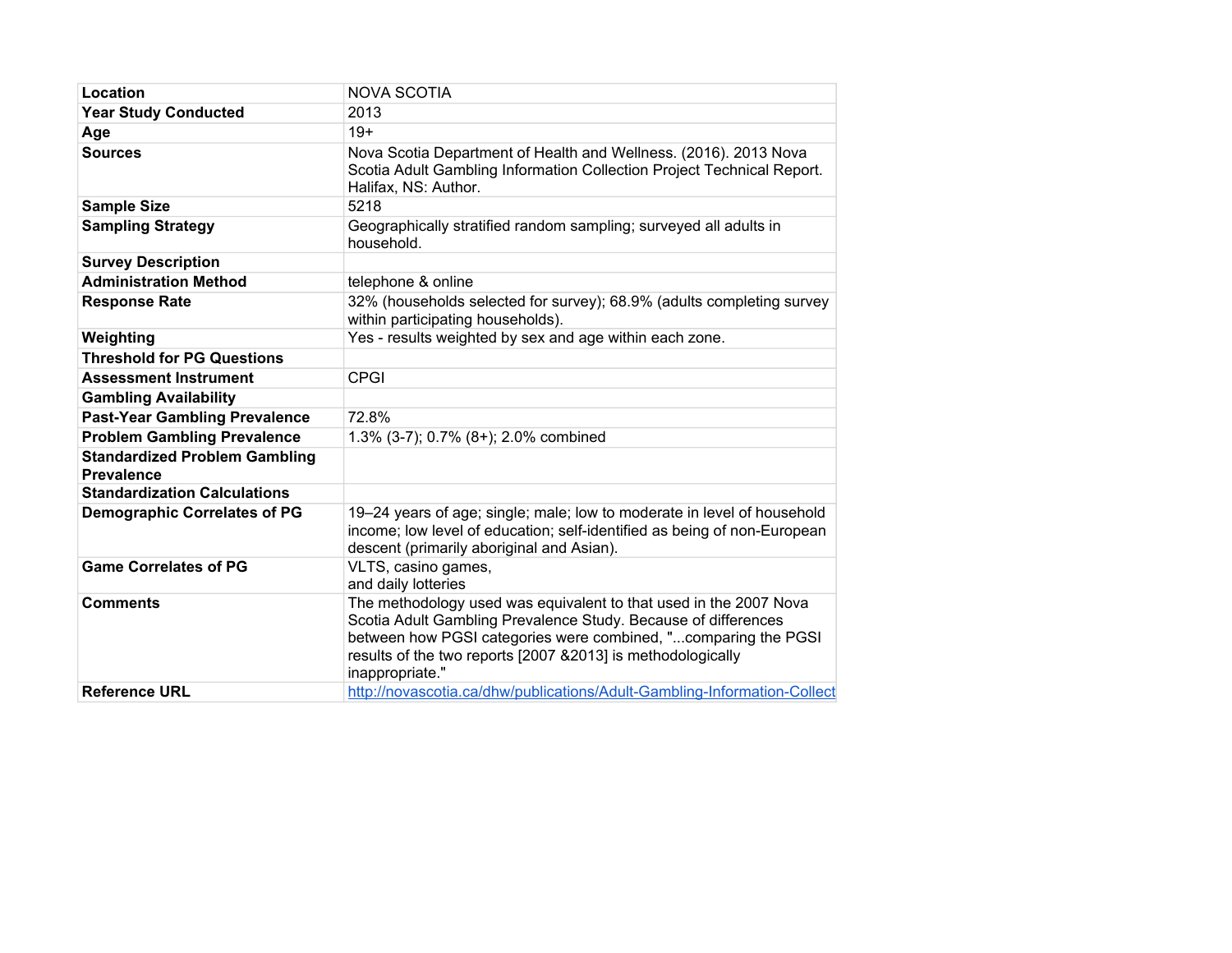| Location                                                  | <b>NOVA SCOTIA</b>                                                                                                                                                                                                                                                                       |
|-----------------------------------------------------------|------------------------------------------------------------------------------------------------------------------------------------------------------------------------------------------------------------------------------------------------------------------------------------------|
| <b>Year Study Conducted</b>                               | 2013                                                                                                                                                                                                                                                                                     |
| Age                                                       | $19+$                                                                                                                                                                                                                                                                                    |
| <b>Sources</b>                                            | Nova Scotia Department of Health and Wellness. (2016). 2013 Nova<br>Scotia Adult Gambling Information Collection Project Technical Report.<br>Halifax, NS: Author.                                                                                                                       |
| <b>Sample Size</b>                                        | 5218                                                                                                                                                                                                                                                                                     |
| <b>Sampling Strategy</b>                                  | Geographically stratified random sampling; surveyed all adults in<br>household.                                                                                                                                                                                                          |
| <b>Survey Description</b>                                 |                                                                                                                                                                                                                                                                                          |
| <b>Administration Method</b>                              | telephone & online                                                                                                                                                                                                                                                                       |
| <b>Response Rate</b>                                      | 32% (households selected for survey); 68.9% (adults completing survey<br>within participating households).                                                                                                                                                                               |
| Weighting                                                 | Yes - results weighted by sex and age within each zone.                                                                                                                                                                                                                                  |
| <b>Threshold for PG Questions</b>                         |                                                                                                                                                                                                                                                                                          |
| <b>Assessment Instrument</b>                              | <b>CPGI</b>                                                                                                                                                                                                                                                                              |
| <b>Gambling Availability</b>                              |                                                                                                                                                                                                                                                                                          |
| <b>Past-Year Gambling Prevalence</b>                      | 72.8%                                                                                                                                                                                                                                                                                    |
| <b>Problem Gambling Prevalence</b>                        | 1.3% (3-7); 0.7% (8+); 2.0% combined                                                                                                                                                                                                                                                     |
| <b>Standardized Problem Gambling</b><br><b>Prevalence</b> |                                                                                                                                                                                                                                                                                          |
| <b>Standardization Calculations</b>                       |                                                                                                                                                                                                                                                                                          |
| <b>Demographic Correlates of PG</b>                       | 19-24 years of age; single; male; low to moderate in level of household<br>income; low level of education; self-identified as being of non-European<br>descent (primarily aboriginal and Asian).                                                                                         |
| <b>Game Correlates of PG</b>                              | VLTS, casino games,<br>and daily lotteries                                                                                                                                                                                                                                               |
| <b>Comments</b>                                           | The methodology used was equivalent to that used in the 2007 Nova<br>Scotia Adult Gambling Prevalence Study. Because of differences<br>between how PGSI categories were combined, "comparing the PGSI<br>results of the two reports [2007 & 2013] is methodologically<br>inappropriate." |
| <b>Reference URL</b>                                      | http://novascotia.ca/dhw/publications/Adult-Gambling-Information-Collect                                                                                                                                                                                                                 |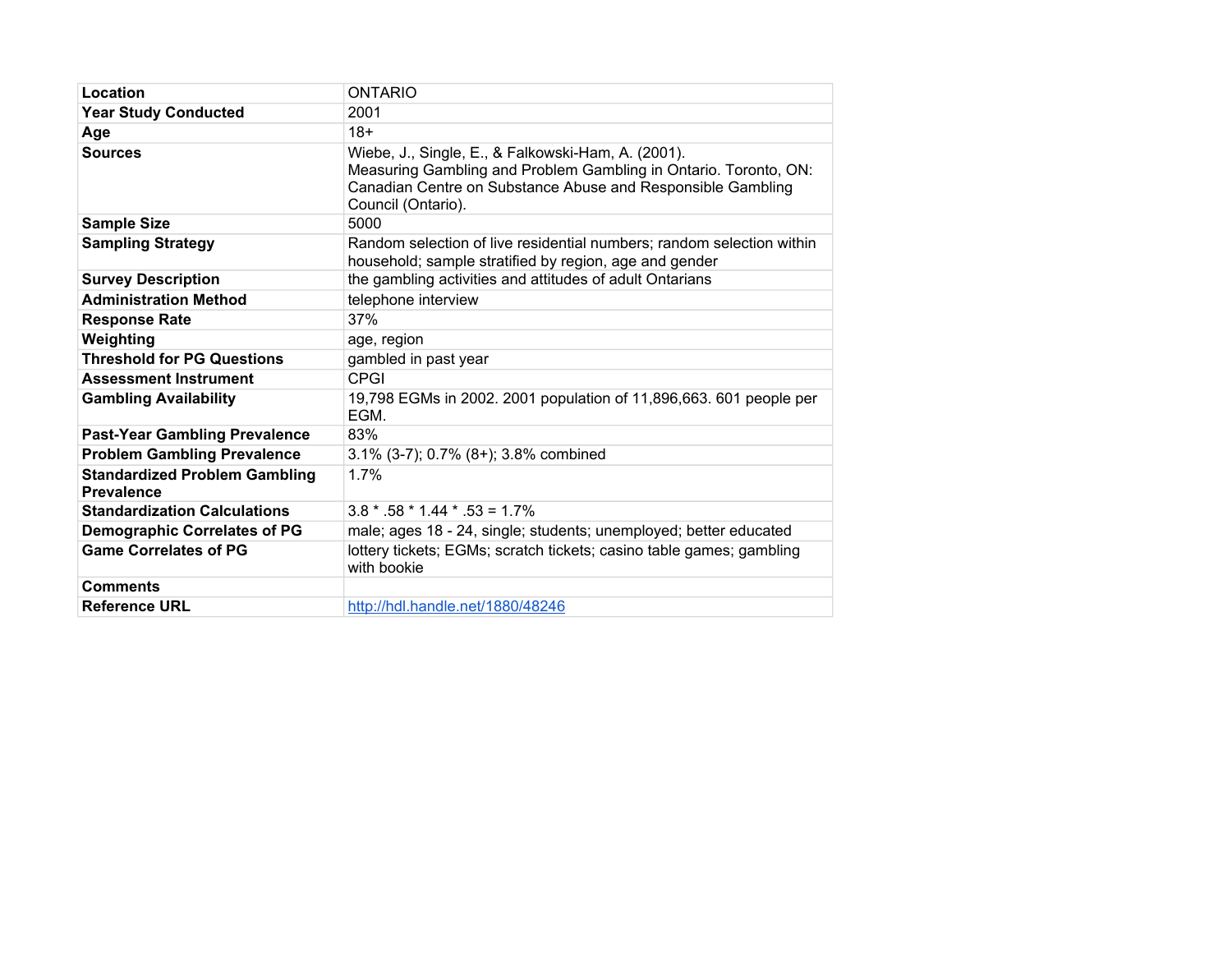| Location                                                  | <b>ONTARIO</b>                                                                                                                                                                                              |
|-----------------------------------------------------------|-------------------------------------------------------------------------------------------------------------------------------------------------------------------------------------------------------------|
| <b>Year Study Conducted</b>                               | 2001                                                                                                                                                                                                        |
| Age                                                       | $18+$                                                                                                                                                                                                       |
| <b>Sources</b>                                            | Wiebe, J., Single, E., & Falkowski-Ham, A. (2001).<br>Measuring Gambling and Problem Gambling in Ontario. Toronto, ON:<br>Canadian Centre on Substance Abuse and Responsible Gambling<br>Council (Ontario). |
| <b>Sample Size</b>                                        | 5000                                                                                                                                                                                                        |
| <b>Sampling Strategy</b>                                  | Random selection of live residential numbers; random selection within<br>household; sample stratified by region, age and gender                                                                             |
| <b>Survey Description</b>                                 | the gambling activities and attitudes of adult Ontarians                                                                                                                                                    |
| <b>Administration Method</b>                              | telephone interview                                                                                                                                                                                         |
| <b>Response Rate</b>                                      | 37%                                                                                                                                                                                                         |
| Weighting                                                 | age, region                                                                                                                                                                                                 |
| <b>Threshold for PG Questions</b>                         | gambled in past year                                                                                                                                                                                        |
| <b>Assessment Instrument</b>                              | <b>CPGI</b>                                                                                                                                                                                                 |
| <b>Gambling Availability</b>                              | 19,798 EGMs in 2002. 2001 population of 11,896,663. 601 people per<br>EGM.                                                                                                                                  |
| <b>Past-Year Gambling Prevalence</b>                      | 83%                                                                                                                                                                                                         |
| <b>Problem Gambling Prevalence</b>                        | 3.1% (3-7); 0.7% (8+); 3.8% combined                                                                                                                                                                        |
| <b>Standardized Problem Gambling</b><br><b>Prevalence</b> | 1.7%                                                                                                                                                                                                        |
| <b>Standardization Calculations</b>                       | $3.8 * 58 * 1.44 * 53 = 1.7\%$                                                                                                                                                                              |
| <b>Demographic Correlates of PG</b>                       | male; ages 18 - 24, single; students; unemployed; better educated                                                                                                                                           |
| <b>Game Correlates of PG</b>                              | lottery tickets; EGMs; scratch tickets; casino table games; gambling<br>with bookie                                                                                                                         |
| <b>Comments</b>                                           |                                                                                                                                                                                                             |
| <b>Reference URL</b>                                      | http://hdl.handle.net/1880/48246                                                                                                                                                                            |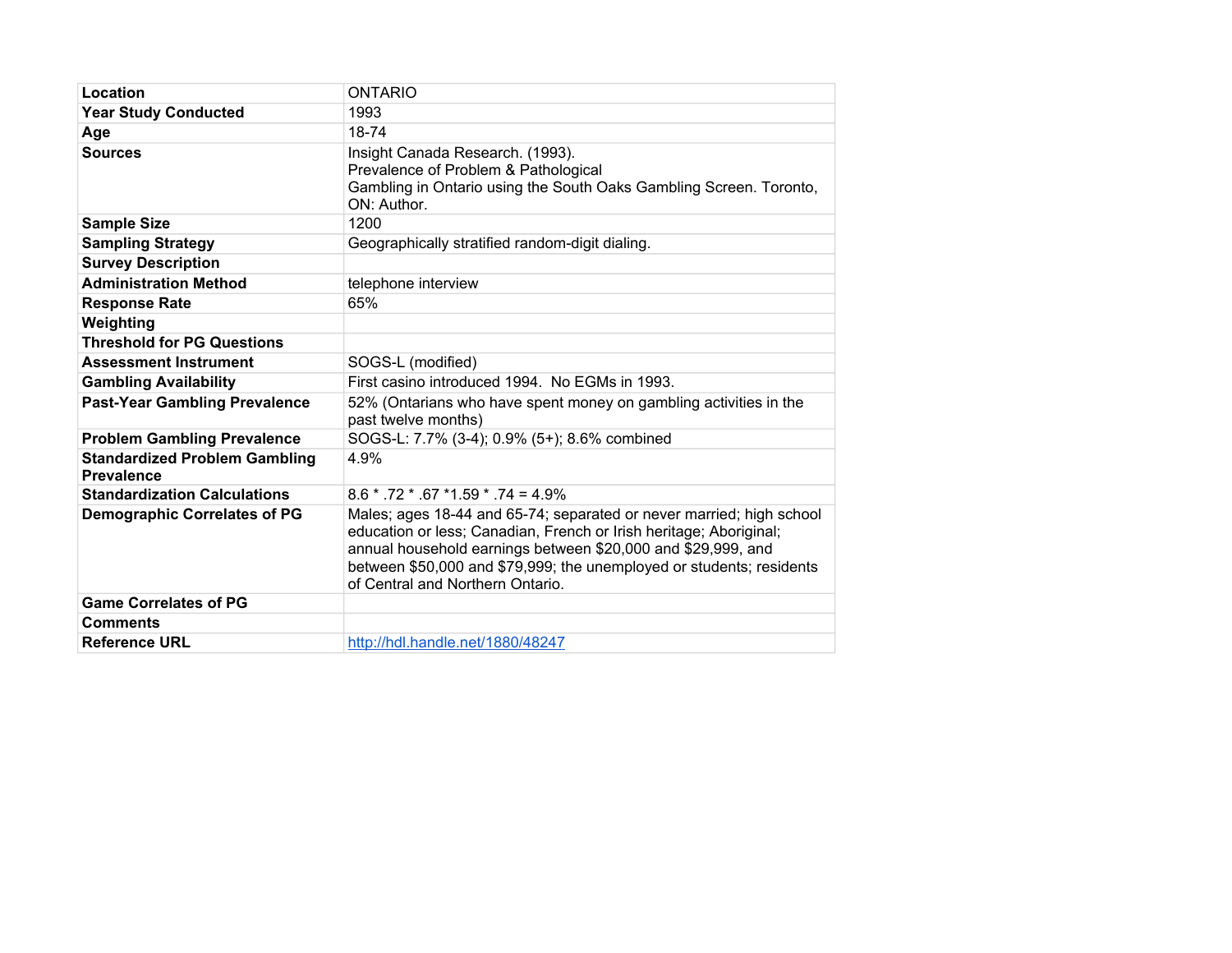| Location                                                  | <b>ONTARIO</b>                                                                                                                                                                                                                                                                                                         |
|-----------------------------------------------------------|------------------------------------------------------------------------------------------------------------------------------------------------------------------------------------------------------------------------------------------------------------------------------------------------------------------------|
| <b>Year Study Conducted</b>                               | 1993                                                                                                                                                                                                                                                                                                                   |
| Age                                                       | 18-74                                                                                                                                                                                                                                                                                                                  |
| <b>Sources</b>                                            | Insight Canada Research. (1993).<br>Prevalence of Problem & Pathological<br>Gambling in Ontario using the South Oaks Gambling Screen. Toronto,<br>ON: Author.                                                                                                                                                          |
| <b>Sample Size</b>                                        | 1200                                                                                                                                                                                                                                                                                                                   |
| <b>Sampling Strategy</b>                                  | Geographically stratified random-digit dialing.                                                                                                                                                                                                                                                                        |
| <b>Survey Description</b>                                 |                                                                                                                                                                                                                                                                                                                        |
| <b>Administration Method</b>                              | telephone interview                                                                                                                                                                                                                                                                                                    |
| <b>Response Rate</b>                                      | 65%                                                                                                                                                                                                                                                                                                                    |
| Weighting                                                 |                                                                                                                                                                                                                                                                                                                        |
| <b>Threshold for PG Questions</b>                         |                                                                                                                                                                                                                                                                                                                        |
| <b>Assessment Instrument</b>                              | SOGS-L (modified)                                                                                                                                                                                                                                                                                                      |
| <b>Gambling Availability</b>                              | First casino introduced 1994. No EGMs in 1993.                                                                                                                                                                                                                                                                         |
| <b>Past-Year Gambling Prevalence</b>                      | 52% (Ontarians who have spent money on gambling activities in the<br>past twelve months)                                                                                                                                                                                                                               |
| <b>Problem Gambling Prevalence</b>                        | SOGS-L: 7.7% (3-4); 0.9% (5+); 8.6% combined                                                                                                                                                                                                                                                                           |
| <b>Standardized Problem Gambling</b><br><b>Prevalence</b> | 4.9%                                                                                                                                                                                                                                                                                                                   |
| <b>Standardization Calculations</b>                       | $8.6 * .72 * .67 * 1.59 * .74 = 4.9\%$                                                                                                                                                                                                                                                                                 |
| <b>Demographic Correlates of PG</b>                       | Males; ages 18-44 and 65-74; separated or never married; high school<br>education or less; Canadian, French or Irish heritage; Aboriginal;<br>annual household earnings between \$20,000 and \$29,999, and<br>between \$50,000 and \$79,999; the unemployed or students; residents<br>of Central and Northern Ontario. |
| <b>Game Correlates of PG</b>                              |                                                                                                                                                                                                                                                                                                                        |
| <b>Comments</b>                                           |                                                                                                                                                                                                                                                                                                                        |
| <b>Reference URL</b>                                      | http://hdl.handle.net/1880/48247                                                                                                                                                                                                                                                                                       |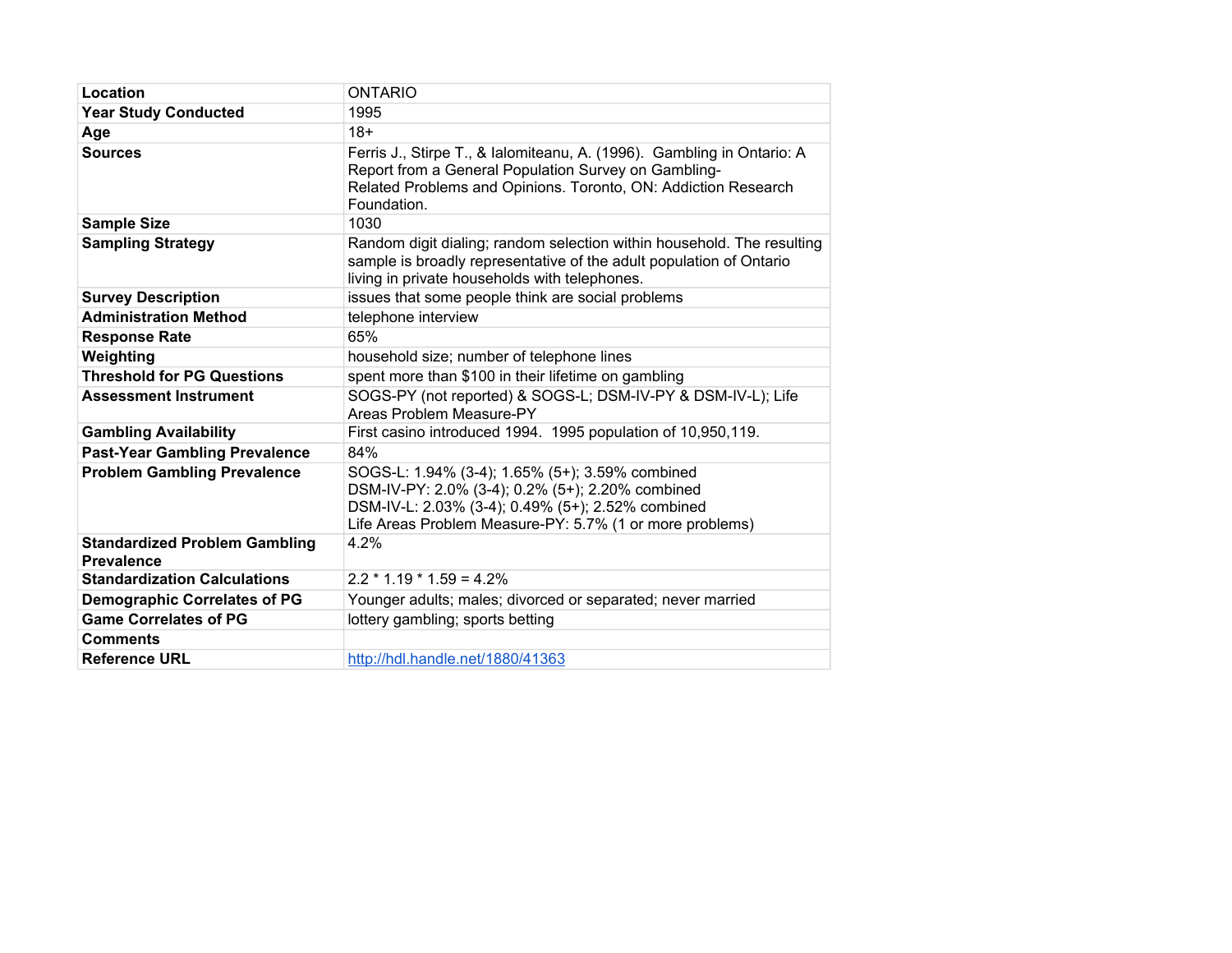| Location                                                  | <b>ONTARIO</b>                                                                                                                                                                                                       |  |
|-----------------------------------------------------------|----------------------------------------------------------------------------------------------------------------------------------------------------------------------------------------------------------------------|--|
| <b>Year Study Conducted</b>                               | 1995                                                                                                                                                                                                                 |  |
| Age                                                       | $18+$                                                                                                                                                                                                                |  |
| <b>Sources</b>                                            | Ferris J., Stirpe T., & Ialomiteanu, A. (1996). Gambling in Ontario: A<br>Report from a General Population Survey on Gambling-<br>Related Problems and Opinions. Toronto, ON: Addiction Research<br>Foundation.      |  |
| <b>Sample Size</b>                                        | 1030                                                                                                                                                                                                                 |  |
| <b>Sampling Strategy</b>                                  | Random digit dialing; random selection within household. The resulting<br>sample is broadly representative of the adult population of Ontario<br>living in private households with telephones.                       |  |
| <b>Survey Description</b>                                 | issues that some people think are social problems                                                                                                                                                                    |  |
| <b>Administration Method</b>                              | telephone interview                                                                                                                                                                                                  |  |
| <b>Response Rate</b>                                      | 65%                                                                                                                                                                                                                  |  |
| Weighting                                                 | household size; number of telephone lines                                                                                                                                                                            |  |
| <b>Threshold for PG Questions</b>                         | spent more than \$100 in their lifetime on gambling                                                                                                                                                                  |  |
| <b>Assessment Instrument</b>                              | SOGS-PY (not reported) & SOGS-L; DSM-IV-PY & DSM-IV-L); Life<br>Areas Problem Measure-PY                                                                                                                             |  |
| <b>Gambling Availability</b>                              | First casino introduced 1994. 1995 population of 10,950,119.                                                                                                                                                         |  |
| <b>Past-Year Gambling Prevalence</b>                      | 84%                                                                                                                                                                                                                  |  |
| <b>Problem Gambling Prevalence</b>                        | SOGS-L: 1.94% (3-4); 1.65% (5+); 3.59% combined<br>DSM-IV-PY: 2.0% (3-4); 0.2% (5+); 2.20% combined<br>DSM-IV-L: 2.03% (3-4); 0.49% (5+); 2.52% combined<br>Life Areas Problem Measure-PY: 5.7% (1 or more problems) |  |
| <b>Standardized Problem Gambling</b><br><b>Prevalence</b> | 4.2%                                                                                                                                                                                                                 |  |
| <b>Standardization Calculations</b>                       | $2.2 * 1.19 * 1.59 = 4.2%$                                                                                                                                                                                           |  |
| <b>Demographic Correlates of PG</b>                       | Younger adults; males; divorced or separated; never married                                                                                                                                                          |  |
| <b>Game Correlates of PG</b>                              | lottery gambling; sports betting                                                                                                                                                                                     |  |
| <b>Comments</b>                                           |                                                                                                                                                                                                                      |  |
| <b>Reference URL</b>                                      | http://hdl.handle.net/1880/41363                                                                                                                                                                                     |  |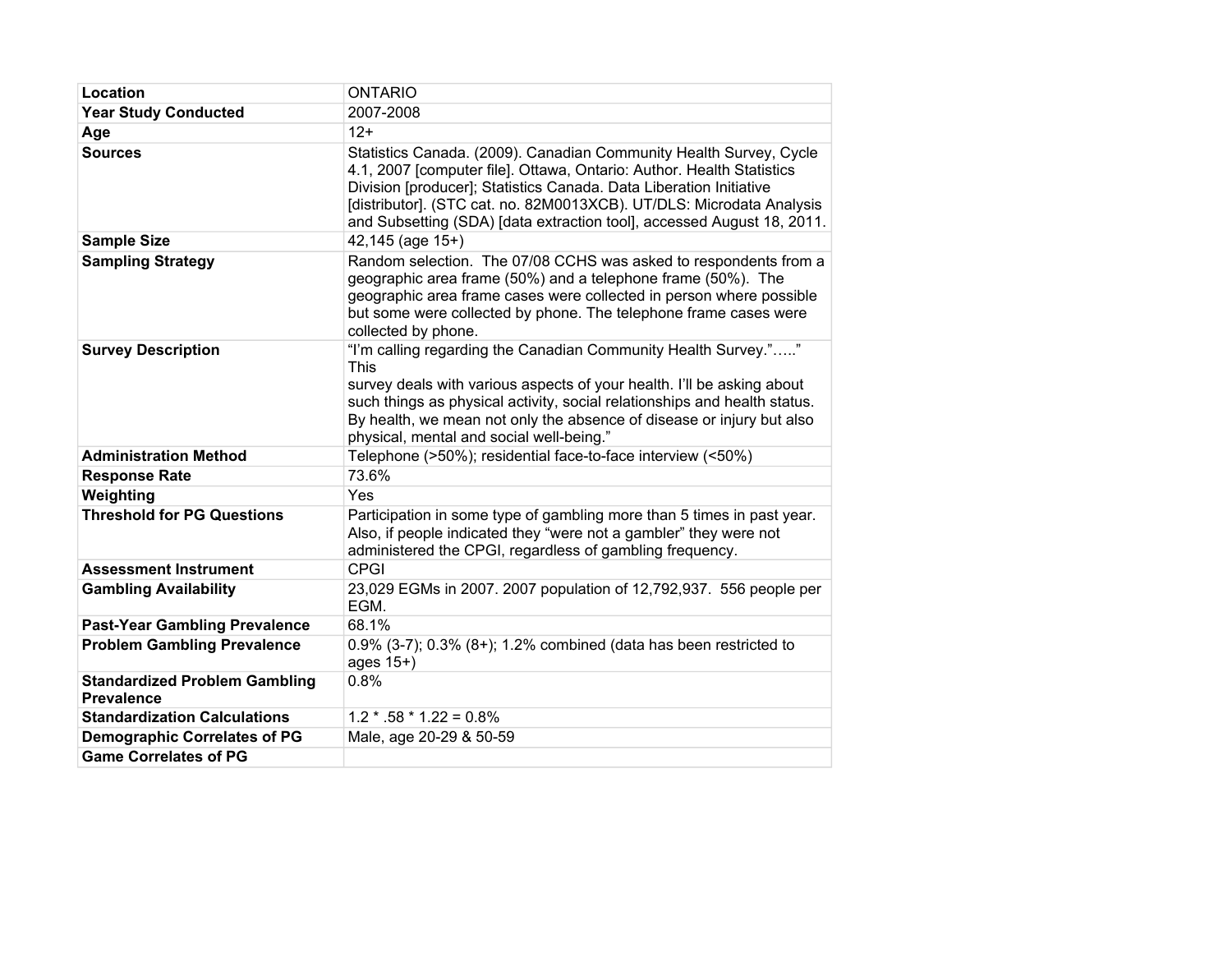| Location                                                  | <b>ONTARIO</b>                                                                                                                                                                                                                                                                                                                                                      |  |
|-----------------------------------------------------------|---------------------------------------------------------------------------------------------------------------------------------------------------------------------------------------------------------------------------------------------------------------------------------------------------------------------------------------------------------------------|--|
| <b>Year Study Conducted</b>                               | 2007-2008                                                                                                                                                                                                                                                                                                                                                           |  |
| Age                                                       | $12+$                                                                                                                                                                                                                                                                                                                                                               |  |
| <b>Sources</b>                                            | Statistics Canada. (2009). Canadian Community Health Survey, Cycle<br>4.1, 2007 [computer file]. Ottawa, Ontario: Author. Health Statistics<br>Division [producer]; Statistics Canada. Data Liberation Initiative<br>[distributor]. (STC cat. no. 82M0013XCB). UT/DLS: Microdata Analysis<br>and Subsetting (SDA) [data extraction tool], accessed August 18, 2011. |  |
| <b>Sample Size</b>                                        | $42,145$ (age $15+$ )                                                                                                                                                                                                                                                                                                                                               |  |
| <b>Sampling Strategy</b>                                  | Random selection. The 07/08 CCHS was asked to respondents from a<br>geographic area frame (50%) and a telephone frame (50%). The<br>geographic area frame cases were collected in person where possible<br>but some were collected by phone. The telephone frame cases were<br>collected by phone.                                                                  |  |
| <b>Survey Description</b>                                 | "I'm calling regarding the Canadian Community Health Survey.""<br><b>This</b><br>survey deals with various aspects of your health. I'll be asking about<br>such things as physical activity, social relationships and health status.<br>By health, we mean not only the absence of disease or injury but also<br>physical, mental and social well-being."           |  |
| <b>Administration Method</b>                              | Telephone (>50%); residential face-to-face interview (<50%)                                                                                                                                                                                                                                                                                                         |  |
| <b>Response Rate</b>                                      | 73.6%                                                                                                                                                                                                                                                                                                                                                               |  |
| Weighting                                                 | Yes                                                                                                                                                                                                                                                                                                                                                                 |  |
| <b>Threshold for PG Questions</b>                         | Participation in some type of gambling more than 5 times in past year.<br>Also, if people indicated they "were not a gambler" they were not<br>administered the CPGI, regardless of gambling frequency.                                                                                                                                                             |  |
| <b>Assessment Instrument</b>                              | <b>CPGI</b>                                                                                                                                                                                                                                                                                                                                                         |  |
| <b>Gambling Availability</b>                              | 23,029 EGMs in 2007. 2007 population of 12,792,937. 556 people per<br>EGM.                                                                                                                                                                                                                                                                                          |  |
| <b>Past-Year Gambling Prevalence</b>                      | 68.1%                                                                                                                                                                                                                                                                                                                                                               |  |
| <b>Problem Gambling Prevalence</b>                        | 0.9% (3-7); 0.3% (8+); 1.2% combined (data has been restricted to<br>ages 15+)                                                                                                                                                                                                                                                                                      |  |
| <b>Standardized Problem Gambling</b><br><b>Prevalence</b> | 0.8%                                                                                                                                                                                                                                                                                                                                                                |  |
| <b>Standardization Calculations</b>                       | $1.2 * .58 * 1.22 = 0.8\%$                                                                                                                                                                                                                                                                                                                                          |  |
| <b>Demographic Correlates of PG</b>                       | Male, age 20-29 & 50-59                                                                                                                                                                                                                                                                                                                                             |  |
| <b>Game Correlates of PG</b>                              |                                                                                                                                                                                                                                                                                                                                                                     |  |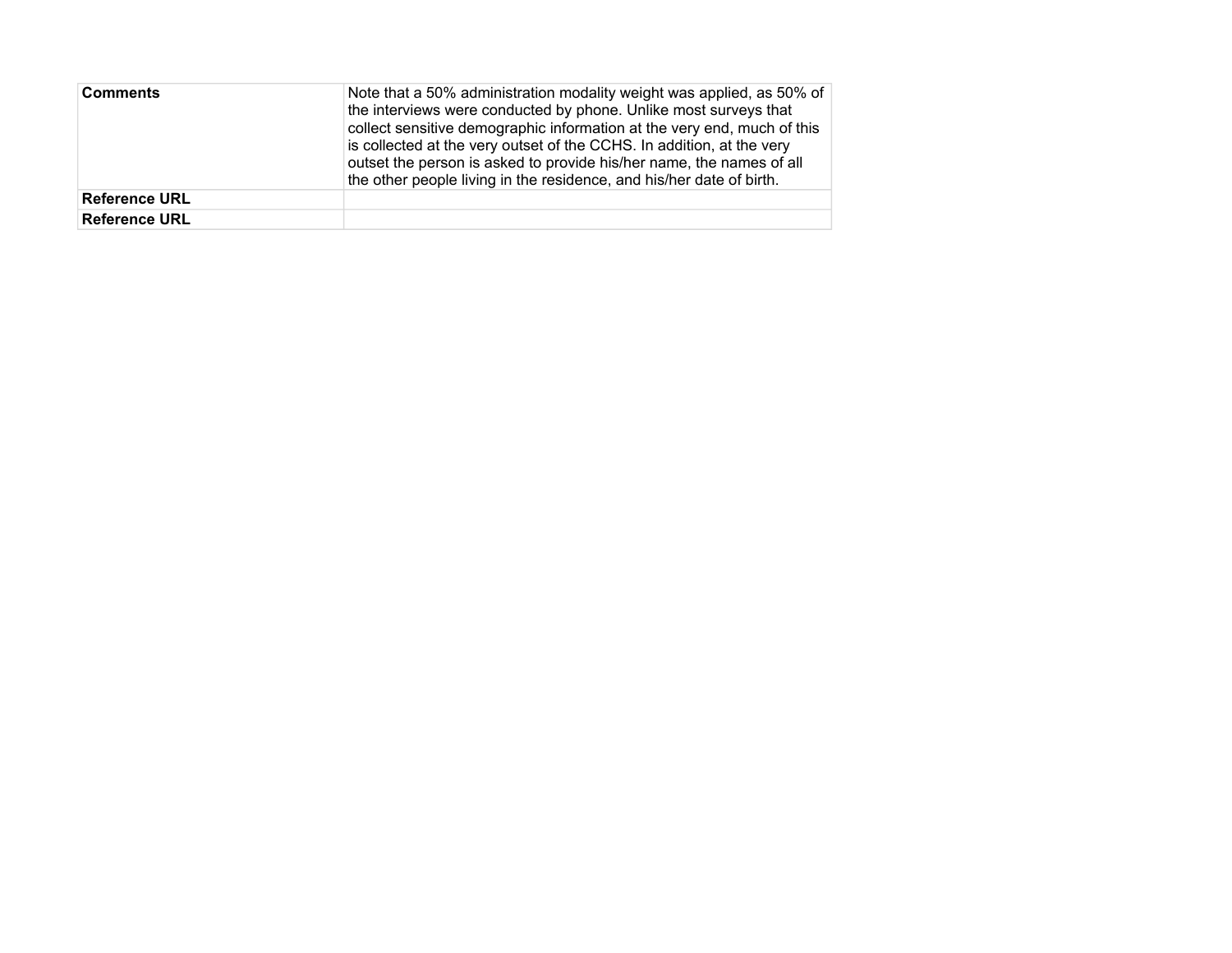| <b>Comments</b>      | Note that a 50% administration modality weight was applied, as 50% of<br>the interviews were conducted by phone. Unlike most surveys that<br>collect sensitive demographic information at the very end, much of this<br>is collected at the very outset of the CCHS. In addition, at the very<br>outset the person is asked to provide his/her name, the names of all<br>the other people living in the residence, and his/her date of birth. |
|----------------------|-----------------------------------------------------------------------------------------------------------------------------------------------------------------------------------------------------------------------------------------------------------------------------------------------------------------------------------------------------------------------------------------------------------------------------------------------|
| <b>Reference URL</b> |                                                                                                                                                                                                                                                                                                                                                                                                                                               |
| <b>Reference URL</b> |                                                                                                                                                                                                                                                                                                                                                                                                                                               |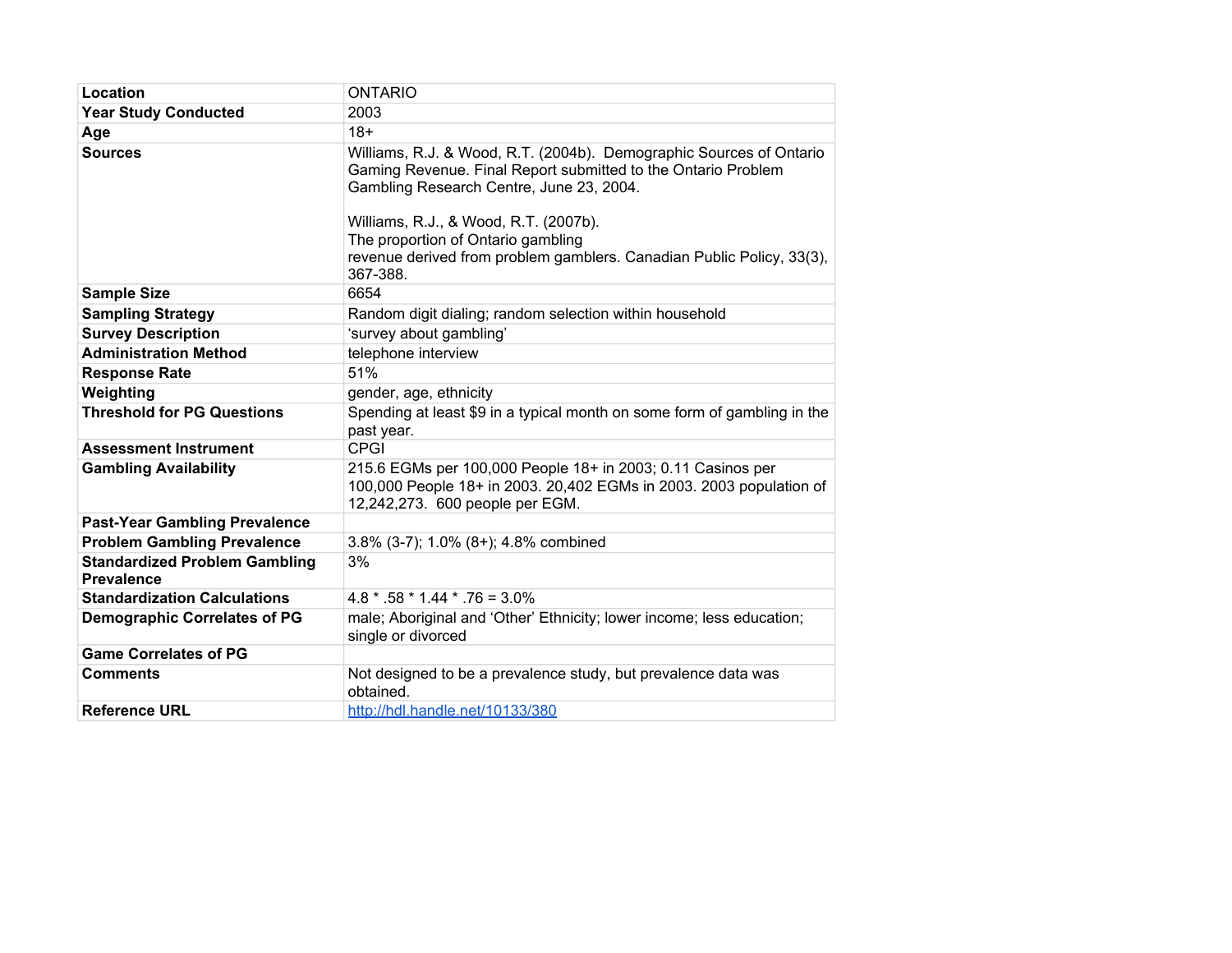| Location                                                  | <b>ONTARIO</b>                                                                                                                                                                                                                                                                                                                                       |  |
|-----------------------------------------------------------|------------------------------------------------------------------------------------------------------------------------------------------------------------------------------------------------------------------------------------------------------------------------------------------------------------------------------------------------------|--|
| <b>Year Study Conducted</b>                               | 2003                                                                                                                                                                                                                                                                                                                                                 |  |
| Age                                                       | $18+$                                                                                                                                                                                                                                                                                                                                                |  |
| <b>Sources</b>                                            | Williams, R.J. & Wood, R.T. (2004b). Demographic Sources of Ontario<br>Gaming Revenue. Final Report submitted to the Ontario Problem<br>Gambling Research Centre, June 23, 2004.<br>Williams, R.J., & Wood, R.T. (2007b).<br>The proportion of Ontario gambling<br>revenue derived from problem gamblers. Canadian Public Policy, 33(3),<br>367-388. |  |
| <b>Sample Size</b>                                        | 6654                                                                                                                                                                                                                                                                                                                                                 |  |
| <b>Sampling Strategy</b>                                  | Random digit dialing; random selection within household                                                                                                                                                                                                                                                                                              |  |
| <b>Survey Description</b>                                 | 'survey about gambling'                                                                                                                                                                                                                                                                                                                              |  |
| <b>Administration Method</b>                              | telephone interview                                                                                                                                                                                                                                                                                                                                  |  |
| <b>Response Rate</b>                                      | 51%                                                                                                                                                                                                                                                                                                                                                  |  |
| Weighting                                                 | gender, age, ethnicity                                                                                                                                                                                                                                                                                                                               |  |
| <b>Threshold for PG Questions</b>                         | Spending at least \$9 in a typical month on some form of gambling in the<br>past year.                                                                                                                                                                                                                                                               |  |
| <b>Assessment Instrument</b>                              | <b>CPGI</b>                                                                                                                                                                                                                                                                                                                                          |  |
| <b>Gambling Availability</b>                              | 215.6 EGMs per 100,000 People 18+ in 2003; 0.11 Casinos per<br>100,000 People 18+ in 2003. 20,402 EGMs in 2003. 2003 population of<br>12,242,273. 600 people per EGM.                                                                                                                                                                                |  |
| <b>Past-Year Gambling Prevalence</b>                      |                                                                                                                                                                                                                                                                                                                                                      |  |
| <b>Problem Gambling Prevalence</b>                        | 3.8% (3-7); 1.0% (8+); 4.8% combined                                                                                                                                                                                                                                                                                                                 |  |
| <b>Standardized Problem Gambling</b><br><b>Prevalence</b> | 3%                                                                                                                                                                                                                                                                                                                                                   |  |
| <b>Standardization Calculations</b>                       | $4.8 * .58 * 1.44 * .76 = 3.0\%$                                                                                                                                                                                                                                                                                                                     |  |
| <b>Demographic Correlates of PG</b>                       | male; Aboriginal and 'Other' Ethnicity; lower income; less education;<br>single or divorced                                                                                                                                                                                                                                                          |  |
| <b>Game Correlates of PG</b>                              |                                                                                                                                                                                                                                                                                                                                                      |  |
| <b>Comments</b>                                           | Not designed to be a prevalence study, but prevalence data was<br>obtained.                                                                                                                                                                                                                                                                          |  |
| <b>Reference URL</b>                                      | http://hdl.handle.net/10133/380                                                                                                                                                                                                                                                                                                                      |  |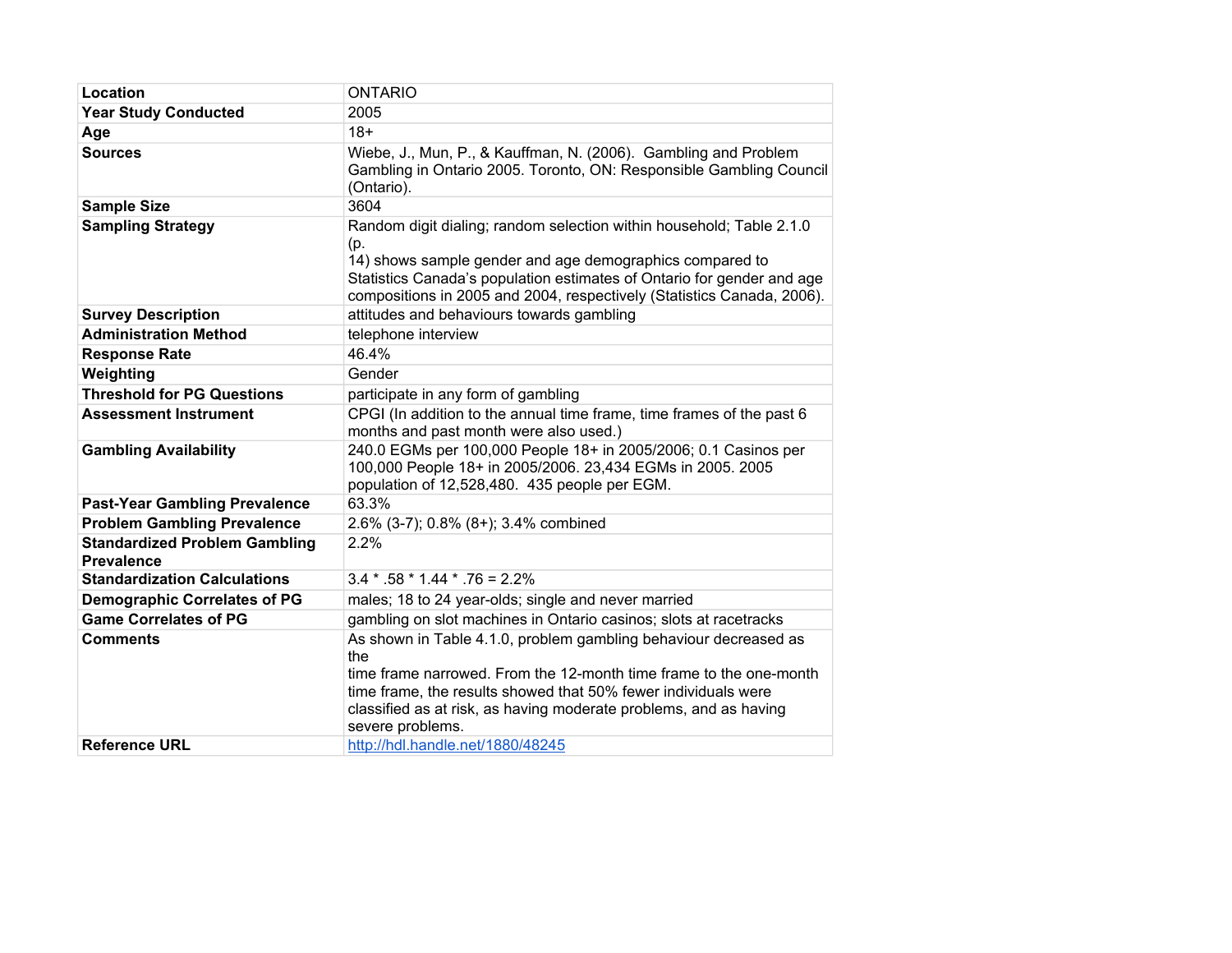| Location                                                  | <b>ONTARIO</b>                                                                                                                                                                                                                                                                                           |  |
|-----------------------------------------------------------|----------------------------------------------------------------------------------------------------------------------------------------------------------------------------------------------------------------------------------------------------------------------------------------------------------|--|
| <b>Year Study Conducted</b>                               | 2005                                                                                                                                                                                                                                                                                                     |  |
| Age                                                       | $18+$                                                                                                                                                                                                                                                                                                    |  |
| <b>Sources</b>                                            | Wiebe, J., Mun, P., & Kauffman, N. (2006). Gambling and Problem<br>Gambling in Ontario 2005. Toronto, ON: Responsible Gambling Council<br>(Ontario).                                                                                                                                                     |  |
| <b>Sample Size</b>                                        | 3604                                                                                                                                                                                                                                                                                                     |  |
| <b>Sampling Strategy</b>                                  | Random digit dialing; random selection within household; Table 2.1.0<br>(p.<br>14) shows sample gender and age demographics compared to<br>Statistics Canada's population estimates of Ontario for gender and age<br>compositions in 2005 and 2004, respectively (Statistics Canada, 2006).              |  |
| <b>Survey Description</b>                                 | attitudes and behaviours towards gambling                                                                                                                                                                                                                                                                |  |
| <b>Administration Method</b>                              | telephone interview                                                                                                                                                                                                                                                                                      |  |
| <b>Response Rate</b>                                      | 46.4%                                                                                                                                                                                                                                                                                                    |  |
| Weighting                                                 | Gender                                                                                                                                                                                                                                                                                                   |  |
| <b>Threshold for PG Questions</b>                         | participate in any form of gambling                                                                                                                                                                                                                                                                      |  |
| <b>Assessment Instrument</b>                              | CPGI (In addition to the annual time frame, time frames of the past 6<br>months and past month were also used.)                                                                                                                                                                                          |  |
| <b>Gambling Availability</b>                              | 240.0 EGMs per 100,000 People 18+ in 2005/2006; 0.1 Casinos per<br>100,000 People 18+ in 2005/2006. 23,434 EGMs in 2005. 2005<br>population of 12,528,480. 435 people per EGM.                                                                                                                           |  |
| <b>Past-Year Gambling Prevalence</b>                      | 63.3%                                                                                                                                                                                                                                                                                                    |  |
| <b>Problem Gambling Prevalence</b>                        | 2.6% (3-7); 0.8% (8+); 3.4% combined                                                                                                                                                                                                                                                                     |  |
| <b>Standardized Problem Gambling</b><br><b>Prevalence</b> | 2.2%                                                                                                                                                                                                                                                                                                     |  |
| <b>Standardization Calculations</b>                       | $3.4 * .58 * 1.44 * .76 = 2.2%$                                                                                                                                                                                                                                                                          |  |
| <b>Demographic Correlates of PG</b>                       | males; 18 to 24 year-olds; single and never married                                                                                                                                                                                                                                                      |  |
| <b>Game Correlates of PG</b>                              | gambling on slot machines in Ontario casinos; slots at racetracks                                                                                                                                                                                                                                        |  |
| <b>Comments</b>                                           | As shown in Table 4.1.0, problem gambling behaviour decreased as<br>the<br>time frame narrowed. From the 12-month time frame to the one-month<br>time frame, the results showed that 50% fewer individuals were<br>classified as at risk, as having moderate problems, and as having<br>severe problems. |  |
| <b>Reference URL</b>                                      | http://hdl.handle.net/1880/48245                                                                                                                                                                                                                                                                         |  |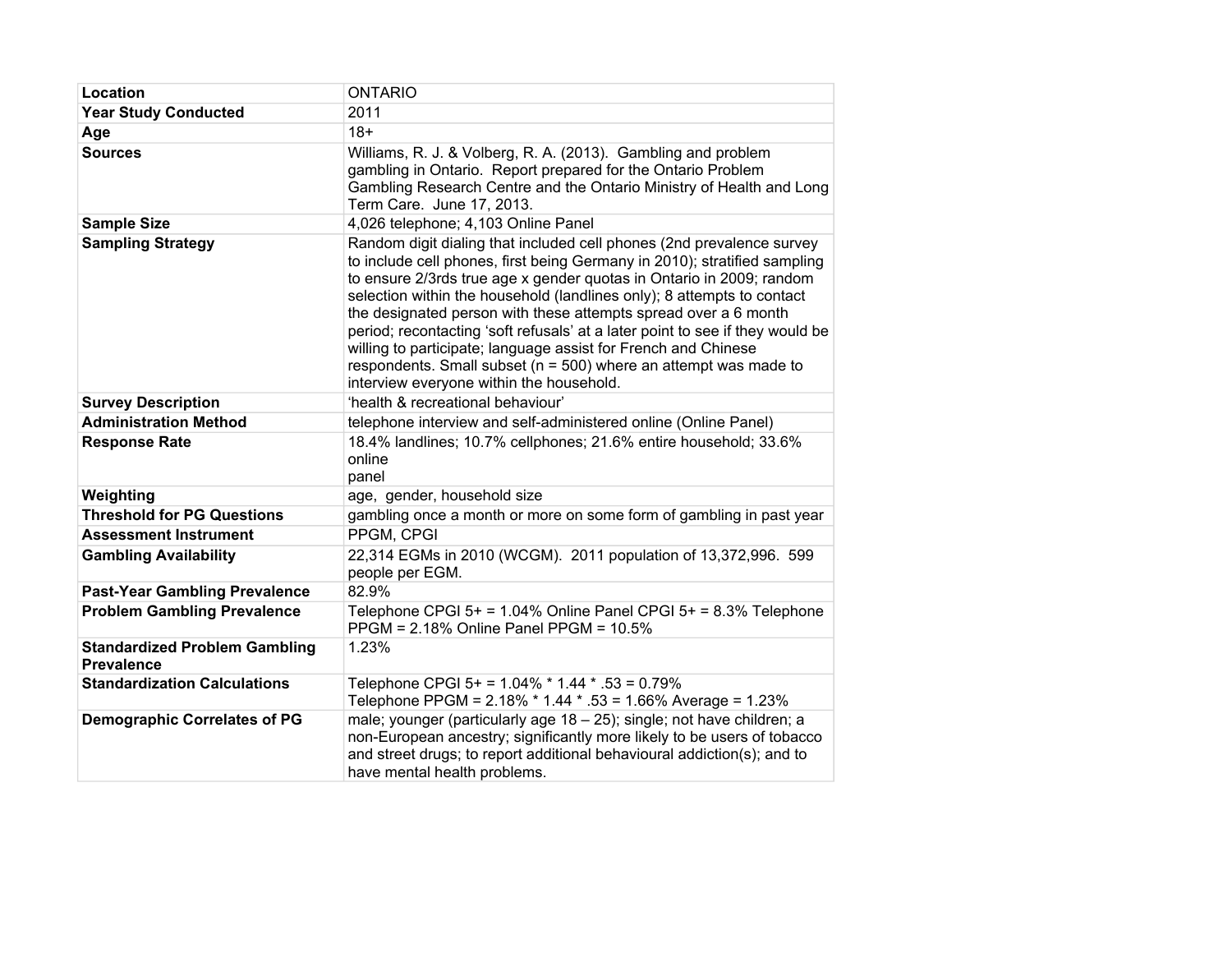| Location                                                  | <b>ONTARIO</b>                                                                                                                                                                                                                                                                                                                                                                                                                                                                                                                                                                                                                                 |  |
|-----------------------------------------------------------|------------------------------------------------------------------------------------------------------------------------------------------------------------------------------------------------------------------------------------------------------------------------------------------------------------------------------------------------------------------------------------------------------------------------------------------------------------------------------------------------------------------------------------------------------------------------------------------------------------------------------------------------|--|
| <b>Year Study Conducted</b>                               | 2011                                                                                                                                                                                                                                                                                                                                                                                                                                                                                                                                                                                                                                           |  |
| Age                                                       | $18+$                                                                                                                                                                                                                                                                                                                                                                                                                                                                                                                                                                                                                                          |  |
| <b>Sources</b>                                            | Williams, R. J. & Volberg, R. A. (2013). Gambling and problem<br>gambling in Ontario. Report prepared for the Ontario Problem<br>Gambling Research Centre and the Ontario Ministry of Health and Long<br>Term Care. June 17, 2013.                                                                                                                                                                                                                                                                                                                                                                                                             |  |
| <b>Sample Size</b>                                        | 4,026 telephone; 4,103 Online Panel                                                                                                                                                                                                                                                                                                                                                                                                                                                                                                                                                                                                            |  |
| <b>Sampling Strategy</b>                                  | Random digit dialing that included cell phones (2nd prevalence survey<br>to include cell phones, first being Germany in 2010); stratified sampling<br>to ensure 2/3rds true age x gender quotas in Ontario in 2009; random<br>selection within the household (landlines only); 8 attempts to contact<br>the designated person with these attempts spread over a 6 month<br>period; recontacting 'soft refusals' at a later point to see if they would be<br>willing to participate; language assist for French and Chinese<br>respondents. Small subset ( $n = 500$ ) where an attempt was made to<br>interview everyone within the household. |  |
| <b>Survey Description</b>                                 | 'health & recreational behaviour'                                                                                                                                                                                                                                                                                                                                                                                                                                                                                                                                                                                                              |  |
| <b>Administration Method</b>                              | telephone interview and self-administered online (Online Panel)                                                                                                                                                                                                                                                                                                                                                                                                                                                                                                                                                                                |  |
| <b>Response Rate</b>                                      | 18.4% landlines; 10.7% cellphones; 21.6% entire household; 33.6%<br>online<br>panel                                                                                                                                                                                                                                                                                                                                                                                                                                                                                                                                                            |  |
| Weighting                                                 | age, gender, household size                                                                                                                                                                                                                                                                                                                                                                                                                                                                                                                                                                                                                    |  |
| <b>Threshold for PG Questions</b>                         | gambling once a month or more on some form of gambling in past year                                                                                                                                                                                                                                                                                                                                                                                                                                                                                                                                                                            |  |
| <b>Assessment Instrument</b>                              | PPGM, CPGI                                                                                                                                                                                                                                                                                                                                                                                                                                                                                                                                                                                                                                     |  |
| <b>Gambling Availability</b>                              | 22,314 EGMs in 2010 (WCGM). 2011 population of 13,372,996. 599<br>people per EGM.                                                                                                                                                                                                                                                                                                                                                                                                                                                                                                                                                              |  |
| <b>Past-Year Gambling Prevalence</b>                      | 82.9%                                                                                                                                                                                                                                                                                                                                                                                                                                                                                                                                                                                                                                          |  |
| <b>Problem Gambling Prevalence</b>                        | Telephone CPGI $5+ = 1.04\%$ Online Panel CPGI $5+ = 8.3\%$ Telephone<br>PPGM = 2.18% Online Panel PPGM = 10.5%                                                                                                                                                                                                                                                                                                                                                                                                                                                                                                                                |  |
| <b>Standardized Problem Gambling</b><br><b>Prevalence</b> | 1.23%                                                                                                                                                                                                                                                                                                                                                                                                                                                                                                                                                                                                                                          |  |
| <b>Standardization Calculations</b>                       | Telephone CPGI 5+ = $1.04\%$ * $1.44$ * .53 = 0.79%<br>Telephone PPGM = 2.18% * 1.44 * .53 = 1.66% Average = 1.23%                                                                                                                                                                                                                                                                                                                                                                                                                                                                                                                             |  |
| <b>Demographic Correlates of PG</b>                       | male; younger (particularly age 18 - 25); single; not have children; a<br>non-European ancestry; significantly more likely to be users of tobacco<br>and street drugs; to report additional behavioural addiction(s); and to<br>have mental health problems.                                                                                                                                                                                                                                                                                                                                                                                   |  |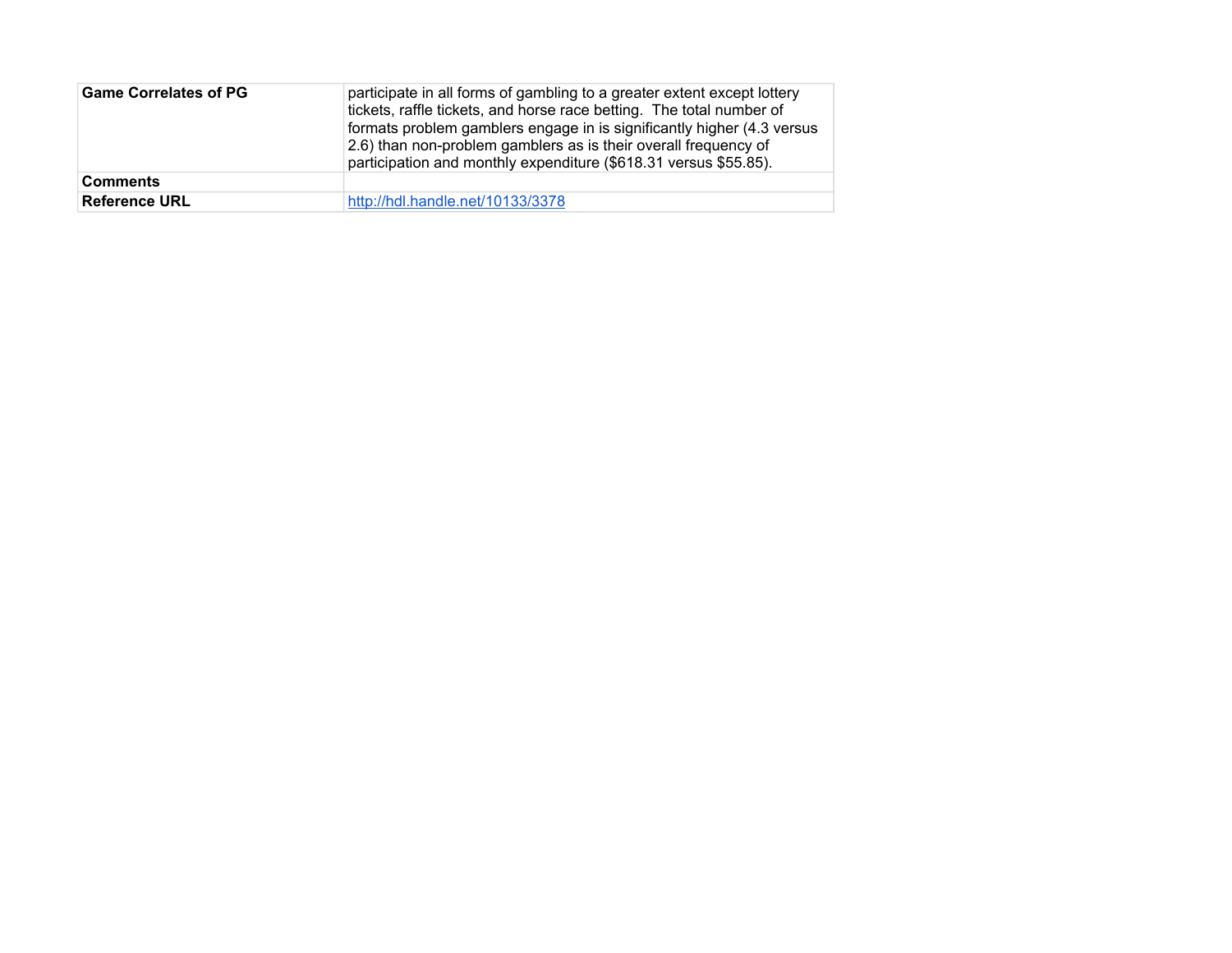| <b>Game Correlates of PG</b> | participate in all forms of gambling to a greater extent except lottery<br>tickets, raffle tickets, and horse race betting. The total number of<br>formats problem gamblers engage in is significantly higher (4.3 versus<br>2.6) than non-problem gamblers as is their overall frequency of<br>participation and monthly expenditure (\$618.31 versus \$55.85). |  |
|------------------------------|------------------------------------------------------------------------------------------------------------------------------------------------------------------------------------------------------------------------------------------------------------------------------------------------------------------------------------------------------------------|--|
| <b>Comments</b>              |                                                                                                                                                                                                                                                                                                                                                                  |  |
| <b>Reference URL</b>         | http://hdl.handle.net/10133/3378                                                                                                                                                                                                                                                                                                                                 |  |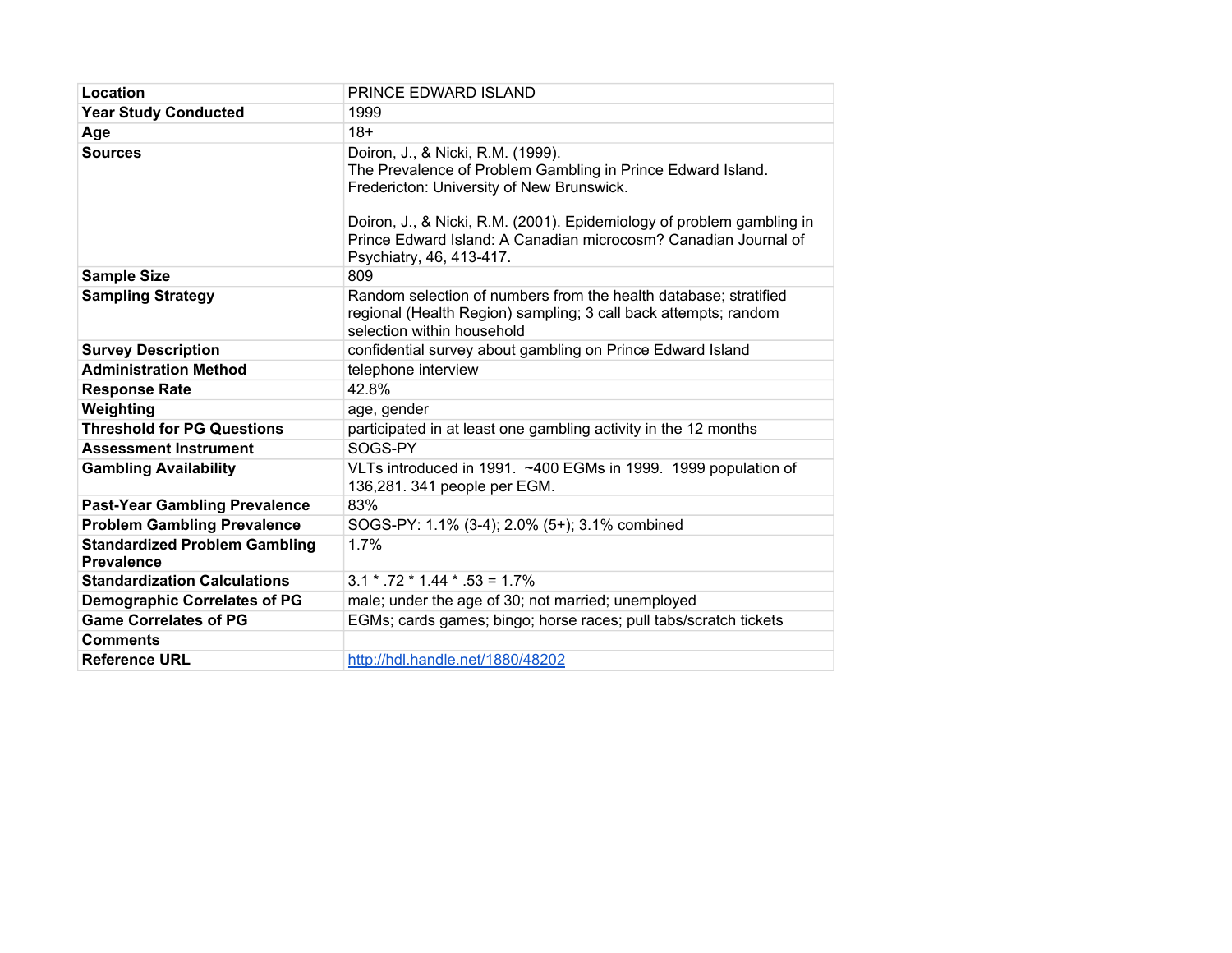| Location                                                  | PRINCE EDWARD ISLAND                                                                                                                                                                                                                                                                                                  |  |
|-----------------------------------------------------------|-----------------------------------------------------------------------------------------------------------------------------------------------------------------------------------------------------------------------------------------------------------------------------------------------------------------------|--|
| <b>Year Study Conducted</b>                               | 1999                                                                                                                                                                                                                                                                                                                  |  |
| Age                                                       | $18+$                                                                                                                                                                                                                                                                                                                 |  |
| <b>Sources</b>                                            | Doiron, J., & Nicki, R.M. (1999).<br>The Prevalence of Problem Gambling in Prince Edward Island.<br>Fredericton: University of New Brunswick.<br>Doiron, J., & Nicki, R.M. (2001). Epidemiology of problem gambling in<br>Prince Edward Island: A Canadian microcosm? Canadian Journal of<br>Psychiatry, 46, 413-417. |  |
| <b>Sample Size</b>                                        | 809                                                                                                                                                                                                                                                                                                                   |  |
| <b>Sampling Strategy</b>                                  | Random selection of numbers from the health database; stratified<br>regional (Health Region) sampling; 3 call back attempts; random<br>selection within household                                                                                                                                                     |  |
| <b>Survey Description</b>                                 | confidential survey about gambling on Prince Edward Island                                                                                                                                                                                                                                                            |  |
| <b>Administration Method</b>                              | telephone interview                                                                                                                                                                                                                                                                                                   |  |
| <b>Response Rate</b>                                      | 42.8%                                                                                                                                                                                                                                                                                                                 |  |
| Weighting                                                 | age, gender                                                                                                                                                                                                                                                                                                           |  |
| <b>Threshold for PG Questions</b>                         | participated in at least one gambling activity in the 12 months                                                                                                                                                                                                                                                       |  |
| <b>Assessment Instrument</b>                              | SOGS-PY                                                                                                                                                                                                                                                                                                               |  |
| <b>Gambling Availability</b>                              | VLTs introduced in 1991. ~400 EGMs in 1999. 1999 population of<br>136,281. 341 people per EGM.                                                                                                                                                                                                                        |  |
| <b>Past-Year Gambling Prevalence</b>                      | 83%                                                                                                                                                                                                                                                                                                                   |  |
| <b>Problem Gambling Prevalence</b>                        | SOGS-PY: 1.1% (3-4); 2.0% (5+); 3.1% combined                                                                                                                                                                                                                                                                         |  |
| <b>Standardized Problem Gambling</b><br><b>Prevalence</b> | 1.7%                                                                                                                                                                                                                                                                                                                  |  |
| <b>Standardization Calculations</b>                       | $3.1 * .72 * 1.44 * .53 = 1.7%$                                                                                                                                                                                                                                                                                       |  |
| <b>Demographic Correlates of PG</b>                       | male; under the age of 30; not married; unemployed                                                                                                                                                                                                                                                                    |  |
| <b>Game Correlates of PG</b>                              | EGMs; cards games; bingo; horse races; pull tabs/scratch tickets                                                                                                                                                                                                                                                      |  |
| <b>Comments</b>                                           |                                                                                                                                                                                                                                                                                                                       |  |
| <b>Reference URL</b>                                      | http://hdl.handle.net/1880/48202                                                                                                                                                                                                                                                                                      |  |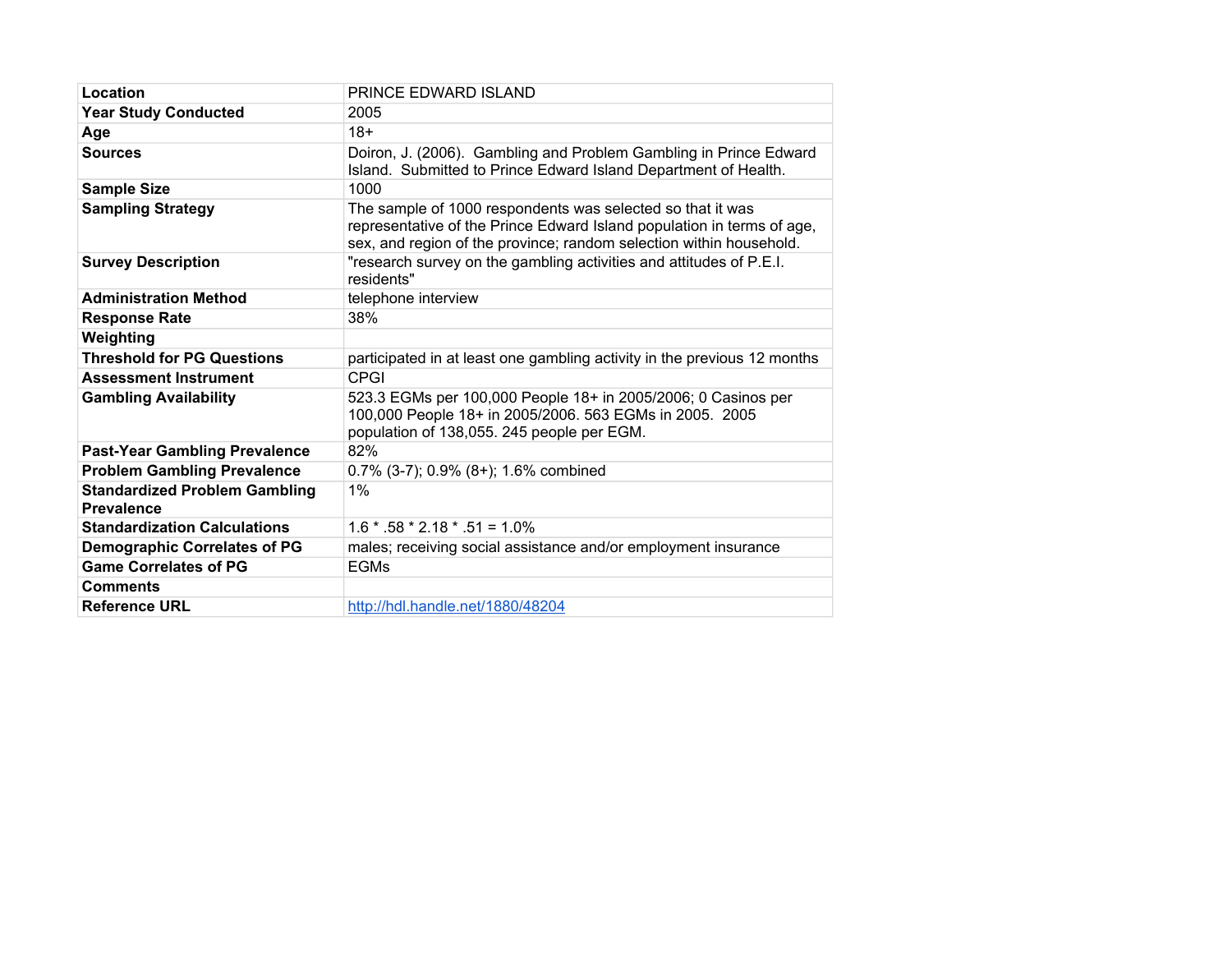| Location                                                  | PRINCE EDWARD ISLAND                                                                                                                                                                                        |  |
|-----------------------------------------------------------|-------------------------------------------------------------------------------------------------------------------------------------------------------------------------------------------------------------|--|
| <b>Year Study Conducted</b>                               | 2005                                                                                                                                                                                                        |  |
| Age                                                       | $18+$                                                                                                                                                                                                       |  |
| <b>Sources</b>                                            | Doiron, J. (2006). Gambling and Problem Gambling in Prince Edward<br>Island. Submitted to Prince Edward Island Department of Health.                                                                        |  |
| <b>Sample Size</b>                                        | 1000                                                                                                                                                                                                        |  |
| <b>Sampling Strategy</b>                                  | The sample of 1000 respondents was selected so that it was<br>representative of the Prince Edward Island population in terms of age,<br>sex, and region of the province; random selection within household. |  |
| <b>Survey Description</b>                                 | "research survey on the gambling activities and attitudes of P.E.I.<br>residents"                                                                                                                           |  |
| <b>Administration Method</b>                              | telephone interview                                                                                                                                                                                         |  |
| <b>Response Rate</b>                                      | 38%                                                                                                                                                                                                         |  |
| Weighting                                                 |                                                                                                                                                                                                             |  |
| <b>Threshold for PG Questions</b>                         | participated in at least one gambling activity in the previous 12 months                                                                                                                                    |  |
| <b>Assessment Instrument</b>                              | <b>CPGI</b>                                                                                                                                                                                                 |  |
| <b>Gambling Availability</b>                              | 523.3 EGMs per 100,000 People 18+ in 2005/2006; 0 Casinos per<br>100,000 People 18+ in 2005/2006. 563 EGMs in 2005. 2005<br>population of 138,055. 245 people per EGM.                                      |  |
| <b>Past-Year Gambling Prevalence</b>                      | 82%                                                                                                                                                                                                         |  |
| <b>Problem Gambling Prevalence</b>                        | $0.7\%$ (3-7); 0.9% (8+); 1.6% combined                                                                                                                                                                     |  |
| <b>Standardized Problem Gambling</b><br><b>Prevalence</b> | 1%                                                                                                                                                                                                          |  |
| <b>Standardization Calculations</b>                       | $1.6 * .58 * 2.18 * .51 = 1.0\%$                                                                                                                                                                            |  |
| <b>Demographic Correlates of PG</b>                       | males; receiving social assistance and/or employment insurance                                                                                                                                              |  |
| <b>Game Correlates of PG</b>                              | <b>EGMs</b>                                                                                                                                                                                                 |  |
| <b>Comments</b>                                           |                                                                                                                                                                                                             |  |
| <b>Reference URL</b>                                      | http://hdl.handle.net/1880/48204                                                                                                                                                                            |  |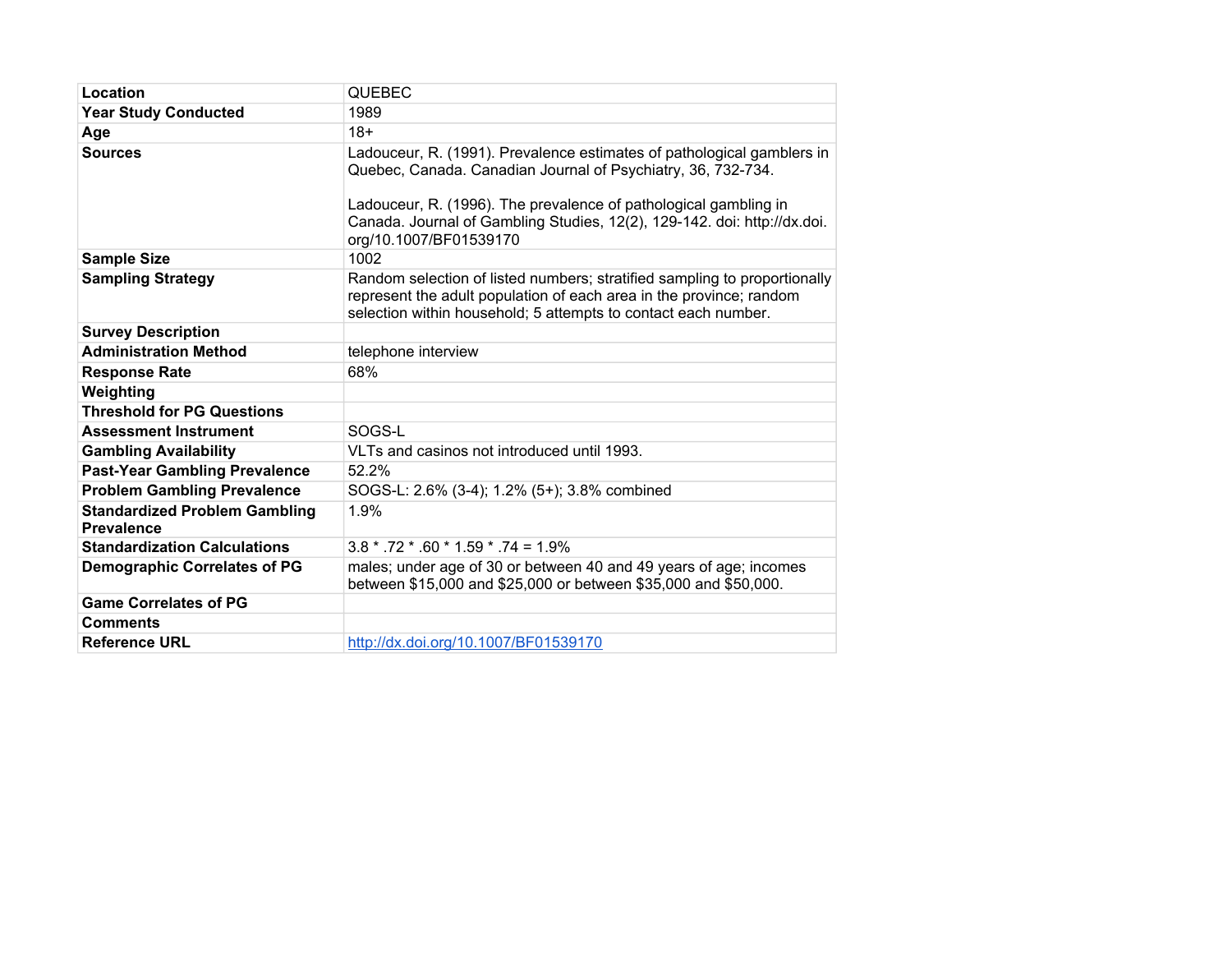| Location                                                  | <b>QUEBEC</b>                                                                                                                                                                                                                                                                                                    |  |
|-----------------------------------------------------------|------------------------------------------------------------------------------------------------------------------------------------------------------------------------------------------------------------------------------------------------------------------------------------------------------------------|--|
| <b>Year Study Conducted</b>                               | 1989                                                                                                                                                                                                                                                                                                             |  |
| Age                                                       | $18+$                                                                                                                                                                                                                                                                                                            |  |
| <b>Sources</b>                                            | Ladouceur, R. (1991). Prevalence estimates of pathological gamblers in<br>Quebec, Canada. Canadian Journal of Psychiatry, 36, 732-734.<br>Ladouceur, R. (1996). The prevalence of pathological gambling in<br>Canada. Journal of Gambling Studies, 12(2), 129-142. doi: http://dx.doi.<br>org/10.1007/BF01539170 |  |
| <b>Sample Size</b>                                        | 1002                                                                                                                                                                                                                                                                                                             |  |
| <b>Sampling Strategy</b>                                  | Random selection of listed numbers; stratified sampling to proportionally<br>represent the adult population of each area in the province; random<br>selection within household; 5 attempts to contact each number.                                                                                               |  |
| <b>Survey Description</b>                                 |                                                                                                                                                                                                                                                                                                                  |  |
| <b>Administration Method</b>                              | telephone interview                                                                                                                                                                                                                                                                                              |  |
| <b>Response Rate</b>                                      | 68%                                                                                                                                                                                                                                                                                                              |  |
| Weighting                                                 |                                                                                                                                                                                                                                                                                                                  |  |
| <b>Threshold for PG Questions</b>                         |                                                                                                                                                                                                                                                                                                                  |  |
| <b>Assessment Instrument</b>                              | SOGS-L                                                                                                                                                                                                                                                                                                           |  |
| <b>Gambling Availability</b>                              | VLTs and casinos not introduced until 1993.                                                                                                                                                                                                                                                                      |  |
| <b>Past-Year Gambling Prevalence</b>                      | 52.2%                                                                                                                                                                                                                                                                                                            |  |
| <b>Problem Gambling Prevalence</b>                        | SOGS-L: 2.6% (3-4); 1.2% (5+); 3.8% combined                                                                                                                                                                                                                                                                     |  |
| <b>Standardized Problem Gambling</b><br><b>Prevalence</b> | 1.9%                                                                                                                                                                                                                                                                                                             |  |
| <b>Standardization Calculations</b>                       | $3.8 * .72 * .60 * 1.59 * .74 = 1.9\%$                                                                                                                                                                                                                                                                           |  |
| <b>Demographic Correlates of PG</b>                       | males; under age of 30 or between 40 and 49 years of age; incomes<br>between \$15,000 and \$25,000 or between \$35,000 and \$50,000.                                                                                                                                                                             |  |
| <b>Game Correlates of PG</b>                              |                                                                                                                                                                                                                                                                                                                  |  |
| <b>Comments</b>                                           |                                                                                                                                                                                                                                                                                                                  |  |
| <b>Reference URL</b>                                      | http://dx.doi.org/10.1007/BF01539170                                                                                                                                                                                                                                                                             |  |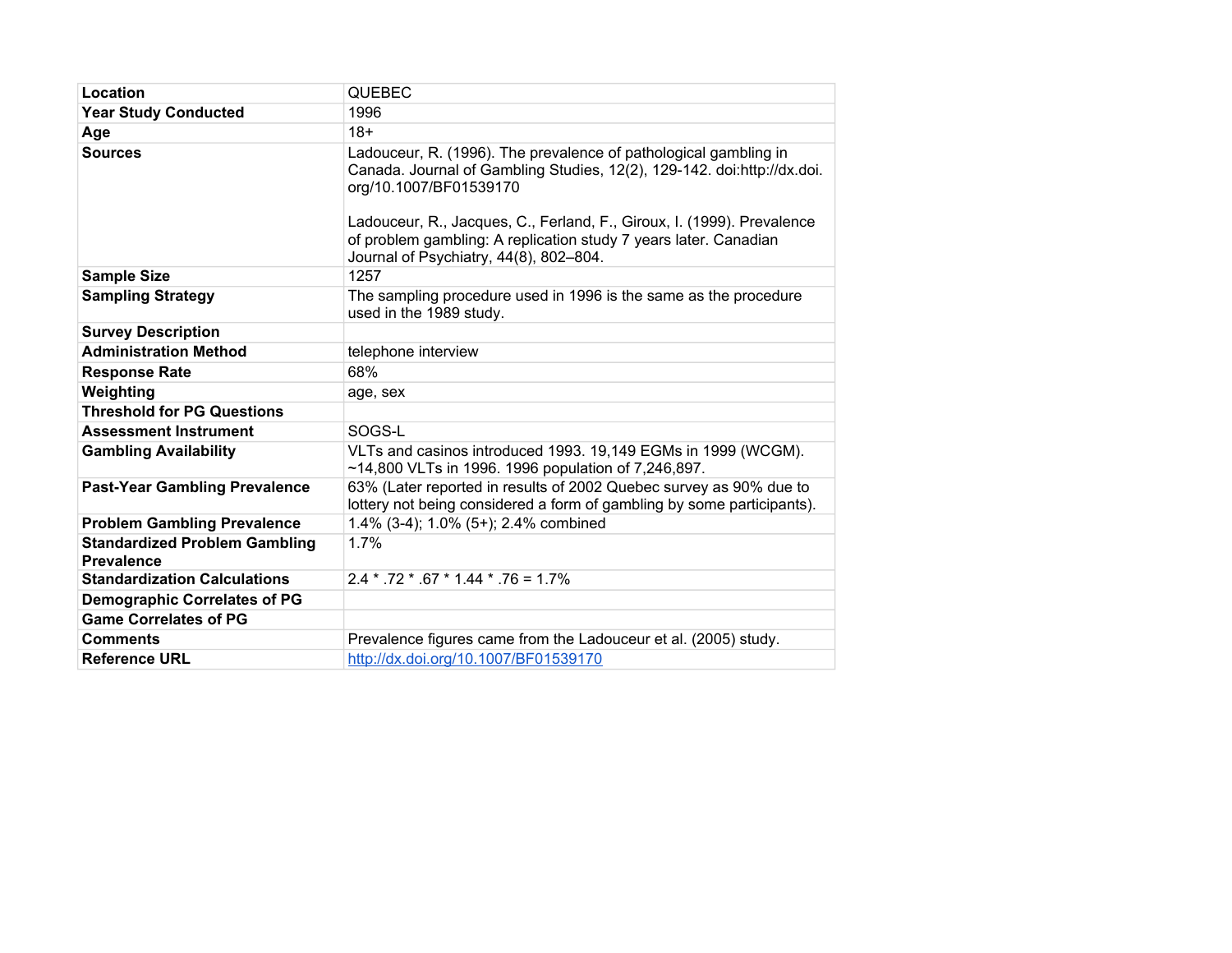| Location                                                  | <b>QUEBEC</b>                                                                                                                                                                                                                                                                                                                                                 |  |
|-----------------------------------------------------------|---------------------------------------------------------------------------------------------------------------------------------------------------------------------------------------------------------------------------------------------------------------------------------------------------------------------------------------------------------------|--|
| <b>Year Study Conducted</b>                               | 1996                                                                                                                                                                                                                                                                                                                                                          |  |
| Age                                                       | $18+$                                                                                                                                                                                                                                                                                                                                                         |  |
| <b>Sources</b>                                            | Ladouceur, R. (1996). The prevalence of pathological gambling in<br>Canada. Journal of Gambling Studies, 12(2), 129-142. doi:http://dx.doi.<br>org/10.1007/BF01539170<br>Ladouceur, R., Jacques, C., Ferland, F., Giroux, I. (1999). Prevalence<br>of problem gambling: A replication study 7 years later. Canadian<br>Journal of Psychiatry, 44(8), 802-804. |  |
| <b>Sample Size</b>                                        | 1257                                                                                                                                                                                                                                                                                                                                                          |  |
| <b>Sampling Strategy</b>                                  | The sampling procedure used in 1996 is the same as the procedure<br>used in the 1989 study.                                                                                                                                                                                                                                                                   |  |
| <b>Survey Description</b>                                 |                                                                                                                                                                                                                                                                                                                                                               |  |
| <b>Administration Method</b>                              | telephone interview                                                                                                                                                                                                                                                                                                                                           |  |
| <b>Response Rate</b>                                      | 68%                                                                                                                                                                                                                                                                                                                                                           |  |
| Weighting                                                 | age, sex                                                                                                                                                                                                                                                                                                                                                      |  |
| <b>Threshold for PG Questions</b>                         |                                                                                                                                                                                                                                                                                                                                                               |  |
| <b>Assessment Instrument</b>                              | SOGS-L                                                                                                                                                                                                                                                                                                                                                        |  |
| <b>Gambling Availability</b>                              | VLTs and casinos introduced 1993. 19,149 EGMs in 1999 (WCGM).<br>~14,800 VLTs in 1996. 1996 population of 7,246,897.                                                                                                                                                                                                                                          |  |
| <b>Past-Year Gambling Prevalence</b>                      | 63% (Later reported in results of 2002 Quebec survey as 90% due to<br>lottery not being considered a form of gambling by some participants).                                                                                                                                                                                                                  |  |
| <b>Problem Gambling Prevalence</b>                        | 1.4% (3-4); 1.0% (5+); 2.4% combined                                                                                                                                                                                                                                                                                                                          |  |
| <b>Standardized Problem Gambling</b><br><b>Prevalence</b> | 1.7%                                                                                                                                                                                                                                                                                                                                                          |  |
| <b>Standardization Calculations</b>                       | $2.4 * .72 * .67 * 1.44 * .76 = 1.7%$                                                                                                                                                                                                                                                                                                                         |  |
| <b>Demographic Correlates of PG</b>                       |                                                                                                                                                                                                                                                                                                                                                               |  |
| <b>Game Correlates of PG</b>                              |                                                                                                                                                                                                                                                                                                                                                               |  |
| <b>Comments</b>                                           | Prevalence figures came from the Ladouceur et al. (2005) study.                                                                                                                                                                                                                                                                                               |  |
| <b>Reference URL</b>                                      | http://dx.doi.org/10.1007/BF01539170                                                                                                                                                                                                                                                                                                                          |  |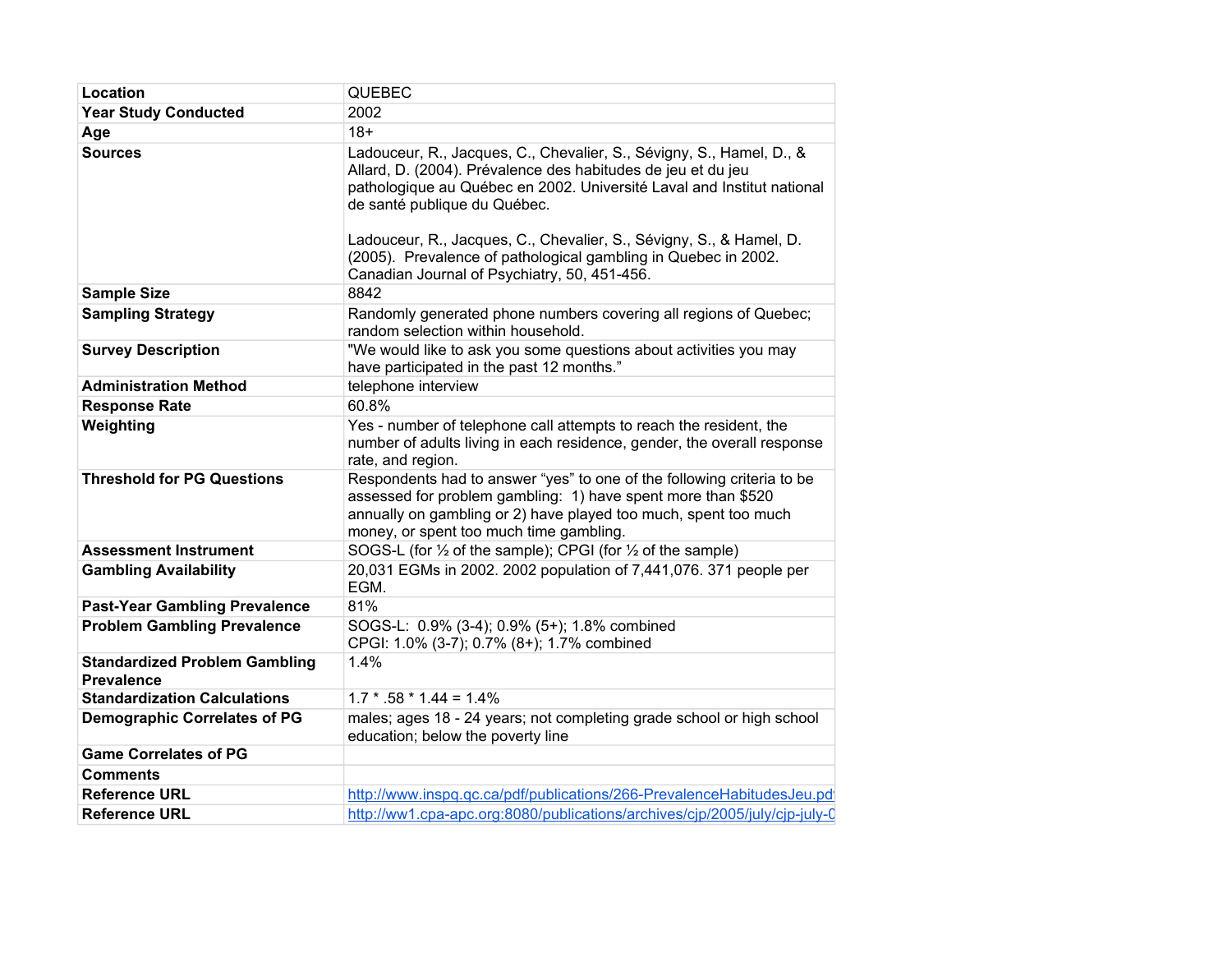| Location                                                  | <b>QUEBEC</b>                                                                                                                                                                                                                                                                                                                                                                                                                           |
|-----------------------------------------------------------|-----------------------------------------------------------------------------------------------------------------------------------------------------------------------------------------------------------------------------------------------------------------------------------------------------------------------------------------------------------------------------------------------------------------------------------------|
| <b>Year Study Conducted</b>                               | 2002                                                                                                                                                                                                                                                                                                                                                                                                                                    |
| Age                                                       | $18+$                                                                                                                                                                                                                                                                                                                                                                                                                                   |
| <b>Sources</b>                                            | Ladouceur, R., Jacques, C., Chevalier, S., Sévigny, S., Hamel, D., &<br>Allard, D. (2004). Prévalence des habitudes de jeu et du jeu<br>pathologique au Québec en 2002. Université Laval and Institut national<br>de santé publique du Québec.<br>Ladouceur, R., Jacques, C., Chevalier, S., Sévigny, S., & Hamel, D.<br>(2005). Prevalence of pathological gambling in Quebec in 2002.<br>Canadian Journal of Psychiatry, 50, 451-456. |
| <b>Sample Size</b>                                        | 8842                                                                                                                                                                                                                                                                                                                                                                                                                                    |
| <b>Sampling Strategy</b>                                  | Randomly generated phone numbers covering all regions of Quebec;<br>random selection within household.                                                                                                                                                                                                                                                                                                                                  |
| <b>Survey Description</b>                                 | "We would like to ask you some questions about activities you may<br>have participated in the past 12 months."                                                                                                                                                                                                                                                                                                                          |
| <b>Administration Method</b>                              | telephone interview                                                                                                                                                                                                                                                                                                                                                                                                                     |
| <b>Response Rate</b>                                      | 60.8%                                                                                                                                                                                                                                                                                                                                                                                                                                   |
| Weighting                                                 | Yes - number of telephone call attempts to reach the resident, the<br>number of adults living in each residence, gender, the overall response<br>rate, and region.                                                                                                                                                                                                                                                                      |
| <b>Threshold for PG Questions</b>                         | Respondents had to answer "yes" to one of the following criteria to be<br>assessed for problem gambling: 1) have spent more than \$520<br>annually on gambling or 2) have played too much, spent too much<br>money, or spent too much time gambling.                                                                                                                                                                                    |
| <b>Assessment Instrument</b>                              | SOGS-L (for 1/2 of the sample); CPGI (for 1/2 of the sample)                                                                                                                                                                                                                                                                                                                                                                            |
| <b>Gambling Availability</b>                              | 20,031 EGMs in 2002. 2002 population of 7,441,076. 371 people per<br>EGM.                                                                                                                                                                                                                                                                                                                                                               |
| <b>Past-Year Gambling Prevalence</b>                      | 81%                                                                                                                                                                                                                                                                                                                                                                                                                                     |
| <b>Problem Gambling Prevalence</b>                        | SOGS-L: 0.9% (3-4); 0.9% (5+); 1.8% combined<br>CPGI: 1.0% (3-7); 0.7% (8+); 1.7% combined                                                                                                                                                                                                                                                                                                                                              |
| <b>Standardized Problem Gambling</b><br><b>Prevalence</b> | 1.4%                                                                                                                                                                                                                                                                                                                                                                                                                                    |
| <b>Standardization Calculations</b>                       | $1.7 * .58 * 1.44 = 1.4%$                                                                                                                                                                                                                                                                                                                                                                                                               |
| <b>Demographic Correlates of PG</b>                       | males; ages 18 - 24 years; not completing grade school or high school<br>education; below the poverty line                                                                                                                                                                                                                                                                                                                              |
| <b>Game Correlates of PG</b>                              |                                                                                                                                                                                                                                                                                                                                                                                                                                         |
| <b>Comments</b>                                           |                                                                                                                                                                                                                                                                                                                                                                                                                                         |
| <b>Reference URL</b>                                      | http://www.inspq.qc.ca/pdf/publications/266-PrevalenceHabitudesJeu.pdf                                                                                                                                                                                                                                                                                                                                                                  |
| <b>Reference URL</b>                                      | http://ww1.cpa-apc.org:8080/publications/archives/cjp/2005/july/cjp-july-0                                                                                                                                                                                                                                                                                                                                                              |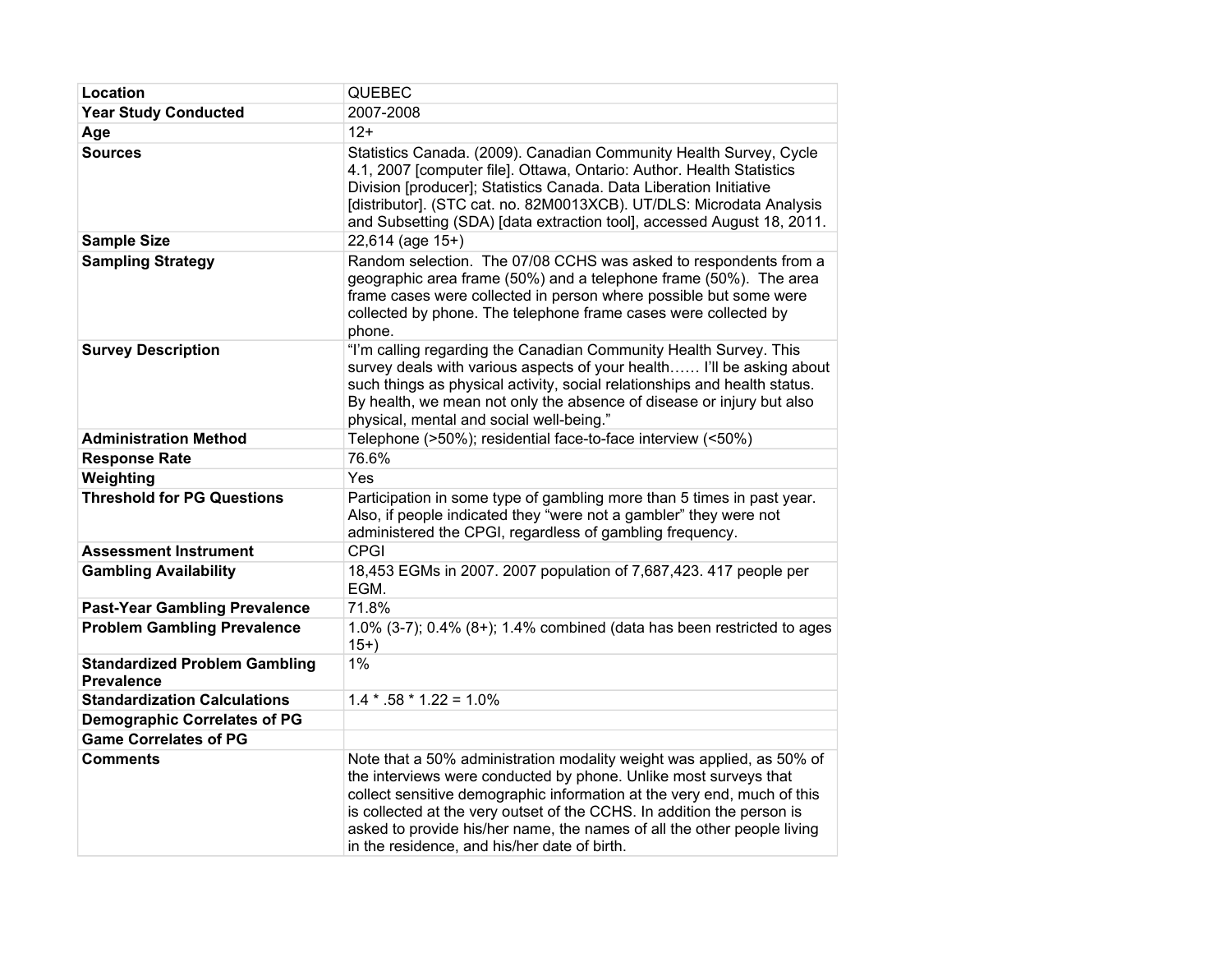| Location                                                  | <b>QUEBEC</b>                                                                                                                                                                                                                                                                                                                                                                                                             |
|-----------------------------------------------------------|---------------------------------------------------------------------------------------------------------------------------------------------------------------------------------------------------------------------------------------------------------------------------------------------------------------------------------------------------------------------------------------------------------------------------|
| <b>Year Study Conducted</b>                               | 2007-2008                                                                                                                                                                                                                                                                                                                                                                                                                 |
| Age                                                       | $12+$                                                                                                                                                                                                                                                                                                                                                                                                                     |
| <b>Sources</b>                                            | Statistics Canada. (2009). Canadian Community Health Survey, Cycle<br>4.1, 2007 [computer file]. Ottawa, Ontario: Author. Health Statistics<br>Division [producer]; Statistics Canada. Data Liberation Initiative<br>[distributor]. (STC cat. no. 82M0013XCB). UT/DLS: Microdata Analysis<br>and Subsetting (SDA) [data extraction tool], accessed August 18, 2011.                                                       |
| <b>Sample Size</b>                                        | $22,614$ (age $15+$ )                                                                                                                                                                                                                                                                                                                                                                                                     |
| <b>Sampling Strategy</b>                                  | Random selection. The 07/08 CCHS was asked to respondents from a<br>geographic area frame (50%) and a telephone frame (50%). The area<br>frame cases were collected in person where possible but some were<br>collected by phone. The telephone frame cases were collected by<br>phone.                                                                                                                                   |
| <b>Survey Description</b>                                 | "I'm calling regarding the Canadian Community Health Survey. This<br>survey deals with various aspects of your health I'll be asking about<br>such things as physical activity, social relationships and health status.<br>By health, we mean not only the absence of disease or injury but also<br>physical, mental and social well-being."                                                                              |
| <b>Administration Method</b>                              | Telephone (>50%); residential face-to-face interview (<50%)                                                                                                                                                                                                                                                                                                                                                               |
| <b>Response Rate</b>                                      | 76.6%                                                                                                                                                                                                                                                                                                                                                                                                                     |
| Weighting                                                 | Yes                                                                                                                                                                                                                                                                                                                                                                                                                       |
| <b>Threshold for PG Questions</b>                         | Participation in some type of gambling more than 5 times in past year.<br>Also, if people indicated they "were not a gambler" they were not<br>administered the CPGI, regardless of gambling frequency.                                                                                                                                                                                                                   |
| <b>Assessment Instrument</b>                              | <b>CPGI</b>                                                                                                                                                                                                                                                                                                                                                                                                               |
| <b>Gambling Availability</b>                              | 18,453 EGMs in 2007. 2007 population of 7,687,423. 417 people per<br>EGM.                                                                                                                                                                                                                                                                                                                                                 |
| <b>Past-Year Gambling Prevalence</b>                      | 71.8%                                                                                                                                                                                                                                                                                                                                                                                                                     |
| <b>Problem Gambling Prevalence</b>                        | 1.0% (3-7); $0.4\%$ (8+); 1.4% combined (data has been restricted to ages<br>$15+)$                                                                                                                                                                                                                                                                                                                                       |
| <b>Standardized Problem Gambling</b><br><b>Prevalence</b> | 1%                                                                                                                                                                                                                                                                                                                                                                                                                        |
| <b>Standardization Calculations</b>                       | $1.4 * .58 * 1.22 = 1.0\%$                                                                                                                                                                                                                                                                                                                                                                                                |
| <b>Demographic Correlates of PG</b>                       |                                                                                                                                                                                                                                                                                                                                                                                                                           |
| <b>Game Correlates of PG</b>                              |                                                                                                                                                                                                                                                                                                                                                                                                                           |
| <b>Comments</b>                                           | Note that a 50% administration modality weight was applied, as 50% of<br>the interviews were conducted by phone. Unlike most surveys that<br>collect sensitive demographic information at the very end, much of this<br>is collected at the very outset of the CCHS. In addition the person is<br>asked to provide his/her name, the names of all the other people living<br>in the residence, and his/her date of birth. |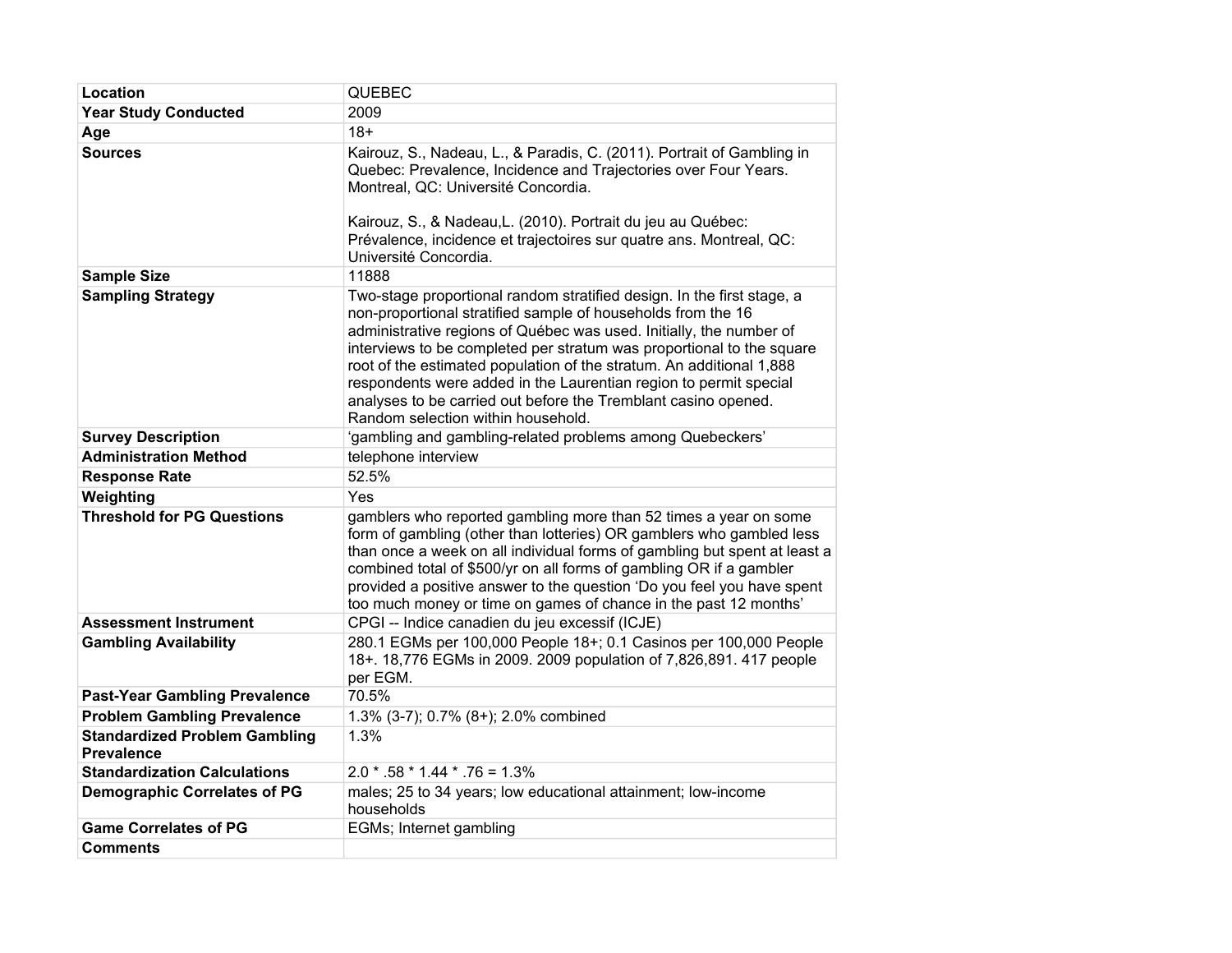| Location                                                  | QUEBEC                                                                                                                                                                                                                                                                                                                                                                                                                                                                                                                                      |
|-----------------------------------------------------------|---------------------------------------------------------------------------------------------------------------------------------------------------------------------------------------------------------------------------------------------------------------------------------------------------------------------------------------------------------------------------------------------------------------------------------------------------------------------------------------------------------------------------------------------|
| <b>Year Study Conducted</b>                               | 2009                                                                                                                                                                                                                                                                                                                                                                                                                                                                                                                                        |
| Age                                                       | $18+$                                                                                                                                                                                                                                                                                                                                                                                                                                                                                                                                       |
| <b>Sources</b>                                            | Kairouz, S., Nadeau, L., & Paradis, C. (2011). Portrait of Gambling in<br>Quebec: Prevalence, Incidence and Trajectories over Four Years.<br>Montreal, QC: Université Concordia.<br>Kairouz, S., & Nadeau, L. (2010). Portrait du jeu au Québec:<br>Prévalence, incidence et trajectoires sur quatre ans. Montreal, QC:<br>Université Concordia.                                                                                                                                                                                            |
| <b>Sample Size</b>                                        | 11888                                                                                                                                                                                                                                                                                                                                                                                                                                                                                                                                       |
| <b>Sampling Strategy</b>                                  | Two-stage proportional random stratified design. In the first stage, a<br>non-proportional stratified sample of households from the 16<br>administrative regions of Québec was used. Initially, the number of<br>interviews to be completed per stratum was proportional to the square<br>root of the estimated population of the stratum. An additional 1,888<br>respondents were added in the Laurentian region to permit special<br>analyses to be carried out before the Tremblant casino opened.<br>Random selection within household. |
| <b>Survey Description</b>                                 | 'gambling and gambling-related problems among Quebeckers'                                                                                                                                                                                                                                                                                                                                                                                                                                                                                   |
| <b>Administration Method</b>                              | telephone interview                                                                                                                                                                                                                                                                                                                                                                                                                                                                                                                         |
| <b>Response Rate</b>                                      | 52.5%                                                                                                                                                                                                                                                                                                                                                                                                                                                                                                                                       |
| Weighting                                                 | Yes                                                                                                                                                                                                                                                                                                                                                                                                                                                                                                                                         |
| <b>Threshold for PG Questions</b>                         | gamblers who reported gambling more than 52 times a year on some<br>form of gambling (other than lotteries) OR gamblers who gambled less<br>than once a week on all individual forms of gambling but spent at least a<br>combined total of \$500/yr on all forms of gambling OR if a gambler<br>provided a positive answer to the question 'Do you feel you have spent<br>too much money or time on games of chance in the past 12 months'                                                                                                  |
| <b>Assessment Instrument</b>                              | CPGI -- Indice canadien du jeu excessif (ICJE)                                                                                                                                                                                                                                                                                                                                                                                                                                                                                              |
| <b>Gambling Availability</b>                              | 280.1 EGMs per 100,000 People 18+; 0.1 Casinos per 100,000 People<br>18+. 18,776 EGMs in 2009. 2009 population of 7,826,891. 417 people<br>per EGM.                                                                                                                                                                                                                                                                                                                                                                                         |
| <b>Past-Year Gambling Prevalence</b>                      | 70.5%                                                                                                                                                                                                                                                                                                                                                                                                                                                                                                                                       |
| <b>Problem Gambling Prevalence</b>                        | 1.3% (3-7); 0.7% (8+); 2.0% combined                                                                                                                                                                                                                                                                                                                                                                                                                                                                                                        |
| <b>Standardized Problem Gambling</b><br><b>Prevalence</b> | 1.3%                                                                                                                                                                                                                                                                                                                                                                                                                                                                                                                                        |
| <b>Standardization Calculations</b>                       | $2.0 * .58 * 1.44 * .76 = 1.3%$                                                                                                                                                                                                                                                                                                                                                                                                                                                                                                             |
| <b>Demographic Correlates of PG</b>                       | males; 25 to 34 years; low educational attainment; low-income<br>households                                                                                                                                                                                                                                                                                                                                                                                                                                                                 |
| <b>Game Correlates of PG</b>                              | EGMs; Internet gambling                                                                                                                                                                                                                                                                                                                                                                                                                                                                                                                     |
| <b>Comments</b>                                           |                                                                                                                                                                                                                                                                                                                                                                                                                                                                                                                                             |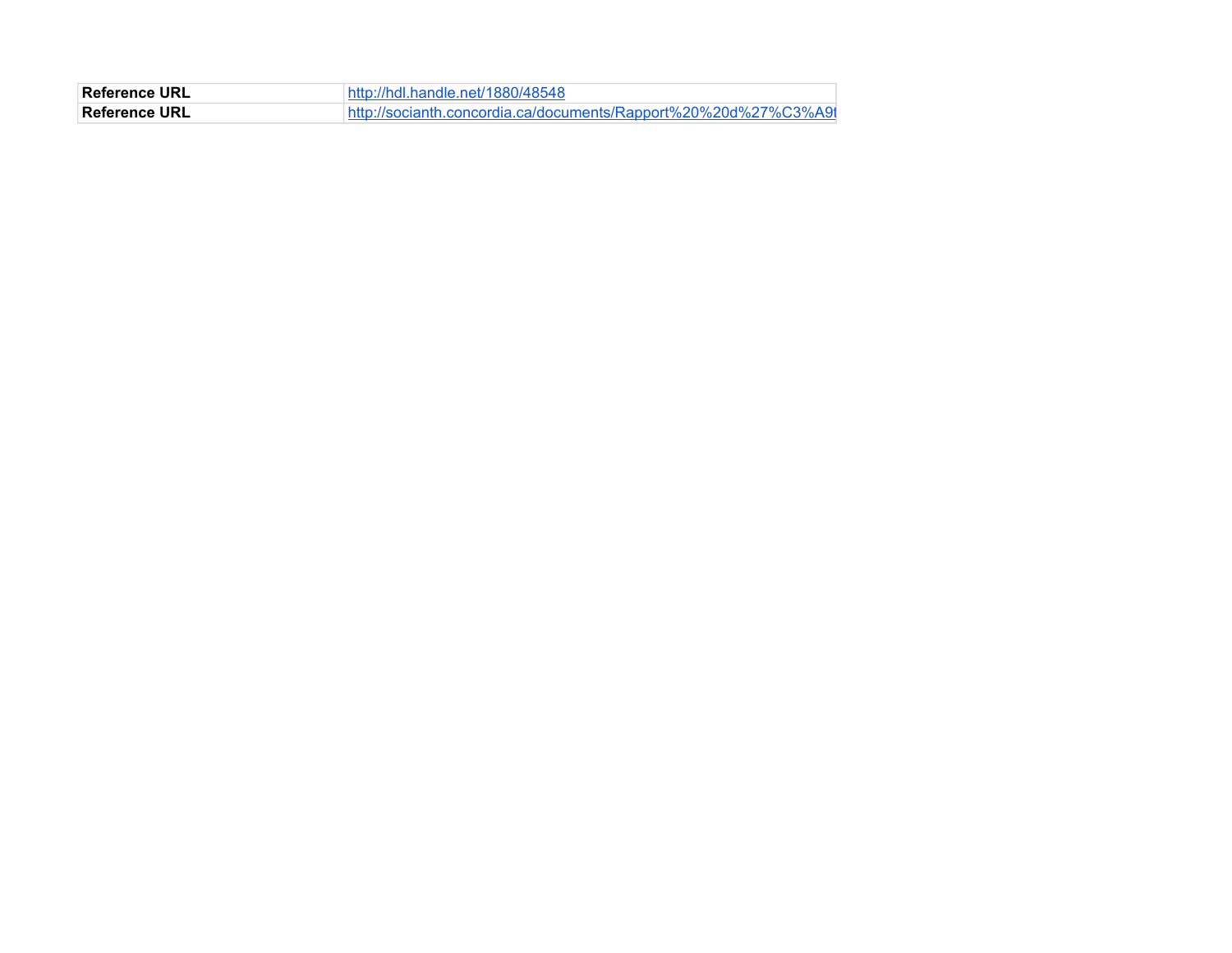| <b>∣Reference URL</b><br>://hdl.handle.net/1880/48548 |                                                                 |
|-------------------------------------------------------|-----------------------------------------------------------------|
| Reference URL                                         | http://socianth.concordia.ca/documents/Rapport%20%20d%27%C3%A91 |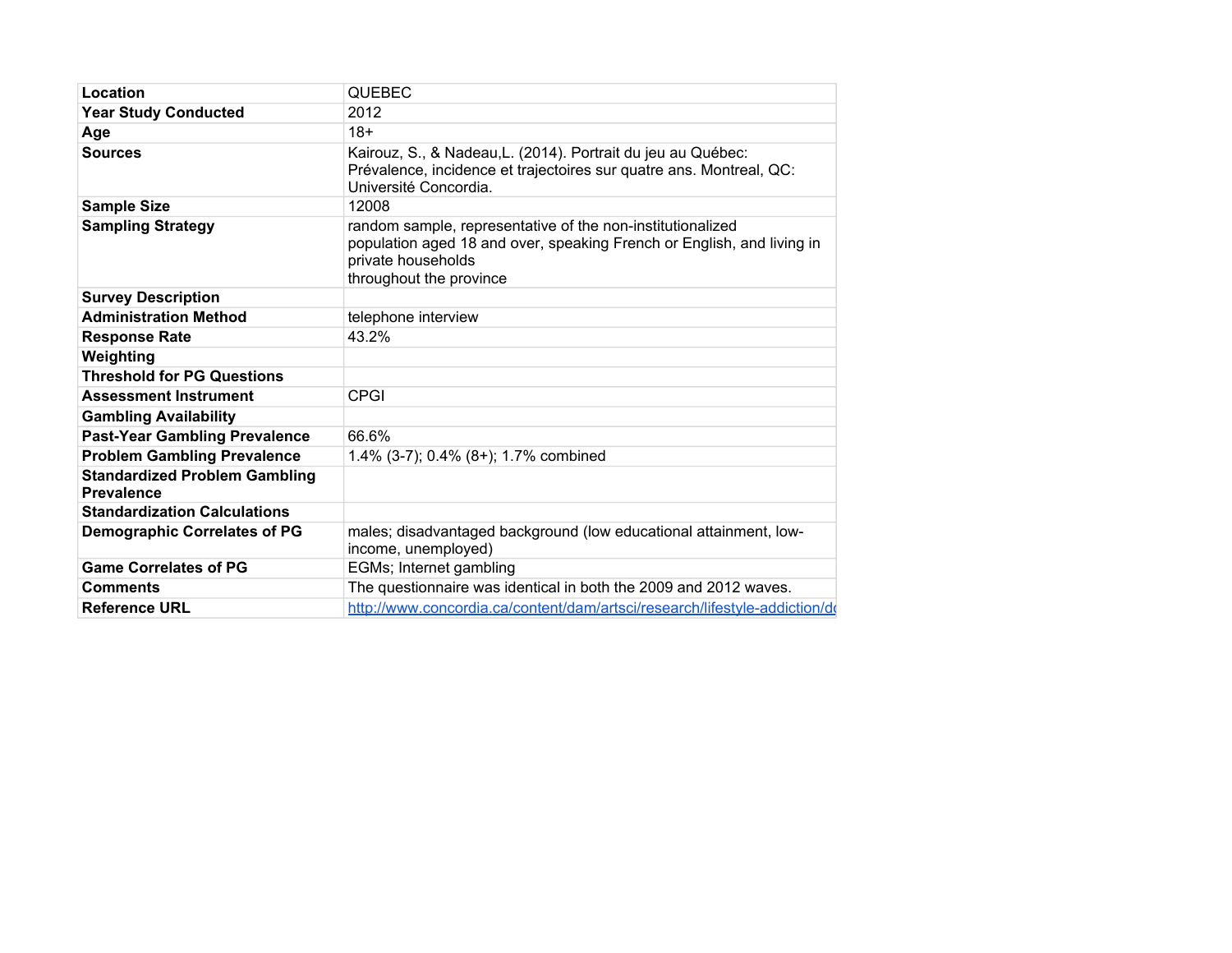| Location                                                  | <b>QUEBEC</b>                                                                                                                                                                         |
|-----------------------------------------------------------|---------------------------------------------------------------------------------------------------------------------------------------------------------------------------------------|
| <b>Year Study Conducted</b>                               | 2012                                                                                                                                                                                  |
| Age                                                       | $18+$                                                                                                                                                                                 |
| Sources                                                   | Kairouz, S., & Nadeau, L. (2014). Portrait du jeu au Québec:<br>Prévalence, incidence et trajectoires sur quatre ans. Montreal, QC:<br>Université Concordia.                          |
| <b>Sample Size</b>                                        | 12008                                                                                                                                                                                 |
| <b>Sampling Strategy</b>                                  | random sample, representative of the non-institutionalized<br>population aged 18 and over, speaking French or English, and living in<br>private households<br>throughout the province |
| <b>Survey Description</b>                                 |                                                                                                                                                                                       |
| <b>Administration Method</b>                              | telephone interview                                                                                                                                                                   |
| <b>Response Rate</b>                                      | 43.2%                                                                                                                                                                                 |
| Weighting                                                 |                                                                                                                                                                                       |
| <b>Threshold for PG Questions</b>                         |                                                                                                                                                                                       |
| <b>Assessment Instrument</b>                              | <b>CPGI</b>                                                                                                                                                                           |
| <b>Gambling Availability</b>                              |                                                                                                                                                                                       |
| <b>Past-Year Gambling Prevalence</b>                      | 66.6%                                                                                                                                                                                 |
| <b>Problem Gambling Prevalence</b>                        | 1.4% (3-7); 0.4% (8+); 1.7% combined                                                                                                                                                  |
| <b>Standardized Problem Gambling</b><br><b>Prevalence</b> |                                                                                                                                                                                       |
| <b>Standardization Calculations</b>                       |                                                                                                                                                                                       |
| <b>Demographic Correlates of PG</b>                       | males; disadvantaged background (low educational attainment, low-<br>income, unemployed)                                                                                              |
| <b>Game Correlates of PG</b>                              | EGMs; Internet gambling                                                                                                                                                               |
| <b>Comments</b>                                           | The questionnaire was identical in both the 2009 and 2012 waves.                                                                                                                      |
| <b>Reference URL</b>                                      | http://www.concordia.ca/content/dam/artsci/research/lifestyle-addiction/do                                                                                                            |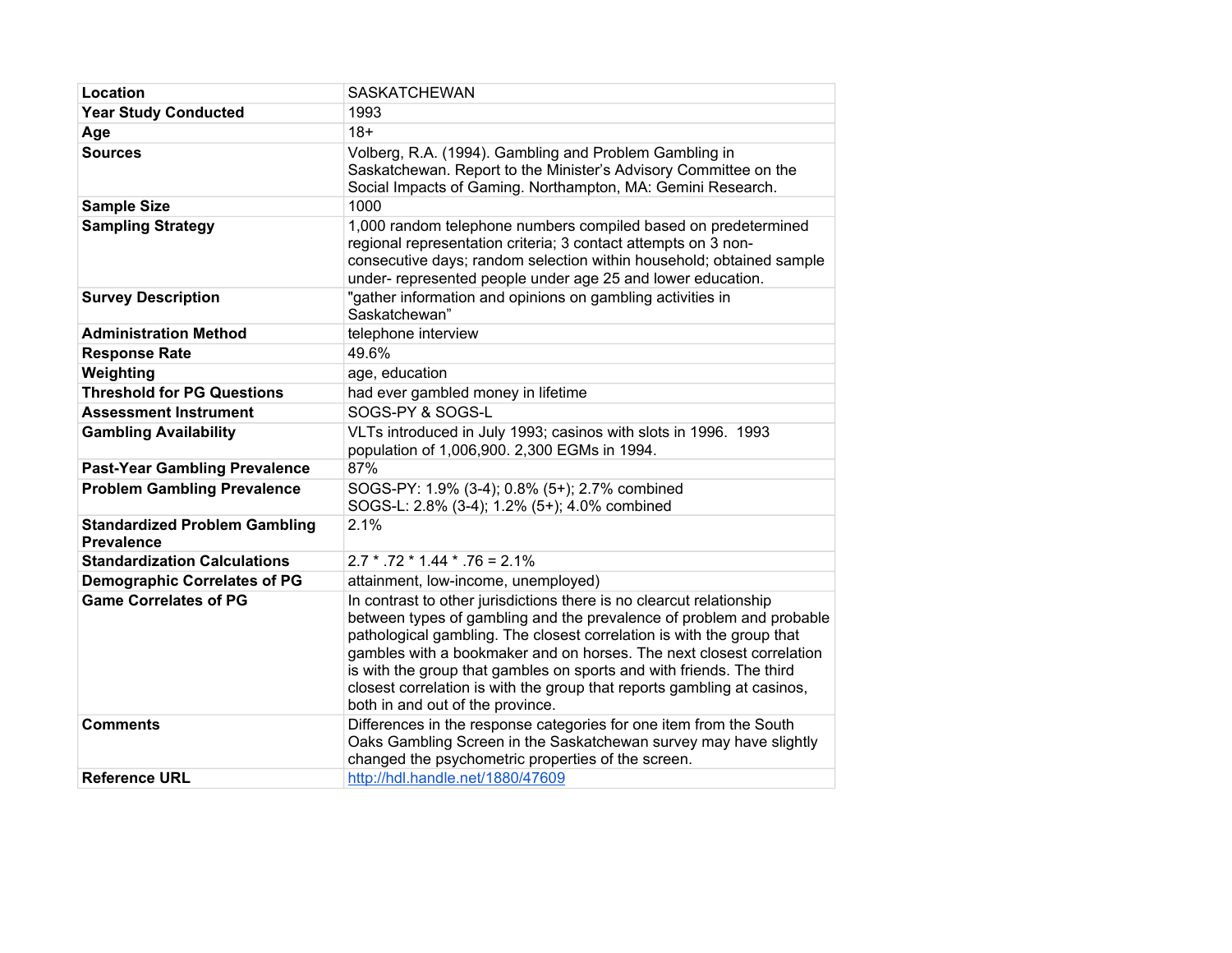| Location                                                  | <b>SASKATCHEWAN</b>                                                                                                                                                                                                                                                                                                                                                                                                                                                                  |
|-----------------------------------------------------------|--------------------------------------------------------------------------------------------------------------------------------------------------------------------------------------------------------------------------------------------------------------------------------------------------------------------------------------------------------------------------------------------------------------------------------------------------------------------------------------|
| <b>Year Study Conducted</b>                               | 1993                                                                                                                                                                                                                                                                                                                                                                                                                                                                                 |
| Age                                                       | $18+$                                                                                                                                                                                                                                                                                                                                                                                                                                                                                |
| <b>Sources</b>                                            | Volberg, R.A. (1994). Gambling and Problem Gambling in<br>Saskatchewan. Report to the Minister's Advisory Committee on the<br>Social Impacts of Gaming. Northampton, MA: Gemini Research.                                                                                                                                                                                                                                                                                            |
| <b>Sample Size</b>                                        | 1000                                                                                                                                                                                                                                                                                                                                                                                                                                                                                 |
| <b>Sampling Strategy</b>                                  | 1,000 random telephone numbers compiled based on predetermined<br>regional representation criteria; 3 contact attempts on 3 non-<br>consecutive days; random selection within household; obtained sample<br>under- represented people under age 25 and lower education.                                                                                                                                                                                                              |
| <b>Survey Description</b>                                 | "gather information and opinions on gambling activities in<br>Saskatchewan"                                                                                                                                                                                                                                                                                                                                                                                                          |
| <b>Administration Method</b>                              | telephone interview                                                                                                                                                                                                                                                                                                                                                                                                                                                                  |
| <b>Response Rate</b>                                      | 49.6%                                                                                                                                                                                                                                                                                                                                                                                                                                                                                |
| Weighting                                                 | age, education                                                                                                                                                                                                                                                                                                                                                                                                                                                                       |
| <b>Threshold for PG Questions</b>                         | had ever gambled money in lifetime                                                                                                                                                                                                                                                                                                                                                                                                                                                   |
| <b>Assessment Instrument</b>                              | SOGS-PY & SOGS-L                                                                                                                                                                                                                                                                                                                                                                                                                                                                     |
| <b>Gambling Availability</b>                              | VLTs introduced in July 1993; casinos with slots in 1996. 1993<br>population of 1,006,900. 2,300 EGMs in 1994.                                                                                                                                                                                                                                                                                                                                                                       |
| <b>Past-Year Gambling Prevalence</b>                      | 87%                                                                                                                                                                                                                                                                                                                                                                                                                                                                                  |
| <b>Problem Gambling Prevalence</b>                        | SOGS-PY: 1.9% (3-4); 0.8% (5+); 2.7% combined<br>SOGS-L: 2.8% (3-4); 1.2% (5+); 4.0% combined                                                                                                                                                                                                                                                                                                                                                                                        |
| <b>Standardized Problem Gambling</b><br><b>Prevalence</b> | 2.1%                                                                                                                                                                                                                                                                                                                                                                                                                                                                                 |
| <b>Standardization Calculations</b>                       | $2.7 * .72 * 1.44 * .76 = 2.1\%$                                                                                                                                                                                                                                                                                                                                                                                                                                                     |
| <b>Demographic Correlates of PG</b>                       | attainment, low-income, unemployed)                                                                                                                                                                                                                                                                                                                                                                                                                                                  |
| <b>Game Correlates of PG</b>                              | In contrast to other jurisdictions there is no clearcut relationship<br>between types of gambling and the prevalence of problem and probable<br>pathological gambling. The closest correlation is with the group that<br>gambles with a bookmaker and on horses. The next closest correlation<br>is with the group that gambles on sports and with friends. The third<br>closest correlation is with the group that reports gambling at casinos,<br>both in and out of the province. |
| <b>Comments</b>                                           | Differences in the response categories for one item from the South<br>Oaks Gambling Screen in the Saskatchewan survey may have slightly<br>changed the psychometric properties of the screen.                                                                                                                                                                                                                                                                                        |
| <b>Reference URL</b>                                      | http://hdl.handle.net/1880/47609                                                                                                                                                                                                                                                                                                                                                                                                                                                     |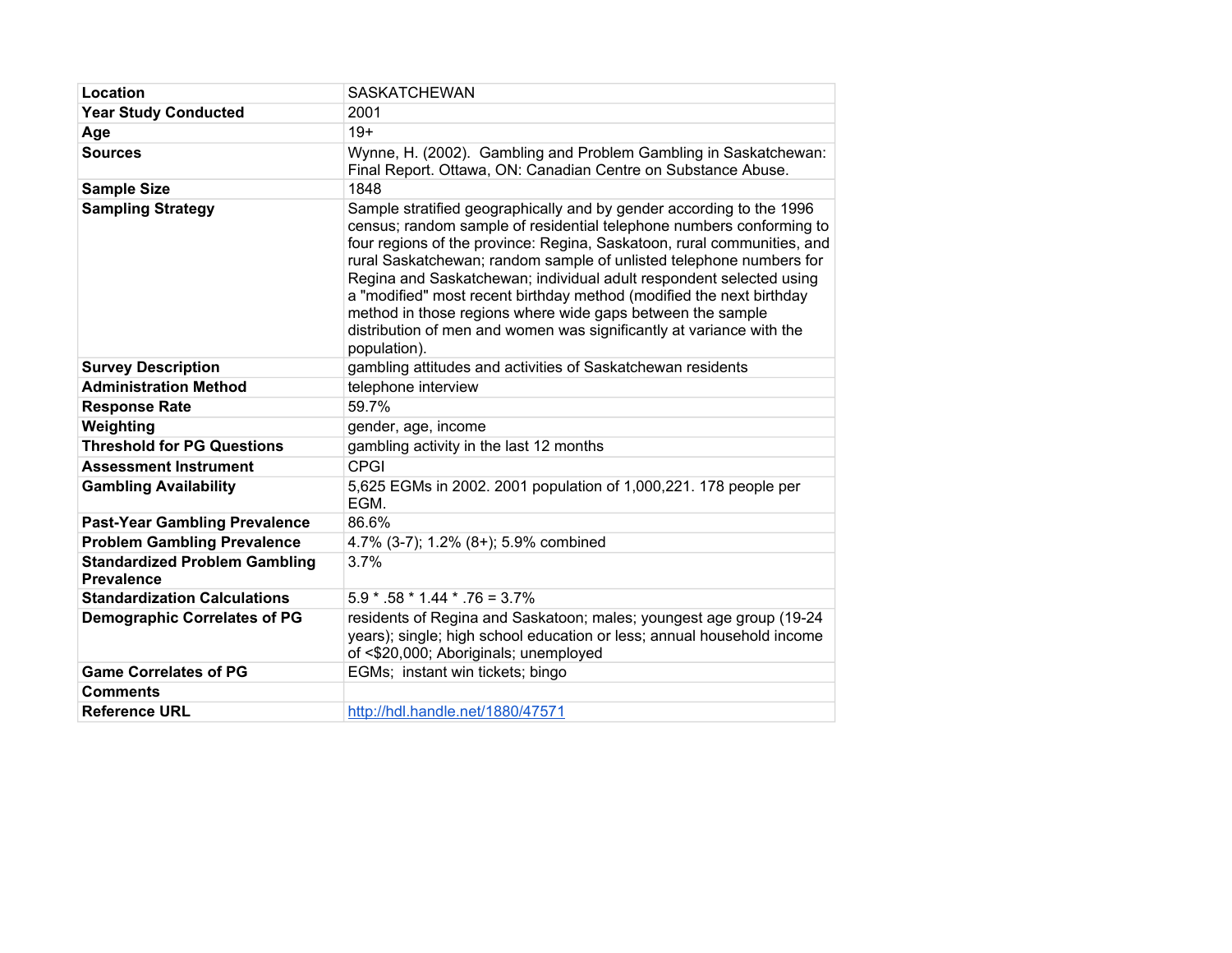| Location                                                  | <b>SASKATCHEWAN</b>                                                                                                                                                                                                                                                                                                                                                                                                                                                                                                                                                                                 |
|-----------------------------------------------------------|-----------------------------------------------------------------------------------------------------------------------------------------------------------------------------------------------------------------------------------------------------------------------------------------------------------------------------------------------------------------------------------------------------------------------------------------------------------------------------------------------------------------------------------------------------------------------------------------------------|
| <b>Year Study Conducted</b>                               | 2001                                                                                                                                                                                                                                                                                                                                                                                                                                                                                                                                                                                                |
| Age                                                       | $19+$                                                                                                                                                                                                                                                                                                                                                                                                                                                                                                                                                                                               |
| <b>Sources</b>                                            | Wynne, H. (2002). Gambling and Problem Gambling in Saskatchewan:<br>Final Report. Ottawa, ON: Canadian Centre on Substance Abuse.                                                                                                                                                                                                                                                                                                                                                                                                                                                                   |
| <b>Sample Size</b>                                        | 1848                                                                                                                                                                                                                                                                                                                                                                                                                                                                                                                                                                                                |
| <b>Sampling Strategy</b>                                  | Sample stratified geographically and by gender according to the 1996<br>census; random sample of residential telephone numbers conforming to<br>four regions of the province: Regina, Saskatoon, rural communities, and<br>rural Saskatchewan; random sample of unlisted telephone numbers for<br>Regina and Saskatchewan; individual adult respondent selected using<br>a "modified" most recent birthday method (modified the next birthday<br>method in those regions where wide gaps between the sample<br>distribution of men and women was significantly at variance with the<br>population). |
| <b>Survey Description</b>                                 | gambling attitudes and activities of Saskatchewan residents                                                                                                                                                                                                                                                                                                                                                                                                                                                                                                                                         |
| <b>Administration Method</b>                              | telephone interview                                                                                                                                                                                                                                                                                                                                                                                                                                                                                                                                                                                 |
| <b>Response Rate</b>                                      | 59.7%                                                                                                                                                                                                                                                                                                                                                                                                                                                                                                                                                                                               |
| Weighting                                                 | gender, age, income                                                                                                                                                                                                                                                                                                                                                                                                                                                                                                                                                                                 |
| <b>Threshold for PG Questions</b>                         | gambling activity in the last 12 months                                                                                                                                                                                                                                                                                                                                                                                                                                                                                                                                                             |
| <b>Assessment Instrument</b>                              | <b>CPGI</b>                                                                                                                                                                                                                                                                                                                                                                                                                                                                                                                                                                                         |
| <b>Gambling Availability</b>                              | 5,625 EGMs in 2002. 2001 population of 1,000,221. 178 people per<br>EGM.                                                                                                                                                                                                                                                                                                                                                                                                                                                                                                                            |
| <b>Past-Year Gambling Prevalence</b>                      | 86.6%                                                                                                                                                                                                                                                                                                                                                                                                                                                                                                                                                                                               |
| <b>Problem Gambling Prevalence</b>                        | 4.7% (3-7); 1.2% (8+); 5.9% combined                                                                                                                                                                                                                                                                                                                                                                                                                                                                                                                                                                |
| <b>Standardized Problem Gambling</b><br><b>Prevalence</b> | 3.7%                                                                                                                                                                                                                                                                                                                                                                                                                                                                                                                                                                                                |
| <b>Standardization Calculations</b>                       | $5.9 * .58 * 1.44 * .76 = 3.7%$                                                                                                                                                                                                                                                                                                                                                                                                                                                                                                                                                                     |
| <b>Demographic Correlates of PG</b>                       | residents of Regina and Saskatoon; males; youngest age group (19-24<br>years); single; high school education or less; annual household income<br>of <\$20,000; Aboriginals; unemployed                                                                                                                                                                                                                                                                                                                                                                                                              |
| <b>Game Correlates of PG</b>                              | EGMs; instant win tickets; bingo                                                                                                                                                                                                                                                                                                                                                                                                                                                                                                                                                                    |
| <b>Comments</b>                                           |                                                                                                                                                                                                                                                                                                                                                                                                                                                                                                                                                                                                     |
| <b>Reference URL</b>                                      | http://hdl.handle.net/1880/47571                                                                                                                                                                                                                                                                                                                                                                                                                                                                                                                                                                    |